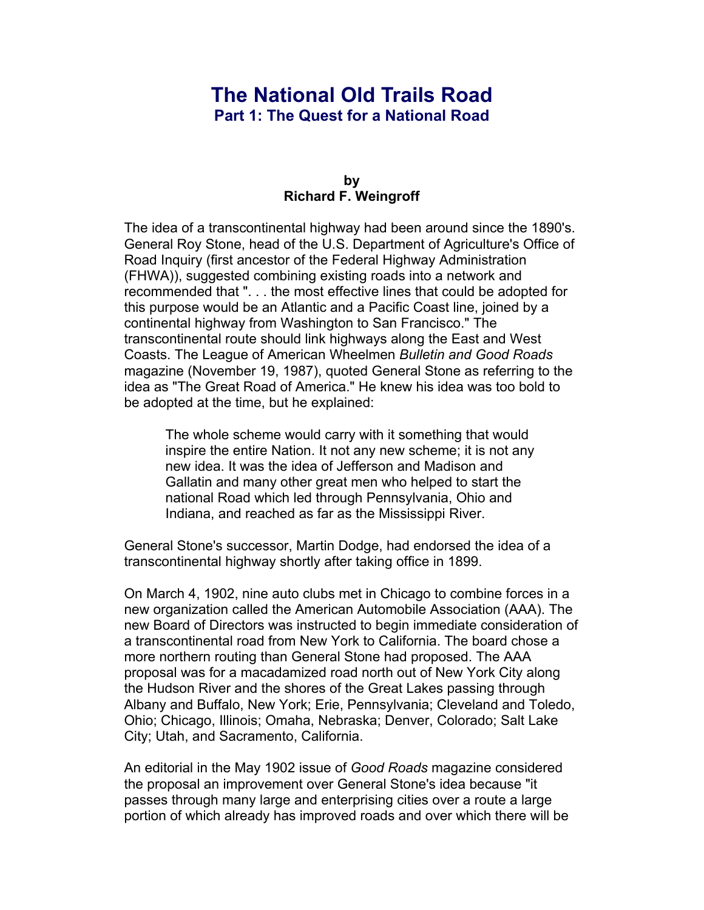# **The National Old Trails Road Part 1: The Quest for a National Road**

#### **by Richard F. Weingroff**

The idea of a transcontinental highway had been around since the 1890's. General Roy Stone, head of the U.S. Department of Agriculture's Office of Road Inquiry (first ancestor of the Federal Highway Administration (FHWA)), suggested combining existing roads into a network and recommended that ". . . the most effective lines that could be adopted for this purpose would be an Atlantic and a Pacific Coast line, joined by a continental highway from Washington to San Francisco." The transcontinental route should link highways along the East and West Coasts. The League of American Wheelmen *Bulletin and Good Roads* magazine (November 19, 1987), quoted General Stone as referring to the idea as "The Great Road of America." He knew his idea was too bold to be adopted at the time, but he explained:

The whole scheme would carry with it something that would inspire the entire Nation. It not any new scheme; it is not any new idea. It was the idea of Jefferson and Madison and Gallatin and many other great men who helped to start the national Road which led through Pennsylvania, Ohio and Indiana, and reached as far as the Mississippi River.

General Stone's successor, Martin Dodge, had endorsed the idea of a transcontinental highway shortly after taking office in 1899.

On March 4, 1902, nine auto clubs met in Chicago to combine forces in a new organization called the American Automobile Association (AAA). The new Board of Directors was instructed to begin immediate consideration of a transcontinental road from New York to California. The board chose a more northern routing than General Stone had proposed. The AAA proposal was for a macadamized road north out of New York City along the Hudson River and the shores of the Great Lakes passing through Albany and Buffalo, New York; Erie, Pennsylvania; Cleveland and Toledo, Ohio; Chicago, Illinois; Omaha, Nebraska; Denver, Colorado; Salt Lake City; Utah, and Sacramento, California.

An editorial in the May 1902 issue of *Good Roads* magazine considered the proposal an improvement over General Stone's idea because "it passes through many large and enterprising cities over a route a large portion of which already has improved roads and over which there will be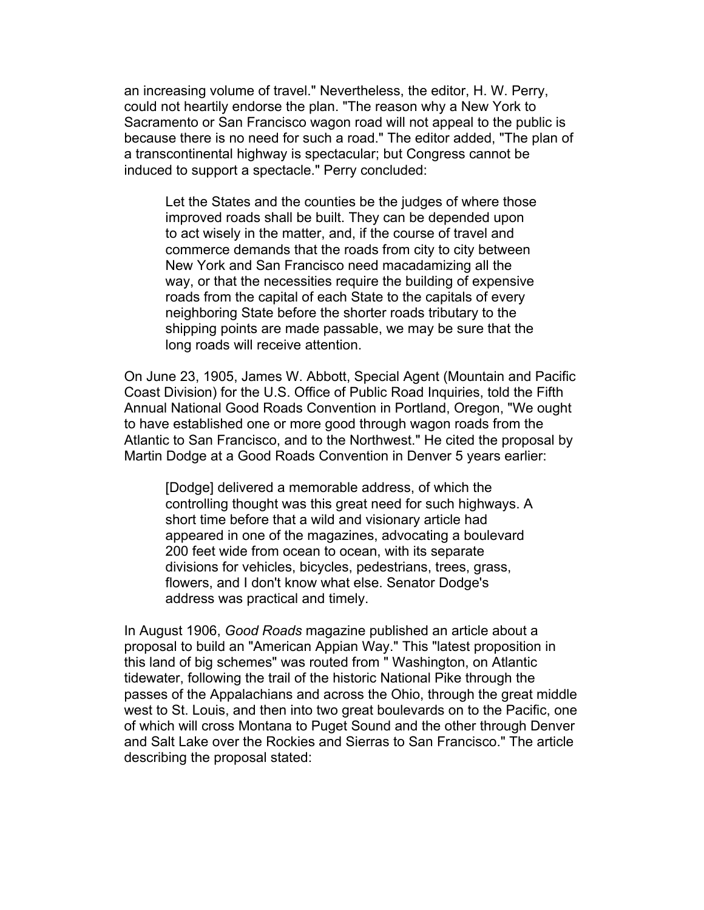an increasing volume of travel." Nevertheless, the editor, H. W. Perry, could not heartily endorse the plan. "The reason why a New York to Sacramento or San Francisco wagon road will not appeal to the public is because there is no need for such a road." The editor added, "The plan of a transcontinental highway is spectacular; but Congress cannot be induced to support a spectacle." Perry concluded:

Let the States and the counties be the judges of where those improved roads shall be built. They can be depended upon to act wisely in the matter, and, if the course of travel and commerce demands that the roads from city to city between New York and San Francisco need macadamizing all the way, or that the necessities require the building of expensive roads from the capital of each State to the capitals of every neighboring State before the shorter roads tributary to the shipping points are made passable, we may be sure that the long roads will receive attention.

On June 23, 1905, James W. Abbott, Special Agent (Mountain and Pacific Coast Division) for the U.S. Office of Public Road Inquiries, told the Fifth Annual National Good Roads Convention in Portland, Oregon, "We ought to have established one or more good through wagon roads from the Atlantic to San Francisco, and to the Northwest." He cited the proposal by Martin Dodge at a Good Roads Convention in Denver 5 years earlier:

[Dodge] delivered a memorable address, of which the controlling thought was this great need for such highways. A short time before that a wild and visionary article had appeared in one of the magazines, advocating a boulevard 200 feet wide from ocean to ocean, with its separate divisions for vehicles, bicycles, pedestrians, trees, grass, flowers, and I don't know what else. Senator Dodge's address was practical and timely.

In August 1906, *Good Roads* magazine published an article about a proposal to build an "American Appian Way." This "latest proposition in this land of big schemes" was routed from " Washington, on Atlantic tidewater, following the trail of the historic National Pike through the passes of the Appalachians and across the Ohio, through the great middle west to St. Louis, and then into two great boulevards on to the Pacific, one of which will cross Montana to Puget Sound and the other through Denver and Salt Lake over the Rockies and Sierras to San Francisco." The article describing the proposal stated: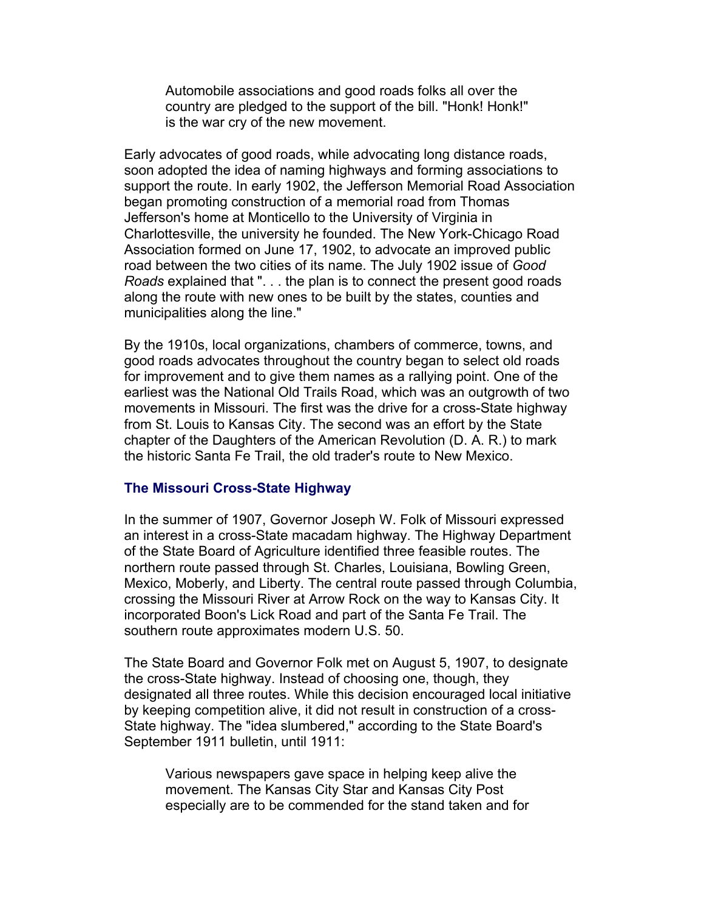Automobile associations and good roads folks all over the country are pledged to the support of the bill. "Honk! Honk!" is the war cry of the new movement.

Early advocates of good roads, while advocating long distance roads, soon adopted the idea of naming highways and forming associations to support the route. In early 1902, the Jefferson Memorial Road Association began promoting construction of a memorial road from Thomas Jefferson's home at Monticello to the University of Virginia in Charlottesville, the university he founded. The New York-Chicago Road Association formed on June 17, 1902, to advocate an improved public road between the two cities of its name. The July 1902 issue of *Good Roads* explained that ". . . the plan is to connect the present good roads along the route with new ones to be built by the states, counties and municipalities along the line."

By the 1910s, local organizations, chambers of commerce, towns, and good roads advocates throughout the country began to select old roads for improvement and to give them names as a rallying point. One of the earliest was the National Old Trails Road, which was an outgrowth of two movements in Missouri. The first was the drive for a cross-State highway from St. Louis to Kansas City. The second was an effort by the State chapter of the Daughters of the American Revolution (D. A. R.) to mark the historic Santa Fe Trail, the old trader's route to New Mexico.

## **The Missouri Cross-State Highway**

In the summer of 1907, Governor Joseph W. Folk of Missouri expressed an interest in a cross-State macadam highway. The Highway Department of the State Board of Agriculture identified three feasible routes. The northern route passed through St. Charles, Louisiana, Bowling Green, Mexico, Moberly, and Liberty. The central route passed through Columbia, crossing the Missouri River at Arrow Rock on the way to Kansas City. It incorporated Boon's Lick Road and part of the Santa Fe Trail. The southern route approximates modern U.S. 50.

The State Board and Governor Folk met on August 5, 1907, to designate the cross-State highway. Instead of choosing one, though, they designated all three routes. While this decision encouraged local initiative by keeping competition alive, it did not result in construction of a cross-State highway. The "idea slumbered," according to the State Board's September 1911 bulletin, until 1911:

Various newspapers gave space in helping keep alive the movement. The Kansas City Star and Kansas City Post especially are to be commended for the stand taken and for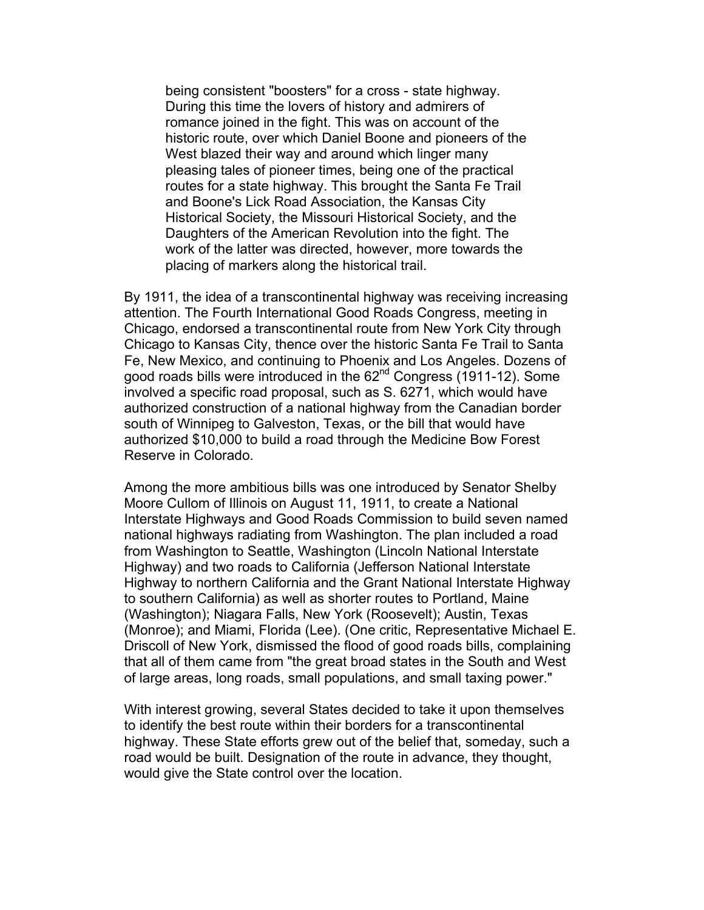being consistent "boosters" for a cross - state highway. During this time the lovers of history and admirers of romance joined in the fight. This was on account of the historic route, over which Daniel Boone and pioneers of the West blazed their way and around which linger many pleasing tales of pioneer times, being one of the practical routes for a state highway. This brought the Santa Fe Trail and Boone's Lick Road Association, the Kansas City Historical Society, the Missouri Historical Society, and the Daughters of the American Revolution into the fight. The work of the latter was directed, however, more towards the placing of markers along the historical trail.

By 1911, the idea of a transcontinental highway was receiving increasing attention. The Fourth International Good Roads Congress, meeting in Chicago, endorsed a transcontinental route from New York City through Chicago to Kansas City, thence over the historic Santa Fe Trail to Santa Fe, New Mexico, and continuing to Phoenix and Los Angeles. Dozens of good roads bills were introduced in the 62<sup>nd</sup> Congress (1911-12). Some involved a specific road proposal, such as S. 6271, which would have authorized construction of a national highway from the Canadian border south of Winnipeg to Galveston, Texas, or the bill that would have authorized \$10,000 to build a road through the Medicine Bow Forest Reserve in Colorado.

Among the more ambitious bills was one introduced by Senator Shelby Moore Cullom of Illinois on August 11, 1911, to create a National Interstate Highways and Good Roads Commission to build seven named national highways radiating from Washington. The plan included a road from Washington to Seattle, Washington (Lincoln National Interstate Highway) and two roads to California (Jefferson National Interstate Highway to northern California and the Grant National Interstate Highway to southern California) as well as shorter routes to Portland, Maine (Washington); Niagara Falls, New York (Roosevelt); Austin, Texas (Monroe); and Miami, Florida (Lee). (One critic, Representative Michael E. Driscoll of New York, dismissed the flood of good roads bills, complaining that all of them came from "the great broad states in the South and West of large areas, long roads, small populations, and small taxing power."

With interest growing, several States decided to take it upon themselves to identify the best route within their borders for a transcontinental highway. These State efforts grew out of the belief that, someday, such a road would be built. Designation of the route in advance, they thought, would give the State control over the location.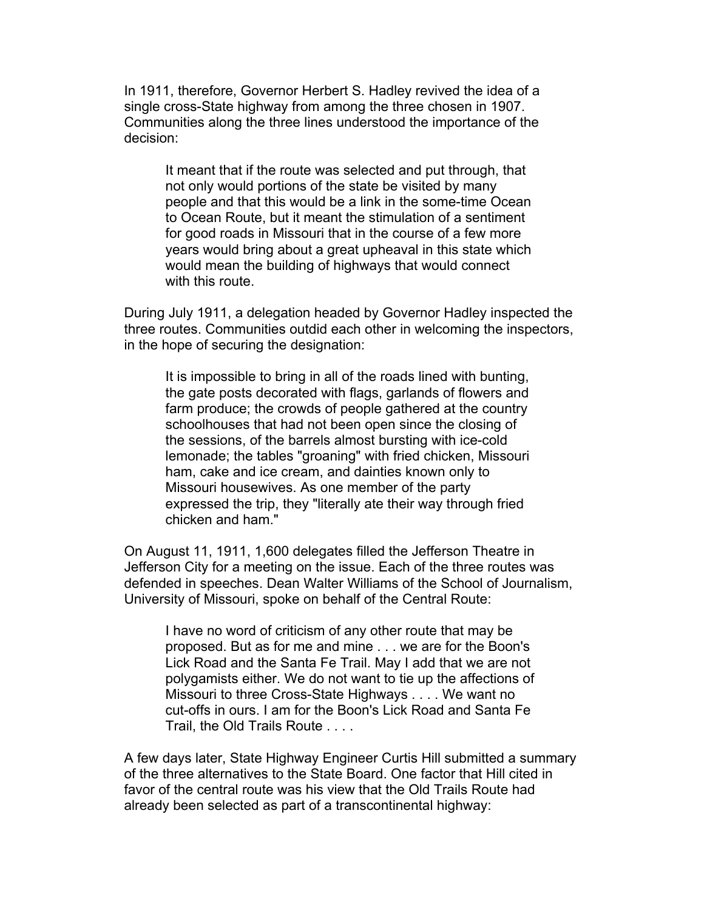In 1911, therefore, Governor Herbert S. Hadley revived the idea of a single cross-State highway from among the three chosen in 1907. Communities along the three lines understood the importance of the decision:

It meant that if the route was selected and put through, that not only would portions of the state be visited by many people and that this would be a link in the some-time Ocean to Ocean Route, but it meant the stimulation of a sentiment for good roads in Missouri that in the course of a few more years would bring about a great upheaval in this state which would mean the building of highways that would connect with this route.

During July 1911, a delegation headed by Governor Hadley inspected the three routes. Communities outdid each other in welcoming the inspectors, in the hope of securing the designation:

It is impossible to bring in all of the roads lined with bunting, the gate posts decorated with flags, garlands of flowers and farm produce; the crowds of people gathered at the country schoolhouses that had not been open since the closing of the sessions, of the barrels almost bursting with ice-cold lemonade; the tables "groaning" with fried chicken, Missouri ham, cake and ice cream, and dainties known only to Missouri housewives. As one member of the party expressed the trip, they "literally ate their way through fried chicken and ham."

On August 11, 1911, 1,600 delegates filled the Jefferson Theatre in Jefferson City for a meeting on the issue. Each of the three routes was defended in speeches. Dean Walter Williams of the School of Journalism, University of Missouri, spoke on behalf of the Central Route:

I have no word of criticism of any other route that may be proposed. But as for me and mine . . . we are for the Boon's Lick Road and the Santa Fe Trail. May I add that we are not polygamists either. We do not want to tie up the affections of Missouri to three Cross-State Highways . . . . We want no cut-offs in ours. I am for the Boon's Lick Road and Santa Fe Trail, the Old Trails Route . . . .

A few days later, State Highway Engineer Curtis Hill submitted a summary of the three alternatives to the State Board. One factor that Hill cited in favor of the central route was his view that the Old Trails Route had already been selected as part of a transcontinental highway: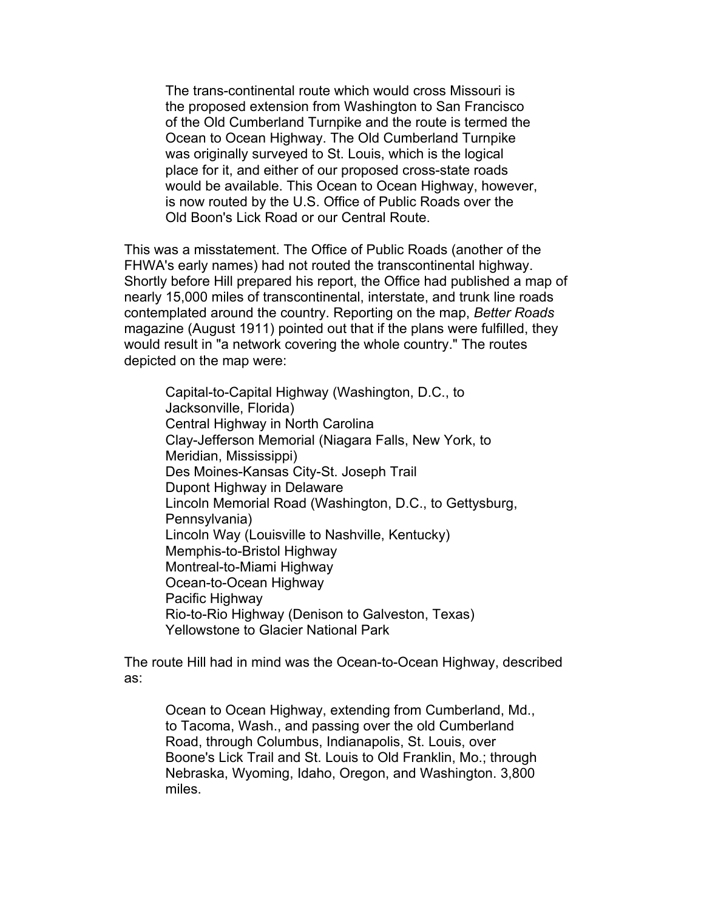The trans-continental route which would cross Missouri is the proposed extension from Washington to San Francisco of the Old Cumberland Turnpike and the route is termed the Ocean to Ocean Highway. The Old Cumberland Turnpike was originally surveyed to St. Louis, which is the logical place for it, and either of our proposed cross-state roads would be available. This Ocean to Ocean Highway, however, is now routed by the U.S. Office of Public Roads over the Old Boon's Lick Road or our Central Route.

This was a misstatement. The Office of Public Roads (another of the FHWA's early names) had not routed the transcontinental highway. Shortly before Hill prepared his report, the Office had published a map of nearly 15,000 miles of transcontinental, interstate, and trunk line roads contemplated around the country. Reporting on the map, *Better Roads* magazine (August 1911) pointed out that if the plans were fulfilled, they would result in "a network covering the whole country." The routes depicted on the map were:

Capital-to-Capital Highway (Washington, D.C., to Jacksonville, Florida) Central Highway in North Carolina Clay-Jefferson Memorial (Niagara Falls, New York, to Meridian, Mississippi) Des Moines-Kansas City-St. Joseph Trail Dupont Highway in Delaware Lincoln Memorial Road (Washington, D.C., to Gettysburg, Pennsylvania) Lincoln Way (Louisville to Nashville, Kentucky) Memphis-to-Bristol Highway Montreal-to-Miami Highway Ocean-to-Ocean Highway Pacific Highway Rio-to-Rio Highway (Denison to Galveston, Texas) Yellowstone to Glacier National Park

The route Hill had in mind was the Ocean-to-Ocean Highway, described as:

Ocean to Ocean Highway, extending from Cumberland, Md., to Tacoma, Wash., and passing over the old Cumberland Road, through Columbus, Indianapolis, St. Louis, over Boone's Lick Trail and St. Louis to Old Franklin, Mo.; through Nebraska, Wyoming, Idaho, Oregon, and Washington. 3,800 miles.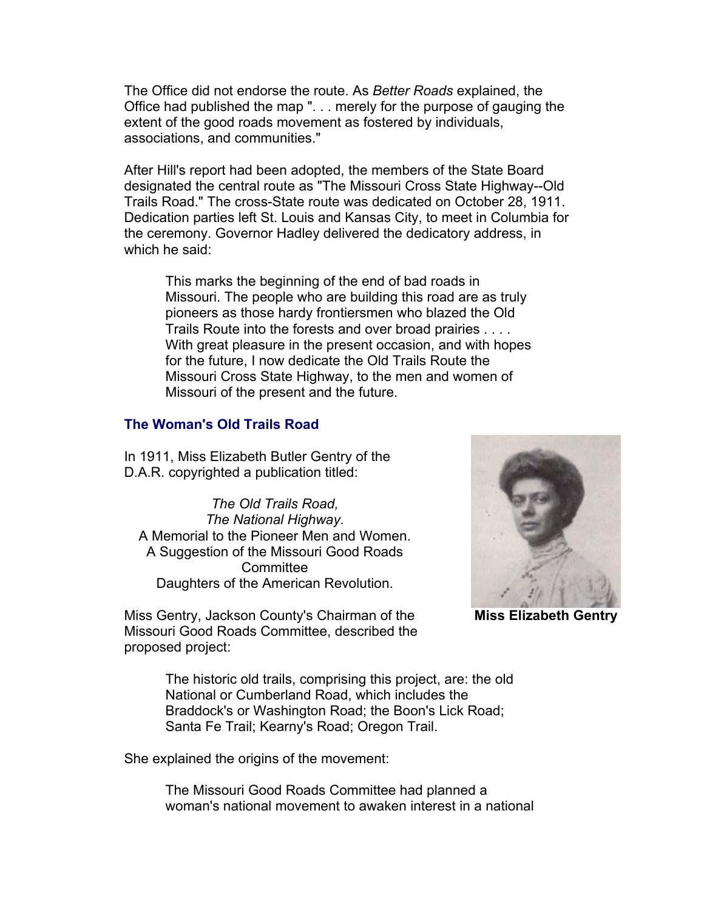The Office did not endorse the route. As *Better Roads* explained, the Office had published the map ". . . merely for the purpose of gauging the extent of the good roads movement as fostered by individuals, associations, and communities."

After Hill's report had been adopted, the members of the State Board designated the central route as "The Missouri Cross State Highway--Old Trails Road." The cross-State route was dedicated on October 28, 1911. Dedication parties left St. Louis and Kansas City, to meet in Columbia for the ceremony. Governor Hadley delivered the dedicatory address, in which he said:

This marks the beginning of the end of bad roads in Missouri. The people who are building this road are as truly pioneers as those hardy frontiersmen who blazed the Old Trails Route into the forests and over broad prairies . . . . With great pleasure in the present occasion, and with hopes for the future, I now dedicate the Old Trails Route the Missouri Cross State Highway, to the men and women of Missouri of the present and the future.

# **The Woman's Old Trails Road**

In 1911, Miss Elizabeth Butler Gentry of the D.A.R. copyrighted a publication titled:

*The Old Trails Road, The National Highway.* A Memorial to the Pioneer Men and Women. A Suggestion of the Missouri Good Roads **Committee** Daughters of the American Revolution.

**Miss Elizabeth Gentry**

Miss Gentry, Jackson County's Chairman of the Missouri Good Roads Committee, described the proposed project:

> The historic old trails, comprising this project, are: the old National or Cumberland Road, which includes the Braddock's or Washington Road; the Boon's Lick Road; Santa Fe Trail; Kearny's Road; Oregon Trail.

She explained the origins of the movement:

The Missouri Good Roads Committee had planned a woman's national movement to awaken interest in a national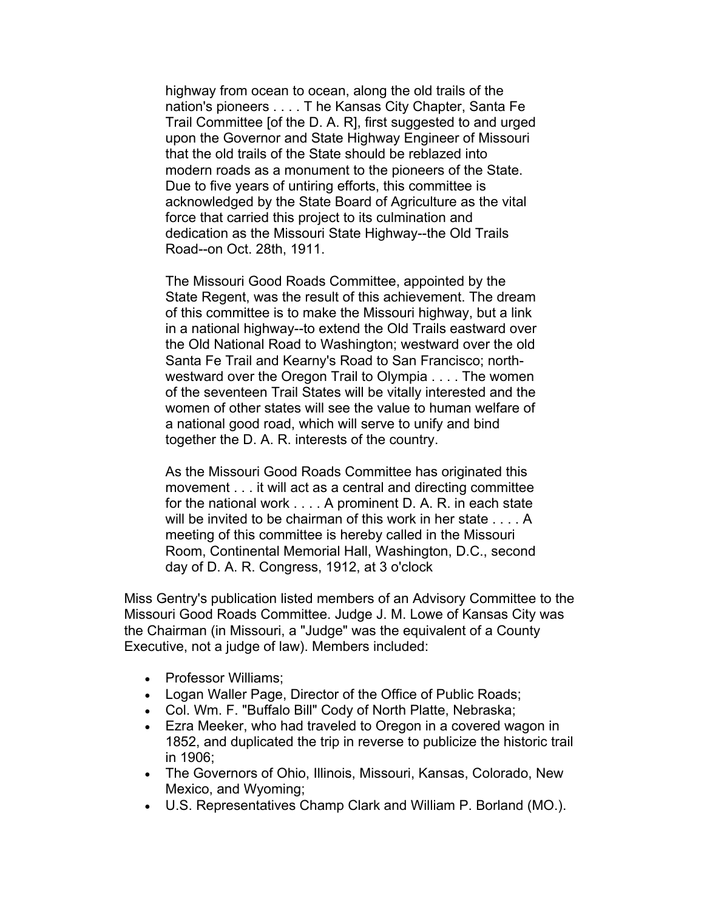highway from ocean to ocean, along the old trails of the nation's pioneers . . . . T he Kansas City Chapter, Santa Fe Trail Committee [of the D. A. R], first suggested to and urged upon the Governor and State Highway Engineer of Missouri that the old trails of the State should be reblazed into modern roads as a monument to the pioneers of the State. Due to five years of untiring efforts, this committee is acknowledged by the State Board of Agriculture as the vital force that carried this project to its culmination and dedication as the Missouri State Highway--the Old Trails Road--on Oct. 28th, 1911.

The Missouri Good Roads Committee, appointed by the State Regent, was the result of this achievement. The dream of this committee is to make the Missouri highway, but a link in a national highway--to extend the Old Trails eastward over the Old National Road to Washington; westward over the old Santa Fe Trail and Kearny's Road to San Francisco; northwestward over the Oregon Trail to Olympia . . . . The women of the seventeen Trail States will be vitally interested and the women of other states will see the value to human welfare of a national good road, which will serve to unify and bind together the D. A. R. interests of the country.

As the Missouri Good Roads Committee has originated this movement . . . it will act as a central and directing committee for the national work . . . . A prominent D. A. R. in each state will be invited to be chairman of this work in her state . . . . A meeting of this committee is hereby called in the Missouri Room, Continental Memorial Hall, Washington, D.C., second day of D. A. R. Congress, 1912, at 3 o'clock

Miss Gentry's publication listed members of an Advisory Committee to the Missouri Good Roads Committee. Judge J. M. Lowe of Kansas City was the Chairman (in Missouri, a "Judge" was the equivalent of a County Executive, not a judge of law). Members included:

- Professor Williams;
- Logan Waller Page, Director of the Office of Public Roads;
- Col. Wm. F. "Buffalo Bill" Cody of North Platte, Nebraska;
- Ezra Meeker, who had traveled to Oregon in a covered wagon in 1852, and duplicated the trip in reverse to publicize the historic trail in 1906;
- The Governors of Ohio, Illinois, Missouri, Kansas, Colorado, New Mexico, and Wyoming;
- U.S. Representatives Champ Clark and William P. Borland (MO.).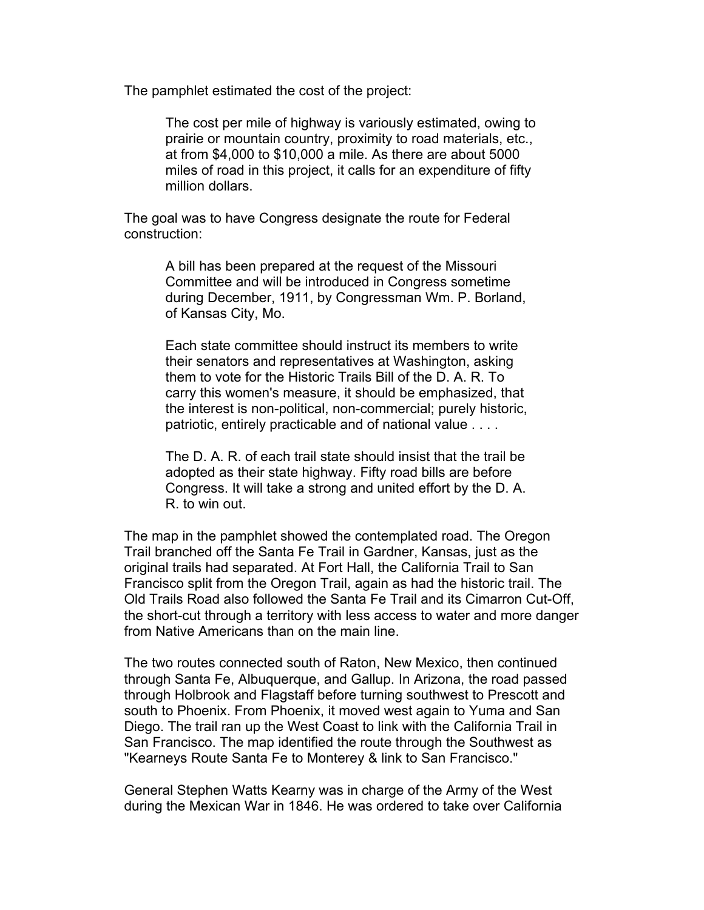The pamphlet estimated the cost of the project:

The cost per mile of highway is variously estimated, owing to prairie or mountain country, proximity to road materials, etc., at from \$4,000 to \$10,000 a mile. As there are about 5000 miles of road in this project, it calls for an expenditure of fifty million dollars.

The goal was to have Congress designate the route for Federal construction:

> A bill has been prepared at the request of the Missouri Committee and will be introduced in Congress sometime during December, 1911, by Congressman Wm. P. Borland, of Kansas City, Mo.

> Each state committee should instruct its members to write their senators and representatives at Washington, asking them to vote for the Historic Trails Bill of the D. A. R. To carry this women's measure, it should be emphasized, that the interest is non-political, non-commercial; purely historic, patriotic, entirely practicable and of national value . . . .

> The D. A. R. of each trail state should insist that the trail be adopted as their state highway. Fifty road bills are before Congress. It will take a strong and united effort by the D. A. R. to win out.

The map in the pamphlet showed the contemplated road. The Oregon Trail branched off the Santa Fe Trail in Gardner, Kansas, just as the original trails had separated. At Fort Hall, the California Trail to San Francisco split from the Oregon Trail, again as had the historic trail. The Old Trails Road also followed the Santa Fe Trail and its Cimarron Cut-Off, the short-cut through a territory with less access to water and more danger from Native Americans than on the main line.

The two routes connected south of Raton, New Mexico, then continued through Santa Fe, Albuquerque, and Gallup. In Arizona, the road passed through Holbrook and Flagstaff before turning southwest to Prescott and south to Phoenix. From Phoenix, it moved west again to Yuma and San Diego. The trail ran up the West Coast to link with the California Trail in San Francisco. The map identified the route through the Southwest as "Kearneys Route Santa Fe to Monterey & link to San Francisco."

General Stephen Watts Kearny was in charge of the Army of the West during the Mexican War in 1846. He was ordered to take over California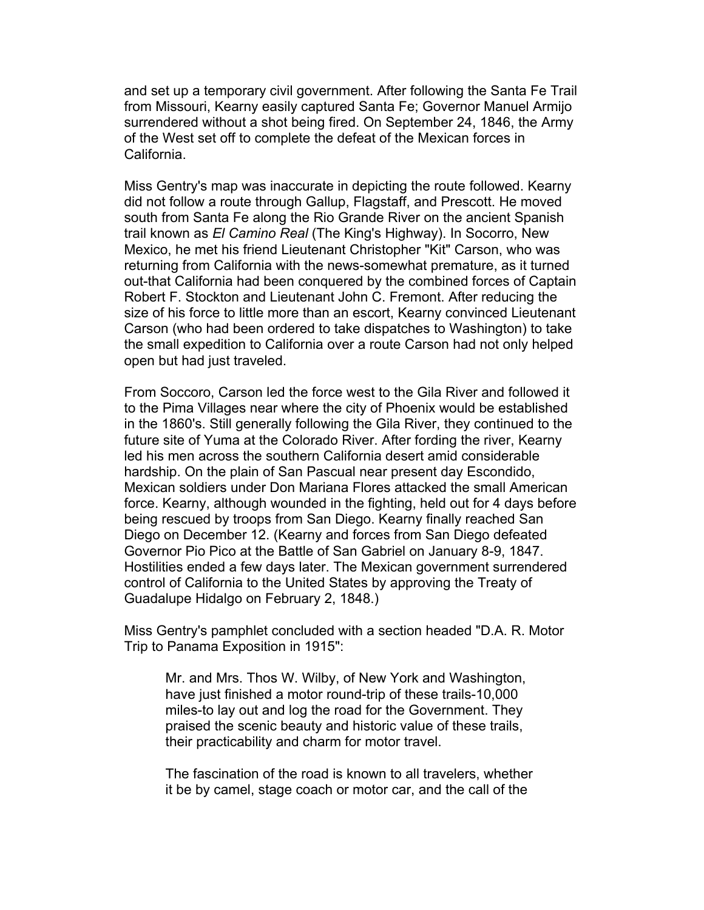and set up a temporary civil government. After following the Santa Fe Trail from Missouri, Kearny easily captured Santa Fe; Governor Manuel Armijo surrendered without a shot being fired. On September 24, 1846, the Army of the West set off to complete the defeat of the Mexican forces in California.

Miss Gentry's map was inaccurate in depicting the route followed. Kearny did not follow a route through Gallup, Flagstaff, and Prescott. He moved south from Santa Fe along the Rio Grande River on the ancient Spanish trail known as *El Camino Real* (The King's Highway). In Socorro, New Mexico, he met his friend Lieutenant Christopher "Kit" Carson, who was returning from California with the news-somewhat premature, as it turned out-that California had been conquered by the combined forces of Captain Robert F. Stockton and Lieutenant John C. Fremont. After reducing the size of his force to little more than an escort, Kearny convinced Lieutenant Carson (who had been ordered to take dispatches to Washington) to take the small expedition to California over a route Carson had not only helped open but had just traveled.

From Soccoro, Carson led the force west to the Gila River and followed it to the Pima Villages near where the city of Phoenix would be established in the 1860's. Still generally following the Gila River, they continued to the future site of Yuma at the Colorado River. After fording the river, Kearny led his men across the southern California desert amid considerable hardship. On the plain of San Pascual near present day Escondido, Mexican soldiers under Don Mariana Flores attacked the small American force. Kearny, although wounded in the fighting, held out for 4 days before being rescued by troops from San Diego. Kearny finally reached San Diego on December 12. (Kearny and forces from San Diego defeated Governor Pio Pico at the Battle of San Gabriel on January 8-9, 1847. Hostilities ended a few days later. The Mexican government surrendered control of California to the United States by approving the Treaty of Guadalupe Hidalgo on February 2, 1848.)

Miss Gentry's pamphlet concluded with a section headed "D.A. R. Motor Trip to Panama Exposition in 1915":

Mr. and Mrs. Thos W. Wilby, of New York and Washington, have just finished a motor round-trip of these trails-10,000 miles-to lay out and log the road for the Government. They praised the scenic beauty and historic value of these trails, their practicability and charm for motor travel.

The fascination of the road is known to all travelers, whether it be by camel, stage coach or motor car, and the call of the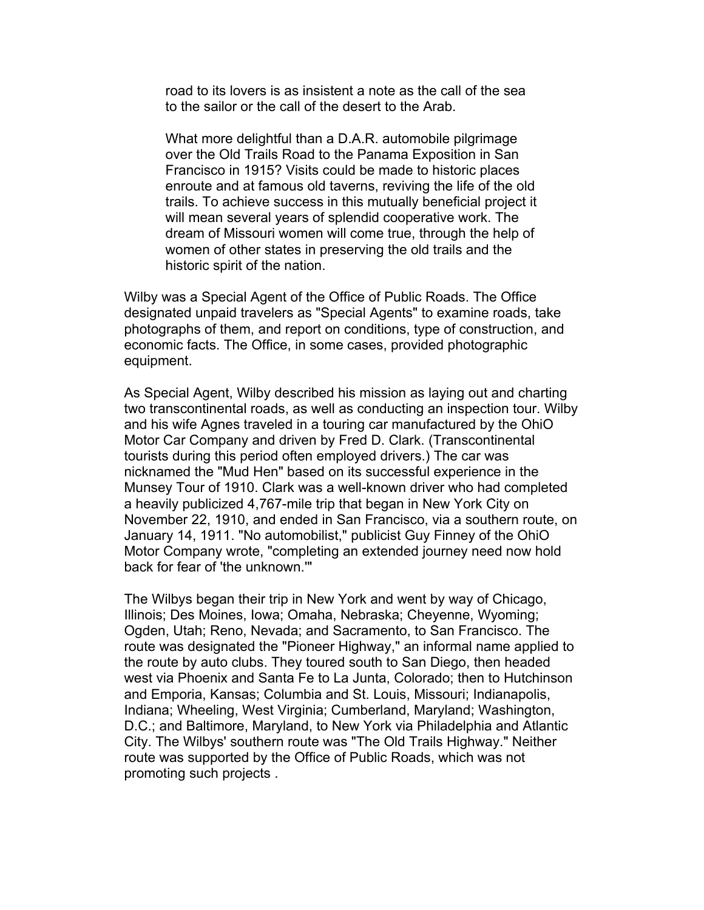road to its lovers is as insistent a note as the call of the sea to the sailor or the call of the desert to the Arab.

What more delightful than a D.A.R. automobile pilgrimage over the Old Trails Road to the Panama Exposition in San Francisco in 1915? Visits could be made to historic places enroute and at famous old taverns, reviving the life of the old trails. To achieve success in this mutually beneficial project it will mean several years of splendid cooperative work. The dream of Missouri women will come true, through the help of women of other states in preserving the old trails and the historic spirit of the nation.

Wilby was a Special Agent of the Office of Public Roads. The Office designated unpaid travelers as "Special Agents" to examine roads, take photographs of them, and report on conditions, type of construction, and economic facts. The Office, in some cases, provided photographic equipment.

As Special Agent, Wilby described his mission as laying out and charting two transcontinental roads, as well as conducting an inspection tour. Wilby and his wife Agnes traveled in a touring car manufactured by the OhiO Motor Car Company and driven by Fred D. Clark. (Transcontinental tourists during this period often employed drivers.) The car was nicknamed the "Mud Hen" based on its successful experience in the Munsey Tour of 1910. Clark was a well-known driver who had completed a heavily publicized 4,767-mile trip that began in New York City on November 22, 1910, and ended in San Francisco, via a southern route, on January 14, 1911. "No automobilist," publicist Guy Finney of the OhiO Motor Company wrote, "completing an extended journey need now hold back for fear of 'the unknown.'"

The Wilbys began their trip in New York and went by way of Chicago, Illinois; Des Moines, Iowa; Omaha, Nebraska; Cheyenne, Wyoming; Ogden, Utah; Reno, Nevada; and Sacramento, to San Francisco. The route was designated the "Pioneer Highway," an informal name applied to the route by auto clubs. They toured south to San Diego, then headed west via Phoenix and Santa Fe to La Junta, Colorado; then to Hutchinson and Emporia, Kansas; Columbia and St. Louis, Missouri; Indianapolis, Indiana; Wheeling, West Virginia; Cumberland, Maryland; Washington, D.C.; and Baltimore, Maryland, to New York via Philadelphia and Atlantic City. The Wilbys' southern route was "The Old Trails Highway." Neither route was supported by the Office of Public Roads, which was not promoting such projects .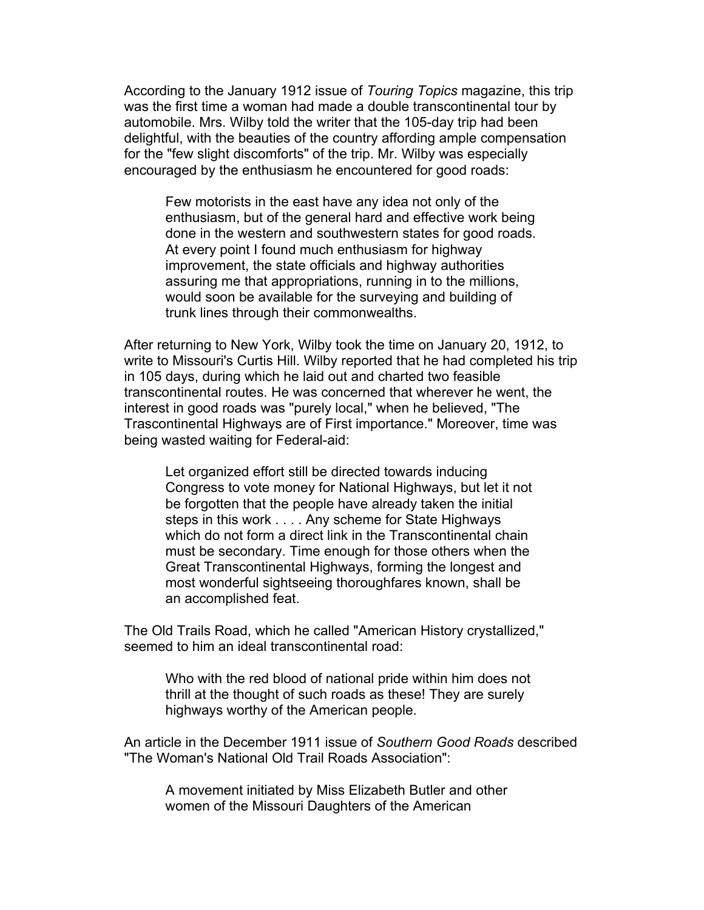According to the January 1912 issue of *Touring Topics* magazine, this trip was the first time a woman had made a double transcontinental tour by automobile. Mrs. Wilby told the writer that the 105-day trip had been delightful, with the beauties of the country affording ample compensation for the "few slight discomforts" of the trip. Mr. Wilby was especially encouraged by the enthusiasm he encountered for good roads:

Few motorists in the east have any idea not only of the enthusiasm, but of the general hard and effective work being done in the western and southwestern states for good roads. At every point I found much enthusiasm for highway improvement, the state officials and highway authorities assuring me that appropriations, running in to the millions, would soon be available for the surveying and building of trunk lines through their commonwealths.

After returning to New York, Wilby took the time on January 20, 1912, to write to Missouri's Curtis Hill. Wilby reported that he had completed his trip in 105 days, during which he laid out and charted two feasible transcontinental routes. He was concerned that wherever he went, the interest in good roads was "purely local," when he believed, "The Trascontinental Highways are of First importance." Moreover, time was being wasted waiting for Federal-aid:

Let organized effort still be directed towards inducing Congress to vote money for National Highways, but let it not be forgotten that the people have already taken the initial steps in this work . . . . Any scheme for State Highways which do not form a direct link in the Transcontinental chain must be secondary. Time enough for those others when the Great Transcontinental Highways, forming the longest and most wonderful sightseeing thoroughfares known, shall be an accomplished feat.

The Old Trails Road, which he called "American History crystallized," seemed to him an ideal transcontinental road:

Who with the red blood of national pride within him does not thrill at the thought of such roads as these! They are surely highways worthy of the American people.

An article in the December 1911 issue of *Southern Good Roads* described "The Woman's National Old Trail Roads Association":

A movement initiated by Miss Elizabeth Butler and other women of the Missouri Daughters of the American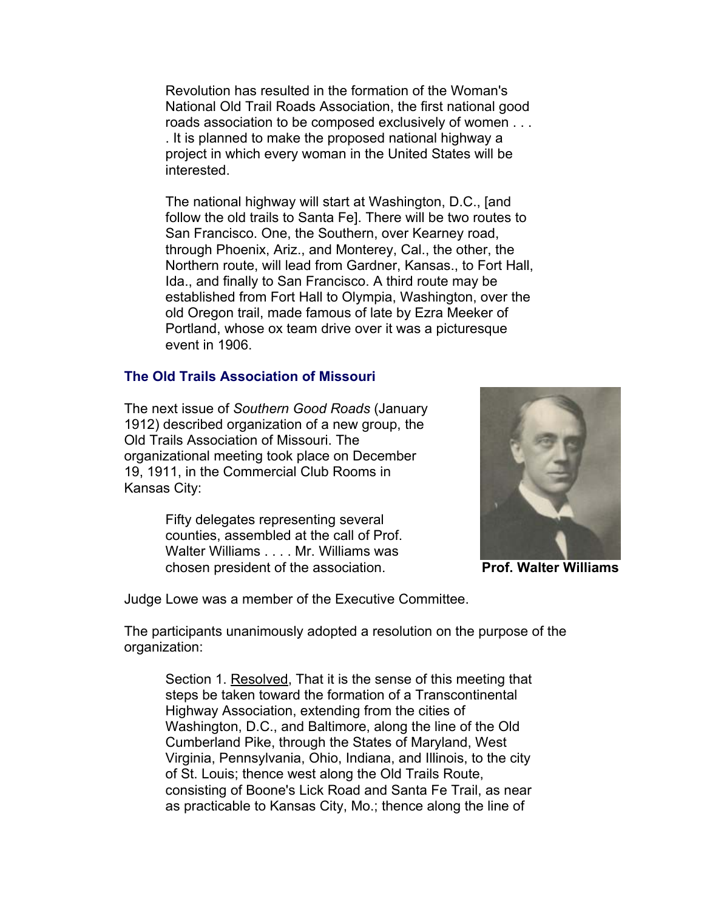Revolution has resulted in the formation of the Woman's National Old Trail Roads Association, the first national good roads association to be composed exclusively of women . . . . It is planned to make the proposed national highway a project in which every woman in the United States will be interested.

The national highway will start at Washington, D.C., [and follow the old trails to Santa Fe]. There will be two routes to San Francisco. One, the Southern, over Kearney road, through Phoenix, Ariz., and Monterey, Cal., the other, the Northern route, will lead from Gardner, Kansas., to Fort Hall, Ida., and finally to San Francisco. A third route may be established from Fort Hall to Olympia, Washington, over the old Oregon trail, made famous of late by Ezra Meeker of Portland, whose ox team drive over it was a picturesque event in 1906.

#### **The Old Trails Association of Missouri**

The next issue of *Southern Good Roads* (January 1912) described organization of a new group, the Old Trails Association of Missouri. The organizational meeting took place on December 19, 1911, in the Commercial Club Rooms in Kansas City:

> Fifty delegates representing several counties, assembled at the call of Prof. Walter Williams . . . . Mr. Williams was chosen president of the association.



**Prof. Walter Williams**

Judge Lowe was a member of the Executive Committee.

The participants unanimously adopted a resolution on the purpose of the organization:

Section 1. Resolved, That it is the sense of this meeting that steps be taken toward the formation of a Transcontinental Highway Association, extending from the cities of Washington, D.C., and Baltimore, along the line of the Old Cumberland Pike, through the States of Maryland, West Virginia, Pennsylvania, Ohio, Indiana, and Illinois, to the city of St. Louis; thence west along the Old Trails Route, consisting of Boone's Lick Road and Santa Fe Trail, as near as practicable to Kansas City, Mo.; thence along the line of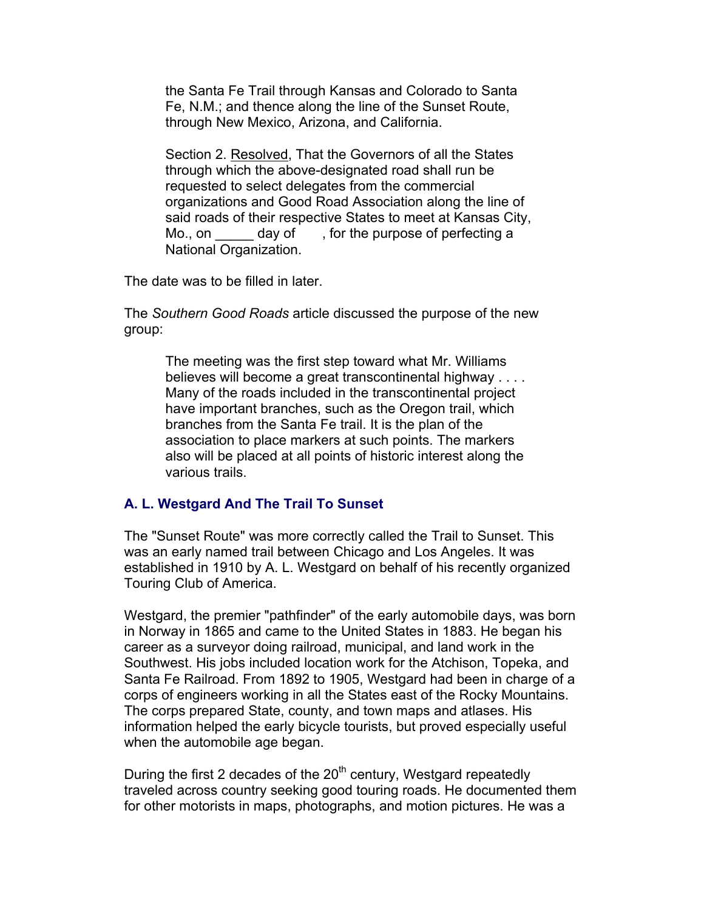the Santa Fe Trail through Kansas and Colorado to Santa Fe, N.M.; and thence along the line of the Sunset Route, through New Mexico, Arizona, and California.

Section 2. Resolved, That the Governors of all the States through which the above-designated road shall run be requested to select delegates from the commercial organizations and Good Road Association along the line of said roads of their respective States to meet at Kansas City, Mo., on day of, for the purpose of perfecting a National Organization.

The date was to be filled in later.

The *Southern Good Roads* article discussed the purpose of the new group:

The meeting was the first step toward what Mr. Williams believes will become a great transcontinental highway . . . . Many of the roads included in the transcontinental project have important branches, such as the Oregon trail, which branches from the Santa Fe trail. It is the plan of the association to place markers at such points. The markers also will be placed at all points of historic interest along the various trails.

# **A. L. Westgard And The Trail To Sunset**

The "Sunset Route" was more correctly called the Trail to Sunset. This was an early named trail between Chicago and Los Angeles. It was established in 1910 by A. L. Westgard on behalf of his recently organized Touring Club of America.

Westgard, the premier "pathfinder" of the early automobile days, was born in Norway in 1865 and came to the United States in 1883. He began his career as a surveyor doing railroad, municipal, and land work in the Southwest. His jobs included location work for the Atchison, Topeka, and Santa Fe Railroad. From 1892 to 1905, Westgard had been in charge of a corps of engineers working in all the States east of the Rocky Mountains. The corps prepared State, county, and town maps and atlases. His information helped the early bicycle tourists, but proved especially useful when the automobile age began.

During the first 2 decades of the  $20<sup>th</sup>$  century, Westgard repeatedly traveled across country seeking good touring roads. He documented them for other motorists in maps, photographs, and motion pictures. He was a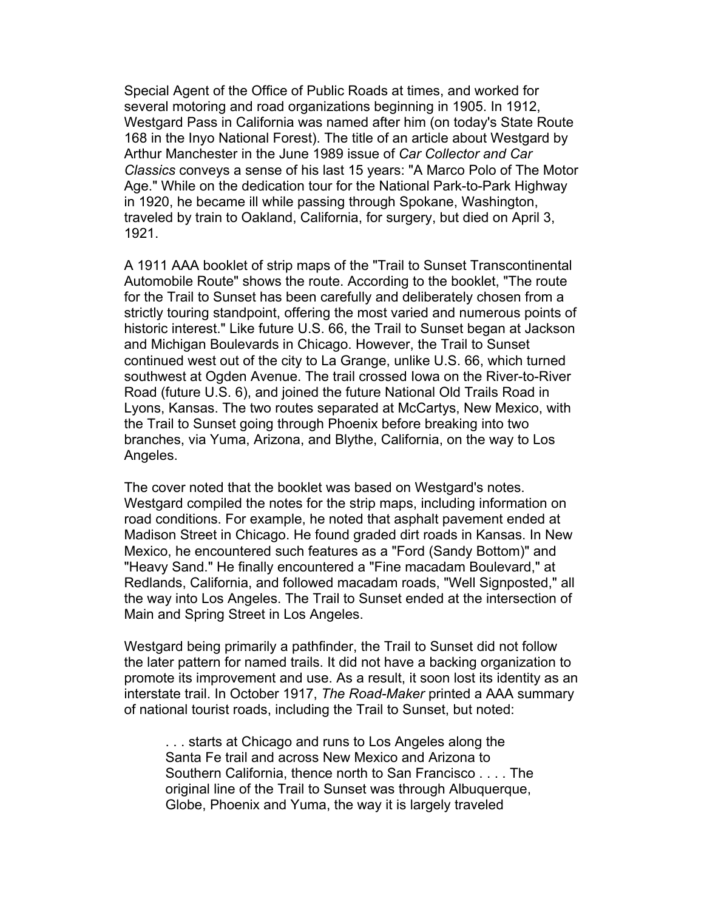Special Agent of the Office of Public Roads at times, and worked for several motoring and road organizations beginning in 1905. In 1912, Westgard Pass in California was named after him (on today's State Route 168 in the Inyo National Forest). The title of an article about Westgard by Arthur Manchester in the June 1989 issue of *Car Collector and Car Classics* conveys a sense of his last 15 years: "A Marco Polo of The Motor Age." While on the dedication tour for the National Park-to-Park Highway in 1920, he became ill while passing through Spokane, Washington, traveled by train to Oakland, California, for surgery, but died on April 3, 1921.

A 1911 AAA booklet of strip maps of the "Trail to Sunset Transcontinental Automobile Route" shows the route. According to the booklet, "The route for the Trail to Sunset has been carefully and deliberately chosen from a strictly touring standpoint, offering the most varied and numerous points of historic interest." Like future U.S. 66, the Trail to Sunset began at Jackson and Michigan Boulevards in Chicago. However, the Trail to Sunset continued west out of the city to La Grange, unlike U.S. 66, which turned southwest at Ogden Avenue. The trail crossed Iowa on the River-to-River Road (future U.S. 6), and joined the future National Old Trails Road in Lyons, Kansas. The two routes separated at McCartys, New Mexico, with the Trail to Sunset going through Phoenix before breaking into two branches, via Yuma, Arizona, and Blythe, California, on the way to Los Angeles.

The cover noted that the booklet was based on Westgard's notes. Westgard compiled the notes for the strip maps, including information on road conditions. For example, he noted that asphalt pavement ended at Madison Street in Chicago. He found graded dirt roads in Kansas. In New Mexico, he encountered such features as a "Ford (Sandy Bottom)" and "Heavy Sand." He finally encountered a "Fine macadam Boulevard," at Redlands, California, and followed macadam roads, "Well Signposted," all the way into Los Angeles. The Trail to Sunset ended at the intersection of Main and Spring Street in Los Angeles.

Westgard being primarily a pathfinder, the Trail to Sunset did not follow the later pattern for named trails. It did not have a backing organization to promote its improvement and use. As a result, it soon lost its identity as an interstate trail. In October 1917, *The Road-Maker* printed a AAA summary of national tourist roads, including the Trail to Sunset, but noted:

. . . starts at Chicago and runs to Los Angeles along the Santa Fe trail and across New Mexico and Arizona to Southern California, thence north to San Francisco . . . . The original line of the Trail to Sunset was through Albuquerque, Globe, Phoenix and Yuma, the way it is largely traveled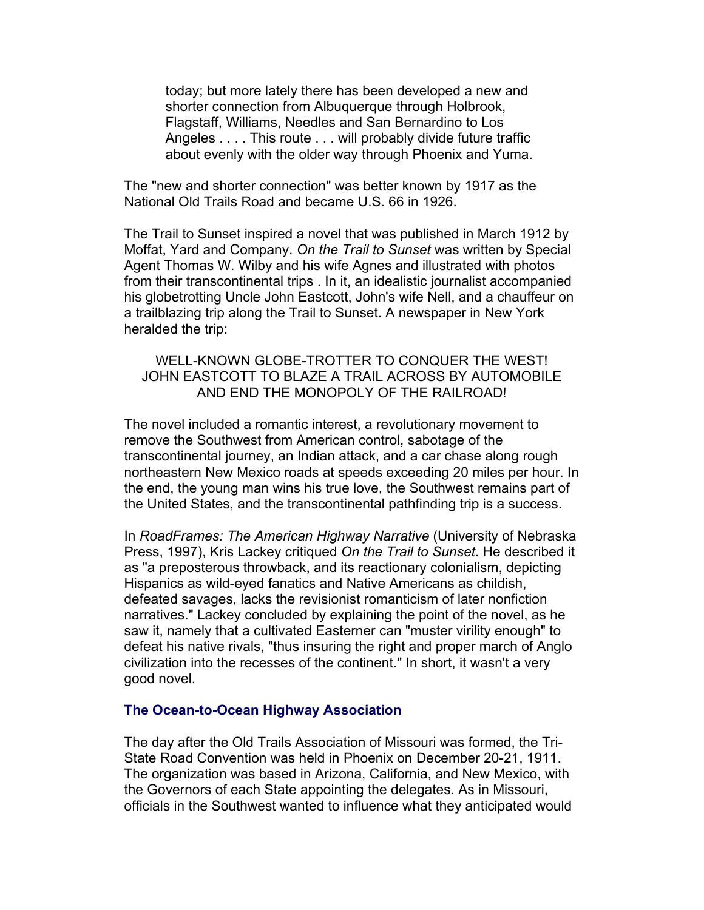today; but more lately there has been developed a new and shorter connection from Albuquerque through Holbrook, Flagstaff, Williams, Needles and San Bernardino to Los Angeles . . . . This route . . . will probably divide future traffic about evenly with the older way through Phoenix and Yuma.

The "new and shorter connection" was better known by 1917 as the National Old Trails Road and became U.S. 66 in 1926.

The Trail to Sunset inspired a novel that was published in March 1912 by Moffat, Yard and Company. *On the Trail to Sunset* was written by Special Agent Thomas W. Wilby and his wife Agnes and illustrated with photos from their transcontinental trips . In it, an idealistic journalist accompanied his globetrotting Uncle John Eastcott, John's wife Nell, and a chauffeur on a trailblazing trip along the Trail to Sunset. A newspaper in New York heralded the trip:

## WELL-KNOWN GLOBE-TROTTER TO CONQUER THE WEST! JOHN EASTCOTT TO BLAZE A TRAIL ACROSS BY AUTOMOBILE AND END THE MONOPOLY OF THE RAILROAD!

The novel included a romantic interest, a revolutionary movement to remove the Southwest from American control, sabotage of the transcontinental journey, an Indian attack, and a car chase along rough northeastern New Mexico roads at speeds exceeding 20 miles per hour. In the end, the young man wins his true love, the Southwest remains part of the United States, and the transcontinental pathfinding trip is a success.

In *RoadFrames: The American Highway Narrative* (University of Nebraska Press, 1997), Kris Lackey critiqued *On the Trail to Sunset*. He described it as "a preposterous throwback, and its reactionary colonialism, depicting Hispanics as wild-eyed fanatics and Native Americans as childish, defeated savages, lacks the revisionist romanticism of later nonfiction narratives." Lackey concluded by explaining the point of the novel, as he saw it, namely that a cultivated Easterner can "muster virility enough" to defeat his native rivals, "thus insuring the right and proper march of Anglo civilization into the recesses of the continent." In short, it wasn't a very good novel.

### **The Ocean-to-Ocean Highway Association**

The day after the Old Trails Association of Missouri was formed, the Tri-State Road Convention was held in Phoenix on December 20-21, 1911. The organization was based in Arizona, California, and New Mexico, with the Governors of each State appointing the delegates. As in Missouri, officials in the Southwest wanted to influence what they anticipated would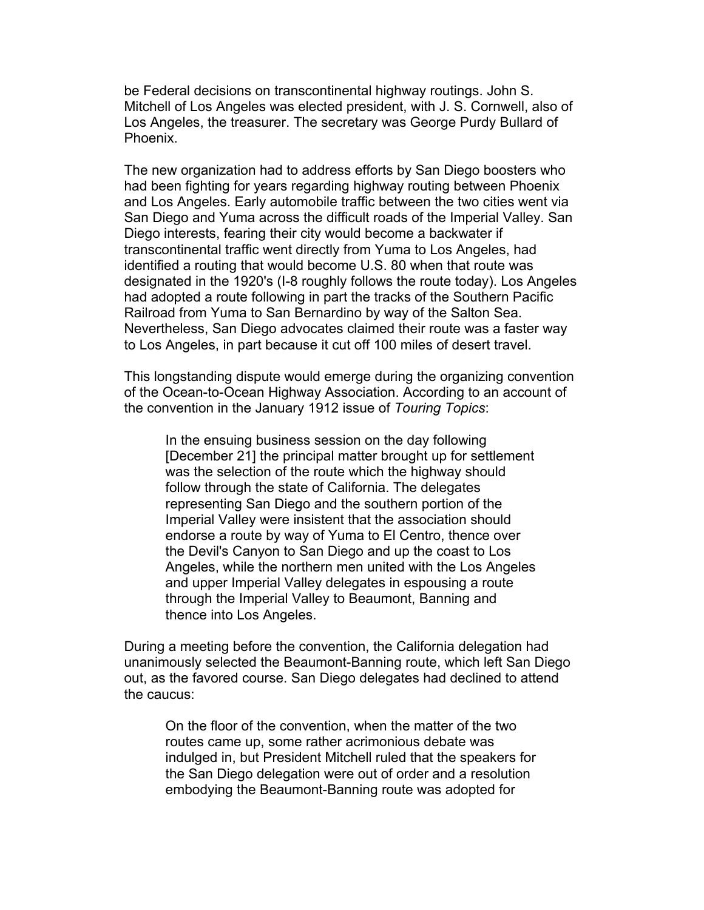be Federal decisions on transcontinental highway routings. John S. Mitchell of Los Angeles was elected president, with J. S. Cornwell, also of Los Angeles, the treasurer. The secretary was George Purdy Bullard of Phoenix.

The new organization had to address efforts by San Diego boosters who had been fighting for years regarding highway routing between Phoenix and Los Angeles. Early automobile traffic between the two cities went via San Diego and Yuma across the difficult roads of the Imperial Valley. San Diego interests, fearing their city would become a backwater if transcontinental traffic went directly from Yuma to Los Angeles, had identified a routing that would become U.S. 80 when that route was designated in the 1920's (I-8 roughly follows the route today). Los Angeles had adopted a route following in part the tracks of the Southern Pacific Railroad from Yuma to San Bernardino by way of the Salton Sea. Nevertheless, San Diego advocates claimed their route was a faster way to Los Angeles, in part because it cut off 100 miles of desert travel.

This longstanding dispute would emerge during the organizing convention of the Ocean-to-Ocean Highway Association. According to an account of the convention in the January 1912 issue of *Touring Topics*:

In the ensuing business session on the day following [December 21] the principal matter brought up for settlement was the selection of the route which the highway should follow through the state of California. The delegates representing San Diego and the southern portion of the Imperial Valley were insistent that the association should endorse a route by way of Yuma to El Centro, thence over the Devil's Canyon to San Diego and up the coast to Los Angeles, while the northern men united with the Los Angeles and upper Imperial Valley delegates in espousing a route through the Imperial Valley to Beaumont, Banning and thence into Los Angeles.

During a meeting before the convention, the California delegation had unanimously selected the Beaumont-Banning route, which left San Diego out, as the favored course. San Diego delegates had declined to attend the caucus:

On the floor of the convention, when the matter of the two routes came up, some rather acrimonious debate was indulged in, but President Mitchell ruled that the speakers for the San Diego delegation were out of order and a resolution embodying the Beaumont-Banning route was adopted for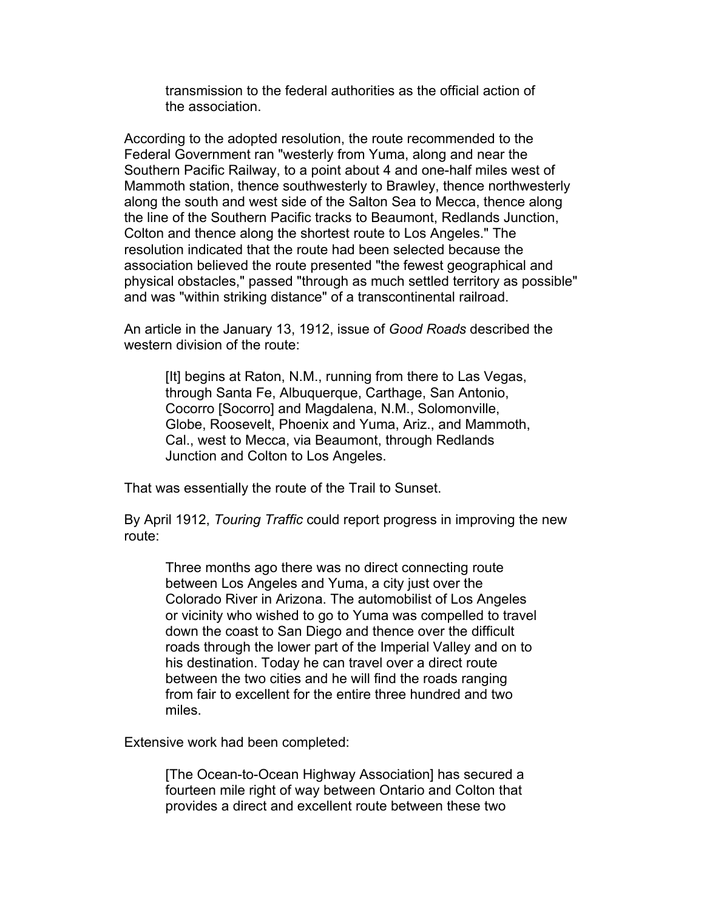transmission to the federal authorities as the official action of the association.

According to the adopted resolution, the route recommended to the Federal Government ran "westerly from Yuma, along and near the Southern Pacific Railway, to a point about 4 and one-half miles west of Mammoth station, thence southwesterly to Brawley, thence northwesterly along the south and west side of the Salton Sea to Mecca, thence along the line of the Southern Pacific tracks to Beaumont, Redlands Junction, Colton and thence along the shortest route to Los Angeles." The resolution indicated that the route had been selected because the association believed the route presented "the fewest geographical and physical obstacles," passed "through as much settled territory as possible" and was "within striking distance" of a transcontinental railroad.

An article in the January 13, 1912, issue of *Good Roads* described the western division of the route:

[It] begins at Raton, N.M., running from there to Las Vegas, through Santa Fe, Albuquerque, Carthage, San Antonio, Cocorro [Socorro] and Magdalena, N.M., Solomonville, Globe, Roosevelt, Phoenix and Yuma, Ariz., and Mammoth, Cal., west to Mecca, via Beaumont, through Redlands Junction and Colton to Los Angeles.

That was essentially the route of the Trail to Sunset.

By April 1912, *Touring Traffic* could report progress in improving the new route:

Three months ago there was no direct connecting route between Los Angeles and Yuma, a city just over the Colorado River in Arizona. The automobilist of Los Angeles or vicinity who wished to go to Yuma was compelled to travel down the coast to San Diego and thence over the difficult roads through the lower part of the Imperial Valley and on to his destination. Today he can travel over a direct route between the two cities and he will find the roads ranging from fair to excellent for the entire three hundred and two miles.

Extensive work had been completed:

[The Ocean-to-Ocean Highway Association] has secured a fourteen mile right of way between Ontario and Colton that provides a direct and excellent route between these two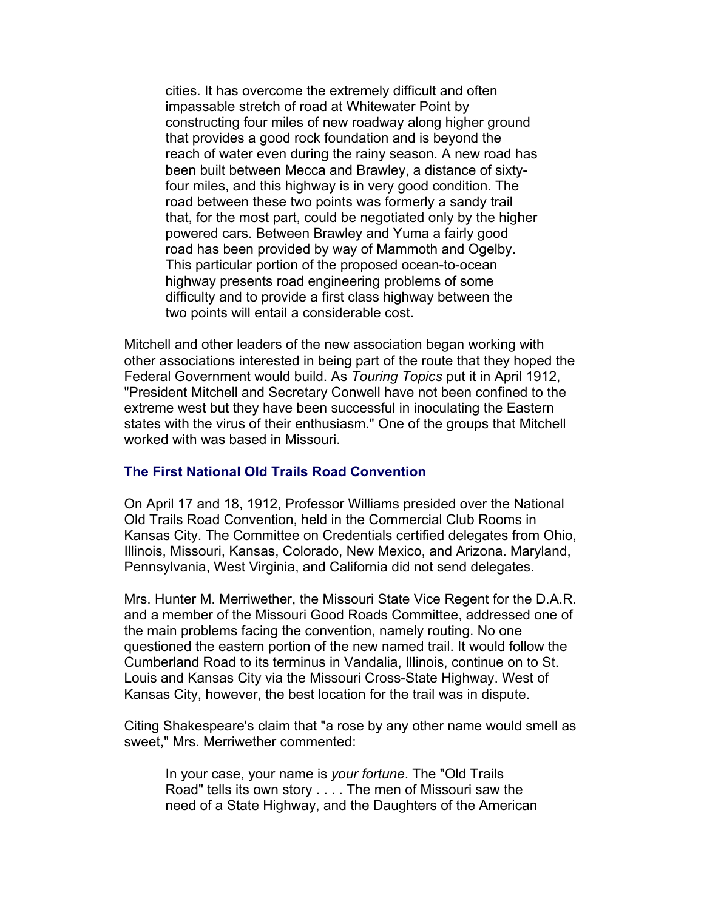cities. It has overcome the extremely difficult and often impassable stretch of road at Whitewater Point by constructing four miles of new roadway along higher ground that provides a good rock foundation and is beyond the reach of water even during the rainy season. A new road has been built between Mecca and Brawley, a distance of sixtyfour miles, and this highway is in very good condition. The road between these two points was formerly a sandy trail that, for the most part, could be negotiated only by the higher powered cars. Between Brawley and Yuma a fairly good road has been provided by way of Mammoth and Ogelby. This particular portion of the proposed ocean-to-ocean highway presents road engineering problems of some difficulty and to provide a first class highway between the two points will entail a considerable cost.

Mitchell and other leaders of the new association began working with other associations interested in being part of the route that they hoped the Federal Government would build. As *Touring Topics* put it in April 1912, "President Mitchell and Secretary Conwell have not been confined to the extreme west but they have been successful in inoculating the Eastern states with the virus of their enthusiasm." One of the groups that Mitchell worked with was based in Missouri.

## **The First National Old Trails Road Convention**

On April 17 and 18, 1912, Professor Williams presided over the National Old Trails Road Convention, held in the Commercial Club Rooms in Kansas City. The Committee on Credentials certified delegates from Ohio, Illinois, Missouri, Kansas, Colorado, New Mexico, and Arizona. Maryland, Pennsylvania, West Virginia, and California did not send delegates.

Mrs. Hunter M. Merriwether, the Missouri State Vice Regent for the D.A.R. and a member of the Missouri Good Roads Committee, addressed one of the main problems facing the convention, namely routing. No one questioned the eastern portion of the new named trail. It would follow the Cumberland Road to its terminus in Vandalia, Illinois, continue on to St. Louis and Kansas City via the Missouri Cross-State Highway. West of Kansas City, however, the best location for the trail was in dispute.

Citing Shakespeare's claim that "a rose by any other name would smell as sweet," Mrs. Merriwether commented:

In your case, your name is *your fortune*. The "Old Trails Road" tells its own story . . . . The men of Missouri saw the need of a State Highway, and the Daughters of the American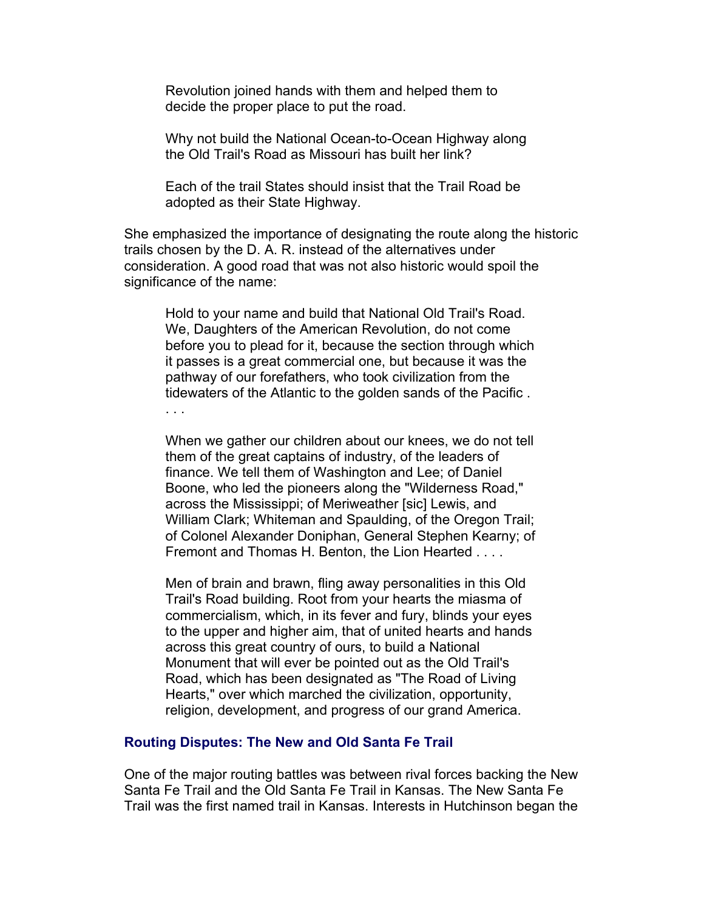Revolution joined hands with them and helped them to decide the proper place to put the road.

Why not build the National Ocean-to-Ocean Highway along the Old Trail's Road as Missouri has built her link?

Each of the trail States should insist that the Trail Road be adopted as their State Highway.

She emphasized the importance of designating the route along the historic trails chosen by the D. A. R. instead of the alternatives under consideration. A good road that was not also historic would spoil the significance of the name:

Hold to your name and build that National Old Trail's Road. We, Daughters of the American Revolution, do not come before you to plead for it, because the section through which it passes is a great commercial one, but because it was the pathway of our forefathers, who took civilization from the tidewaters of the Atlantic to the golden sands of the Pacific . . . .

When we gather our children about our knees, we do not tell them of the great captains of industry, of the leaders of finance. We tell them of Washington and Lee; of Daniel Boone, who led the pioneers along the "Wilderness Road," across the Mississippi; of Meriweather [sic] Lewis, and William Clark; Whiteman and Spaulding, of the Oregon Trail; of Colonel Alexander Doniphan, General Stephen Kearny; of Fremont and Thomas H. Benton, the Lion Hearted . . . .

Men of brain and brawn, fling away personalities in this Old Trail's Road building. Root from your hearts the miasma of commercialism, which, in its fever and fury, blinds your eyes to the upper and higher aim, that of united hearts and hands across this great country of ours, to build a National Monument that will ever be pointed out as the Old Trail's Road, which has been designated as "The Road of Living Hearts," over which marched the civilization, opportunity, religion, development, and progress of our grand America.

#### **Routing Disputes: The New and Old Santa Fe Trail**

One of the major routing battles was between rival forces backing the New Santa Fe Trail and the Old Santa Fe Trail in Kansas. The New Santa Fe Trail was the first named trail in Kansas. Interests in Hutchinson began the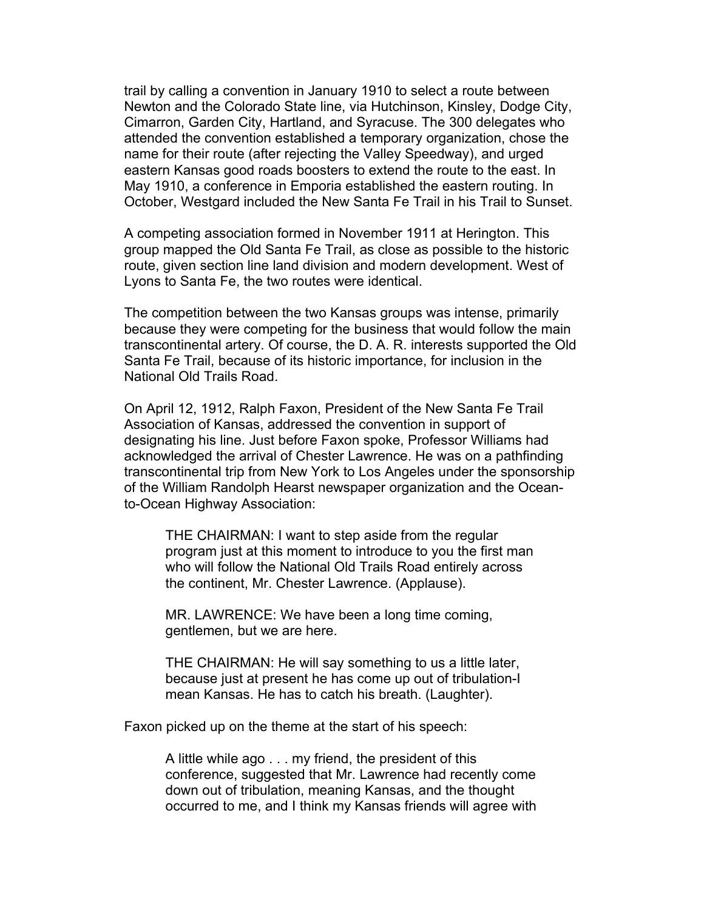trail by calling a convention in January 1910 to select a route between Newton and the Colorado State line, via Hutchinson, Kinsley, Dodge City, Cimarron, Garden City, Hartland, and Syracuse. The 300 delegates who attended the convention established a temporary organization, chose the name for their route (after rejecting the Valley Speedway), and urged eastern Kansas good roads boosters to extend the route to the east. In May 1910, a conference in Emporia established the eastern routing. In October, Westgard included the New Santa Fe Trail in his Trail to Sunset.

A competing association formed in November 1911 at Herington. This group mapped the Old Santa Fe Trail, as close as possible to the historic route, given section line land division and modern development. West of Lyons to Santa Fe, the two routes were identical.

The competition between the two Kansas groups was intense, primarily because they were competing for the business that would follow the main transcontinental artery. Of course, the D. A. R. interests supported the Old Santa Fe Trail, because of its historic importance, for inclusion in the National Old Trails Road.

On April 12, 1912, Ralph Faxon, President of the New Santa Fe Trail Association of Kansas, addressed the convention in support of designating his line. Just before Faxon spoke, Professor Williams had acknowledged the arrival of Chester Lawrence. He was on a pathfinding transcontinental trip from New York to Los Angeles under the sponsorship of the William Randolph Hearst newspaper organization and the Oceanto-Ocean Highway Association:

THE CHAIRMAN: I want to step aside from the regular program just at this moment to introduce to you the first man who will follow the National Old Trails Road entirely across the continent, Mr. Chester Lawrence. (Applause).

MR. LAWRENCE: We have been a long time coming, gentlemen, but we are here.

THE CHAIRMAN: He will say something to us a little later, because just at present he has come up out of tribulation-I mean Kansas. He has to catch his breath. (Laughter).

Faxon picked up on the theme at the start of his speech:

A little while ago . . . my friend, the president of this conference, suggested that Mr. Lawrence had recently come down out of tribulation, meaning Kansas, and the thought occurred to me, and I think my Kansas friends will agree with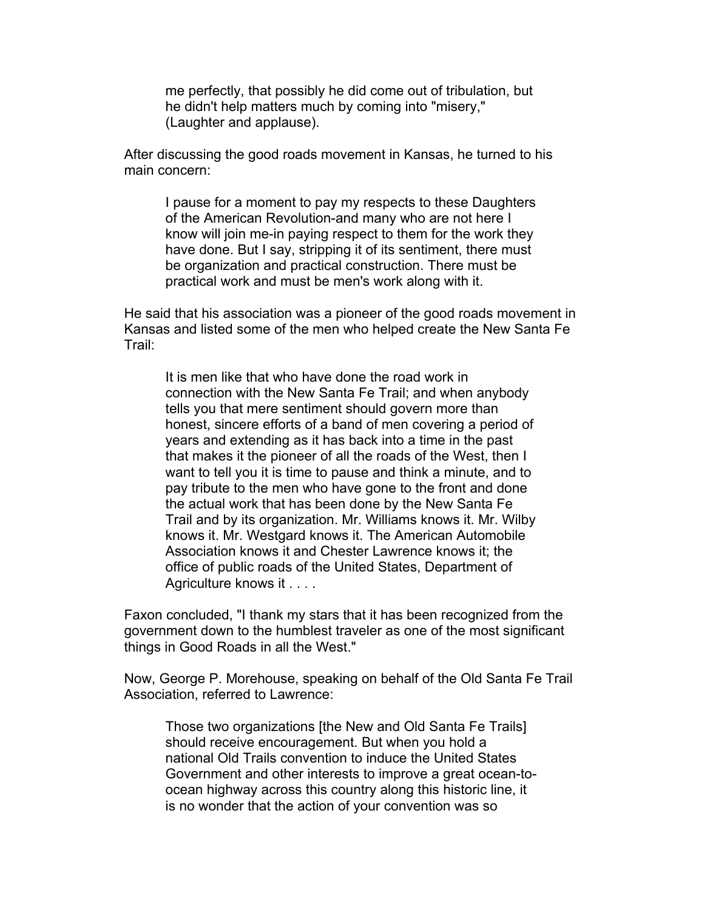me perfectly, that possibly he did come out of tribulation, but he didn't help matters much by coming into "misery," (Laughter and applause).

After discussing the good roads movement in Kansas, he turned to his main concern:

I pause for a moment to pay my respects to these Daughters of the American Revolution-and many who are not here I know will join me-in paying respect to them for the work they have done. But I say, stripping it of its sentiment, there must be organization and practical construction. There must be practical work and must be men's work along with it.

He said that his association was a pioneer of the good roads movement in Kansas and listed some of the men who helped create the New Santa Fe Trail:

It is men like that who have done the road work in connection with the New Santa Fe Trail; and when anybody tells you that mere sentiment should govern more than honest, sincere efforts of a band of men covering a period of years and extending as it has back into a time in the past that makes it the pioneer of all the roads of the West, then I want to tell you it is time to pause and think a minute, and to pay tribute to the men who have gone to the front and done the actual work that has been done by the New Santa Fe Trail and by its organization. Mr. Williams knows it. Mr. Wilby knows it. Mr. Westgard knows it. The American Automobile Association knows it and Chester Lawrence knows it; the office of public roads of the United States, Department of Agriculture knows it . . . .

Faxon concluded, "I thank my stars that it has been recognized from the government down to the humblest traveler as one of the most significant things in Good Roads in all the West."

Now, George P. Morehouse, speaking on behalf of the Old Santa Fe Trail Association, referred to Lawrence:

Those two organizations [the New and Old Santa Fe Trails] should receive encouragement. But when you hold a national Old Trails convention to induce the United States Government and other interests to improve a great ocean-toocean highway across this country along this historic line, it is no wonder that the action of your convention was so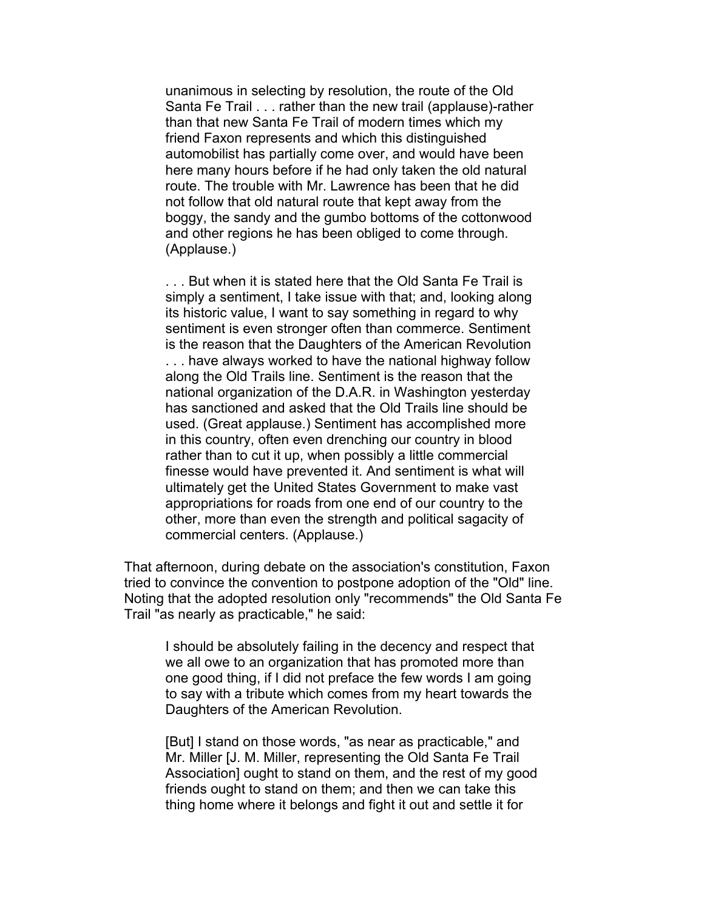unanimous in selecting by resolution, the route of the Old Santa Fe Trail . . . rather than the new trail (applause)-rather than that new Santa Fe Trail of modern times which my friend Faxon represents and which this distinguished automobilist has partially come over, and would have been here many hours before if he had only taken the old natural route. The trouble with Mr. Lawrence has been that he did not follow that old natural route that kept away from the boggy, the sandy and the gumbo bottoms of the cottonwood and other regions he has been obliged to come through. (Applause.)

. . . But when it is stated here that the Old Santa Fe Trail is simply a sentiment, I take issue with that; and, looking along its historic value, I want to say something in regard to why sentiment is even stronger often than commerce. Sentiment is the reason that the Daughters of the American Revolution . . . have always worked to have the national highway follow along the Old Trails line. Sentiment is the reason that the national organization of the D.A.R. in Washington yesterday has sanctioned and asked that the Old Trails line should be used. (Great applause.) Sentiment has accomplished more in this country, often even drenching our country in blood rather than to cut it up, when possibly a little commercial finesse would have prevented it. And sentiment is what will ultimately get the United States Government to make vast appropriations for roads from one end of our country to the other, more than even the strength and political sagacity of commercial centers. (Applause.)

That afternoon, during debate on the association's constitution, Faxon tried to convince the convention to postpone adoption of the "Old" line. Noting that the adopted resolution only "recommends" the Old Santa Fe Trail "as nearly as practicable," he said:

I should be absolutely failing in the decency and respect that we all owe to an organization that has promoted more than one good thing, if I did not preface the few words I am going to say with a tribute which comes from my heart towards the Daughters of the American Revolution.

[But] I stand on those words, "as near as practicable," and Mr. Miller [J. M. Miller, representing the Old Santa Fe Trail Association] ought to stand on them, and the rest of my good friends ought to stand on them; and then we can take this thing home where it belongs and fight it out and settle it for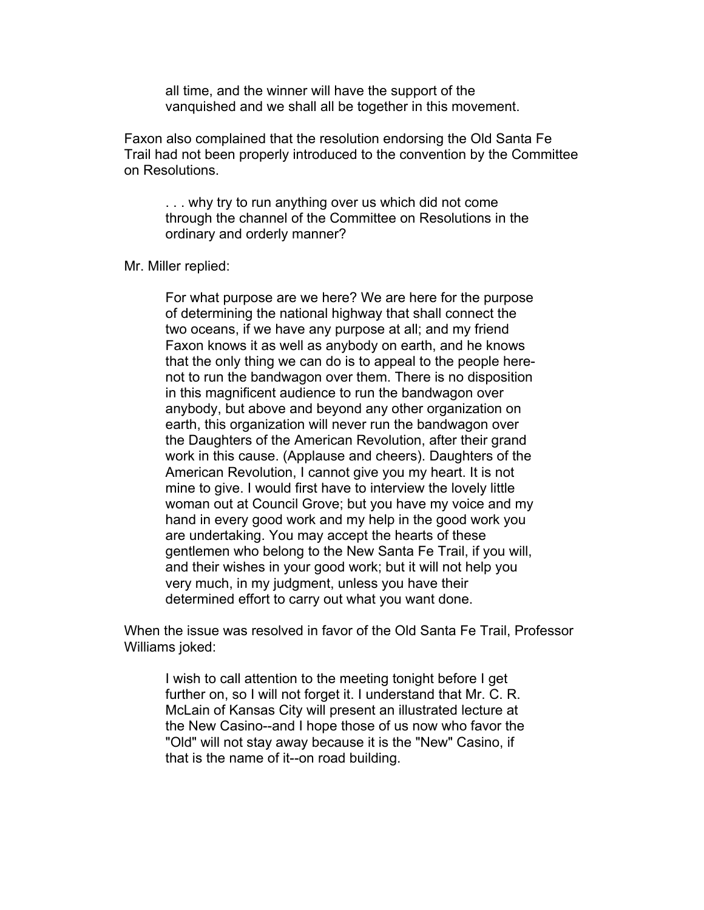all time, and the winner will have the support of the vanquished and we shall all be together in this movement.

Faxon also complained that the resolution endorsing the Old Santa Fe Trail had not been properly introduced to the convention by the Committee on Resolutions.

. . . why try to run anything over us which did not come through the channel of the Committee on Resolutions in the ordinary and orderly manner?

Mr. Miller replied:

For what purpose are we here? We are here for the purpose of determining the national highway that shall connect the two oceans, if we have any purpose at all; and my friend Faxon knows it as well as anybody on earth, and he knows that the only thing we can do is to appeal to the people herenot to run the bandwagon over them. There is no disposition in this magnificent audience to run the bandwagon over anybody, but above and beyond any other organization on earth, this organization will never run the bandwagon over the Daughters of the American Revolution, after their grand work in this cause. (Applause and cheers). Daughters of the American Revolution, I cannot give you my heart. It is not mine to give. I would first have to interview the lovely little woman out at Council Grove; but you have my voice and my hand in every good work and my help in the good work you are undertaking. You may accept the hearts of these gentlemen who belong to the New Santa Fe Trail, if you will, and their wishes in your good work; but it will not help you very much, in my judgment, unless you have their determined effort to carry out what you want done.

When the issue was resolved in favor of the Old Santa Fe Trail, Professor Williams joked:

I wish to call attention to the meeting tonight before I get further on, so I will not forget it. I understand that Mr. C. R. McLain of Kansas City will present an illustrated lecture at the New Casino--and I hope those of us now who favor the "Old" will not stay away because it is the "New" Casino, if that is the name of it--on road building.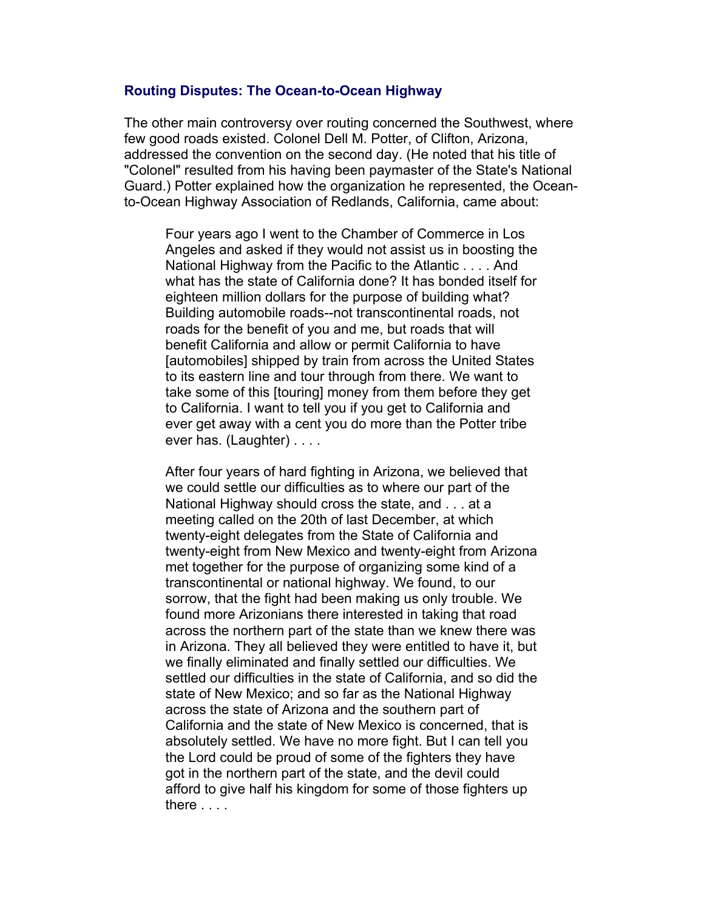#### **Routing Disputes: The Ocean-to-Ocean Highway**

The other main controversy over routing concerned the Southwest, where few good roads existed. Colonel Dell M. Potter, of Clifton, Arizona, addressed the convention on the second day. (He noted that his title of "Colonel" resulted from his having been paymaster of the State's National Guard.) Potter explained how the organization he represented, the Oceanto-Ocean Highway Association of Redlands, California, came about:

Four years ago I went to the Chamber of Commerce in Los Angeles and asked if they would not assist us in boosting the National Highway from the Pacific to the Atlantic . . . . And what has the state of California done? It has bonded itself for eighteen million dollars for the purpose of building what? Building automobile roads--not transcontinental roads, not roads for the benefit of you and me, but roads that will benefit California and allow or permit California to have [automobiles] shipped by train from across the United States to its eastern line and tour through from there. We want to take some of this [touring] money from them before they get to California. I want to tell you if you get to California and ever get away with a cent you do more than the Potter tribe ever has. (Laughter) . . . .

After four years of hard fighting in Arizona, we believed that we could settle our difficulties as to where our part of the National Highway should cross the state, and . . . at a meeting called on the 20th of last December, at which twenty-eight delegates from the State of California and twenty-eight from New Mexico and twenty-eight from Arizona met together for the purpose of organizing some kind of a transcontinental or national highway. We found, to our sorrow, that the fight had been making us only trouble. We found more Arizonians there interested in taking that road across the northern part of the state than we knew there was in Arizona. They all believed they were entitled to have it, but we finally eliminated and finally settled our difficulties. We settled our difficulties in the state of California, and so did the state of New Mexico; and so far as the National Highway across the state of Arizona and the southern part of California and the state of New Mexico is concerned, that is absolutely settled. We have no more fight. But I can tell you the Lord could be proud of some of the fighters they have got in the northern part of the state, and the devil could afford to give half his kingdom for some of those fighters up there . . . .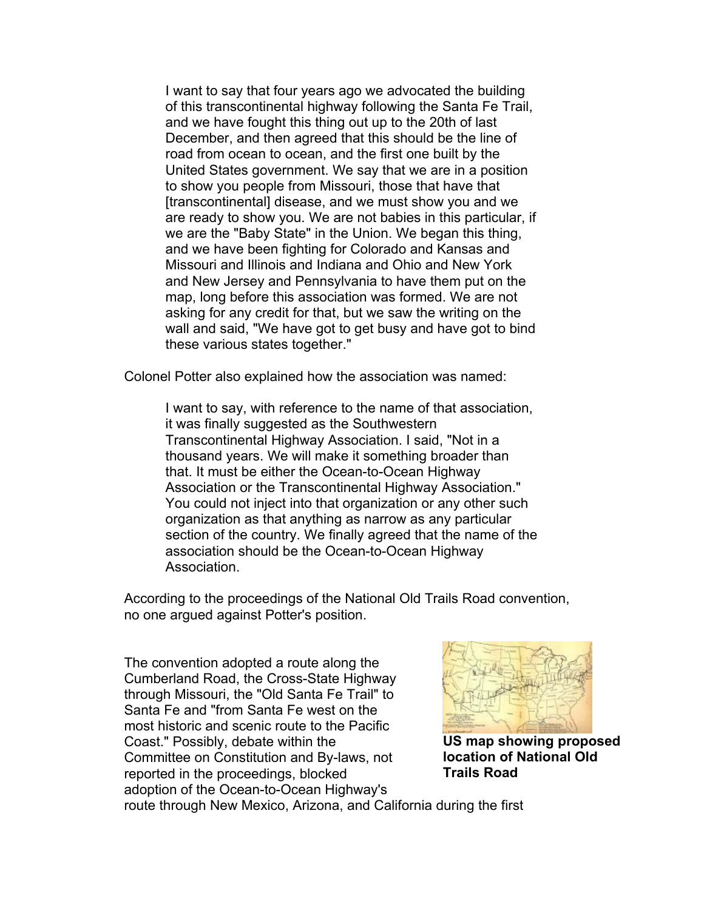I want to say that four years ago we advocated the building of this transcontinental highway following the Santa Fe Trail, and we have fought this thing out up to the 20th of last December, and then agreed that this should be the line of road from ocean to ocean, and the first one built by the United States government. We say that we are in a position to show you people from Missouri, those that have that [transcontinental] disease, and we must show you and we are ready to show you. We are not babies in this particular, if we are the "Baby State" in the Union. We began this thing, and we have been fighting for Colorado and Kansas and Missouri and Illinois and Indiana and Ohio and New York and New Jersey and Pennsylvania to have them put on the map, long before this association was formed. We are not asking for any credit for that, but we saw the writing on the wall and said, "We have got to get busy and have got to bind these various states together."

Colonel Potter also explained how the association was named:

I want to say, with reference to the name of that association, it was finally suggested as the Southwestern Transcontinental Highway Association. I said, "Not in a thousand years. We will make it something broader than that. It must be either the Ocean-to-Ocean Highway Association or the Transcontinental Highway Association." You could not inject into that organization or any other such organization as that anything as narrow as any particular section of the country. We finally agreed that the name of the association should be the Ocean-to-Ocean Highway Association.

According to the proceedings of the National Old Trails Road convention, no one argued against Potter's position.

The convention adopted a route along the Cumberland Road, the Cross-State Highway through Missouri, the "Old Santa Fe Trail" to Santa Fe and "from Santa Fe west on the most historic and scenic route to the Pacific Coast." Possibly, debate within the Committee on Constitution and By-laws, not reported in the proceedings, blocked adoption of the Ocean-to-Ocean Highway's



**US map showing proposed location of National Old Trails Road**

route through New Mexico, Arizona, and California during the first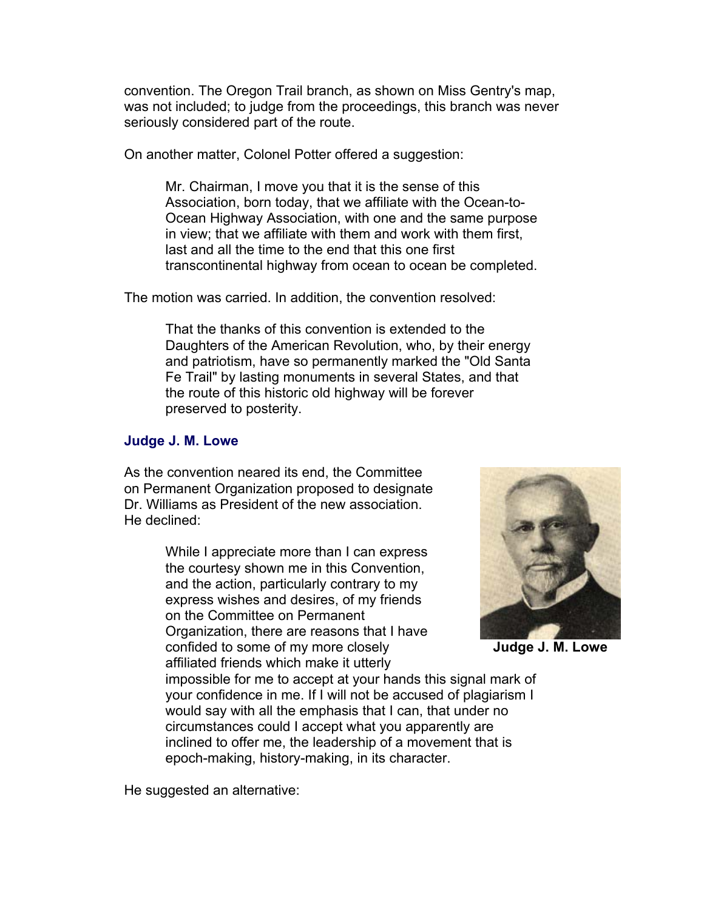convention. The Oregon Trail branch, as shown on Miss Gentry's map, was not included; to judge from the proceedings, this branch was never seriously considered part of the route.

On another matter, Colonel Potter offered a suggestion:

Mr. Chairman, I move you that it is the sense of this Association, born today, that we affiliate with the Ocean-to-Ocean Highway Association, with one and the same purpose in view; that we affiliate with them and work with them first, last and all the time to the end that this one first transcontinental highway from ocean to ocean be completed.

The motion was carried. In addition, the convention resolved:

That the thanks of this convention is extended to the Daughters of the American Revolution, who, by their energy and patriotism, have so permanently marked the "Old Santa Fe Trail" by lasting monuments in several States, and that the route of this historic old highway will be forever preserved to posterity.

## **Judge J. M. Lowe**

As the convention neared its end, the Committee on Permanent Organization proposed to designate Dr. Williams as President of the new association. He declined:

> While I appreciate more than I can express the courtesy shown me in this Convention, and the action, particularly contrary to my express wishes and desires, of my friends on the Committee on Permanent Organization, there are reasons that I have confided to some of my more closely affiliated friends which make it utterly



**Judge J. M. Lowe**

impossible for me to accept at your hands this signal mark of your confidence in me. If I will not be accused of plagiarism I would say with all the emphasis that I can, that under no circumstances could I accept what you apparently are inclined to offer me, the leadership of a movement that is epoch-making, history-making, in its character.

He suggested an alternative: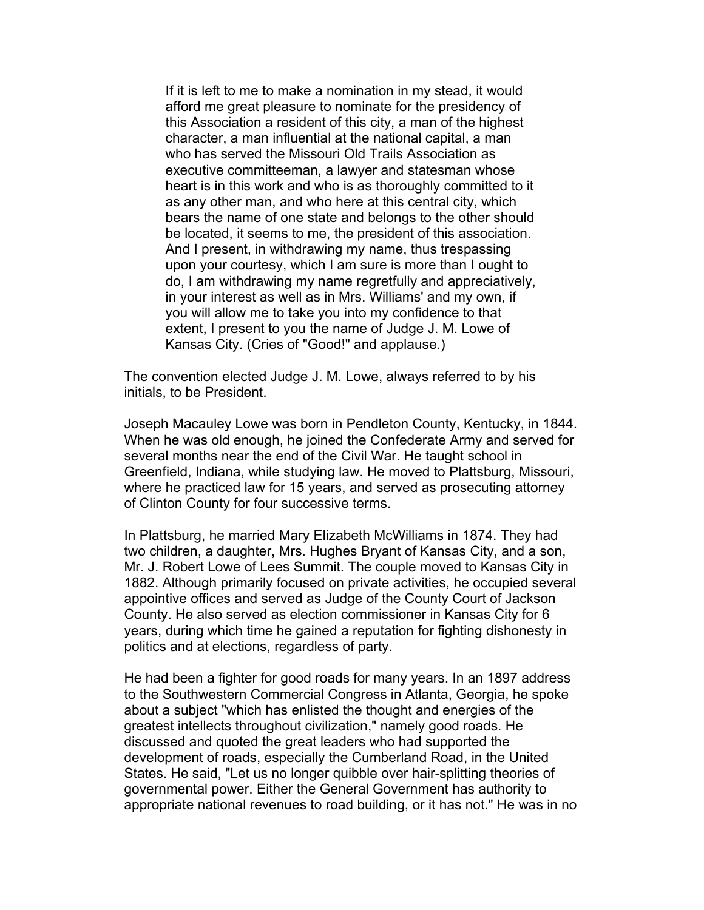If it is left to me to make a nomination in my stead, it would afford me great pleasure to nominate for the presidency of this Association a resident of this city, a man of the highest character, a man influential at the national capital, a man who has served the Missouri Old Trails Association as executive committeeman, a lawyer and statesman whose heart is in this work and who is as thoroughly committed to it as any other man, and who here at this central city, which bears the name of one state and belongs to the other should be located, it seems to me, the president of this association. And I present, in withdrawing my name, thus trespassing upon your courtesy, which I am sure is more than I ought to do, I am withdrawing my name regretfully and appreciatively, in your interest as well as in Mrs. Williams' and my own, if you will allow me to take you into my confidence to that extent, I present to you the name of Judge J. M. Lowe of Kansas City. (Cries of "Good!" and applause.)

The convention elected Judge J. M. Lowe, always referred to by his initials, to be President.

Joseph Macauley Lowe was born in Pendleton County, Kentucky, in 1844. When he was old enough, he joined the Confederate Army and served for several months near the end of the Civil War. He taught school in Greenfield, Indiana, while studying law. He moved to Plattsburg, Missouri, where he practiced law for 15 years, and served as prosecuting attorney of Clinton County for four successive terms.

In Plattsburg, he married Mary Elizabeth McWilliams in 1874. They had two children, a daughter, Mrs. Hughes Bryant of Kansas City, and a son, Mr. J. Robert Lowe of Lees Summit. The couple moved to Kansas City in 1882. Although primarily focused on private activities, he occupied several appointive offices and served as Judge of the County Court of Jackson County. He also served as election commissioner in Kansas City for 6 years, during which time he gained a reputation for fighting dishonesty in politics and at elections, regardless of party.

He had been a fighter for good roads for many years. In an 1897 address to the Southwestern Commercial Congress in Atlanta, Georgia, he spoke about a subject "which has enlisted the thought and energies of the greatest intellects throughout civilization," namely good roads. He discussed and quoted the great leaders who had supported the development of roads, especially the Cumberland Road, in the United States. He said, "Let us no longer quibble over hair-splitting theories of governmental power. Either the General Government has authority to appropriate national revenues to road building, or it has not." He was in no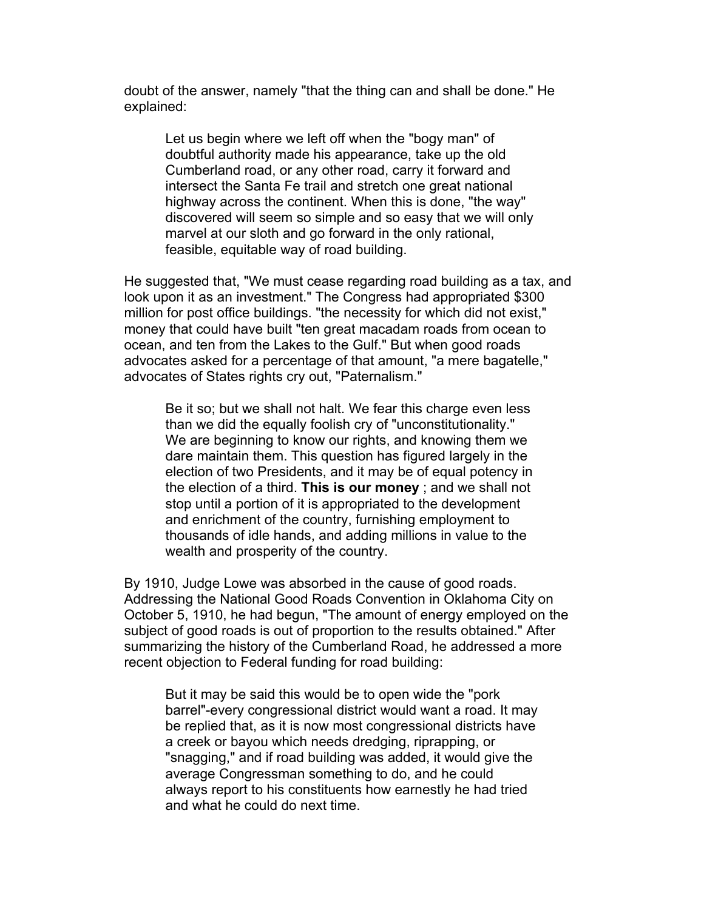doubt of the answer, namely "that the thing can and shall be done." He explained:

Let us begin where we left off when the "bogy man" of doubtful authority made his appearance, take up the old Cumberland road, or any other road, carry it forward and intersect the Santa Fe trail and stretch one great national highway across the continent. When this is done, "the way" discovered will seem so simple and so easy that we will only marvel at our sloth and go forward in the only rational, feasible, equitable way of road building.

He suggested that, "We must cease regarding road building as a tax, and look upon it as an investment." The Congress had appropriated \$300 million for post office buildings. "the necessity for which did not exist," money that could have built "ten great macadam roads from ocean to ocean, and ten from the Lakes to the Gulf." But when good roads advocates asked for a percentage of that amount, "a mere bagatelle," advocates of States rights cry out, "Paternalism."

Be it so; but we shall not halt. We fear this charge even less than we did the equally foolish cry of "unconstitutionality." We are beginning to know our rights, and knowing them we dare maintain them. This question has figured largely in the election of two Presidents, and it may be of equal potency in the election of a third. **This is our money** ; and we shall not stop until a portion of it is appropriated to the development and enrichment of the country, furnishing employment to thousands of idle hands, and adding millions in value to the wealth and prosperity of the country.

By 1910, Judge Lowe was absorbed in the cause of good roads. Addressing the National Good Roads Convention in Oklahoma City on October 5, 1910, he had begun, "The amount of energy employed on the subject of good roads is out of proportion to the results obtained." After summarizing the history of the Cumberland Road, he addressed a more recent objection to Federal funding for road building:

But it may be said this would be to open wide the "pork barrel"-every congressional district would want a road. It may be replied that, as it is now most congressional districts have a creek or bayou which needs dredging, riprapping, or "snagging," and if road building was added, it would give the average Congressman something to do, and he could always report to his constituents how earnestly he had tried and what he could do next time.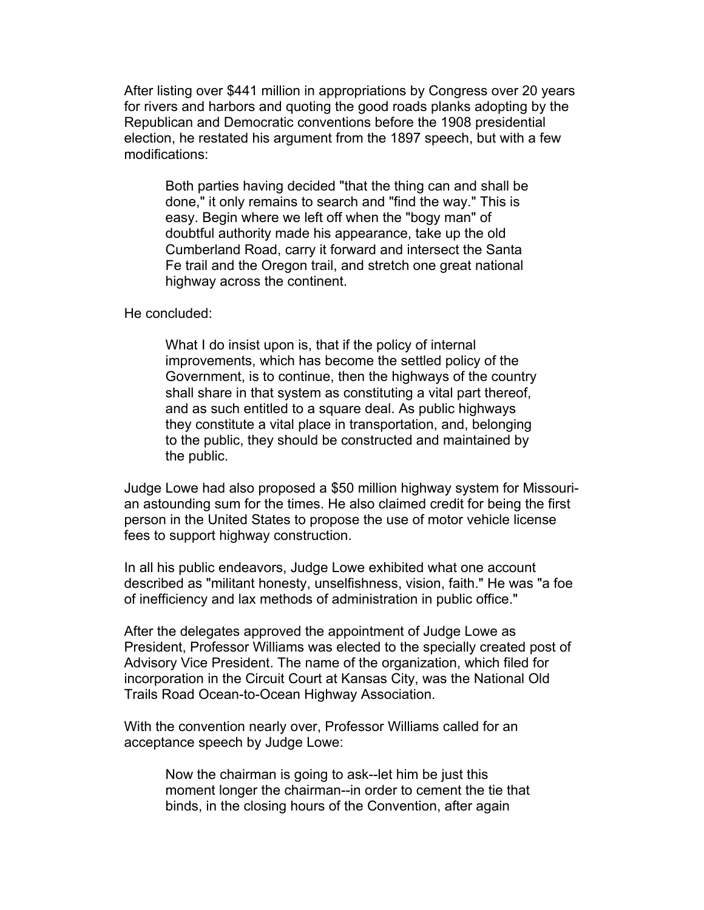After listing over \$441 million in appropriations by Congress over 20 years for rivers and harbors and quoting the good roads planks adopting by the Republican and Democratic conventions before the 1908 presidential election, he restated his argument from the 1897 speech, but with a few modifications:

Both parties having decided "that the thing can and shall be done," it only remains to search and "find the way." This is easy. Begin where we left off when the "bogy man" of doubtful authority made his appearance, take up the old Cumberland Road, carry it forward and intersect the Santa Fe trail and the Oregon trail, and stretch one great national highway across the continent.

He concluded:

What I do insist upon is, that if the policy of internal improvements, which has become the settled policy of the Government, is to continue, then the highways of the country shall share in that system as constituting a vital part thereof, and as such entitled to a square deal. As public highways they constitute a vital place in transportation, and, belonging to the public, they should be constructed and maintained by the public.

Judge Lowe had also proposed a \$50 million highway system for Missourian astounding sum for the times. He also claimed credit for being the first person in the United States to propose the use of motor vehicle license fees to support highway construction.

In all his public endeavors, Judge Lowe exhibited what one account described as "militant honesty, unselfishness, vision, faith." He was "a foe of inefficiency and lax methods of administration in public office."

After the delegates approved the appointment of Judge Lowe as President, Professor Williams was elected to the specially created post of Advisory Vice President. The name of the organization, which filed for incorporation in the Circuit Court at Kansas City, was the National Old Trails Road Ocean-to-Ocean Highway Association.

With the convention nearly over, Professor Williams called for an acceptance speech by Judge Lowe:

> Now the chairman is going to ask--let him be just this moment longer the chairman--in order to cement the tie that binds, in the closing hours of the Convention, after again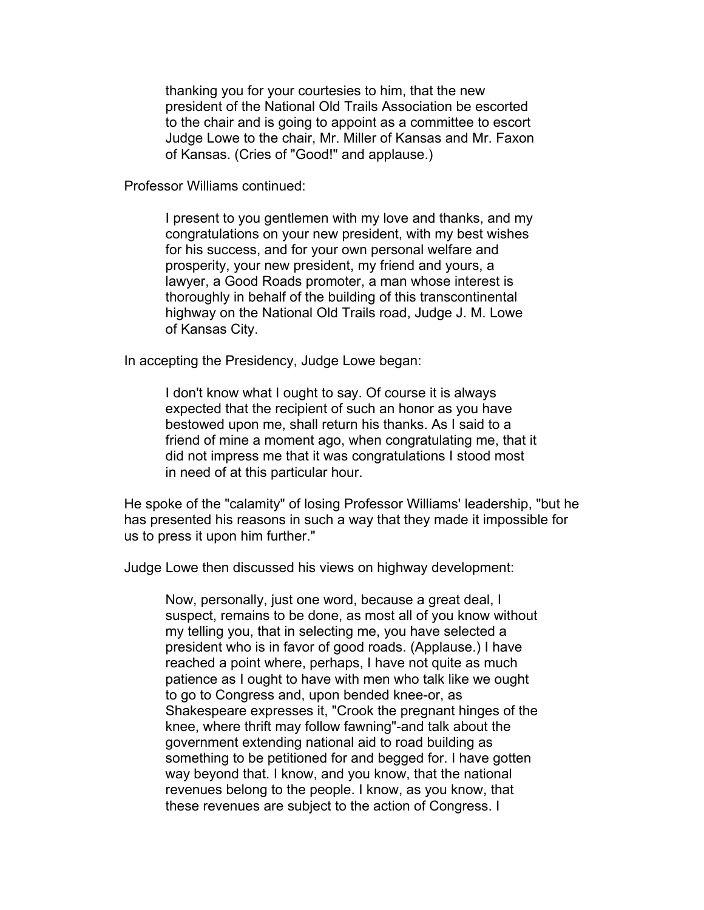thanking you for your courtesies to him, that the new president of the National Old Trails Association be escorted to the chair and is going to appoint as a committee to escort Judge Lowe to the chair, Mr. Miller of Kansas and Mr. Faxon of Kansas. (Cries of "Good!" and applause.)

Professor Williams continued:

I present to you gentlemen with my love and thanks, and my congratulations on your new president, with my best wishes for his success, and for your own personal welfare and prosperity, your new president, my friend and yours, a lawyer, a Good Roads promoter, a man whose interest is thoroughly in behalf of the building of this transcontinental highway on the National Old Trails road, Judge J. M. Lowe of Kansas City.

In accepting the Presidency, Judge Lowe began:

I don't know what I ought to say. Of course it is always expected that the recipient of such an honor as you have bestowed upon me, shall return his thanks. As I said to a friend of mine a moment ago, when congratulating me, that it did not impress me that it was congratulations I stood most in need of at this particular hour.

He spoke of the "calamity" of losing Professor Williams' leadership, "but he has presented his reasons in such a way that they made it impossible for us to press it upon him further."

Judge Lowe then discussed his views on highway development:

Now, personally, just one word, because a great deal, I suspect, remains to be done, as most all of you know without my telling you, that in selecting me, you have selected a president who is in favor of good roads. (Applause.) I have reached a point where, perhaps, I have not quite as much patience as I ought to have with men who talk like we ought to go to Congress and, upon bended knee-or, as Shakespeare expresses it, "Crook the pregnant hinges of the knee, where thrift may follow fawning"-and talk about the government extending national aid to road building as something to be petitioned for and begged for. I have gotten way beyond that. I know, and you know, that the national revenues belong to the people. I know, as you know, that these revenues are subject to the action of Congress. I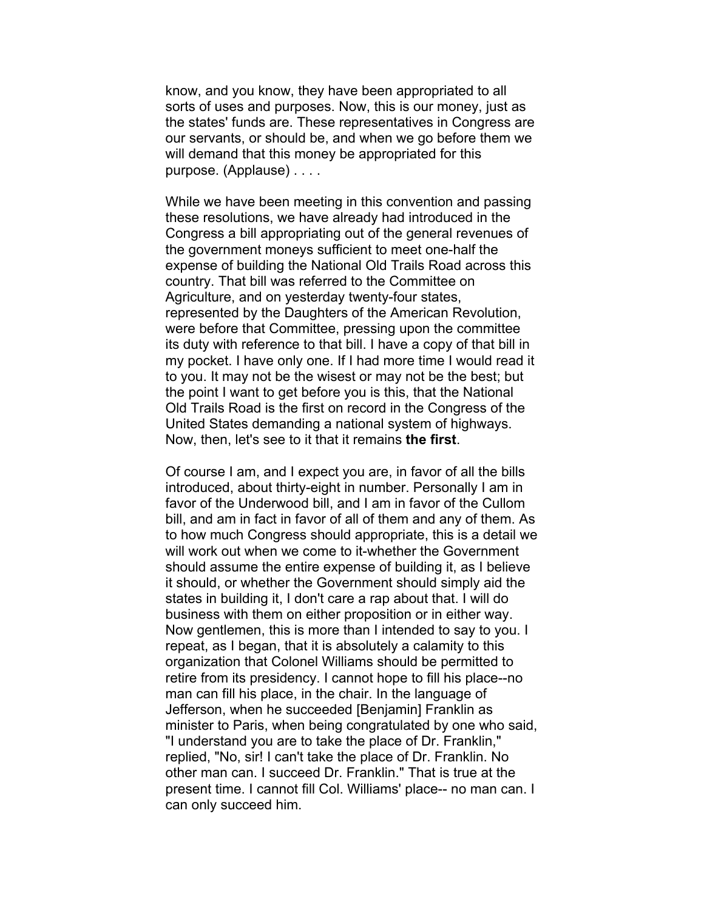know, and you know, they have been appropriated to all sorts of uses and purposes. Now, this is our money, just as the states' funds are. These representatives in Congress are our servants, or should be, and when we go before them we will demand that this money be appropriated for this purpose. (Applause) . . . .

While we have been meeting in this convention and passing these resolutions, we have already had introduced in the Congress a bill appropriating out of the general revenues of the government moneys sufficient to meet one-half the expense of building the National Old Trails Road across this country. That bill was referred to the Committee on Agriculture, and on yesterday twenty-four states, represented by the Daughters of the American Revolution, were before that Committee, pressing upon the committee its duty with reference to that bill. I have a copy of that bill in my pocket. I have only one. If I had more time I would read it to you. It may not be the wisest or may not be the best; but the point I want to get before you is this, that the National Old Trails Road is the first on record in the Congress of the United States demanding a national system of highways. Now, then, let's see to it that it remains **the first**.

Of course I am, and I expect you are, in favor of all the bills introduced, about thirty-eight in number. Personally I am in favor of the Underwood bill, and I am in favor of the Cullom bill, and am in fact in favor of all of them and any of them. As to how much Congress should appropriate, this is a detail we will work out when we come to it-whether the Government should assume the entire expense of building it, as I believe it should, or whether the Government should simply aid the states in building it, I don't care a rap about that. I will do business with them on either proposition or in either way. Now gentlemen, this is more than I intended to say to you. I repeat, as I began, that it is absolutely a calamity to this organization that Colonel Williams should be permitted to retire from its presidency. I cannot hope to fill his place--no man can fill his place, in the chair. In the language of Jefferson, when he succeeded [Benjamin] Franklin as minister to Paris, when being congratulated by one who said, "I understand you are to take the place of Dr. Franklin," replied, "No, sir! I can't take the place of Dr. Franklin. No other man can. I succeed Dr. Franklin." That is true at the present time. I cannot fill Col. Williams' place-- no man can. I can only succeed him.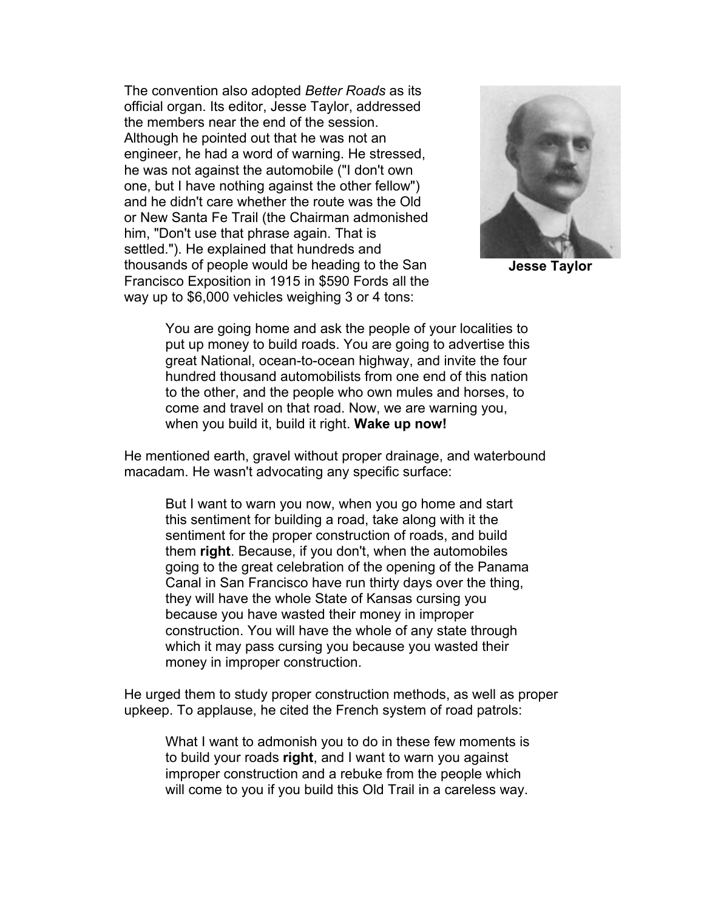The convention also adopted *Better Roads* as its official organ. Its editor, Jesse Taylor, addressed the members near the end of the session. Although he pointed out that he was not an engineer, he had a word of warning. He stressed, he was not against the automobile ("I don't own one, but I have nothing against the other fellow") and he didn't care whether the route was the Old or New Santa Fe Trail (the Chairman admonished him, "Don't use that phrase again. That is settled."). He explained that hundreds and thousands of people would be heading to the San Francisco Exposition in 1915 in \$590 Fords all the way up to \$6,000 vehicles weighing 3 or 4 tons:



**Jesse Taylor**

You are going home and ask the people of your localities to put up money to build roads. You are going to advertise this great National, ocean-to-ocean highway, and invite the four hundred thousand automobilists from one end of this nation to the other, and the people who own mules and horses, to come and travel on that road. Now, we are warning you, when you build it, build it right. **Wake up now!**

He mentioned earth, gravel without proper drainage, and waterbound macadam. He wasn't advocating any specific surface:

But I want to warn you now, when you go home and start this sentiment for building a road, take along with it the sentiment for the proper construction of roads, and build them **right**. Because, if you don't, when the automobiles going to the great celebration of the opening of the Panama Canal in San Francisco have run thirty days over the thing, they will have the whole State of Kansas cursing you because you have wasted their money in improper construction. You will have the whole of any state through which it may pass cursing you because you wasted their money in improper construction.

He urged them to study proper construction methods, as well as proper upkeep. To applause, he cited the French system of road patrols:

What I want to admonish you to do in these few moments is to build your roads **right**, and I want to warn you against improper construction and a rebuke from the people which will come to you if you build this Old Trail in a careless way.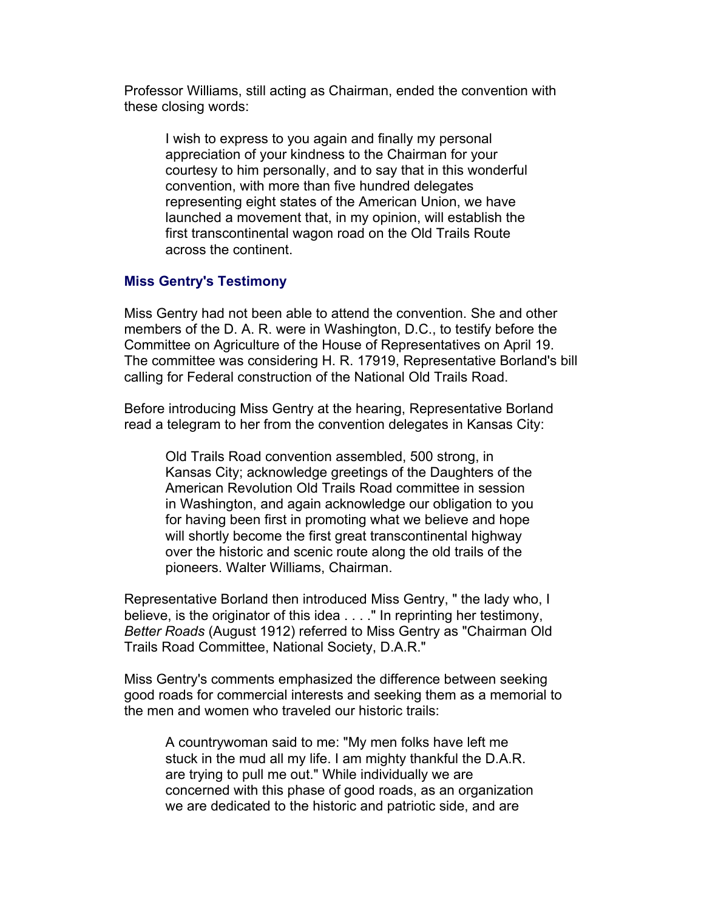Professor Williams, still acting as Chairman, ended the convention with these closing words:

I wish to express to you again and finally my personal appreciation of your kindness to the Chairman for your courtesy to him personally, and to say that in this wonderful convention, with more than five hundred delegates representing eight states of the American Union, we have launched a movement that, in my opinion, will establish the first transcontinental wagon road on the Old Trails Route across the continent.

## **Miss Gentry's Testimony**

Miss Gentry had not been able to attend the convention. She and other members of the D. A. R. were in Washington, D.C., to testify before the Committee on Agriculture of the House of Representatives on April 19. The committee was considering H. R. 17919, Representative Borland's bill calling for Federal construction of the National Old Trails Road.

Before introducing Miss Gentry at the hearing, Representative Borland read a telegram to her from the convention delegates in Kansas City:

Old Trails Road convention assembled, 500 strong, in Kansas City; acknowledge greetings of the Daughters of the American Revolution Old Trails Road committee in session in Washington, and again acknowledge our obligation to you for having been first in promoting what we believe and hope will shortly become the first great transcontinental highway over the historic and scenic route along the old trails of the pioneers. Walter Williams, Chairman.

Representative Borland then introduced Miss Gentry, " the lady who, I believe, is the originator of this idea . . . ." In reprinting her testimony, *Better Roads* (August 1912) referred to Miss Gentry as "Chairman Old Trails Road Committee, National Society, D.A.R."

Miss Gentry's comments emphasized the difference between seeking good roads for commercial interests and seeking them as a memorial to the men and women who traveled our historic trails:

A countrywoman said to me: "My men folks have left me stuck in the mud all my life. I am mighty thankful the D.A.R. are trying to pull me out." While individually we are concerned with this phase of good roads, as an organization we are dedicated to the historic and patriotic side, and are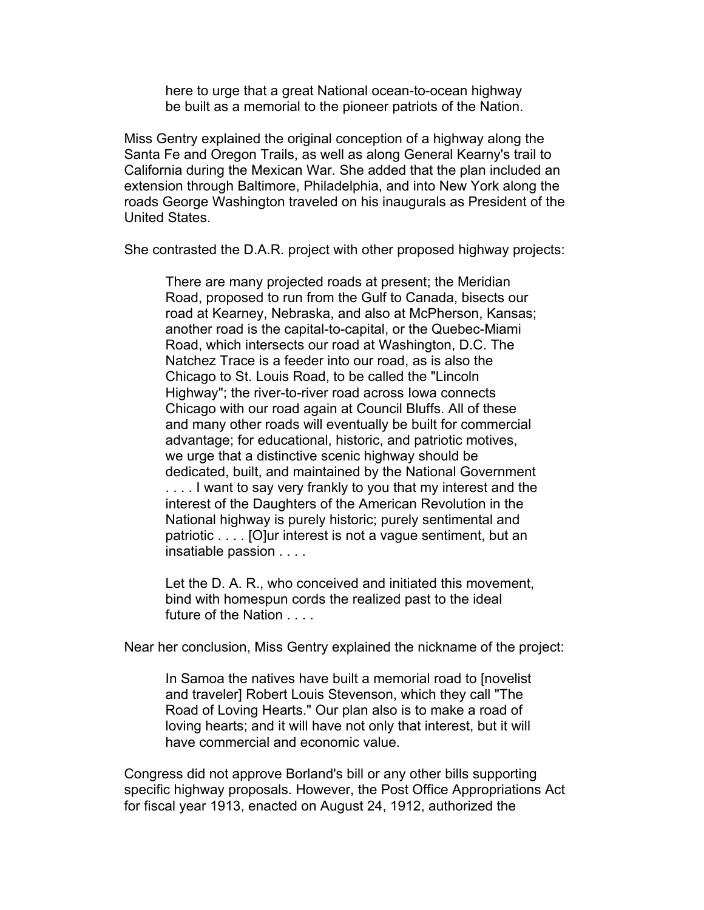here to urge that a great National ocean-to-ocean highway be built as a memorial to the pioneer patriots of the Nation.

Miss Gentry explained the original conception of a highway along the Santa Fe and Oregon Trails, as well as along General Kearny's trail to California during the Mexican War. She added that the plan included an extension through Baltimore, Philadelphia, and into New York along the roads George Washington traveled on his inaugurals as President of the United States.

She contrasted the D.A.R. project with other proposed highway projects:

There are many projected roads at present; the Meridian Road, proposed to run from the Gulf to Canada, bisects our road at Kearney, Nebraska, and also at McPherson, Kansas; another road is the capital-to-capital, or the Quebec-Miami Road, which intersects our road at Washington, D.C. The Natchez Trace is a feeder into our road, as is also the Chicago to St. Louis Road, to be called the "Lincoln Highway"; the river-to-river road across Iowa connects Chicago with our road again at Council Bluffs. All of these and many other roads will eventually be built for commercial advantage; for educational, historic, and patriotic motives, we urge that a distinctive scenic highway should be dedicated, built, and maintained by the National Government .... I want to say very frankly to you that my interest and the interest of the Daughters of the American Revolution in the National highway is purely historic; purely sentimental and patriotic . . . . [O]ur interest is not a vague sentiment, but an insatiable passion . . . .

Let the D. A. R., who conceived and initiated this movement, bind with homespun cords the realized past to the ideal future of the Nation . . . .

Near her conclusion, Miss Gentry explained the nickname of the project:

In Samoa the natives have built a memorial road to [novelist and traveler] Robert Louis Stevenson, which they call "The Road of Loving Hearts." Our plan also is to make a road of loving hearts; and it will have not only that interest, but it will have commercial and economic value.

Congress did not approve Borland's bill or any other bills supporting specific highway proposals. However, the Post Office Appropriations Act for fiscal year 1913, enacted on August 24, 1912, authorized the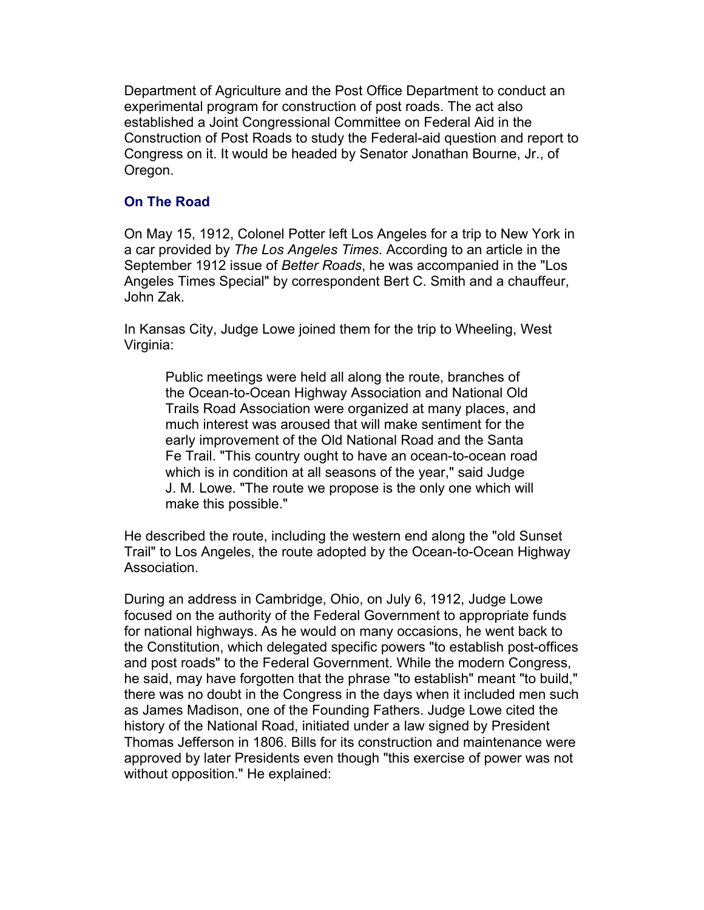Department of Agriculture and the Post Office Department to conduct an experimental program for construction of post roads. The act also established a Joint Congressional Committee on Federal Aid in the Construction of Post Roads to study the Federal-aid question and report to Congress on it. It would be headed by Senator Jonathan Bourne, Jr., of Oregon.

# **On The Road**

On May 15, 1912, Colonel Potter left Los Angeles for a trip to New York in a car provided by *The Los Angeles Times*. According to an article in the September 1912 issue of *Better Roads*, he was accompanied in the "Los Angeles Times Special" by correspondent Bert C. Smith and a chauffeur, John Zak.

In Kansas City, Judge Lowe joined them for the trip to Wheeling, West Virginia:

Public meetings were held all along the route, branches of the Ocean-to-Ocean Highway Association and National Old Trails Road Association were organized at many places, and much interest was aroused that will make sentiment for the early improvement of the Old National Road and the Santa Fe Trail. "This country ought to have an ocean-to-ocean road which is in condition at all seasons of the year," said Judge J. M. Lowe. "The route we propose is the only one which will make this possible."

He described the route, including the western end along the "old Sunset Trail" to Los Angeles, the route adopted by the Ocean-to-Ocean Highway Association.

During an address in Cambridge, Ohio, on July 6, 1912, Judge Lowe focused on the authority of the Federal Government to appropriate funds for national highways. As he would on many occasions, he went back to the Constitution, which delegated specific powers "to establish post-offices and post roads" to the Federal Government. While the modern Congress, he said, may have forgotten that the phrase "to establish" meant "to build," there was no doubt in the Congress in the days when it included men such as James Madison, one of the Founding Fathers. Judge Lowe cited the history of the National Road, initiated under a law signed by President Thomas Jefferson in 1806. Bills for its construction and maintenance were approved by later Presidents even though "this exercise of power was not without opposition." He explained: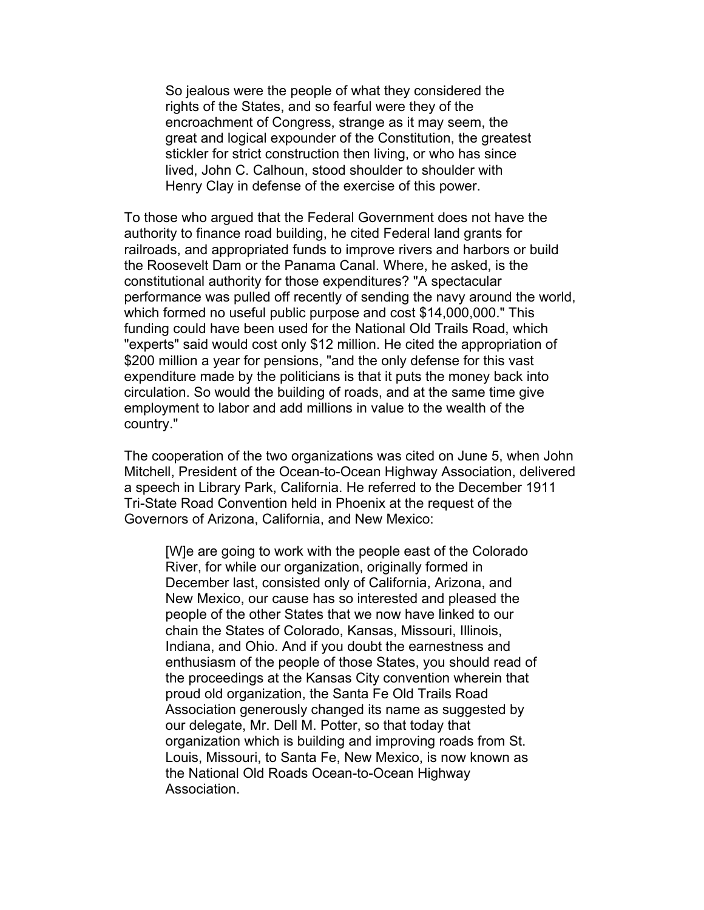So jealous were the people of what they considered the rights of the States, and so fearful were they of the encroachment of Congress, strange as it may seem, the great and logical expounder of the Constitution, the greatest stickler for strict construction then living, or who has since lived, John C. Calhoun, stood shoulder to shoulder with Henry Clay in defense of the exercise of this power.

To those who argued that the Federal Government does not have the authority to finance road building, he cited Federal land grants for railroads, and appropriated funds to improve rivers and harbors or build the Roosevelt Dam or the Panama Canal. Where, he asked, is the constitutional authority for those expenditures? "A spectacular performance was pulled off recently of sending the navy around the world, which formed no useful public purpose and cost \$14,000,000." This funding could have been used for the National Old Trails Road, which "experts" said would cost only \$12 million. He cited the appropriation of \$200 million a year for pensions, "and the only defense for this vast expenditure made by the politicians is that it puts the money back into circulation. So would the building of roads, and at the same time give employment to labor and add millions in value to the wealth of the country."

The cooperation of the two organizations was cited on June 5, when John Mitchell, President of the Ocean-to-Ocean Highway Association, delivered a speech in Library Park, California. He referred to the December 1911 Tri-State Road Convention held in Phoenix at the request of the Governors of Arizona, California, and New Mexico:

[W]e are going to work with the people east of the Colorado River, for while our organization, originally formed in December last, consisted only of California, Arizona, and New Mexico, our cause has so interested and pleased the people of the other States that we now have linked to our chain the States of Colorado, Kansas, Missouri, Illinois, Indiana, and Ohio. And if you doubt the earnestness and enthusiasm of the people of those States, you should read of the proceedings at the Kansas City convention wherein that proud old organization, the Santa Fe Old Trails Road Association generously changed its name as suggested by our delegate, Mr. Dell M. Potter, so that today that organization which is building and improving roads from St. Louis, Missouri, to Santa Fe, New Mexico, is now known as the National Old Roads Ocean-to-Ocean Highway Association.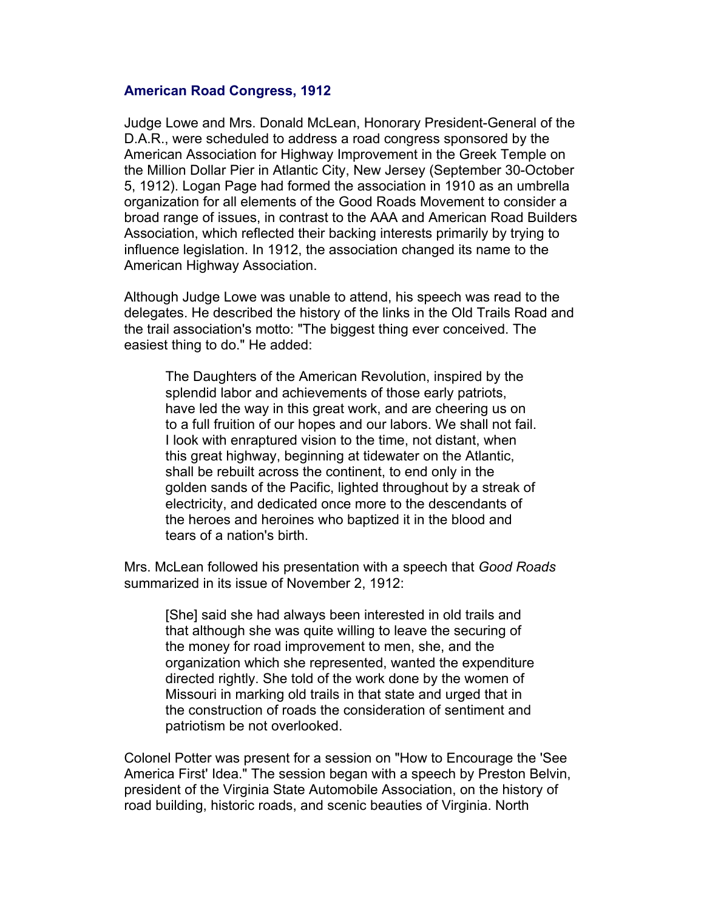# **American Road Congress, 1912**

Judge Lowe and Mrs. Donald McLean, Honorary President-General of the D.A.R., were scheduled to address a road congress sponsored by the American Association for Highway Improvement in the Greek Temple on the Million Dollar Pier in Atlantic City, New Jersey (September 30-October 5, 1912). Logan Page had formed the association in 1910 as an umbrella organization for all elements of the Good Roads Movement to consider a broad range of issues, in contrast to the AAA and American Road Builders Association, which reflected their backing interests primarily by trying to influence legislation. In 1912, the association changed its name to the American Highway Association.

Although Judge Lowe was unable to attend, his speech was read to the delegates. He described the history of the links in the Old Trails Road and the trail association's motto: "The biggest thing ever conceived. The easiest thing to do." He added:

The Daughters of the American Revolution, inspired by the splendid labor and achievements of those early patriots, have led the way in this great work, and are cheering us on to a full fruition of our hopes and our labors. We shall not fail. I look with enraptured vision to the time, not distant, when this great highway, beginning at tidewater on the Atlantic, shall be rebuilt across the continent, to end only in the golden sands of the Pacific, lighted throughout by a streak of electricity, and dedicated once more to the descendants of the heroes and heroines who baptized it in the blood and tears of a nation's birth.

Mrs. McLean followed his presentation with a speech that *Good Roads* summarized in its issue of November 2, 1912:

[She] said she had always been interested in old trails and that although she was quite willing to leave the securing of the money for road improvement to men, she, and the organization which she represented, wanted the expenditure directed rightly. She told of the work done by the women of Missouri in marking old trails in that state and urged that in the construction of roads the consideration of sentiment and patriotism be not overlooked.

Colonel Potter was present for a session on "How to Encourage the 'See America First' Idea." The session began with a speech by Preston Belvin, president of the Virginia State Automobile Association, on the history of road building, historic roads, and scenic beauties of Virginia. North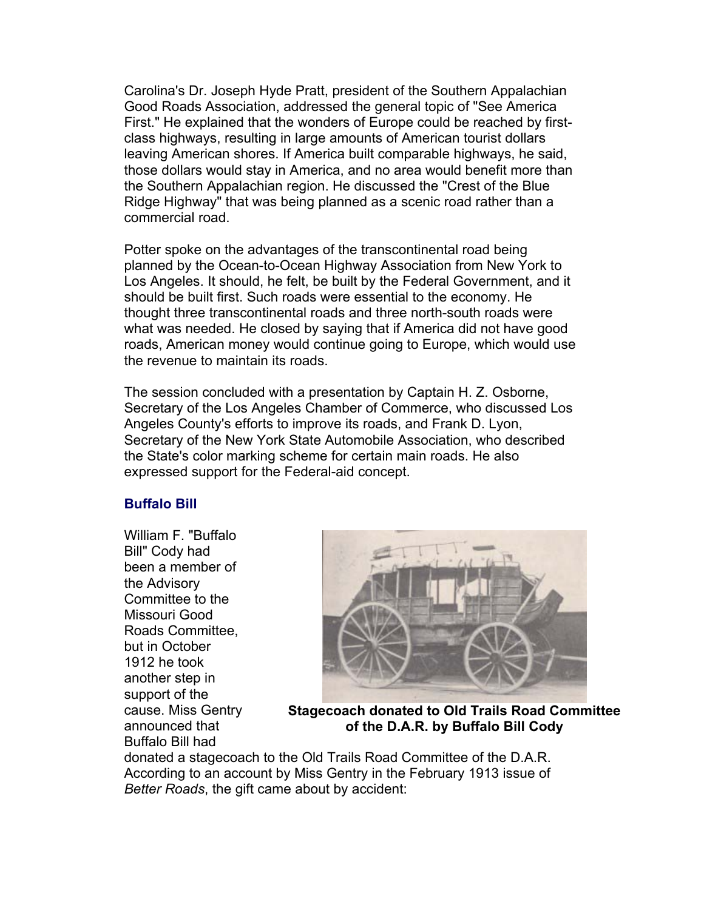Carolina's Dr. Joseph Hyde Pratt, president of the Southern Appalachian Good Roads Association, addressed the general topic of "See America First." He explained that the wonders of Europe could be reached by firstclass highways, resulting in large amounts of American tourist dollars leaving American shores. If America built comparable highways, he said, those dollars would stay in America, and no area would benefit more than the Southern Appalachian region. He discussed the "Crest of the Blue Ridge Highway" that was being planned as a scenic road rather than a commercial road.

Potter spoke on the advantages of the transcontinental road being planned by the Ocean-to-Ocean Highway Association from New York to Los Angeles. It should, he felt, be built by the Federal Government, and it should be built first. Such roads were essential to the economy. He thought three transcontinental roads and three north-south roads were what was needed. He closed by saying that if America did not have good roads, American money would continue going to Europe, which would use the revenue to maintain its roads.

The session concluded with a presentation by Captain H. Z. Osborne, Secretary of the Los Angeles Chamber of Commerce, who discussed Los Angeles County's efforts to improve its roads, and Frank D. Lyon, Secretary of the New York State Automobile Association, who described the State's color marking scheme for certain main roads. He also expressed support for the Federal-aid concept.

# **Buffalo Bill**

William F. "Buffalo Bill" Cody had been a member of the Advisory Committee to the Missouri Good Roads Committee, but in October 1912 he took another step in support of the cause. Miss Gentry announced that Buffalo Bill had



**Stagecoach donated to Old Trails Road Committee of the D.A.R. by Buffalo Bill Cody**

donated a stagecoach to the Old Trails Road Committee of the D.A.R. According to an account by Miss Gentry in the February 1913 issue of *Better Roads*, the gift came about by accident: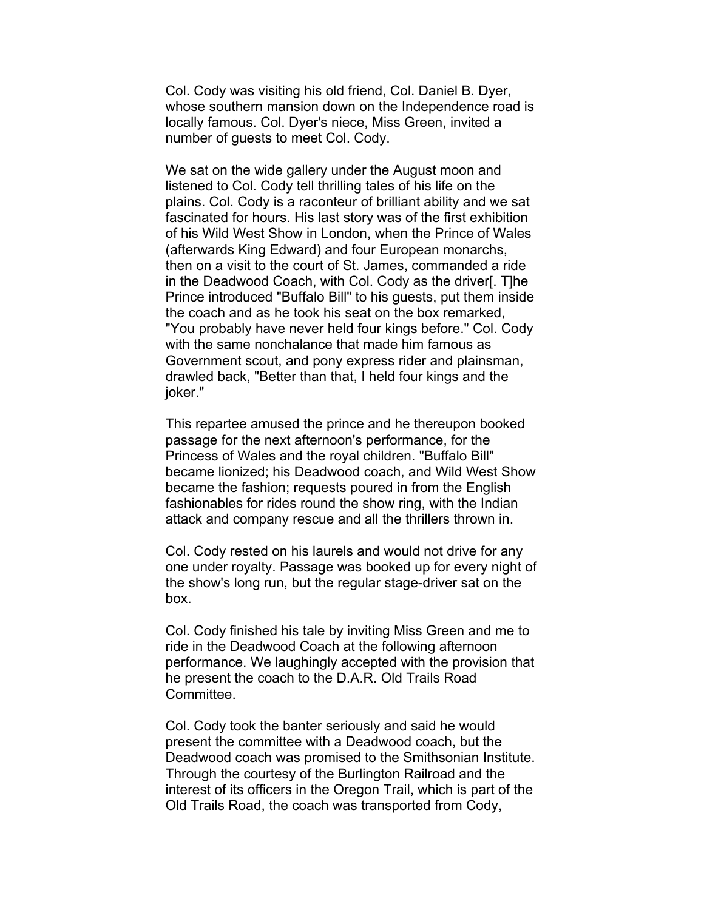Col. Cody was visiting his old friend, Col. Daniel B. Dyer, whose southern mansion down on the Independence road is locally famous. Col. Dyer's niece, Miss Green, invited a number of guests to meet Col. Cody.

We sat on the wide gallery under the August moon and listened to Col. Cody tell thrilling tales of his life on the plains. Col. Cody is a raconteur of brilliant ability and we sat fascinated for hours. His last story was of the first exhibition of his Wild West Show in London, when the Prince of Wales (afterwards King Edward) and four European monarchs, then on a visit to the court of St. James, commanded a ride in the Deadwood Coach, with Col. Cody as the driver[. T]he Prince introduced "Buffalo Bill" to his guests, put them inside the coach and as he took his seat on the box remarked, "You probably have never held four kings before." Col. Cody with the same nonchalance that made him famous as Government scout, and pony express rider and plainsman, drawled back, "Better than that, I held four kings and the joker."

This repartee amused the prince and he thereupon booked passage for the next afternoon's performance, for the Princess of Wales and the royal children. "Buffalo Bill" became lionized; his Deadwood coach, and Wild West Show became the fashion; requests poured in from the English fashionables for rides round the show ring, with the Indian attack and company rescue and all the thrillers thrown in.

Col. Cody rested on his laurels and would not drive for any one under royalty. Passage was booked up for every night of the show's long run, but the regular stage-driver sat on the box.

Col. Cody finished his tale by inviting Miss Green and me to ride in the Deadwood Coach at the following afternoon performance. We laughingly accepted with the provision that he present the coach to the D.A.R. Old Trails Road Committee.

Col. Cody took the banter seriously and said he would present the committee with a Deadwood coach, but the Deadwood coach was promised to the Smithsonian Institute. Through the courtesy of the Burlington Railroad and the interest of its officers in the Oregon Trail, which is part of the Old Trails Road, the coach was transported from Cody,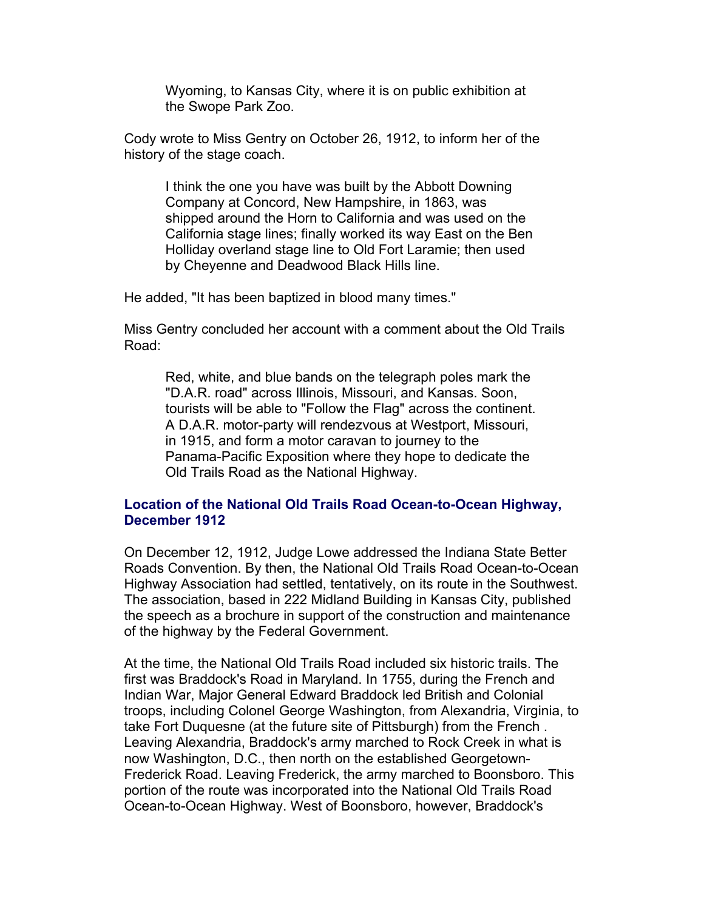Wyoming, to Kansas City, where it is on public exhibition at the Swope Park Zoo.

Cody wrote to Miss Gentry on October 26, 1912, to inform her of the history of the stage coach.

I think the one you have was built by the Abbott Downing Company at Concord, New Hampshire, in 1863, was shipped around the Horn to California and was used on the California stage lines; finally worked its way East on the Ben Holliday overland stage line to Old Fort Laramie; then used by Cheyenne and Deadwood Black Hills line.

He added, "It has been baptized in blood many times."

Miss Gentry concluded her account with a comment about the Old Trails Road:

Red, white, and blue bands on the telegraph poles mark the "D.A.R. road" across Illinois, Missouri, and Kansas. Soon, tourists will be able to "Follow the Flag" across the continent. A D.A.R. motor-party will rendezvous at Westport, Missouri, in 1915, and form a motor caravan to journey to the Panama-Pacific Exposition where they hope to dedicate the Old Trails Road as the National Highway.

# **Location of the National Old Trails Road Ocean-to-Ocean Highway, December 1912**

On December 12, 1912, Judge Lowe addressed the Indiana State Better Roads Convention. By then, the National Old Trails Road Ocean-to-Ocean Highway Association had settled, tentatively, on its route in the Southwest. The association, based in 222 Midland Building in Kansas City, published the speech as a brochure in support of the construction and maintenance of the highway by the Federal Government.

At the time, the National Old Trails Road included six historic trails. The first was Braddock's Road in Maryland. In 1755, during the French and Indian War, Major General Edward Braddock led British and Colonial troops, including Colonel George Washington, from Alexandria, Virginia, to take Fort Duquesne (at the future site of Pittsburgh) from the French . Leaving Alexandria, Braddock's army marched to Rock Creek in what is now Washington, D.C., then north on the established Georgetown-Frederick Road. Leaving Frederick, the army marched to Boonsboro. This portion of the route was incorporated into the National Old Trails Road Ocean-to-Ocean Highway. West of Boonsboro, however, Braddock's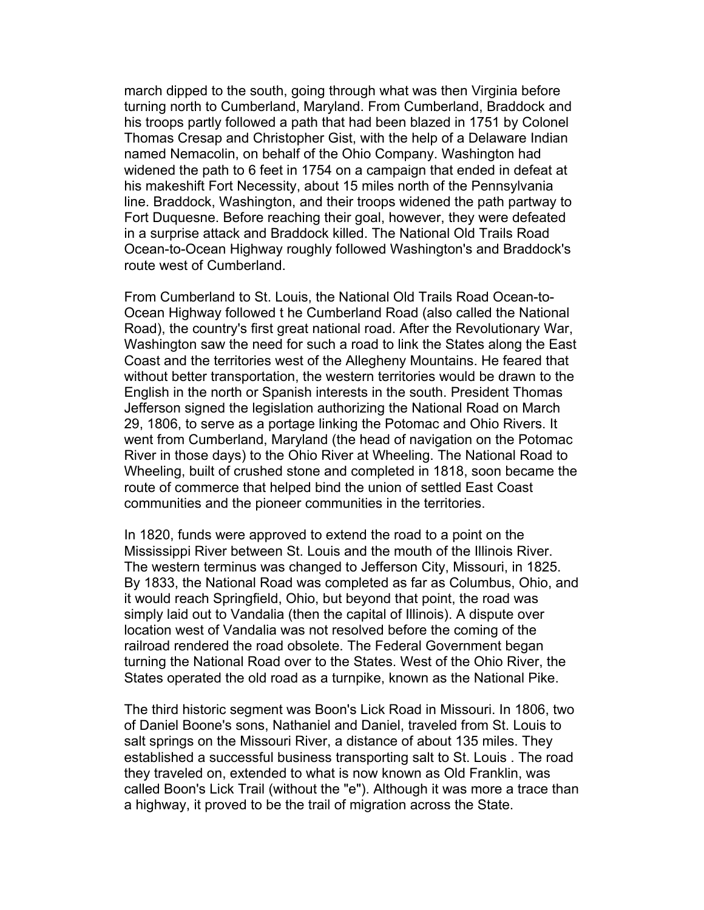march dipped to the south, going through what was then Virginia before turning north to Cumberland, Maryland. From Cumberland, Braddock and his troops partly followed a path that had been blazed in 1751 by Colonel Thomas Cresap and Christopher Gist, with the help of a Delaware Indian named Nemacolin, on behalf of the Ohio Company. Washington had widened the path to 6 feet in 1754 on a campaign that ended in defeat at his makeshift Fort Necessity, about 15 miles north of the Pennsylvania line. Braddock, Washington, and their troops widened the path partway to Fort Duquesne. Before reaching their goal, however, they were defeated in a surprise attack and Braddock killed. The National Old Trails Road Ocean-to-Ocean Highway roughly followed Washington's and Braddock's route west of Cumberland.

From Cumberland to St. Louis, the National Old Trails Road Ocean-to-Ocean Highway followed t he Cumberland Road (also called the National Road), the country's first great national road. After the Revolutionary War, Washington saw the need for such a road to link the States along the East Coast and the territories west of the Allegheny Mountains. He feared that without better transportation, the western territories would be drawn to the English in the north or Spanish interests in the south. President Thomas Jefferson signed the legislation authorizing the National Road on March 29, 1806, to serve as a portage linking the Potomac and Ohio Rivers. It went from Cumberland, Maryland (the head of navigation on the Potomac River in those days) to the Ohio River at Wheeling. The National Road to Wheeling, built of crushed stone and completed in 1818, soon became the route of commerce that helped bind the union of settled East Coast communities and the pioneer communities in the territories.

In 1820, funds were approved to extend the road to a point on the Mississippi River between St. Louis and the mouth of the Illinois River. The western terminus was changed to Jefferson City, Missouri, in 1825. By 1833, the National Road was completed as far as Columbus, Ohio, and it would reach Springfield, Ohio, but beyond that point, the road was simply laid out to Vandalia (then the capital of Illinois). A dispute over location west of Vandalia was not resolved before the coming of the railroad rendered the road obsolete. The Federal Government began turning the National Road over to the States. West of the Ohio River, the States operated the old road as a turnpike, known as the National Pike.

The third historic segment was Boon's Lick Road in Missouri. In 1806, two of Daniel Boone's sons, Nathaniel and Daniel, traveled from St. Louis to salt springs on the Missouri River, a distance of about 135 miles. They established a successful business transporting salt to St. Louis . The road they traveled on, extended to what is now known as Old Franklin, was called Boon's Lick Trail (without the "e"). Although it was more a trace than a highway, it proved to be the trail of migration across the State.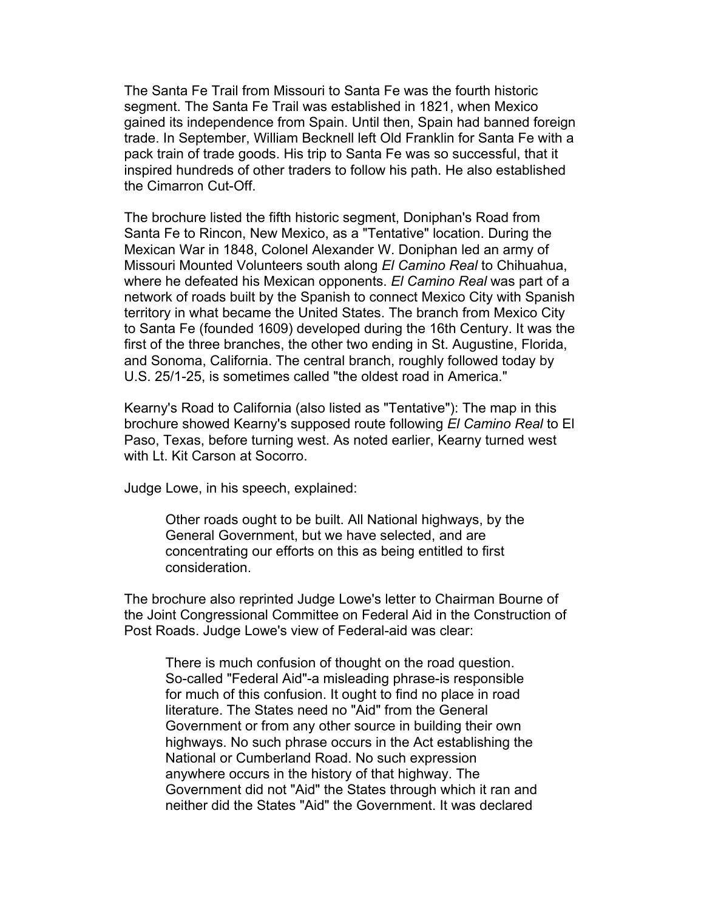The Santa Fe Trail from Missouri to Santa Fe was the fourth historic segment. The Santa Fe Trail was established in 1821, when Mexico gained its independence from Spain. Until then, Spain had banned foreign trade. In September, William Becknell left Old Franklin for Santa Fe with a pack train of trade goods. His trip to Santa Fe was so successful, that it inspired hundreds of other traders to follow his path. He also established the Cimarron Cut-Off.

The brochure listed the fifth historic segment, Doniphan's Road from Santa Fe to Rincon, New Mexico, as a "Tentative" location. During the Mexican War in 1848, Colonel Alexander W. Doniphan led an army of Missouri Mounted Volunteers south along *El Camino Real* to Chihuahua, where he defeated his Mexican opponents. *El Camino Real* was part of a network of roads built by the Spanish to connect Mexico City with Spanish territory in what became the United States. The branch from Mexico City to Santa Fe (founded 1609) developed during the 16th Century. It was the first of the three branches, the other two ending in St. Augustine, Florida, and Sonoma, California. The central branch, roughly followed today by U.S. 25/1-25, is sometimes called "the oldest road in America."

Kearny's Road to California (also listed as "Tentative"): The map in this brochure showed Kearny's supposed route following *El Camino Real* to El Paso, Texas, before turning west. As noted earlier, Kearny turned west with Lt. Kit Carson at Socorro.

Judge Lowe, in his speech, explained:

Other roads ought to be built. All National highways, by the General Government, but we have selected, and are concentrating our efforts on this as being entitled to first consideration.

The brochure also reprinted Judge Lowe's letter to Chairman Bourne of the Joint Congressional Committee on Federal Aid in the Construction of Post Roads. Judge Lowe's view of Federal-aid was clear:

There is much confusion of thought on the road question. So-called "Federal Aid"-a misleading phrase-is responsible for much of this confusion. It ought to find no place in road literature. The States need no "Aid" from the General Government or from any other source in building their own highways. No such phrase occurs in the Act establishing the National or Cumberland Road. No such expression anywhere occurs in the history of that highway. The Government did not "Aid" the States through which it ran and neither did the States "Aid" the Government. It was declared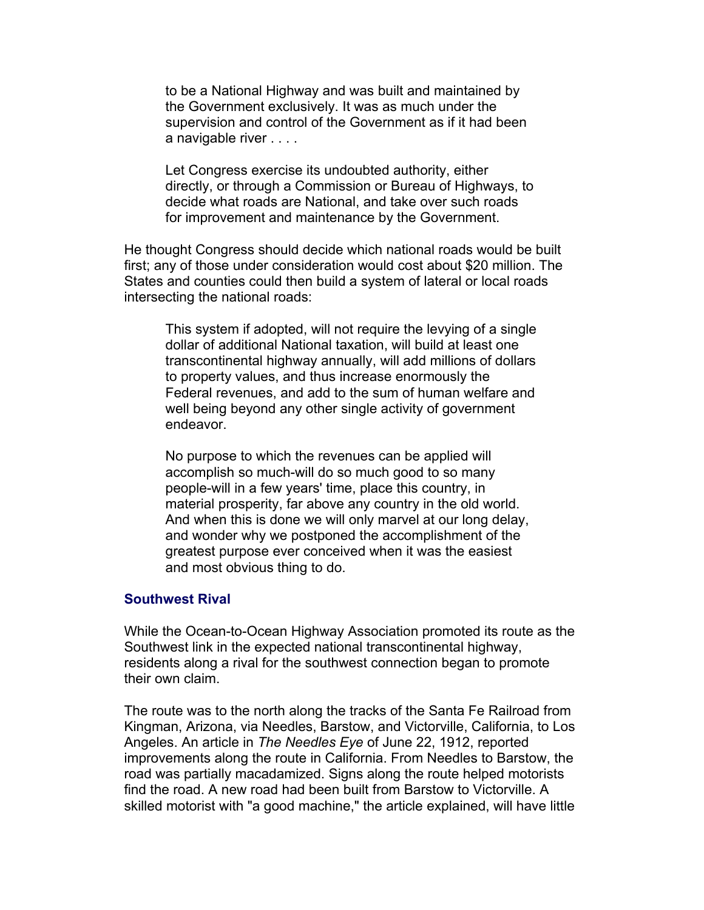to be a National Highway and was built and maintained by the Government exclusively. It was as much under the supervision and control of the Government as if it had been a navigable river . . . .

Let Congress exercise its undoubted authority, either directly, or through a Commission or Bureau of Highways, to decide what roads are National, and take over such roads for improvement and maintenance by the Government.

He thought Congress should decide which national roads would be built first; any of those under consideration would cost about \$20 million. The States and counties could then build a system of lateral or local roads intersecting the national roads:

This system if adopted, will not require the levying of a single dollar of additional National taxation, will build at least one transcontinental highway annually, will add millions of dollars to property values, and thus increase enormously the Federal revenues, and add to the sum of human welfare and well being beyond any other single activity of government endeavor.

No purpose to which the revenues can be applied will accomplish so much-will do so much good to so many people-will in a few years' time, place this country, in material prosperity, far above any country in the old world. And when this is done we will only marvel at our long delay, and wonder why we postponed the accomplishment of the greatest purpose ever conceived when it was the easiest and most obvious thing to do.

#### **Southwest Rival**

While the Ocean-to-Ocean Highway Association promoted its route as the Southwest link in the expected national transcontinental highway, residents along a rival for the southwest connection began to promote their own claim.

The route was to the north along the tracks of the Santa Fe Railroad from Kingman, Arizona, via Needles, Barstow, and Victorville, California, to Los Angeles. An article in *The Needles Eye* of June 22, 1912, reported improvements along the route in California. From Needles to Barstow, the road was partially macadamized. Signs along the route helped motorists find the road. A new road had been built from Barstow to Victorville. A skilled motorist with "a good machine," the article explained, will have little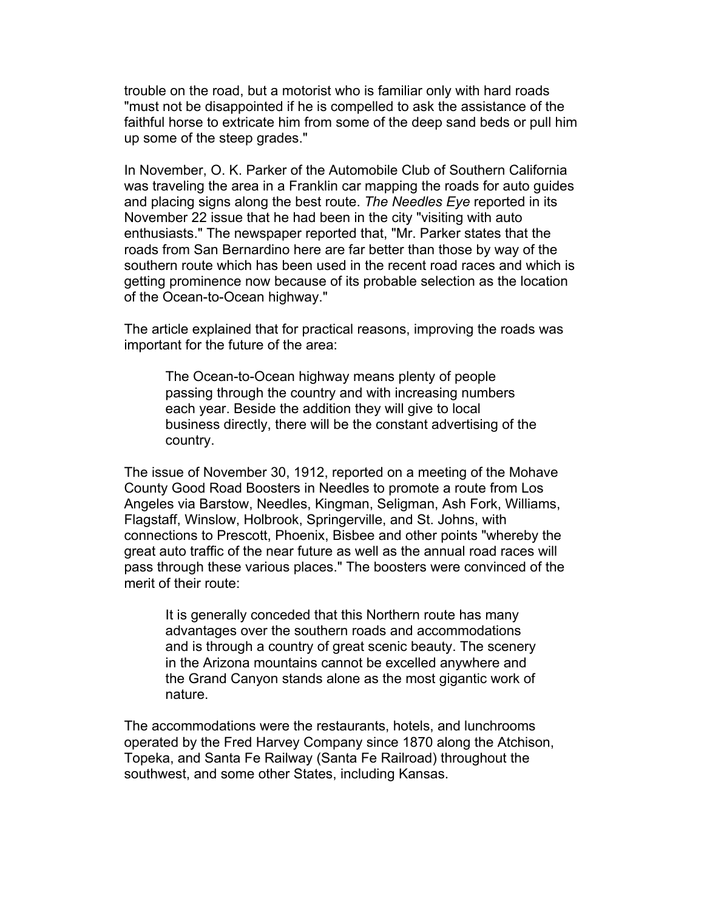trouble on the road, but a motorist who is familiar only with hard roads "must not be disappointed if he is compelled to ask the assistance of the faithful horse to extricate him from some of the deep sand beds or pull him up some of the steep grades."

In November, O. K. Parker of the Automobile Club of Southern California was traveling the area in a Franklin car mapping the roads for auto guides and placing signs along the best route. *The Needles Eye* reported in its November 22 issue that he had been in the city "visiting with auto enthusiasts." The newspaper reported that, "Mr. Parker states that the roads from San Bernardino here are far better than those by way of the southern route which has been used in the recent road races and which is getting prominence now because of its probable selection as the location of the Ocean-to-Ocean highway."

The article explained that for practical reasons, improving the roads was important for the future of the area:

The Ocean-to-Ocean highway means plenty of people passing through the country and with increasing numbers each year. Beside the addition they will give to local business directly, there will be the constant advertising of the country.

The issue of November 30, 1912, reported on a meeting of the Mohave County Good Road Boosters in Needles to promote a route from Los Angeles via Barstow, Needles, Kingman, Seligman, Ash Fork, Williams, Flagstaff, Winslow, Holbrook, Springerville, and St. Johns, with connections to Prescott, Phoenix, Bisbee and other points "whereby the great auto traffic of the near future as well as the annual road races will pass through these various places." The boosters were convinced of the merit of their route:

It is generally conceded that this Northern route has many advantages over the southern roads and accommodations and is through a country of great scenic beauty. The scenery in the Arizona mountains cannot be excelled anywhere and the Grand Canyon stands alone as the most gigantic work of nature.

The accommodations were the restaurants, hotels, and lunchrooms operated by the Fred Harvey Company since 1870 along the Atchison, Topeka, and Santa Fe Railway (Santa Fe Railroad) throughout the southwest, and some other States, including Kansas.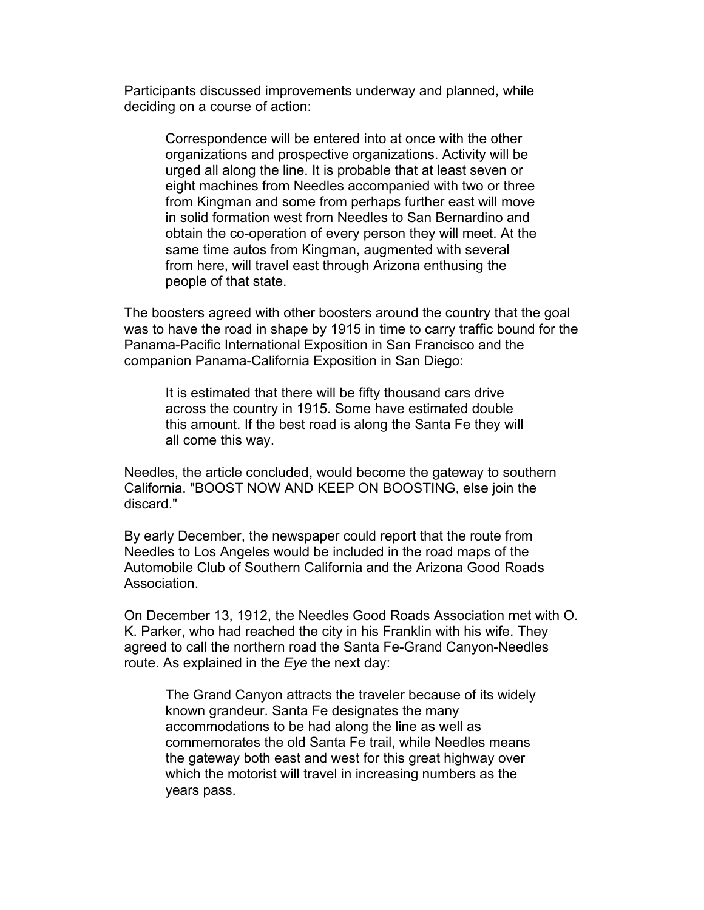Participants discussed improvements underway and planned, while deciding on a course of action:

Correspondence will be entered into at once with the other organizations and prospective organizations. Activity will be urged all along the line. It is probable that at least seven or eight machines from Needles accompanied with two or three from Kingman and some from perhaps further east will move in solid formation west from Needles to San Bernardino and obtain the co-operation of every person they will meet. At the same time autos from Kingman, augmented with several from here, will travel east through Arizona enthusing the people of that state.

The boosters agreed with other boosters around the country that the goal was to have the road in shape by 1915 in time to carry traffic bound for the Panama-Pacific International Exposition in San Francisco and the companion Panama-California Exposition in San Diego:

It is estimated that there will be fifty thousand cars drive across the country in 1915. Some have estimated double this amount. If the best road is along the Santa Fe they will all come this way.

Needles, the article concluded, would become the gateway to southern California. "BOOST NOW AND KEEP ON BOOSTING, else join the discard."

By early December, the newspaper could report that the route from Needles to Los Angeles would be included in the road maps of the Automobile Club of Southern California and the Arizona Good Roads Association.

On December 13, 1912, the Needles Good Roads Association met with O. K. Parker, who had reached the city in his Franklin with his wife. They agreed to call the northern road the Santa Fe-Grand Canyon-Needles route. As explained in the *Eye* the next day:

The Grand Canyon attracts the traveler because of its widely known grandeur. Santa Fe designates the many accommodations to be had along the line as well as commemorates the old Santa Fe trail, while Needles means the gateway both east and west for this great highway over which the motorist will travel in increasing numbers as the years pass.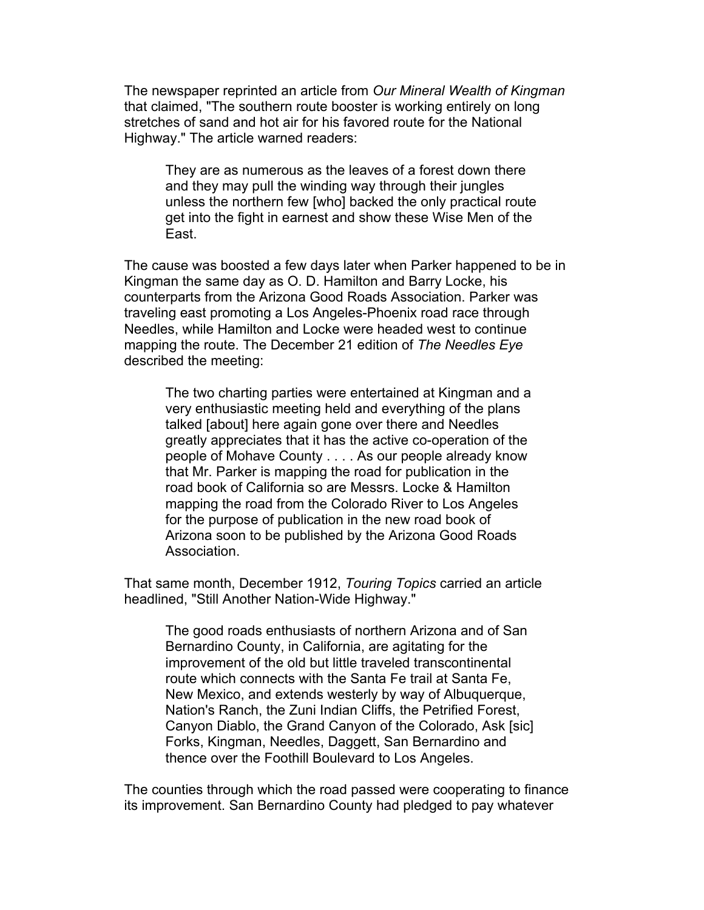The newspaper reprinted an article from *Our Mineral Wealth of Kingman* that claimed, "The southern route booster is working entirely on long stretches of sand and hot air for his favored route for the National Highway." The article warned readers:

They are as numerous as the leaves of a forest down there and they may pull the winding way through their jungles unless the northern few [who] backed the only practical route get into the fight in earnest and show these Wise Men of the East.

The cause was boosted a few days later when Parker happened to be in Kingman the same day as O. D. Hamilton and Barry Locke, his counterparts from the Arizona Good Roads Association. Parker was traveling east promoting a Los Angeles-Phoenix road race through Needles, while Hamilton and Locke were headed west to continue mapping the route. The December 21 edition of *The Needles Eye* described the meeting:

The two charting parties were entertained at Kingman and a very enthusiastic meeting held and everything of the plans talked [about] here again gone over there and Needles greatly appreciates that it has the active co-operation of the people of Mohave County . . . . As our people already know that Mr. Parker is mapping the road for publication in the road book of California so are Messrs. Locke & Hamilton mapping the road from the Colorado River to Los Angeles for the purpose of publication in the new road book of Arizona soon to be published by the Arizona Good Roads Association.

That same month, December 1912, *Touring Topics* carried an article headlined, "Still Another Nation-Wide Highway."

The good roads enthusiasts of northern Arizona and of San Bernardino County, in California, are agitating for the improvement of the old but little traveled transcontinental route which connects with the Santa Fe trail at Santa Fe, New Mexico, and extends westerly by way of Albuquerque, Nation's Ranch, the Zuni Indian Cliffs, the Petrified Forest, Canyon Diablo, the Grand Canyon of the Colorado, Ask [sic] Forks, Kingman, Needles, Daggett, San Bernardino and thence over the Foothill Boulevard to Los Angeles.

The counties through which the road passed were cooperating to finance its improvement. San Bernardino County had pledged to pay whatever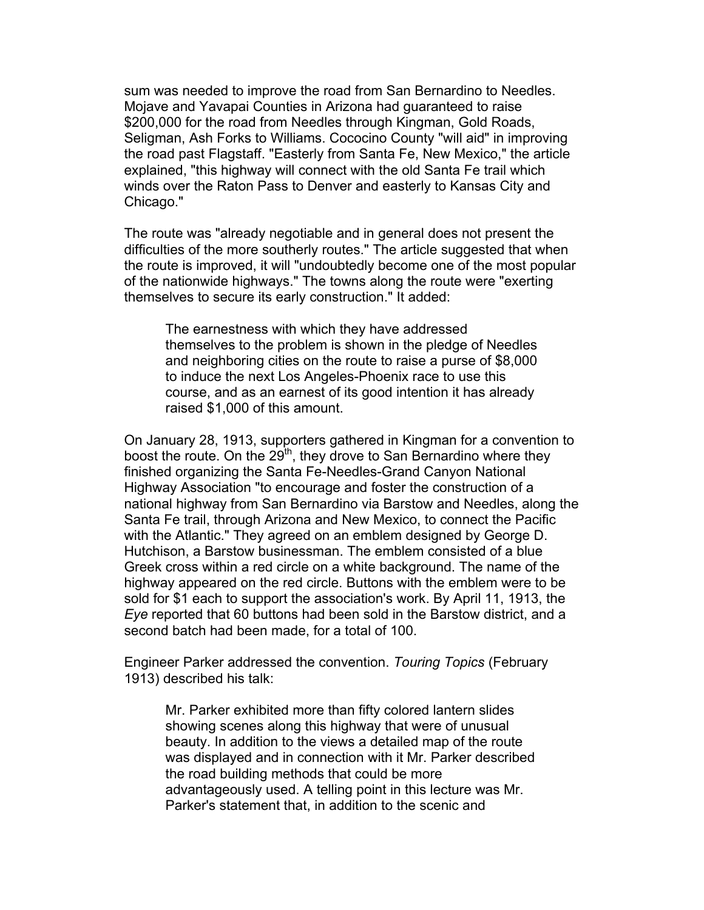sum was needed to improve the road from San Bernardino to Needles. Mojave and Yavapai Counties in Arizona had guaranteed to raise \$200,000 for the road from Needles through Kingman, Gold Roads, Seligman, Ash Forks to Williams. Cococino County "will aid" in improving the road past Flagstaff. "Easterly from Santa Fe, New Mexico," the article explained, "this highway will connect with the old Santa Fe trail which winds over the Raton Pass to Denver and easterly to Kansas City and Chicago."

The route was "already negotiable and in general does not present the difficulties of the more southerly routes." The article suggested that when the route is improved, it will "undoubtedly become one of the most popular of the nationwide highways." The towns along the route were "exerting themselves to secure its early construction." It added:

The earnestness with which they have addressed themselves to the problem is shown in the pledge of Needles and neighboring cities on the route to raise a purse of \$8,000 to induce the next Los Angeles-Phoenix race to use this course, and as an earnest of its good intention it has already raised \$1,000 of this amount.

On January 28, 1913, supporters gathered in Kingman for a convention to boost the route. On the  $29<sup>th</sup>$ , they drove to San Bernardino where they finished organizing the Santa Fe-Needles-Grand Canyon National Highway Association "to encourage and foster the construction of a national highway from San Bernardino via Barstow and Needles, along the Santa Fe trail, through Arizona and New Mexico, to connect the Pacific with the Atlantic." They agreed on an emblem designed by George D. Hutchison, a Barstow businessman. The emblem consisted of a blue Greek cross within a red circle on a white background. The name of the highway appeared on the red circle. Buttons with the emblem were to be sold for \$1 each to support the association's work. By April 11, 1913, the *Eye* reported that 60 buttons had been sold in the Barstow district, and a second batch had been made, for a total of 100.

Engineer Parker addressed the convention. *Touring Topics* (February 1913) described his talk:

Mr. Parker exhibited more than fifty colored lantern slides showing scenes along this highway that were of unusual beauty. In addition to the views a detailed map of the route was displayed and in connection with it Mr. Parker described the road building methods that could be more advantageously used. A telling point in this lecture was Mr. Parker's statement that, in addition to the scenic and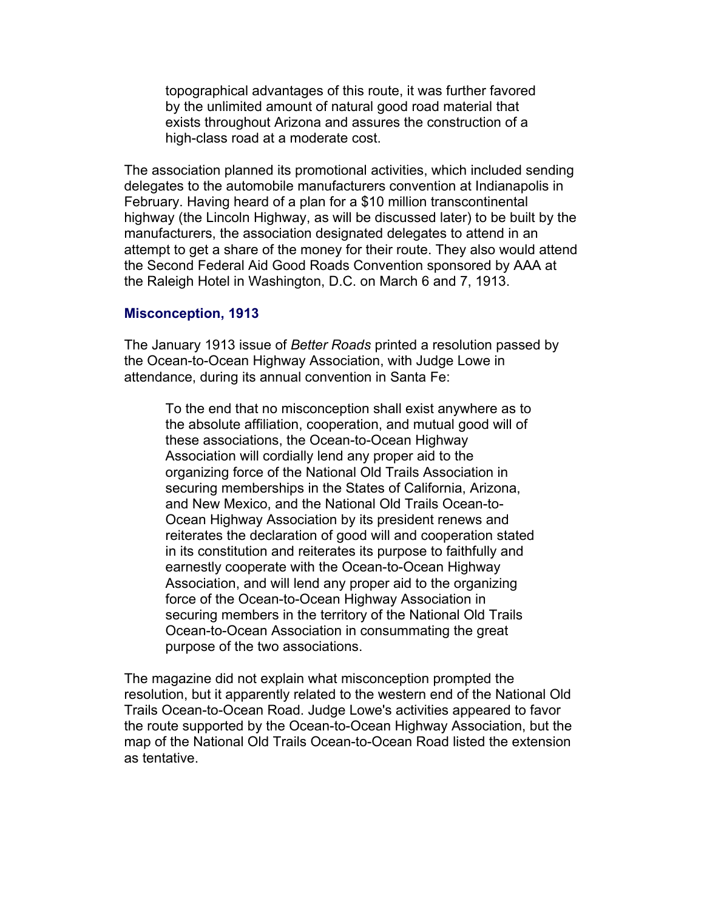topographical advantages of this route, it was further favored by the unlimited amount of natural good road material that exists throughout Arizona and assures the construction of a high-class road at a moderate cost.

The association planned its promotional activities, which included sending delegates to the automobile manufacturers convention at Indianapolis in February. Having heard of a plan for a \$10 million transcontinental highway (the Lincoln Highway, as will be discussed later) to be built by the manufacturers, the association designated delegates to attend in an attempt to get a share of the money for their route. They also would attend the Second Federal Aid Good Roads Convention sponsored by AAA at the Raleigh Hotel in Washington, D.C. on March 6 and 7, 1913.

#### **Misconception, 1913**

The January 1913 issue of *Better Roads* printed a resolution passed by the Ocean-to-Ocean Highway Association, with Judge Lowe in attendance, during its annual convention in Santa Fe:

To the end that no misconception shall exist anywhere as to the absolute affiliation, cooperation, and mutual good will of these associations, the Ocean-to-Ocean Highway Association will cordially lend any proper aid to the organizing force of the National Old Trails Association in securing memberships in the States of California, Arizona, and New Mexico, and the National Old Trails Ocean-to-Ocean Highway Association by its president renews and reiterates the declaration of good will and cooperation stated in its constitution and reiterates its purpose to faithfully and earnestly cooperate with the Ocean-to-Ocean Highway Association, and will lend any proper aid to the organizing force of the Ocean-to-Ocean Highway Association in securing members in the territory of the National Old Trails Ocean-to-Ocean Association in consummating the great purpose of the two associations.

The magazine did not explain what misconception prompted the resolution, but it apparently related to the western end of the National Old Trails Ocean-to-Ocean Road. Judge Lowe's activities appeared to favor the route supported by the Ocean-to-Ocean Highway Association, but the map of the National Old Trails Ocean-to-Ocean Road listed the extension as tentative.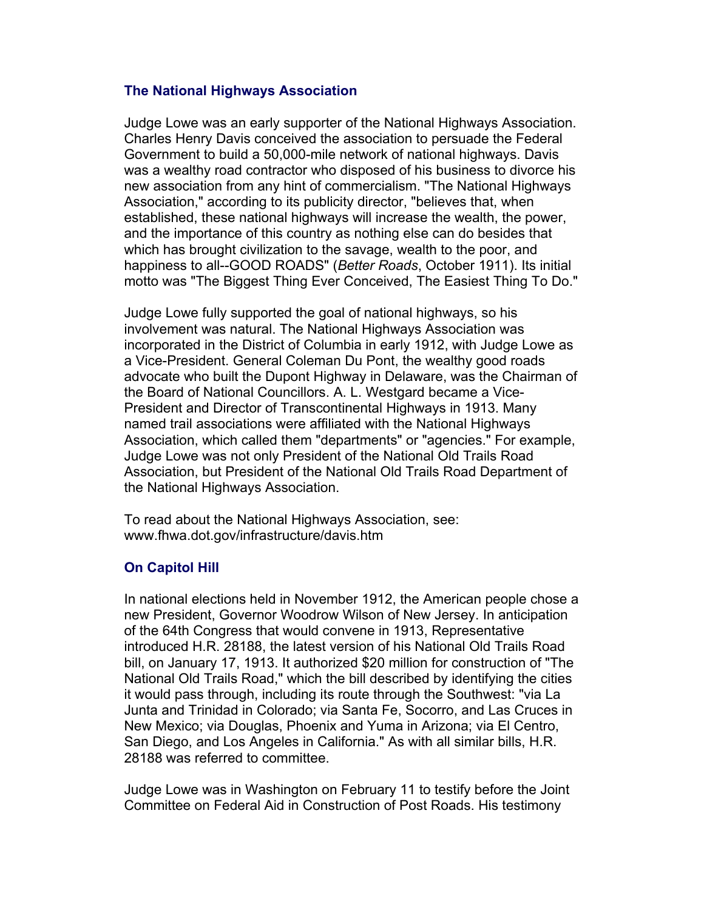# **The National Highways Association**

Judge Lowe was an early supporter of the National Highways Association. Charles Henry Davis conceived the association to persuade the Federal Government to build a 50,000-mile network of national highways. Davis was a wealthy road contractor who disposed of his business to divorce his new association from any hint of commercialism. "The National Highways Association," according to its publicity director, "believes that, when established, these national highways will increase the wealth, the power, and the importance of this country as nothing else can do besides that which has brought civilization to the savage, wealth to the poor, and happiness to all--GOOD ROADS" (*Better Roads*, October 1911). Its initial motto was "The Biggest Thing Ever Conceived, The Easiest Thing To Do."

Judge Lowe fully supported the goal of national highways, so his involvement was natural. The National Highways Association was incorporated in the District of Columbia in early 1912, with Judge Lowe as a Vice-President. General Coleman Du Pont, the wealthy good roads advocate who built the Dupont Highway in Delaware, was the Chairman of the Board of National Councillors. A. L. Westgard became a Vice-President and Director of Transcontinental Highways in 1913. Many named trail associations were affiliated with the National Highways Association, which called them "departments" or "agencies." For example, Judge Lowe was not only President of the National Old Trails Road Association, but President of the National Old Trails Road Department of the National Highways Association.

To read about the National Highways Association, see: www.fhwa.dot.gov/infrastructure/davis.htm

# **On Capitol Hill**

In national elections held in November 1912, the American people chose a new President, Governor Woodrow Wilson of New Jersey. In anticipation of the 64th Congress that would convene in 1913, Representative introduced H.R. 28188, the latest version of his National Old Trails Road bill, on January 17, 1913. It authorized \$20 million for construction of "The National Old Trails Road," which the bill described by identifying the cities it would pass through, including its route through the Southwest: "via La Junta and Trinidad in Colorado; via Santa Fe, Socorro, and Las Cruces in New Mexico; via Douglas, Phoenix and Yuma in Arizona; via El Centro, San Diego, and Los Angeles in California." As with all similar bills, H.R. 28188 was referred to committee.

Judge Lowe was in Washington on February 11 to testify before the Joint Committee on Federal Aid in Construction of Post Roads. His testimony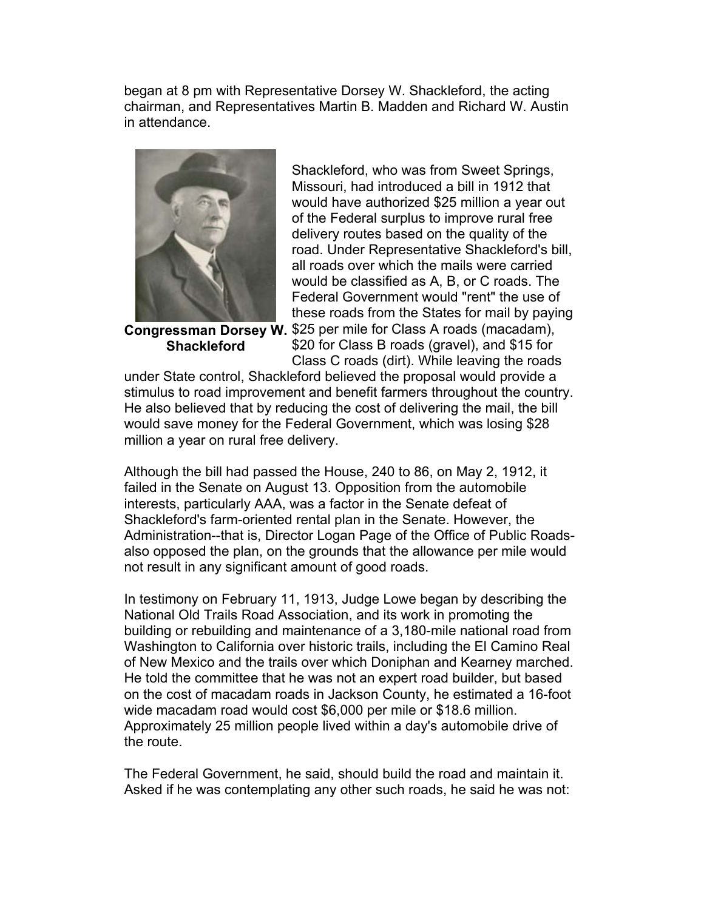began at 8 pm with Representative Dorsey W. Shackleford, the acting chairman, and Representatives Martin B. Madden and Richard W. Austin in attendance.



**Congressman Dorsey W.** \$25 per mile for Class A roads (macadam), **Shackleford**

Shackleford, who was from Sweet Springs, Missouri, had introduced a bill in 1912 that would have authorized \$25 million a year out of the Federal surplus to improve rural free delivery routes based on the quality of the road. Under Representative Shackleford's bill, all roads over which the mails were carried would be classified as A, B, or C roads. The Federal Government would "rent" the use of these roads from the States for mail by paying

\$20 for Class B roads (gravel), and \$15 for Class C roads (dirt). While leaving the roads

under State control, Shackleford believed the proposal would provide a stimulus to road improvement and benefit farmers throughout the country. He also believed that by reducing the cost of delivering the mail, the bill would save money for the Federal Government, which was losing \$28 million a year on rural free delivery.

Although the bill had passed the House, 240 to 86, on May 2, 1912, it failed in the Senate on August 13. Opposition from the automobile interests, particularly AAA, was a factor in the Senate defeat of Shackleford's farm-oriented rental plan in the Senate. However, the Administration--that is, Director Logan Page of the Office of Public Roadsalso opposed the plan, on the grounds that the allowance per mile would not result in any significant amount of good roads.

In testimony on February 11, 1913, Judge Lowe began by describing the National Old Trails Road Association, and its work in promoting the building or rebuilding and maintenance of a 3,180-mile national road from Washington to California over historic trails, including the El Camino Real of New Mexico and the trails over which Doniphan and Kearney marched. He told the committee that he was not an expert road builder, but based on the cost of macadam roads in Jackson County, he estimated a 16-foot wide macadam road would cost \$6,000 per mile or \$18.6 million. Approximately 25 million people lived within a day's automobile drive of the route.

The Federal Government, he said, should build the road and maintain it. Asked if he was contemplating any other such roads, he said he was not: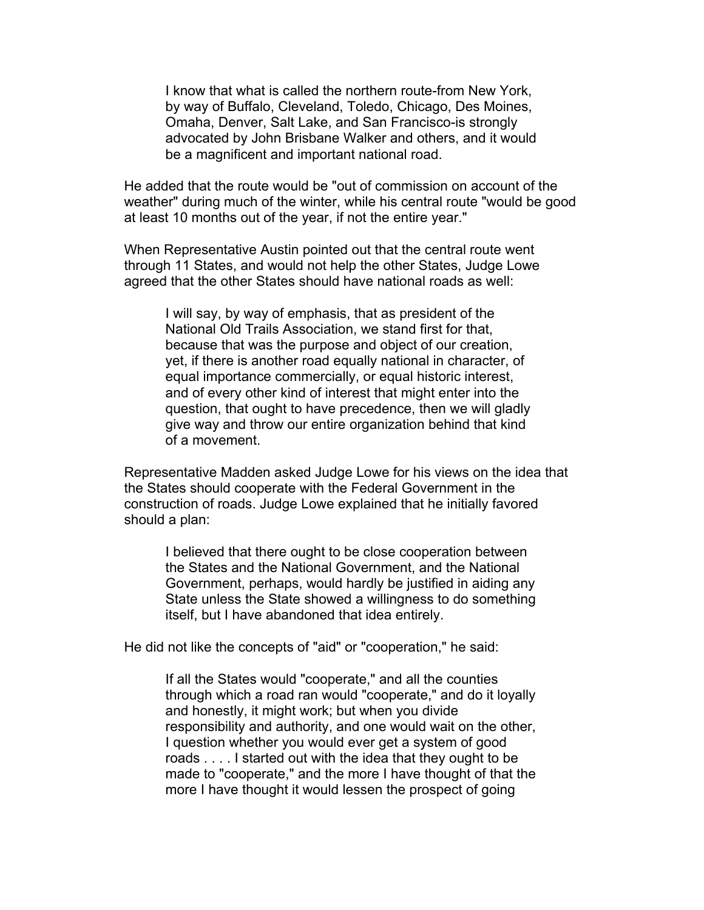I know that what is called the northern route-from New York, by way of Buffalo, Cleveland, Toledo, Chicago, Des Moines, Omaha, Denver, Salt Lake, and San Francisco-is strongly advocated by John Brisbane Walker and others, and it would be a magnificent and important national road.

He added that the route would be "out of commission on account of the weather" during much of the winter, while his central route "would be good at least 10 months out of the year, if not the entire year."

When Representative Austin pointed out that the central route went through 11 States, and would not help the other States, Judge Lowe agreed that the other States should have national roads as well:

I will say, by way of emphasis, that as president of the National Old Trails Association, we stand first for that, because that was the purpose and object of our creation, yet, if there is another road equally national in character, of equal importance commercially, or equal historic interest, and of every other kind of interest that might enter into the question, that ought to have precedence, then we will gladly give way and throw our entire organization behind that kind of a movement.

Representative Madden asked Judge Lowe for his views on the idea that the States should cooperate with the Federal Government in the construction of roads. Judge Lowe explained that he initially favored should a plan:

I believed that there ought to be close cooperation between the States and the National Government, and the National Government, perhaps, would hardly be justified in aiding any State unless the State showed a willingness to do something itself, but I have abandoned that idea entirely.

He did not like the concepts of "aid" or "cooperation," he said:

If all the States would "cooperate," and all the counties through which a road ran would "cooperate," and do it loyally and honestly, it might work; but when you divide responsibility and authority, and one would wait on the other, I question whether you would ever get a system of good roads . . . . I started out with the idea that they ought to be made to "cooperate," and the more I have thought of that the more I have thought it would lessen the prospect of going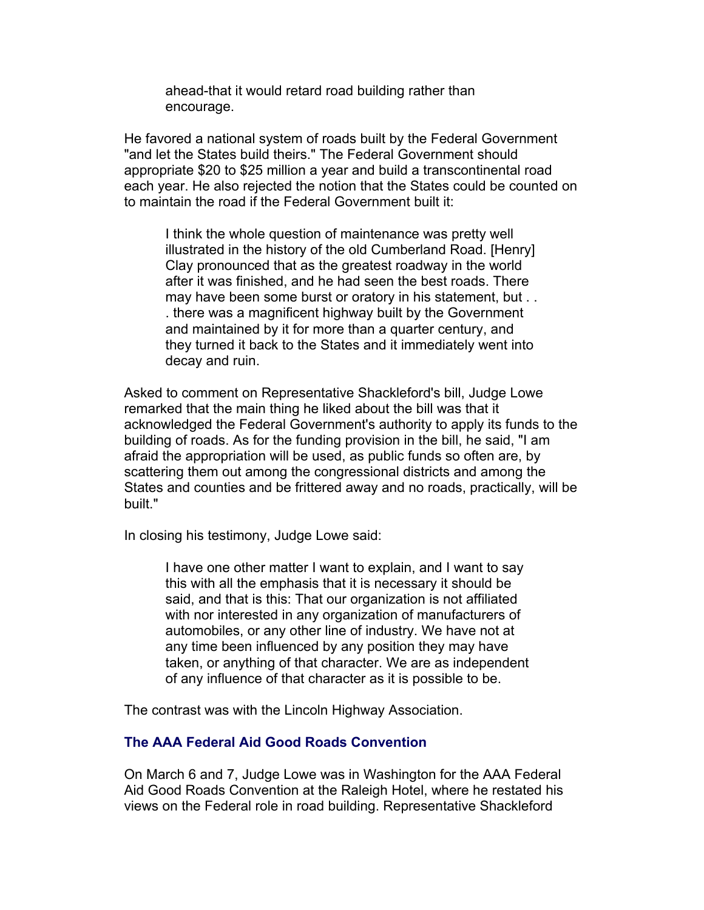ahead-that it would retard road building rather than encourage.

He favored a national system of roads built by the Federal Government "and let the States build theirs." The Federal Government should appropriate \$20 to \$25 million a year and build a transcontinental road each year. He also rejected the notion that the States could be counted on to maintain the road if the Federal Government built it:

I think the whole question of maintenance was pretty well illustrated in the history of the old Cumberland Road. [Henry] Clay pronounced that as the greatest roadway in the world after it was finished, and he had seen the best roads. There may have been some burst or oratory in his statement, but . . . there was a magnificent highway built by the Government and maintained by it for more than a quarter century, and they turned it back to the States and it immediately went into decay and ruin.

Asked to comment on Representative Shackleford's bill, Judge Lowe remarked that the main thing he liked about the bill was that it acknowledged the Federal Government's authority to apply its funds to the building of roads. As for the funding provision in the bill, he said, "I am afraid the appropriation will be used, as public funds so often are, by scattering them out among the congressional districts and among the States and counties and be frittered away and no roads, practically, will be built."

In closing his testimony, Judge Lowe said:

I have one other matter I want to explain, and I want to say this with all the emphasis that it is necessary it should be said, and that is this: That our organization is not affiliated with nor interested in any organization of manufacturers of automobiles, or any other line of industry. We have not at any time been influenced by any position they may have taken, or anything of that character. We are as independent of any influence of that character as it is possible to be.

The contrast was with the Lincoln Highway Association.

# **The AAA Federal Aid Good Roads Convention**

On March 6 and 7, Judge Lowe was in Washington for the AAA Federal Aid Good Roads Convention at the Raleigh Hotel, where he restated his views on the Federal role in road building. Representative Shackleford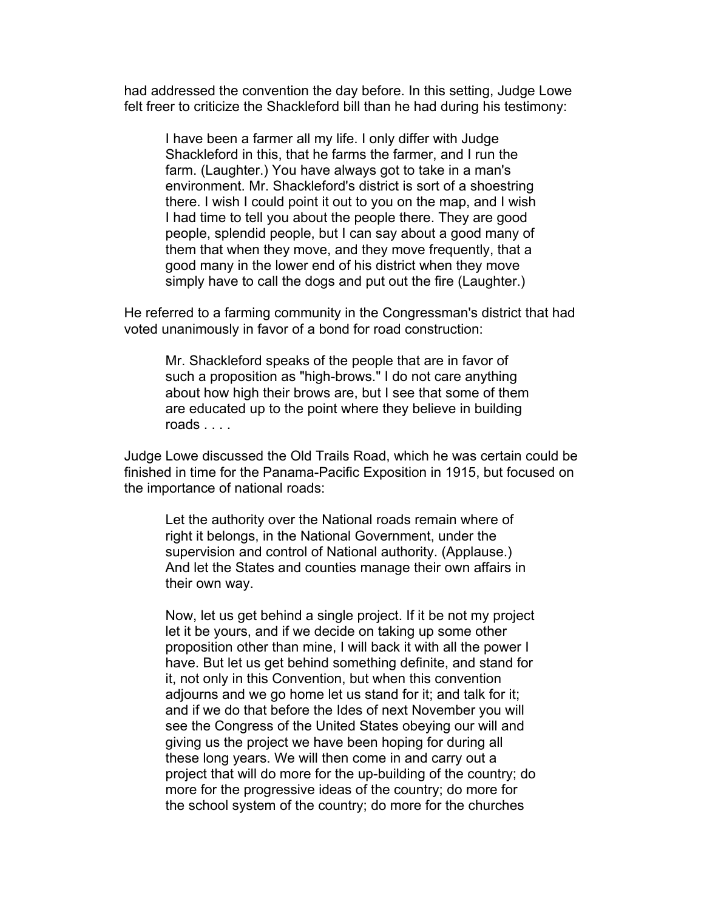had addressed the convention the day before. In this setting, Judge Lowe felt freer to criticize the Shackleford bill than he had during his testimony:

I have been a farmer all my life. I only differ with Judge Shackleford in this, that he farms the farmer, and I run the farm. (Laughter.) You have always got to take in a man's environment. Mr. Shackleford's district is sort of a shoestring there. I wish I could point it out to you on the map, and I wish I had time to tell you about the people there. They are good people, splendid people, but I can say about a good many of them that when they move, and they move frequently, that a good many in the lower end of his district when they move simply have to call the dogs and put out the fire (Laughter.)

He referred to a farming community in the Congressman's district that had voted unanimously in favor of a bond for road construction:

Mr. Shackleford speaks of the people that are in favor of such a proposition as "high-brows." I do not care anything about how high their brows are, but I see that some of them are educated up to the point where they believe in building roads . . . .

Judge Lowe discussed the Old Trails Road, which he was certain could be finished in time for the Panama-Pacific Exposition in 1915, but focused on the importance of national roads:

Let the authority over the National roads remain where of right it belongs, in the National Government, under the supervision and control of National authority. (Applause.) And let the States and counties manage their own affairs in their own way.

Now, let us get behind a single project. If it be not my project let it be yours, and if we decide on taking up some other proposition other than mine, I will back it with all the power I have. But let us get behind something definite, and stand for it, not only in this Convention, but when this convention adjourns and we go home let us stand for it; and talk for it; and if we do that before the Ides of next November you will see the Congress of the United States obeying our will and giving us the project we have been hoping for during all these long years. We will then come in and carry out a project that will do more for the up-building of the country; do more for the progressive ideas of the country; do more for the school system of the country; do more for the churches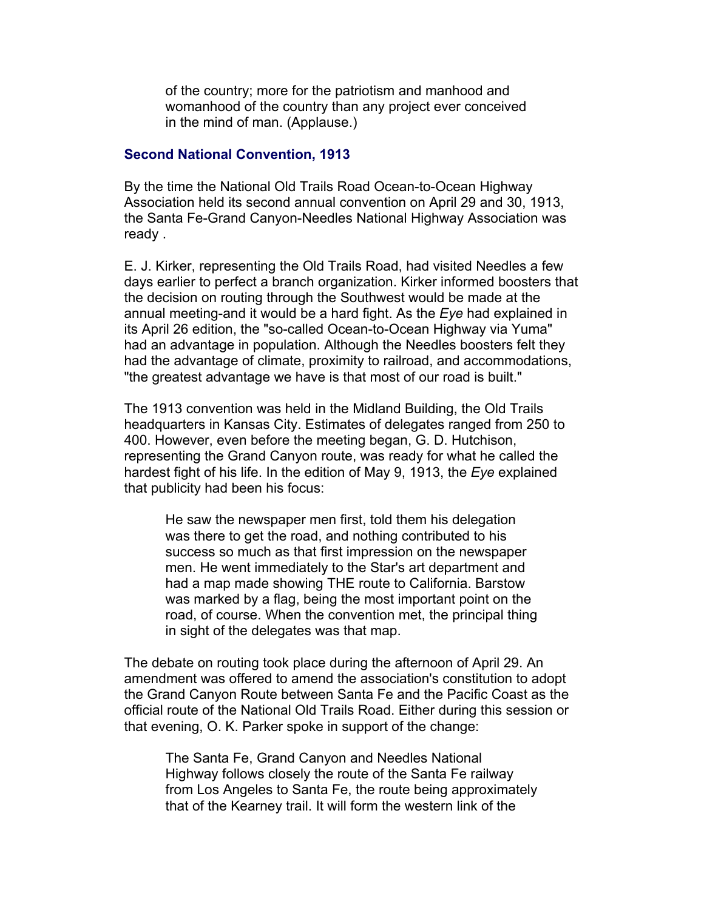of the country; more for the patriotism and manhood and womanhood of the country than any project ever conceived in the mind of man. (Applause.)

#### **Second National Convention, 1913**

By the time the National Old Trails Road Ocean-to-Ocean Highway Association held its second annual convention on April 29 and 30, 1913, the Santa Fe-Grand Canyon-Needles National Highway Association was ready .

E. J. Kirker, representing the Old Trails Road, had visited Needles a few days earlier to perfect a branch organization. Kirker informed boosters that the decision on routing through the Southwest would be made at the annual meeting-and it would be a hard fight. As the *Eye* had explained in its April 26 edition, the "so-called Ocean-to-Ocean Highway via Yuma" had an advantage in population. Although the Needles boosters felt they had the advantage of climate, proximity to railroad, and accommodations, "the greatest advantage we have is that most of our road is built."

The 1913 convention was held in the Midland Building, the Old Trails headquarters in Kansas City. Estimates of delegates ranged from 250 to 400. However, even before the meeting began, G. D. Hutchison, representing the Grand Canyon route, was ready for what he called the hardest fight of his life. In the edition of May 9, 1913, the *Eye* explained that publicity had been his focus:

He saw the newspaper men first, told them his delegation was there to get the road, and nothing contributed to his success so much as that first impression on the newspaper men. He went immediately to the Star's art department and had a map made showing THE route to California. Barstow was marked by a flag, being the most important point on the road, of course. When the convention met, the principal thing in sight of the delegates was that map.

The debate on routing took place during the afternoon of April 29. An amendment was offered to amend the association's constitution to adopt the Grand Canyon Route between Santa Fe and the Pacific Coast as the official route of the National Old Trails Road. Either during this session or that evening, O. K. Parker spoke in support of the change:

The Santa Fe, Grand Canyon and Needles National Highway follows closely the route of the Santa Fe railway from Los Angeles to Santa Fe, the route being approximately that of the Kearney trail. It will form the western link of the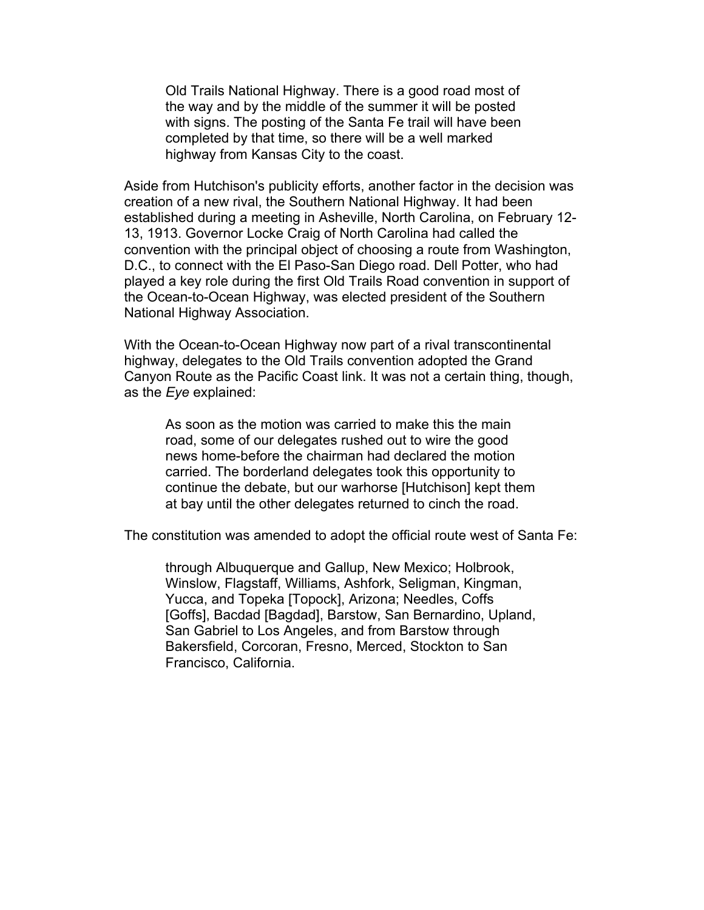Old Trails National Highway. There is a good road most of the way and by the middle of the summer it will be posted with signs. The posting of the Santa Fe trail will have been completed by that time, so there will be a well marked highway from Kansas City to the coast.

Aside from Hutchison's publicity efforts, another factor in the decision was creation of a new rival, the Southern National Highway. It had been established during a meeting in Asheville, North Carolina, on February 12- 13, 1913. Governor Locke Craig of North Carolina had called the convention with the principal object of choosing a route from Washington, D.C., to connect with the El Paso-San Diego road. Dell Potter, who had played a key role during the first Old Trails Road convention in support of the Ocean-to-Ocean Highway, was elected president of the Southern National Highway Association.

With the Ocean-to-Ocean Highway now part of a rival transcontinental highway, delegates to the Old Trails convention adopted the Grand Canyon Route as the Pacific Coast link. It was not a certain thing, though, as the *Eye* explained:

As soon as the motion was carried to make this the main road, some of our delegates rushed out to wire the good news home-before the chairman had declared the motion carried. The borderland delegates took this opportunity to continue the debate, but our warhorse [Hutchison] kept them at bay until the other delegates returned to cinch the road.

The constitution was amended to adopt the official route west of Santa Fe:

through Albuquerque and Gallup, New Mexico; Holbrook, Winslow, Flagstaff, Williams, Ashfork, Seligman, Kingman, Yucca, and Topeka [Topock], Arizona; Needles, Coffs [Goffs], Bacdad [Bagdad], Barstow, San Bernardino, Upland, San Gabriel to Los Angeles, and from Barstow through Bakersfield, Corcoran, Fresno, Merced, Stockton to San Francisco, California.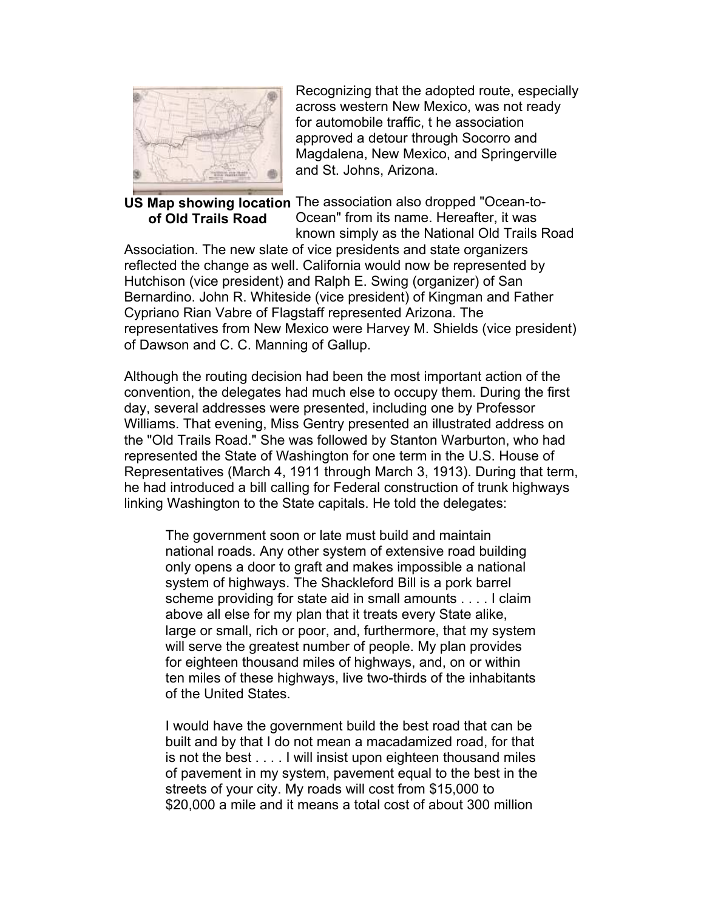

# **of Old Trails Road**

Recognizing that the adopted route, especially across western New Mexico, was not ready for automobile traffic, t he association approved a detour through Socorro and Magdalena, New Mexico, and Springerville and St. Johns, Arizona.

US Map showing location The association also dropped "Ocean-to-Ocean" from its name. Hereafter, it was known simply as the National Old Trails Road

Association. The new slate of vice presidents and state organizers reflected the change as well. California would now be represented by Hutchison (vice president) and Ralph E. Swing (organizer) of San Bernardino. John R. Whiteside (vice president) of Kingman and Father Cypriano Rian Vabre of Flagstaff represented Arizona. The representatives from New Mexico were Harvey M. Shields (vice president) of Dawson and C. C. Manning of Gallup.

Although the routing decision had been the most important action of the convention, the delegates had much else to occupy them. During the first day, several addresses were presented, including one by Professor Williams. That evening, Miss Gentry presented an illustrated address on the "Old Trails Road." She was followed by Stanton Warburton, who had represented the State of Washington for one term in the U.S. House of Representatives (March 4, 1911 through March 3, 1913). During that term, he had introduced a bill calling for Federal construction of trunk highways linking Washington to the State capitals. He told the delegates:

The government soon or late must build and maintain national roads. Any other system of extensive road building only opens a door to graft and makes impossible a national system of highways. The Shackleford Bill is a pork barrel scheme providing for state aid in small amounts . . . . I claim above all else for my plan that it treats every State alike, large or small, rich or poor, and, furthermore, that my system will serve the greatest number of people. My plan provides for eighteen thousand miles of highways, and, on or within ten miles of these highways, live two-thirds of the inhabitants of the United States.

I would have the government build the best road that can be built and by that I do not mean a macadamized road, for that is not the best . . . . I will insist upon eighteen thousand miles of pavement in my system, pavement equal to the best in the streets of your city. My roads will cost from \$15,000 to \$20,000 a mile and it means a total cost of about 300 million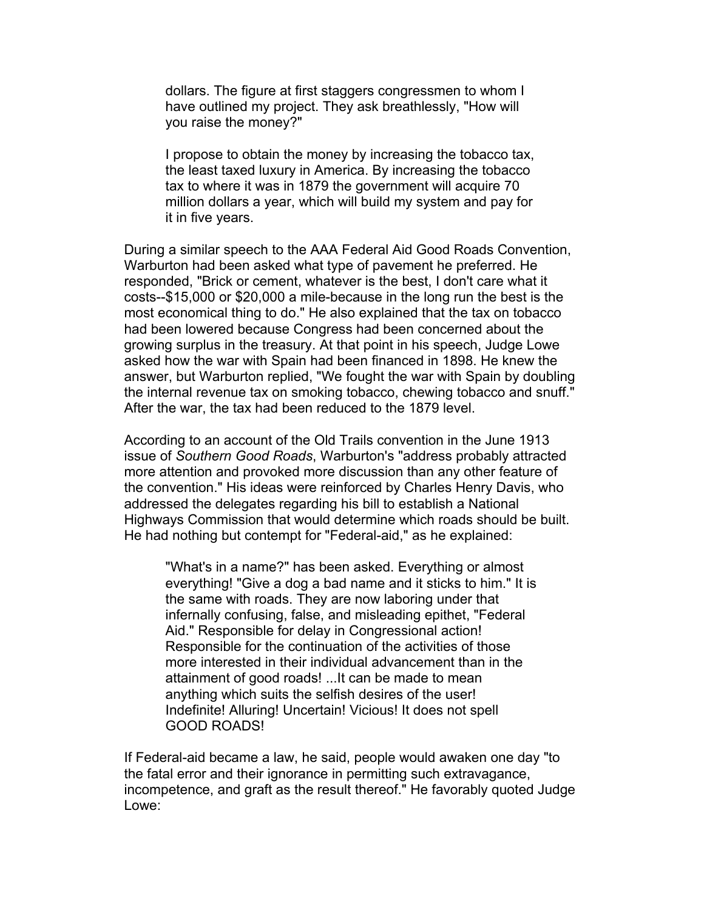dollars. The figure at first staggers congressmen to whom I have outlined my project. They ask breathlessly, "How will you raise the money?"

I propose to obtain the money by increasing the tobacco tax, the least taxed luxury in America. By increasing the tobacco tax to where it was in 1879 the government will acquire 70 million dollars a year, which will build my system and pay for it in five years.

During a similar speech to the AAA Federal Aid Good Roads Convention, Warburton had been asked what type of pavement he preferred. He responded, "Brick or cement, whatever is the best, I don't care what it costs--\$15,000 or \$20,000 a mile-because in the long run the best is the most economical thing to do." He also explained that the tax on tobacco had been lowered because Congress had been concerned about the growing surplus in the treasury. At that point in his speech, Judge Lowe asked how the war with Spain had been financed in 1898. He knew the answer, but Warburton replied, "We fought the war with Spain by doubling the internal revenue tax on smoking tobacco, chewing tobacco and snuff." After the war, the tax had been reduced to the 1879 level.

According to an account of the Old Trails convention in the June 1913 issue of *Southern Good Roads*, Warburton's "address probably attracted more attention and provoked more discussion than any other feature of the convention." His ideas were reinforced by Charles Henry Davis, who addressed the delegates regarding his bill to establish a National Highways Commission that would determine which roads should be built. He had nothing but contempt for "Federal-aid," as he explained:

"What's in a name?" has been asked. Everything or almost everything! "Give a dog a bad name and it sticks to him." It is the same with roads. They are now laboring under that infernally confusing, false, and misleading epithet, "Federal Aid." Responsible for delay in Congressional action! Responsible for the continuation of the activities of those more interested in their individual advancement than in the attainment of good roads! ...It can be made to mean anything which suits the selfish desires of the user! Indefinite! Alluring! Uncertain! Vicious! It does not spell GOOD ROADS!

If Federal-aid became a law, he said, people would awaken one day "to the fatal error and their ignorance in permitting such extravagance, incompetence, and graft as the result thereof." He favorably quoted Judge Lowe: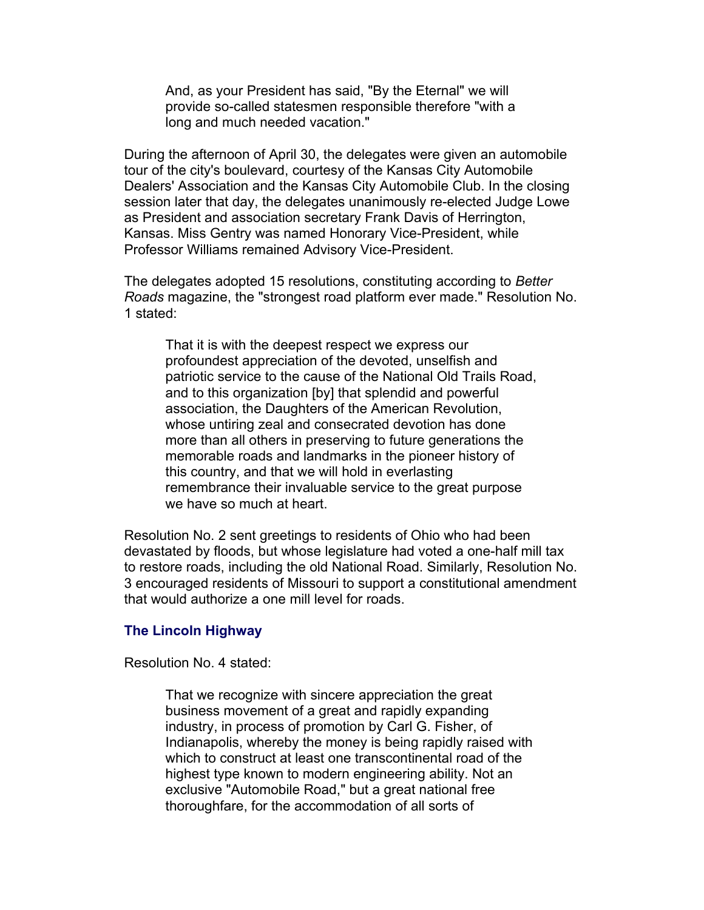And, as your President has said, "By the Eternal" we will provide so-called statesmen responsible therefore "with a long and much needed vacation."

During the afternoon of April 30, the delegates were given an automobile tour of the city's boulevard, courtesy of the Kansas City Automobile Dealers' Association and the Kansas City Automobile Club. In the closing session later that day, the delegates unanimously re-elected Judge Lowe as President and association secretary Frank Davis of Herrington, Kansas. Miss Gentry was named Honorary Vice-President, while Professor Williams remained Advisory Vice-President.

The delegates adopted 15 resolutions, constituting according to *Better Roads* magazine, the "strongest road platform ever made." Resolution No. 1 stated:

That it is with the deepest respect we express our profoundest appreciation of the devoted, unselfish and patriotic service to the cause of the National Old Trails Road, and to this organization [by] that splendid and powerful association, the Daughters of the American Revolution, whose untiring zeal and consecrated devotion has done more than all others in preserving to future generations the memorable roads and landmarks in the pioneer history of this country, and that we will hold in everlasting remembrance their invaluable service to the great purpose we have so much at heart.

Resolution No. 2 sent greetings to residents of Ohio who had been devastated by floods, but whose legislature had voted a one-half mill tax to restore roads, including the old National Road. Similarly, Resolution No. 3 encouraged residents of Missouri to support a constitutional amendment that would authorize a one mill level for roads.

#### **The Lincoln Highway**

Resolution No. 4 stated:

That we recognize with sincere appreciation the great business movement of a great and rapidly expanding industry, in process of promotion by Carl G. Fisher, of Indianapolis, whereby the money is being rapidly raised with which to construct at least one transcontinental road of the highest type known to modern engineering ability. Not an exclusive "Automobile Road," but a great national free thoroughfare, for the accommodation of all sorts of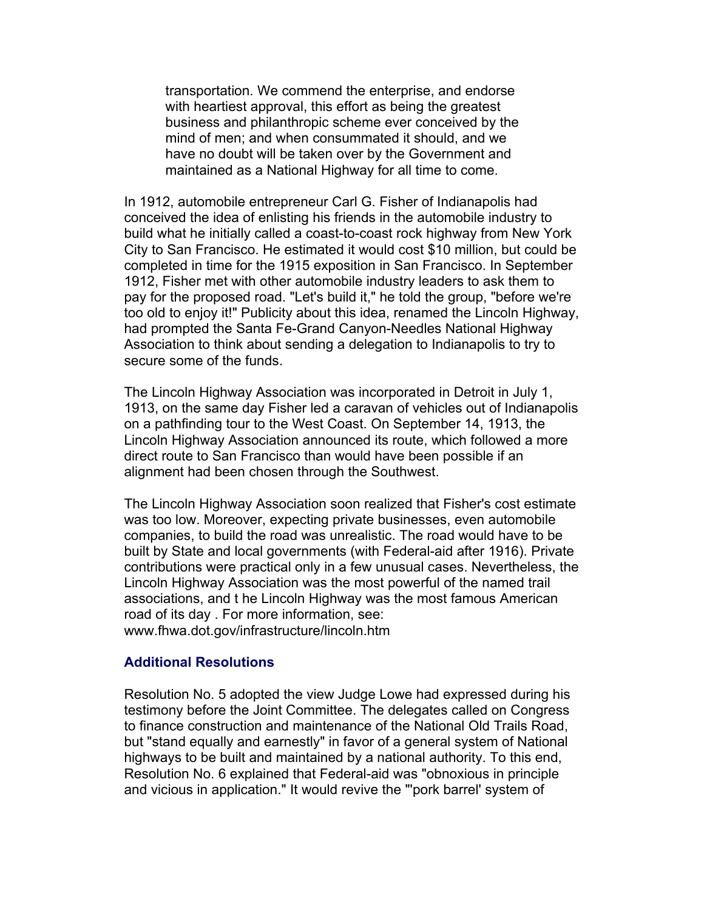transportation. We commend the enterprise, and endorse with heartiest approval, this effort as being the greatest business and philanthropic scheme ever conceived by the mind of men; and when consummated it should, and we have no doubt will be taken over by the Government and maintained as a National Highway for all time to come.

In 1912, automobile entrepreneur Carl G. Fisher of Indianapolis had conceived the idea of enlisting his friends in the automobile industry to build what he initially called a coast-to-coast rock highway from New York City to San Francisco. He estimated it would cost \$10 million, but could be completed in time for the 1915 exposition in San Francisco. In September 1912, Fisher met with other automobile industry leaders to ask them to pay for the proposed road. "Let's build it," he told the group, "before we're too old to enjoy it!" Publicity about this idea, renamed the Lincoln Highway, had prompted the Santa Fe-Grand Canyon-Needles National Highway Association to think about sending a delegation to Indianapolis to try to secure some of the funds.

The Lincoln Highway Association was incorporated in Detroit in July 1, 1913, on the same day Fisher led a caravan of vehicles out of Indianapolis on a pathfinding tour to the West Coast. On September 14, 1913, the Lincoln Highway Association announced its route, which followed a more direct route to San Francisco than would have been possible if an alignment had been chosen through the Southwest.

The Lincoln Highway Association soon realized that Fisher's cost estimate was too low. Moreover, expecting private businesses, even automobile companies, to build the road was unrealistic. The road would have to be built by State and local governments (with Federal-aid after 1916). Private contributions were practical only in a few unusual cases. Nevertheless, the Lincoln Highway Association was the most powerful of the named trail associations, and t he Lincoln Highway was the most famous American road of its day . For more information, see: www.fhwa.dot.gov/infrastructure/lincoln.htm

#### **Additional Resolutions**

Resolution No. 5 adopted the view Judge Lowe had expressed during his testimony before the Joint Committee. The delegates called on Congress to finance construction and maintenance of the National Old Trails Road, but "stand equally and earnestly" in favor of a general system of National highways to be built and maintained by a national authority. To this end, Resolution No. 6 explained that Federal-aid was "obnoxious in principle and vicious in application." It would revive the "'pork barrel' system of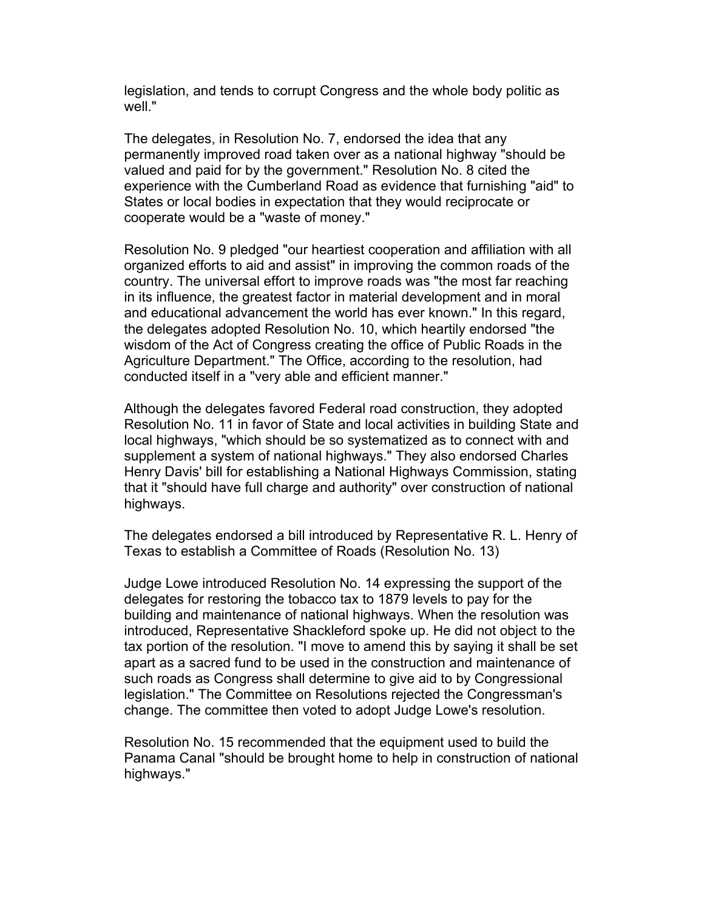legislation, and tends to corrupt Congress and the whole body politic as well "

The delegates, in Resolution No. 7, endorsed the idea that any permanently improved road taken over as a national highway "should be valued and paid for by the government." Resolution No. 8 cited the experience with the Cumberland Road as evidence that furnishing "aid" to States or local bodies in expectation that they would reciprocate or cooperate would be a "waste of money."

Resolution No. 9 pledged "our heartiest cooperation and affiliation with all organized efforts to aid and assist" in improving the common roads of the country. The universal effort to improve roads was "the most far reaching in its influence, the greatest factor in material development and in moral and educational advancement the world has ever known." In this regard, the delegates adopted Resolution No. 10, which heartily endorsed "the wisdom of the Act of Congress creating the office of Public Roads in the Agriculture Department." The Office, according to the resolution, had conducted itself in a "very able and efficient manner."

Although the delegates favored Federal road construction, they adopted Resolution No. 11 in favor of State and local activities in building State and local highways, "which should be so systematized as to connect with and supplement a system of national highways." They also endorsed Charles Henry Davis' bill for establishing a National Highways Commission, stating that it "should have full charge and authority" over construction of national highways.

The delegates endorsed a bill introduced by Representative R. L. Henry of Texas to establish a Committee of Roads (Resolution No. 13)

Judge Lowe introduced Resolution No. 14 expressing the support of the delegates for restoring the tobacco tax to 1879 levels to pay for the building and maintenance of national highways. When the resolution was introduced, Representative Shackleford spoke up. He did not object to the tax portion of the resolution. "I move to amend this by saying it shall be set apart as a sacred fund to be used in the construction and maintenance of such roads as Congress shall determine to give aid to by Congressional legislation." The Committee on Resolutions rejected the Congressman's change. The committee then voted to adopt Judge Lowe's resolution.

Resolution No. 15 recommended that the equipment used to build the Panama Canal "should be brought home to help in construction of national highways."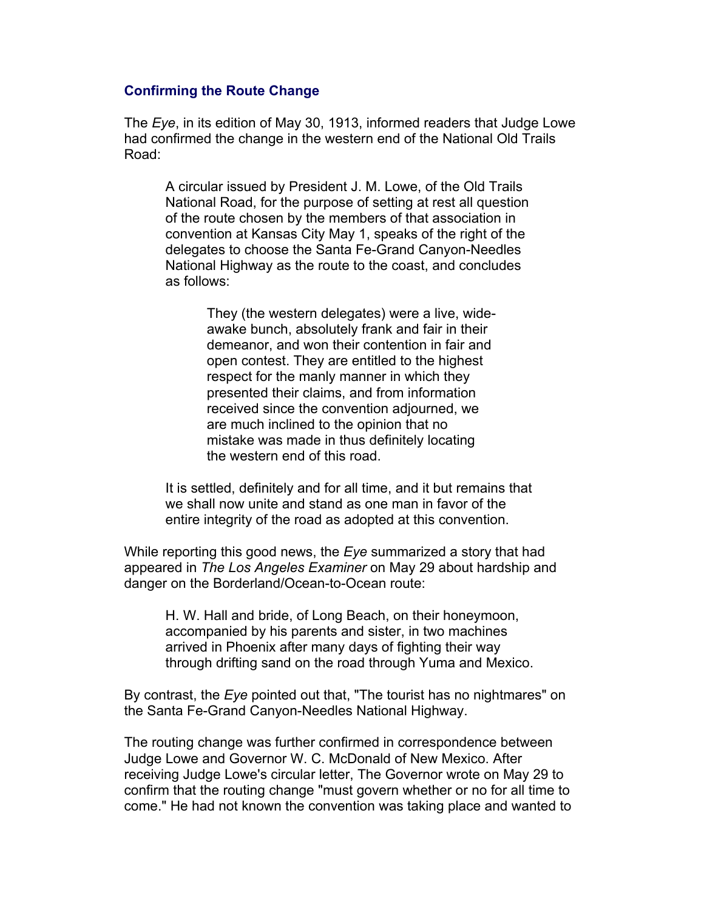# **Confirming the Route Change**

The *Eye*, in its edition of May 30, 1913, informed readers that Judge Lowe had confirmed the change in the western end of the National Old Trails Road:

A circular issued by President J. M. Lowe, of the Old Trails National Road, for the purpose of setting at rest all question of the route chosen by the members of that association in convention at Kansas City May 1, speaks of the right of the delegates to choose the Santa Fe-Grand Canyon-Needles National Highway as the route to the coast, and concludes as follows:

> They (the western delegates) were a live, wideawake bunch, absolutely frank and fair in their demeanor, and won their contention in fair and open contest. They are entitled to the highest respect for the manly manner in which they presented their claims, and from information received since the convention adjourned, we are much inclined to the opinion that no mistake was made in thus definitely locating the western end of this road.

It is settled, definitely and for all time, and it but remains that we shall now unite and stand as one man in favor of the entire integrity of the road as adopted at this convention.

While reporting this good news, the *Eye* summarized a story that had appeared in *The Los Angeles Examiner* on May 29 about hardship and danger on the Borderland/Ocean-to-Ocean route:

H. W. Hall and bride, of Long Beach, on their honeymoon, accompanied by his parents and sister, in two machines arrived in Phoenix after many days of fighting their way through drifting sand on the road through Yuma and Mexico.

By contrast, the *Eye* pointed out that, "The tourist has no nightmares" on the Santa Fe-Grand Canyon-Needles National Highway.

The routing change was further confirmed in correspondence between Judge Lowe and Governor W. C. McDonald of New Mexico. After receiving Judge Lowe's circular letter, The Governor wrote on May 29 to confirm that the routing change "must govern whether or no for all time to come." He had not known the convention was taking place and wanted to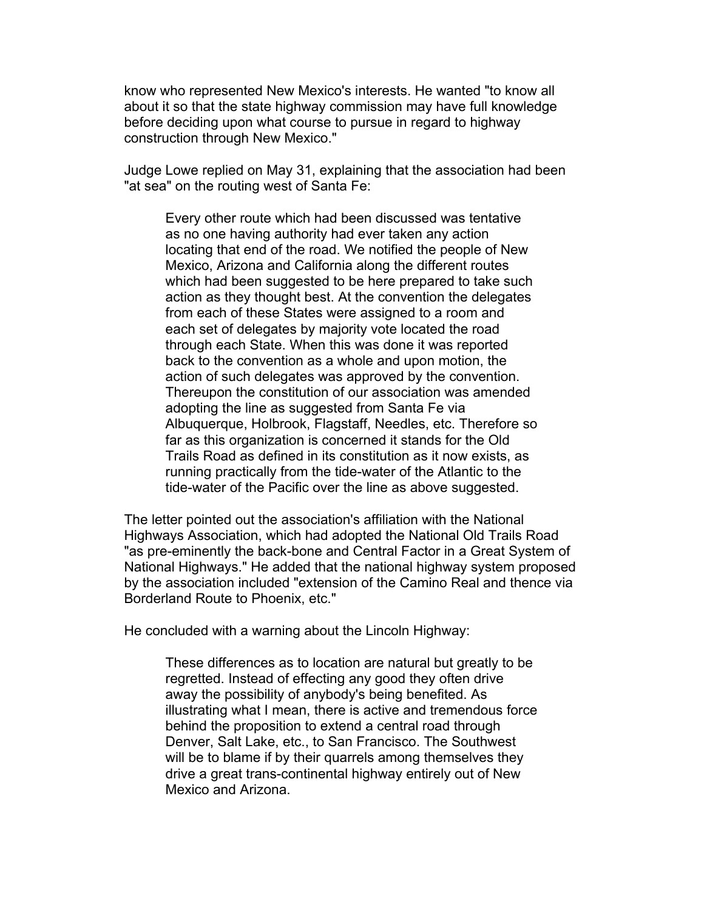know who represented New Mexico's interests. He wanted "to know all about it so that the state highway commission may have full knowledge before deciding upon what course to pursue in regard to highway construction through New Mexico."

Judge Lowe replied on May 31, explaining that the association had been "at sea" on the routing west of Santa Fe:

Every other route which had been discussed was tentative as no one having authority had ever taken any action locating that end of the road. We notified the people of New Mexico, Arizona and California along the different routes which had been suggested to be here prepared to take such action as they thought best. At the convention the delegates from each of these States were assigned to a room and each set of delegates by majority vote located the road through each State. When this was done it was reported back to the convention as a whole and upon motion, the action of such delegates was approved by the convention. Thereupon the constitution of our association was amended adopting the line as suggested from Santa Fe via Albuquerque, Holbrook, Flagstaff, Needles, etc. Therefore so far as this organization is concerned it stands for the Old Trails Road as defined in its constitution as it now exists, as running practically from the tide-water of the Atlantic to the tide-water of the Pacific over the line as above suggested.

The letter pointed out the association's affiliation with the National Highways Association, which had adopted the National Old Trails Road "as pre-eminently the back-bone and Central Factor in a Great System of National Highways." He added that the national highway system proposed by the association included "extension of the Camino Real and thence via Borderland Route to Phoenix, etc."

He concluded with a warning about the Lincoln Highway:

These differences as to location are natural but greatly to be regretted. Instead of effecting any good they often drive away the possibility of anybody's being benefited. As illustrating what I mean, there is active and tremendous force behind the proposition to extend a central road through Denver, Salt Lake, etc., to San Francisco. The Southwest will be to blame if by their quarrels among themselves they drive a great trans-continental highway entirely out of New Mexico and Arizona.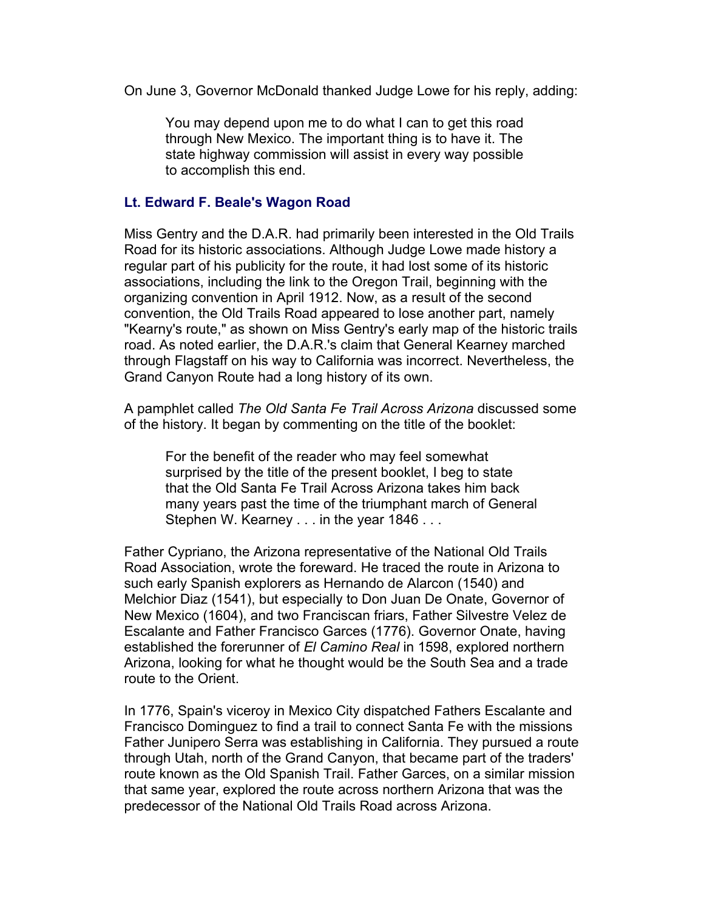On June 3, Governor McDonald thanked Judge Lowe for his reply, adding:

You may depend upon me to do what I can to get this road through New Mexico. The important thing is to have it. The state highway commission will assist in every way possible to accomplish this end.

# **Lt. Edward F. Beale's Wagon Road**

Miss Gentry and the D.A.R. had primarily been interested in the Old Trails Road for its historic associations. Although Judge Lowe made history a regular part of his publicity for the route, it had lost some of its historic associations, including the link to the Oregon Trail, beginning with the organizing convention in April 1912. Now, as a result of the second convention, the Old Trails Road appeared to lose another part, namely "Kearny's route," as shown on Miss Gentry's early map of the historic trails road. As noted earlier, the D.A.R.'s claim that General Kearney marched through Flagstaff on his way to California was incorrect. Nevertheless, the Grand Canyon Route had a long history of its own.

A pamphlet called *The Old Santa Fe Trail Across Arizona* discussed some of the history. It began by commenting on the title of the booklet:

For the benefit of the reader who may feel somewhat surprised by the title of the present booklet, I beg to state that the Old Santa Fe Trail Across Arizona takes him back many years past the time of the triumphant march of General Stephen W. Kearney . . . in the year 1846 . . .

Father Cypriano, the Arizona representative of the National Old Trails Road Association, wrote the foreward. He traced the route in Arizona to such early Spanish explorers as Hernando de Alarcon (1540) and Melchior Diaz (1541), but especially to Don Juan De Onate, Governor of New Mexico (1604), and two Franciscan friars, Father Silvestre Velez de Escalante and Father Francisco Garces (1776). Governor Onate, having established the forerunner of *El Camino Real* in 1598, explored northern Arizona, looking for what he thought would be the South Sea and a trade route to the Orient.

In 1776, Spain's viceroy in Mexico City dispatched Fathers Escalante and Francisco Dominguez to find a trail to connect Santa Fe with the missions Father Junipero Serra was establishing in California. They pursued a route through Utah, north of the Grand Canyon, that became part of the traders' route known as the Old Spanish Trail. Father Garces, on a similar mission that same year, explored the route across northern Arizona that was the predecessor of the National Old Trails Road across Arizona.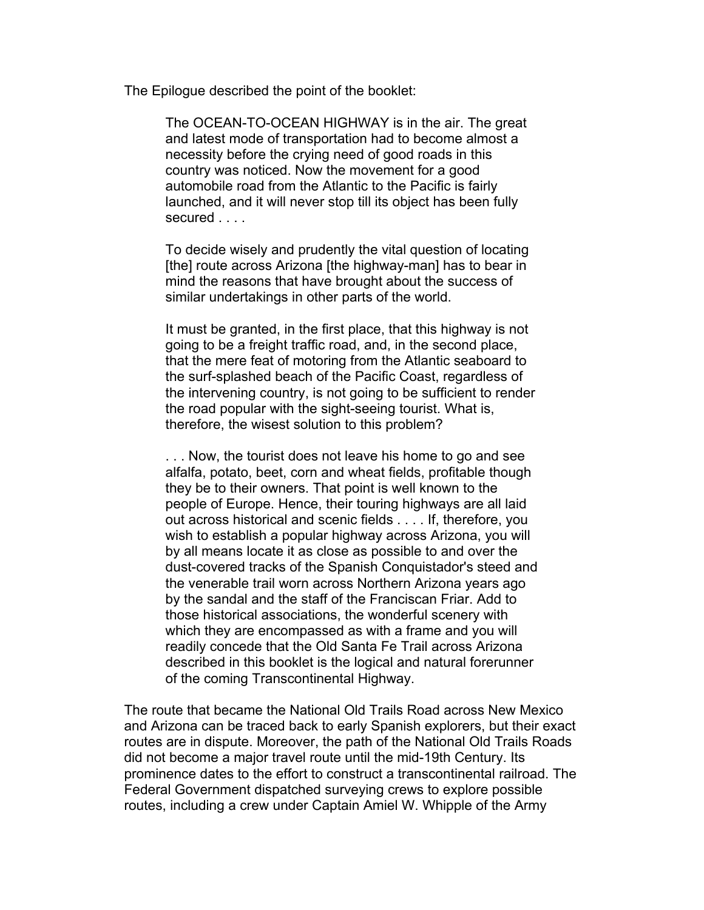The Epilogue described the point of the booklet:

The OCEAN-TO-OCEAN HIGHWAY is in the air. The great and latest mode of transportation had to become almost a necessity before the crying need of good roads in this country was noticed. Now the movement for a good automobile road from the Atlantic to the Pacific is fairly launched, and it will never stop till its object has been fully secured .

To decide wisely and prudently the vital question of locating [the] route across Arizona [the highway-man] has to bear in mind the reasons that have brought about the success of similar undertakings in other parts of the world.

It must be granted, in the first place, that this highway is not going to be a freight traffic road, and, in the second place, that the mere feat of motoring from the Atlantic seaboard to the surf-splashed beach of the Pacific Coast, regardless of the intervening country, is not going to be sufficient to render the road popular with the sight-seeing tourist. What is, therefore, the wisest solution to this problem?

. . . Now, the tourist does not leave his home to go and see alfalfa, potato, beet, corn and wheat fields, profitable though they be to their owners. That point is well known to the people of Europe. Hence, their touring highways are all laid out across historical and scenic fields . . . . If, therefore, you wish to establish a popular highway across Arizona, you will by all means locate it as close as possible to and over the dust-covered tracks of the Spanish Conquistador's steed and the venerable trail worn across Northern Arizona years ago by the sandal and the staff of the Franciscan Friar. Add to those historical associations, the wonderful scenery with which they are encompassed as with a frame and you will readily concede that the Old Santa Fe Trail across Arizona described in this booklet is the logical and natural forerunner of the coming Transcontinental Highway.

The route that became the National Old Trails Road across New Mexico and Arizona can be traced back to early Spanish explorers, but their exact routes are in dispute. Moreover, the path of the National Old Trails Roads did not become a major travel route until the mid-19th Century. Its prominence dates to the effort to construct a transcontinental railroad. The Federal Government dispatched surveying crews to explore possible routes, including a crew under Captain Amiel W. Whipple of the Army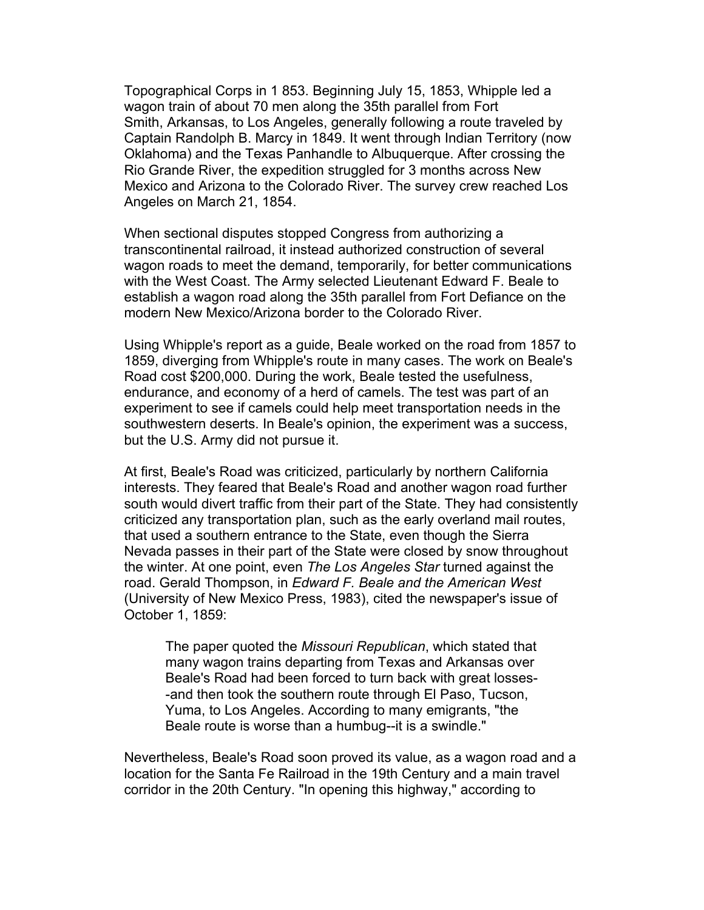Topographical Corps in 1 853. Beginning July 15, 1853, Whipple led a wagon train of about 70 men along the 35th parallel from Fort Smith, Arkansas, to Los Angeles, generally following a route traveled by Captain Randolph B. Marcy in 1849. It went through Indian Territory (now Oklahoma) and the Texas Panhandle to Albuquerque. After crossing the Rio Grande River, the expedition struggled for 3 months across New Mexico and Arizona to the Colorado River. The survey crew reached Los Angeles on March 21, 1854.

When sectional disputes stopped Congress from authorizing a transcontinental railroad, it instead authorized construction of several wagon roads to meet the demand, temporarily, for better communications with the West Coast. The Army selected Lieutenant Edward F. Beale to establish a wagon road along the 35th parallel from Fort Defiance on the modern New Mexico/Arizona border to the Colorado River.

Using Whipple's report as a guide, Beale worked on the road from 1857 to 1859, diverging from Whipple's route in many cases. The work on Beale's Road cost \$200,000. During the work, Beale tested the usefulness, endurance, and economy of a herd of camels. The test was part of an experiment to see if camels could help meet transportation needs in the southwestern deserts. In Beale's opinion, the experiment was a success, but the U.S. Army did not pursue it.

At first, Beale's Road was criticized, particularly by northern California interests. They feared that Beale's Road and another wagon road further south would divert traffic from their part of the State. They had consistently criticized any transportation plan, such as the early overland mail routes, that used a southern entrance to the State, even though the Sierra Nevada passes in their part of the State were closed by snow throughout the winter. At one point, even *The Los Angeles Star* turned against the road. Gerald Thompson, in *Edward F. Beale and the American West* (University of New Mexico Press, 1983), cited the newspaper's issue of October 1, 1859:

The paper quoted the *Missouri Republican*, which stated that many wagon trains departing from Texas and Arkansas over Beale's Road had been forced to turn back with great losses- -and then took the southern route through El Paso, Tucson, Yuma, to Los Angeles. According to many emigrants, "the Beale route is worse than a humbug--it is a swindle."

Nevertheless, Beale's Road soon proved its value, as a wagon road and a location for the Santa Fe Railroad in the 19th Century and a main travel corridor in the 20th Century. "In opening this highway," according to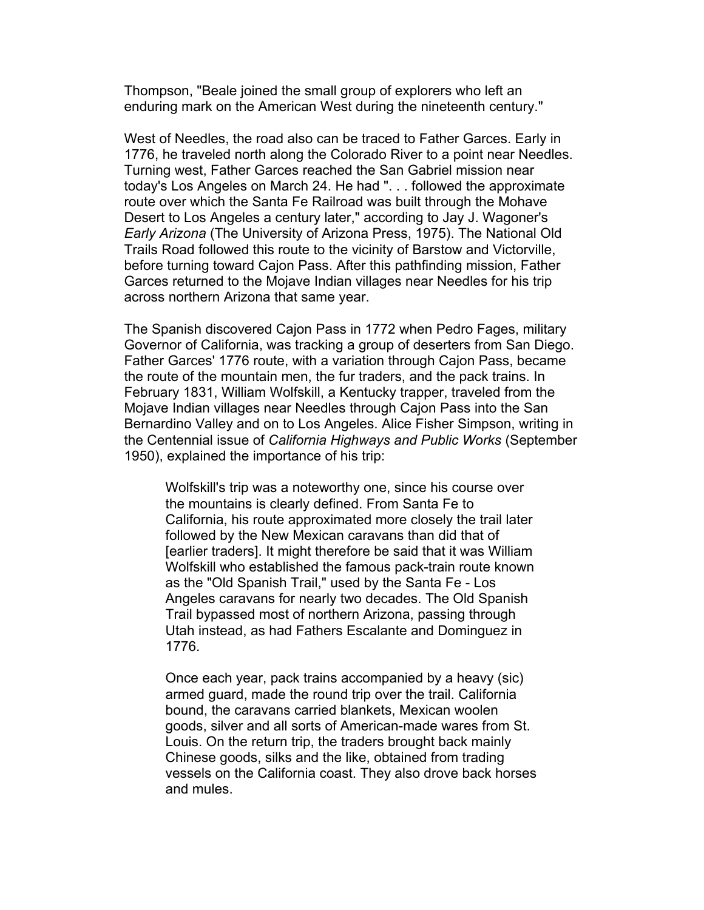Thompson, "Beale joined the small group of explorers who left an enduring mark on the American West during the nineteenth century."

West of Needles, the road also can be traced to Father Garces. Early in 1776, he traveled north along the Colorado River to a point near Needles. Turning west, Father Garces reached the San Gabriel mission near today's Los Angeles on March 24. He had ". . . followed the approximate route over which the Santa Fe Railroad was built through the Mohave Desert to Los Angeles a century later," according to Jay J. Wagoner's *Early Arizona* (The University of Arizona Press, 1975). The National Old Trails Road followed this route to the vicinity of Barstow and Victorville, before turning toward Cajon Pass. After this pathfinding mission, Father Garces returned to the Mojave Indian villages near Needles for his trip across northern Arizona that same year.

The Spanish discovered Cajon Pass in 1772 when Pedro Fages, military Governor of California, was tracking a group of deserters from San Diego. Father Garces' 1776 route, with a variation through Cajon Pass, became the route of the mountain men, the fur traders, and the pack trains. In February 1831, William Wolfskill, a Kentucky trapper, traveled from the Mojave Indian villages near Needles through Cajon Pass into the San Bernardino Valley and on to Los Angeles. Alice Fisher Simpson, writing in the Centennial issue of *California Highways and Public Works* (September 1950), explained the importance of his trip:

Wolfskill's trip was a noteworthy one, since his course over the mountains is clearly defined. From Santa Fe to California, his route approximated more closely the trail later followed by the New Mexican caravans than did that of [earlier traders]. It might therefore be said that it was William Wolfskill who established the famous pack-train route known as the "Old Spanish Trail," used by the Santa Fe - Los Angeles caravans for nearly two decades. The Old Spanish Trail bypassed most of northern Arizona, passing through Utah instead, as had Fathers Escalante and Dominguez in 1776.

Once each year, pack trains accompanied by a heavy (sic) armed guard, made the round trip over the trail. California bound, the caravans carried blankets, Mexican woolen goods, silver and all sorts of American-made wares from St. Louis. On the return trip, the traders brought back mainly Chinese goods, silks and the like, obtained from trading vessels on the California coast. They also drove back horses and mules.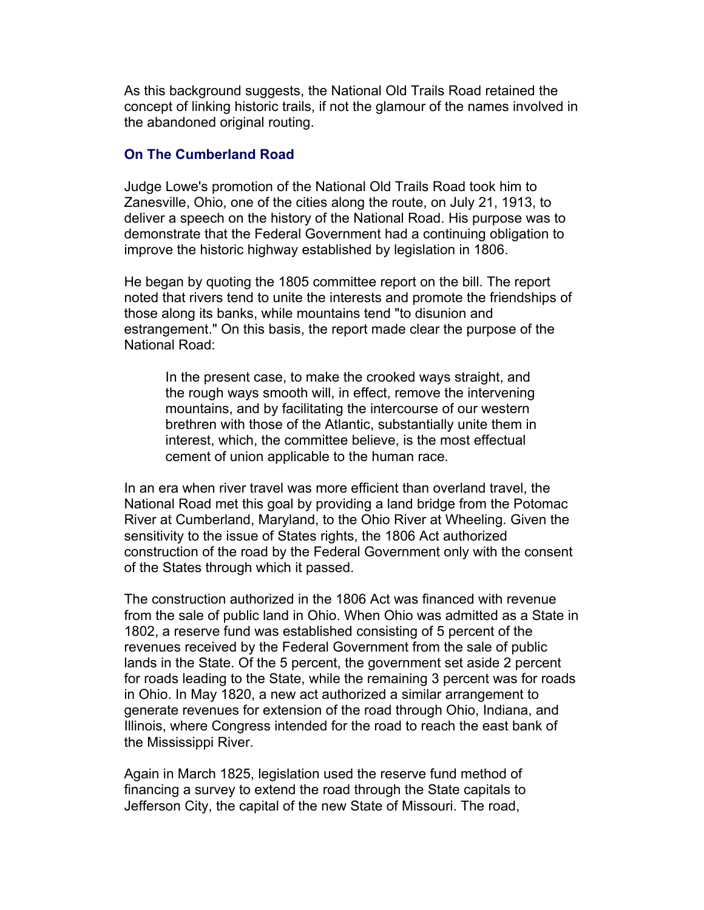As this background suggests, the National Old Trails Road retained the concept of linking historic trails, if not the glamour of the names involved in the abandoned original routing.

# **On The Cumberland Road**

Judge Lowe's promotion of the National Old Trails Road took him to Zanesville, Ohio, one of the cities along the route, on July 21, 1913, to deliver a speech on the history of the National Road. His purpose was to demonstrate that the Federal Government had a continuing obligation to improve the historic highway established by legislation in 1806.

He began by quoting the 1805 committee report on the bill. The report noted that rivers tend to unite the interests and promote the friendships of those along its banks, while mountains tend "to disunion and estrangement." On this basis, the report made clear the purpose of the National Road:

In the present case, to make the crooked ways straight, and the rough ways smooth will, in effect, remove the intervening mountains, and by facilitating the intercourse of our western brethren with those of the Atlantic, substantially unite them in interest, which, the committee believe, is the most effectual cement of union applicable to the human race.

In an era when river travel was more efficient than overland travel, the National Road met this goal by providing a land bridge from the Potomac River at Cumberland, Maryland, to the Ohio River at Wheeling. Given the sensitivity to the issue of States rights, the 1806 Act authorized construction of the road by the Federal Government only with the consent of the States through which it passed.

The construction authorized in the 1806 Act was financed with revenue from the sale of public land in Ohio. When Ohio was admitted as a State in 1802, a reserve fund was established consisting of 5 percent of the revenues received by the Federal Government from the sale of public lands in the State. Of the 5 percent, the government set aside 2 percent for roads leading to the State, while the remaining 3 percent was for roads in Ohio. In May 1820, a new act authorized a similar arrangement to generate revenues for extension of the road through Ohio, Indiana, and Illinois, where Congress intended for the road to reach the east bank of the Mississippi River.

Again in March 1825, legislation used the reserve fund method of financing a survey to extend the road through the State capitals to Jefferson City, the capital of the new State of Missouri. The road,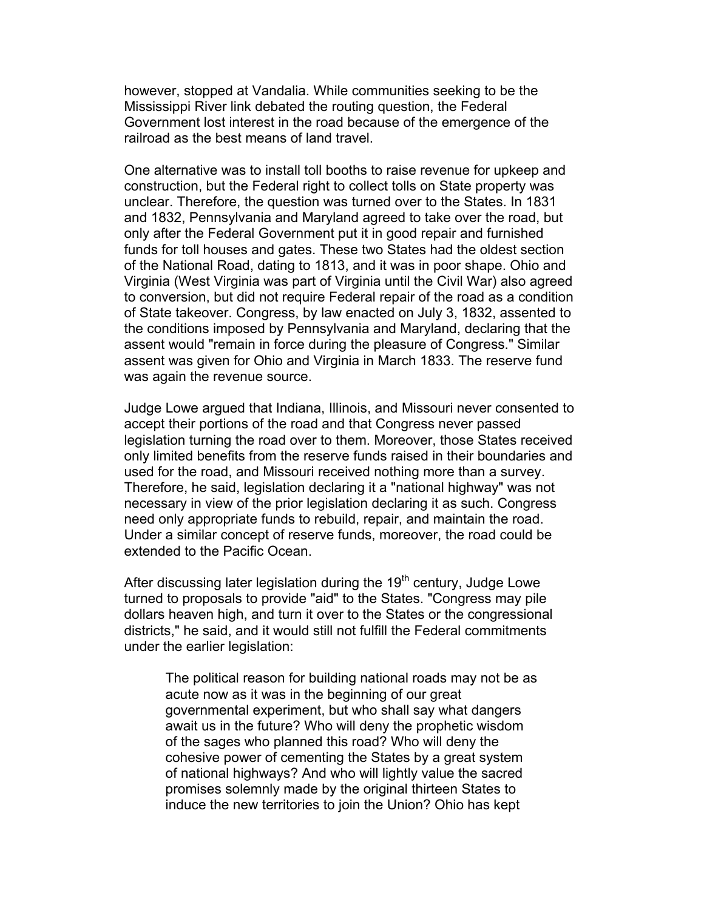however, stopped at Vandalia. While communities seeking to be the Mississippi River link debated the routing question, the Federal Government lost interest in the road because of the emergence of the railroad as the best means of land travel.

One alternative was to install toll booths to raise revenue for upkeep and construction, but the Federal right to collect tolls on State property was unclear. Therefore, the question was turned over to the States. In 1831 and 1832, Pennsylvania and Maryland agreed to take over the road, but only after the Federal Government put it in good repair and furnished funds for toll houses and gates. These two States had the oldest section of the National Road, dating to 1813, and it was in poor shape. Ohio and Virginia (West Virginia was part of Virginia until the Civil War) also agreed to conversion, but did not require Federal repair of the road as a condition of State takeover. Congress, by law enacted on July 3, 1832, assented to the conditions imposed by Pennsylvania and Maryland, declaring that the assent would "remain in force during the pleasure of Congress." Similar assent was given for Ohio and Virginia in March 1833. The reserve fund was again the revenue source.

Judge Lowe argued that Indiana, Illinois, and Missouri never consented to accept their portions of the road and that Congress never passed legislation turning the road over to them. Moreover, those States received only limited benefits from the reserve funds raised in their boundaries and used for the road, and Missouri received nothing more than a survey. Therefore, he said, legislation declaring it a "national highway" was not necessary in view of the prior legislation declaring it as such. Congress need only appropriate funds to rebuild, repair, and maintain the road. Under a similar concept of reserve funds, moreover, the road could be extended to the Pacific Ocean.

After discussing later legislation during the  $19<sup>th</sup>$  century, Judge Lowe turned to proposals to provide "aid" to the States. "Congress may pile dollars heaven high, and turn it over to the States or the congressional districts," he said, and it would still not fulfill the Federal commitments under the earlier legislation:

The political reason for building national roads may not be as acute now as it was in the beginning of our great governmental experiment, but who shall say what dangers await us in the future? Who will deny the prophetic wisdom of the sages who planned this road? Who will deny the cohesive power of cementing the States by a great system of national highways? And who will lightly value the sacred promises solemnly made by the original thirteen States to induce the new territories to join the Union? Ohio has kept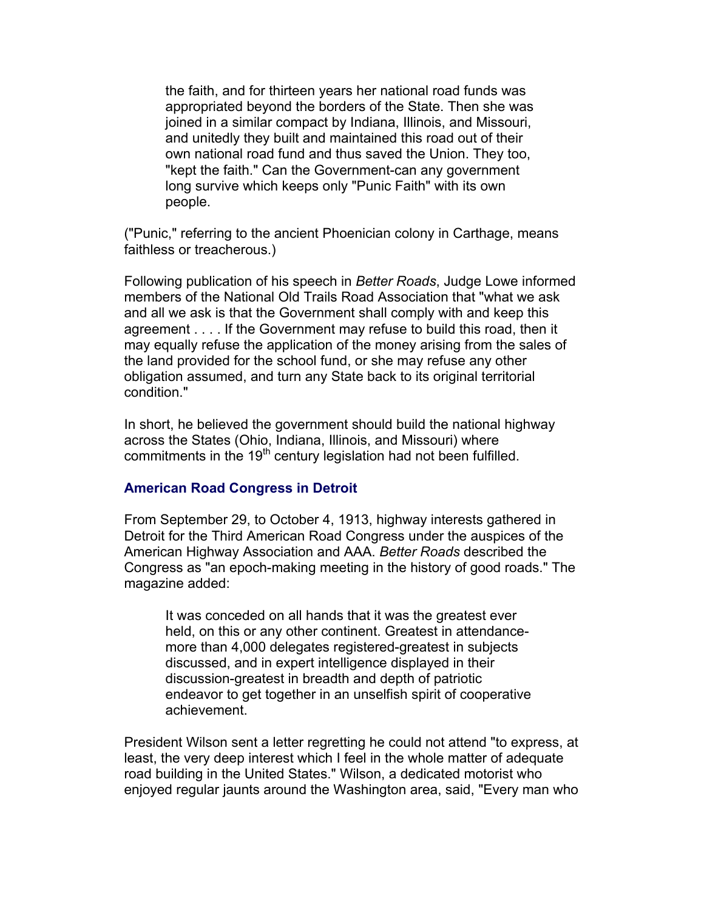the faith, and for thirteen years her national road funds was appropriated beyond the borders of the State. Then she was joined in a similar compact by Indiana, Illinois, and Missouri, and unitedly they built and maintained this road out of their own national road fund and thus saved the Union. They too, "kept the faith." Can the Government-can any government long survive which keeps only "Punic Faith" with its own people.

("Punic," referring to the ancient Phoenician colony in Carthage, means faithless or treacherous.)

Following publication of his speech in *Better Roads*, Judge Lowe informed members of the National Old Trails Road Association that "what we ask and all we ask is that the Government shall comply with and keep this agreement . . . . If the Government may refuse to build this road, then it may equally refuse the application of the money arising from the sales of the land provided for the school fund, or she may refuse any other obligation assumed, and turn any State back to its original territorial condition."

In short, he believed the government should build the national highway across the States (Ohio, Indiana, Illinois, and Missouri) where commitments in the 19<sup>th</sup> century legislation had not been fulfilled.

# **American Road Congress in Detroit**

From September 29, to October 4, 1913, highway interests gathered in Detroit for the Third American Road Congress under the auspices of the American Highway Association and AAA. *Better Roads* described the Congress as "an epoch-making meeting in the history of good roads." The magazine added:

It was conceded on all hands that it was the greatest ever held, on this or any other continent. Greatest in attendancemore than 4,000 delegates registered-greatest in subjects discussed, and in expert intelligence displayed in their discussion-greatest in breadth and depth of patriotic endeavor to get together in an unselfish spirit of cooperative achievement.

President Wilson sent a letter regretting he could not attend "to express, at least, the very deep interest which I feel in the whole matter of adequate road building in the United States." Wilson, a dedicated motorist who enjoyed regular jaunts around the Washington area, said, "Every man who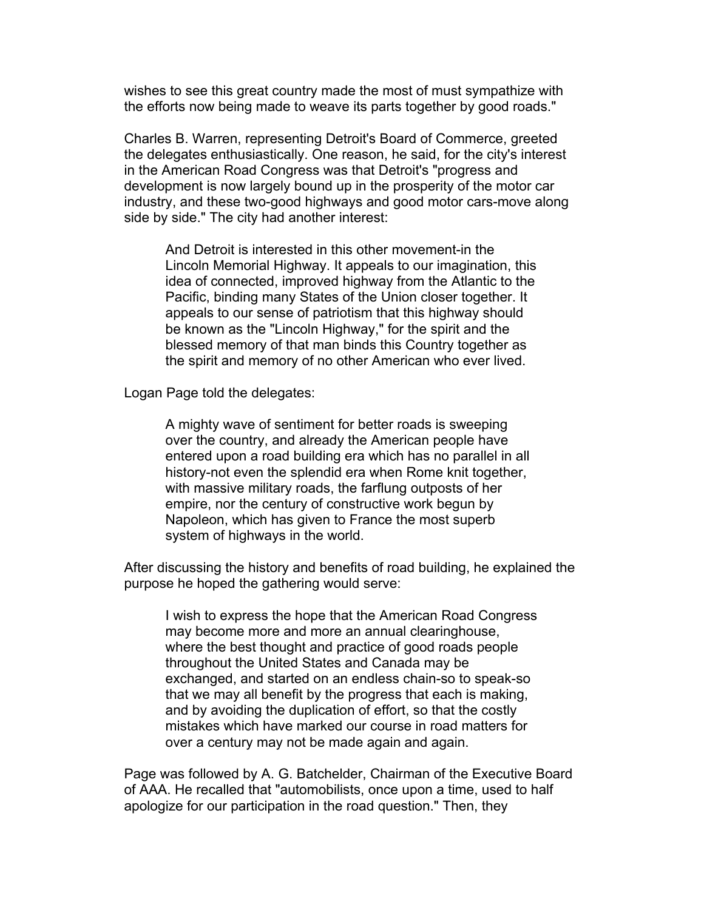wishes to see this great country made the most of must sympathize with the efforts now being made to weave its parts together by good roads."

Charles B. Warren, representing Detroit's Board of Commerce, greeted the delegates enthusiastically. One reason, he said, for the city's interest in the American Road Congress was that Detroit's "progress and development is now largely bound up in the prosperity of the motor car industry, and these two-good highways and good motor cars-move along side by side." The city had another interest:

And Detroit is interested in this other movement-in the Lincoln Memorial Highway. It appeals to our imagination, this idea of connected, improved highway from the Atlantic to the Pacific, binding many States of the Union closer together. It appeals to our sense of patriotism that this highway should be known as the "Lincoln Highway," for the spirit and the blessed memory of that man binds this Country together as the spirit and memory of no other American who ever lived.

Logan Page told the delegates:

A mighty wave of sentiment for better roads is sweeping over the country, and already the American people have entered upon a road building era which has no parallel in all history-not even the splendid era when Rome knit together, with massive military roads, the farflung outposts of her empire, nor the century of constructive work begun by Napoleon, which has given to France the most superb system of highways in the world.

After discussing the history and benefits of road building, he explained the purpose he hoped the gathering would serve:

I wish to express the hope that the American Road Congress may become more and more an annual clearinghouse, where the best thought and practice of good roads people throughout the United States and Canada may be exchanged, and started on an endless chain-so to speak-so that we may all benefit by the progress that each is making, and by avoiding the duplication of effort, so that the costly mistakes which have marked our course in road matters for over a century may not be made again and again.

Page was followed by A. G. Batchelder, Chairman of the Executive Board of AAA. He recalled that "automobilists, once upon a time, used to half apologize for our participation in the road question." Then, they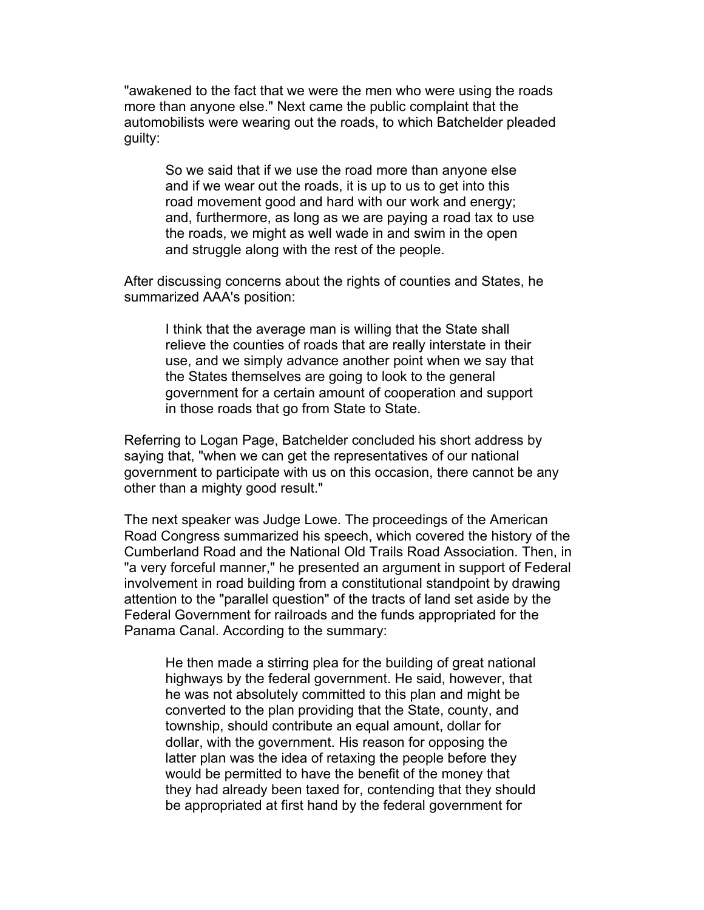"awakened to the fact that we were the men who were using the roads more than anyone else." Next came the public complaint that the automobilists were wearing out the roads, to which Batchelder pleaded guilty:

So we said that if we use the road more than anyone else and if we wear out the roads, it is up to us to get into this road movement good and hard with our work and energy; and, furthermore, as long as we are paying a road tax to use the roads, we might as well wade in and swim in the open and struggle along with the rest of the people.

After discussing concerns about the rights of counties and States, he summarized AAA's position:

I think that the average man is willing that the State shall relieve the counties of roads that are really interstate in their use, and we simply advance another point when we say that the States themselves are going to look to the general government for a certain amount of cooperation and support in those roads that go from State to State.

Referring to Logan Page, Batchelder concluded his short address by saying that, "when we can get the representatives of our national government to participate with us on this occasion, there cannot be any other than a mighty good result."

The next speaker was Judge Lowe. The proceedings of the American Road Congress summarized his speech, which covered the history of the Cumberland Road and the National Old Trails Road Association. Then, in "a very forceful manner," he presented an argument in support of Federal involvement in road building from a constitutional standpoint by drawing attention to the "parallel question" of the tracts of land set aside by the Federal Government for railroads and the funds appropriated for the Panama Canal. According to the summary:

He then made a stirring plea for the building of great national highways by the federal government. He said, however, that he was not absolutely committed to this plan and might be converted to the plan providing that the State, county, and township, should contribute an equal amount, dollar for dollar, with the government. His reason for opposing the latter plan was the idea of retaxing the people before they would be permitted to have the benefit of the money that they had already been taxed for, contending that they should be appropriated at first hand by the federal government for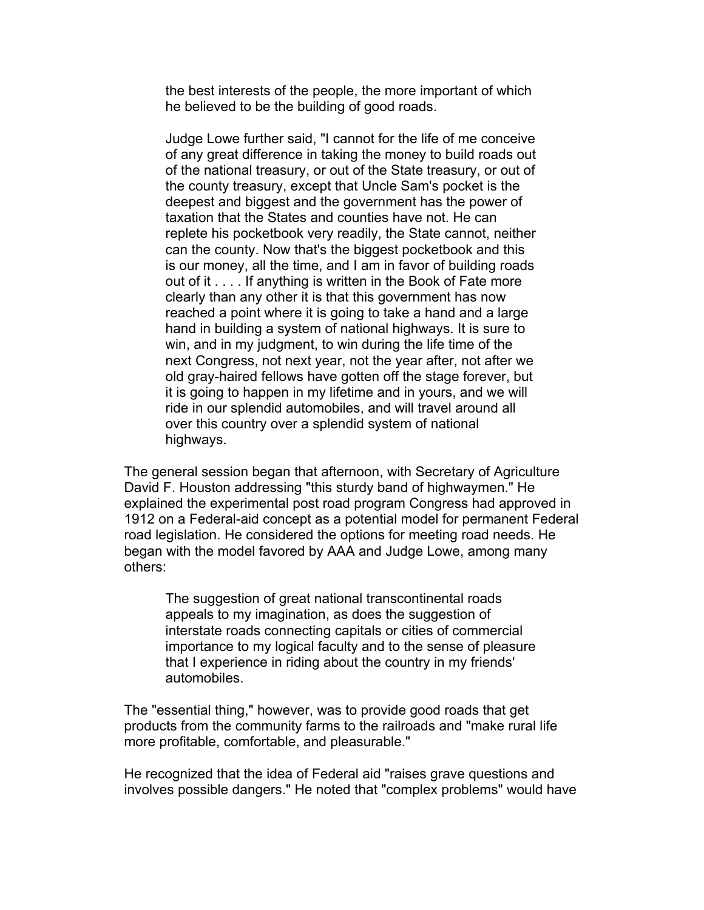the best interests of the people, the more important of which he believed to be the building of good roads.

Judge Lowe further said, "I cannot for the life of me conceive of any great difference in taking the money to build roads out of the national treasury, or out of the State treasury, or out of the county treasury, except that Uncle Sam's pocket is the deepest and biggest and the government has the power of taxation that the States and counties have not. He can replete his pocketbook very readily, the State cannot, neither can the county. Now that's the biggest pocketbook and this is our money, all the time, and I am in favor of building roads out of it . . . . If anything is written in the Book of Fate more clearly than any other it is that this government has now reached a point where it is going to take a hand and a large hand in building a system of national highways. It is sure to win, and in my judgment, to win during the life time of the next Congress, not next year, not the year after, not after we old gray-haired fellows have gotten off the stage forever, but it is going to happen in my lifetime and in yours, and we will ride in our splendid automobiles, and will travel around all over this country over a splendid system of national highways.

The general session began that afternoon, with Secretary of Agriculture David F. Houston addressing "this sturdy band of highwaymen." He explained the experimental post road program Congress had approved in 1912 on a Federal-aid concept as a potential model for permanent Federal road legislation. He considered the options for meeting road needs. He began with the model favored by AAA and Judge Lowe, among many others:

The suggestion of great national transcontinental roads appeals to my imagination, as does the suggestion of interstate roads connecting capitals or cities of commercial importance to my logical faculty and to the sense of pleasure that I experience in riding about the country in my friends' automobiles.

The "essential thing," however, was to provide good roads that get products from the community farms to the railroads and "make rural life more profitable, comfortable, and pleasurable."

He recognized that the idea of Federal aid "raises grave questions and involves possible dangers." He noted that "complex problems" would have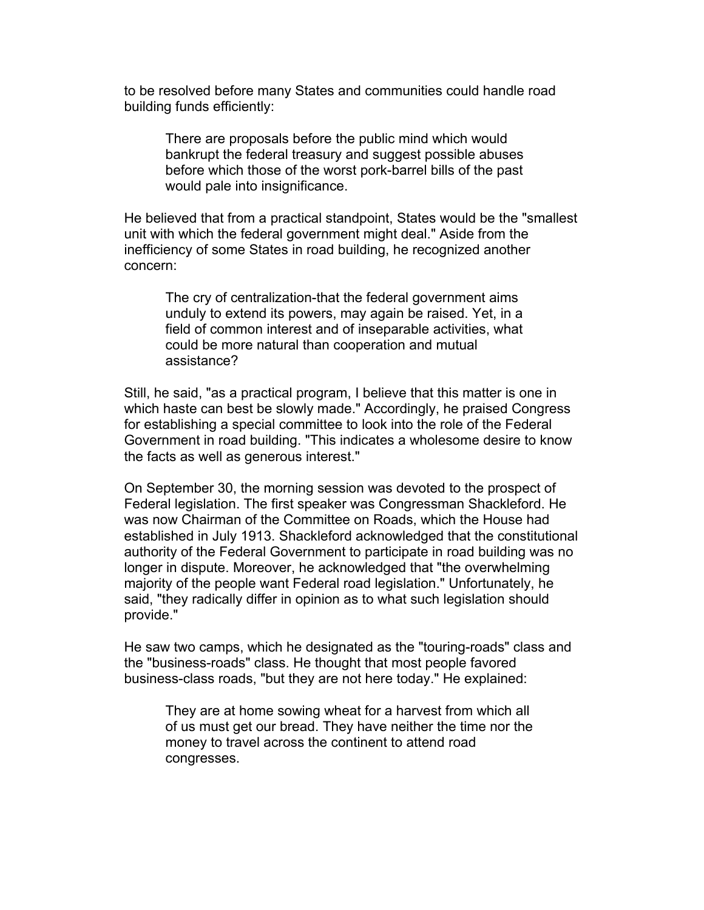to be resolved before many States and communities could handle road building funds efficiently:

There are proposals before the public mind which would bankrupt the federal treasury and suggest possible abuses before which those of the worst pork-barrel bills of the past would pale into insignificance.

He believed that from a practical standpoint, States would be the "smallest unit with which the federal government might deal." Aside from the inefficiency of some States in road building, he recognized another concern:

The cry of centralization-that the federal government aims unduly to extend its powers, may again be raised. Yet, in a field of common interest and of inseparable activities, what could be more natural than cooperation and mutual assistance?

Still, he said, "as a practical program, I believe that this matter is one in which haste can best be slowly made." Accordingly, he praised Congress for establishing a special committee to look into the role of the Federal Government in road building. "This indicates a wholesome desire to know the facts as well as generous interest."

On September 30, the morning session was devoted to the prospect of Federal legislation. The first speaker was Congressman Shackleford. He was now Chairman of the Committee on Roads, which the House had established in July 1913. Shackleford acknowledged that the constitutional authority of the Federal Government to participate in road building was no longer in dispute. Moreover, he acknowledged that "the overwhelming majority of the people want Federal road legislation." Unfortunately, he said, "they radically differ in opinion as to what such legislation should provide."

He saw two camps, which he designated as the "touring-roads" class and the "business-roads" class. He thought that most people favored business-class roads, "but they are not here today." He explained:

They are at home sowing wheat for a harvest from which all of us must get our bread. They have neither the time nor the money to travel across the continent to attend road congresses.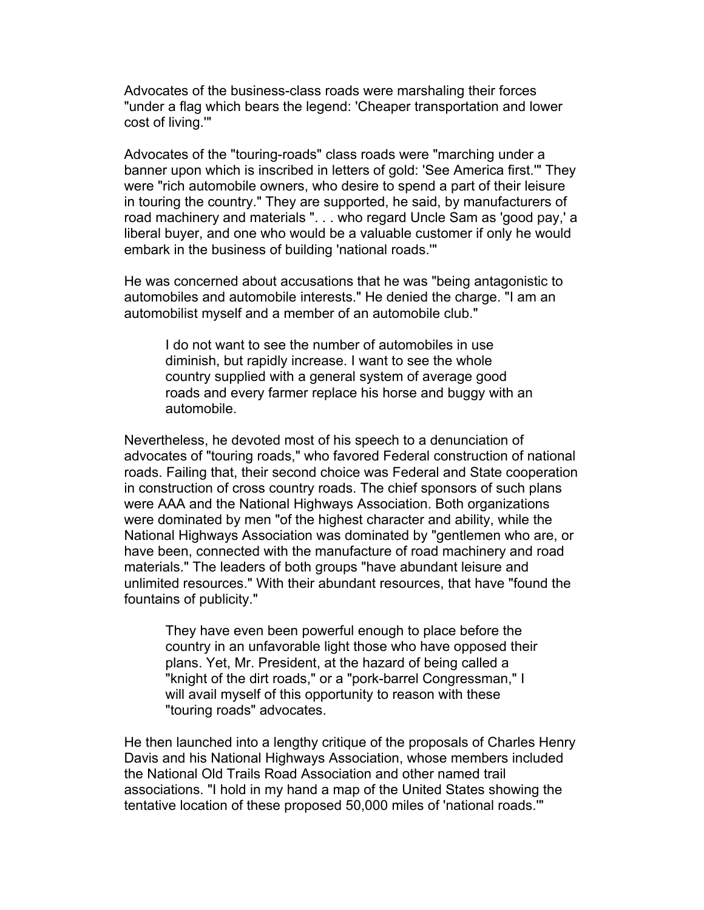Advocates of the business-class roads were marshaling their forces "under a flag which bears the legend: 'Cheaper transportation and lower cost of living.'"

Advocates of the "touring-roads" class roads were "marching under a banner upon which is inscribed in letters of gold: 'See America first.'" They were "rich automobile owners, who desire to spend a part of their leisure in touring the country." They are supported, he said, by manufacturers of road machinery and materials ". . . who regard Uncle Sam as 'good pay,' a liberal buyer, and one who would be a valuable customer if only he would embark in the business of building 'national roads.'"

He was concerned about accusations that he was "being antagonistic to automobiles and automobile interests." He denied the charge. "I am an automobilist myself and a member of an automobile club."

I do not want to see the number of automobiles in use diminish, but rapidly increase. I want to see the whole country supplied with a general system of average good roads and every farmer replace his horse and buggy with an automobile.

Nevertheless, he devoted most of his speech to a denunciation of advocates of "touring roads," who favored Federal construction of national roads. Failing that, their second choice was Federal and State cooperation in construction of cross country roads. The chief sponsors of such plans were AAA and the National Highways Association. Both organizations were dominated by men "of the highest character and ability, while the National Highways Association was dominated by "gentlemen who are, or have been, connected with the manufacture of road machinery and road materials." The leaders of both groups "have abundant leisure and unlimited resources." With their abundant resources, that have "found the fountains of publicity."

They have even been powerful enough to place before the country in an unfavorable light those who have opposed their plans. Yet, Mr. President, at the hazard of being called a "knight of the dirt roads," or a "pork-barrel Congressman," I will avail myself of this opportunity to reason with these "touring roads" advocates.

He then launched into a lengthy critique of the proposals of Charles Henry Davis and his National Highways Association, whose members included the National Old Trails Road Association and other named trail associations. "I hold in my hand a map of the United States showing the tentative location of these proposed 50,000 miles of 'national roads.'"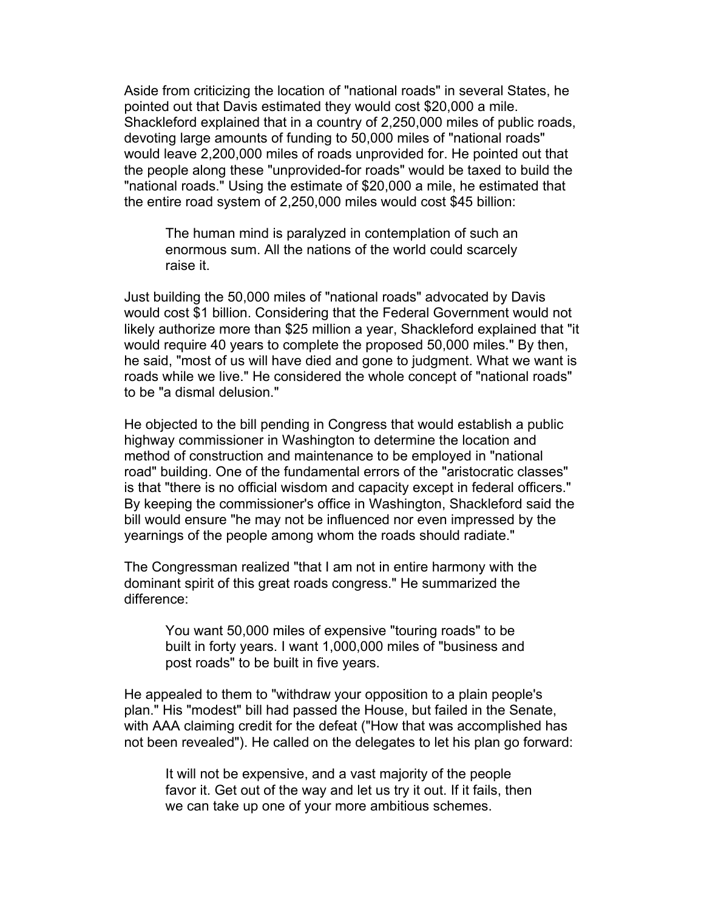Aside from criticizing the location of "national roads" in several States, he pointed out that Davis estimated they would cost \$20,000 a mile. Shackleford explained that in a country of 2,250,000 miles of public roads, devoting large amounts of funding to 50,000 miles of "national roads" would leave 2,200,000 miles of roads unprovided for. He pointed out that the people along these "unprovided-for roads" would be taxed to build the "national roads." Using the estimate of \$20,000 a mile, he estimated that the entire road system of 2,250,000 miles would cost \$45 billion:

The human mind is paralyzed in contemplation of such an enormous sum. All the nations of the world could scarcely raise it.

Just building the 50,000 miles of "national roads" advocated by Davis would cost \$1 billion. Considering that the Federal Government would not likely authorize more than \$25 million a year, Shackleford explained that "it would require 40 years to complete the proposed 50,000 miles." By then, he said, "most of us will have died and gone to judgment. What we want is roads while we live." He considered the whole concept of "national roads" to be "a dismal delusion."

He objected to the bill pending in Congress that would establish a public highway commissioner in Washington to determine the location and method of construction and maintenance to be employed in "national road" building. One of the fundamental errors of the "aristocratic classes" is that "there is no official wisdom and capacity except in federal officers." By keeping the commissioner's office in Washington, Shackleford said the bill would ensure "he may not be influenced nor even impressed by the yearnings of the people among whom the roads should radiate."

The Congressman realized "that I am not in entire harmony with the dominant spirit of this great roads congress." He summarized the difference:

You want 50,000 miles of expensive "touring roads" to be built in forty years. I want 1,000,000 miles of "business and post roads" to be built in five years.

He appealed to them to "withdraw your opposition to a plain people's plan." His "modest" bill had passed the House, but failed in the Senate, with AAA claiming credit for the defeat ("How that was accomplished has not been revealed"). He called on the delegates to let his plan go forward:

It will not be expensive, and a vast majority of the people favor it. Get out of the way and let us try it out. If it fails, then we can take up one of your more ambitious schemes.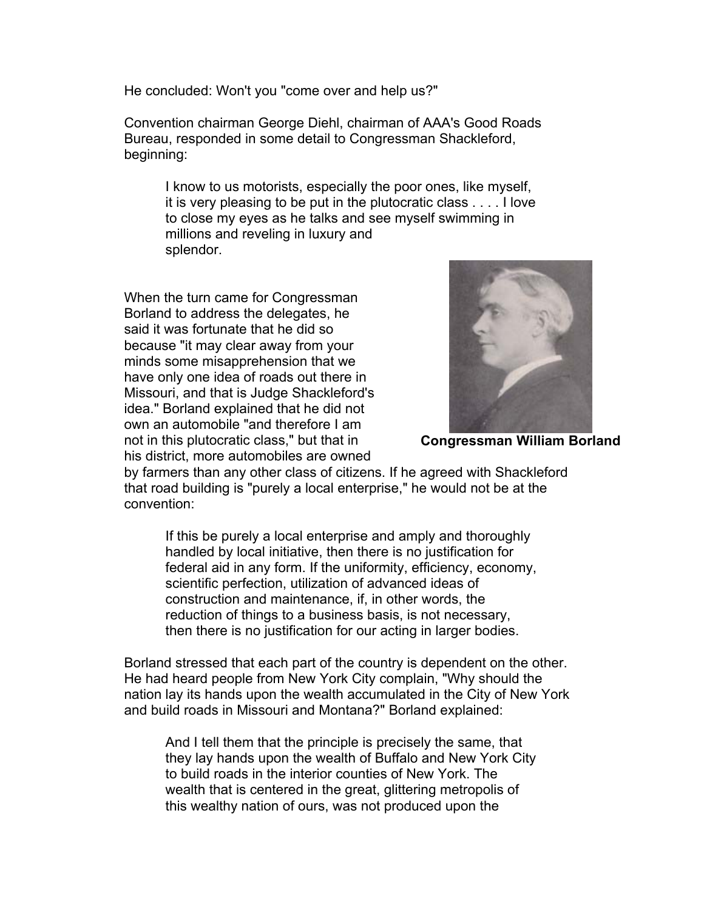He concluded: Won't you "come over and help us?"

Convention chairman George Diehl, chairman of AAA's Good Roads Bureau, responded in some detail to Congressman Shackleford, beginning:

I know to us motorists, especially the poor ones, like myself, it is very pleasing to be put in the plutocratic class . . . . I love to close my eyes as he talks and see myself swimming in millions and reveling in luxury and splendor.

When the turn came for Congressman Borland to address the delegates, he said it was fortunate that he did so because "it may clear away from your minds some misapprehension that we have only one idea of roads out there in Missouri, and that is Judge Shackleford's idea." Borland explained that he did not own an automobile "and therefore I am not in this plutocratic class," but that in his district, more automobiles are owned



**Congressman William Borland**

by farmers than any other class of citizens. If he agreed with Shackleford that road building is "purely a local enterprise," he would not be at the convention:

If this be purely a local enterprise and amply and thoroughly handled by local initiative, then there is no justification for federal aid in any form. If the uniformity, efficiency, economy, scientific perfection, utilization of advanced ideas of construction and maintenance, if, in other words, the reduction of things to a business basis, is not necessary, then there is no justification for our acting in larger bodies.

Borland stressed that each part of the country is dependent on the other. He had heard people from New York City complain, "Why should the nation lay its hands upon the wealth accumulated in the City of New York and build roads in Missouri and Montana?" Borland explained:

And I tell them that the principle is precisely the same, that they lay hands upon the wealth of Buffalo and New York City to build roads in the interior counties of New York. The wealth that is centered in the great, glittering metropolis of this wealthy nation of ours, was not produced upon the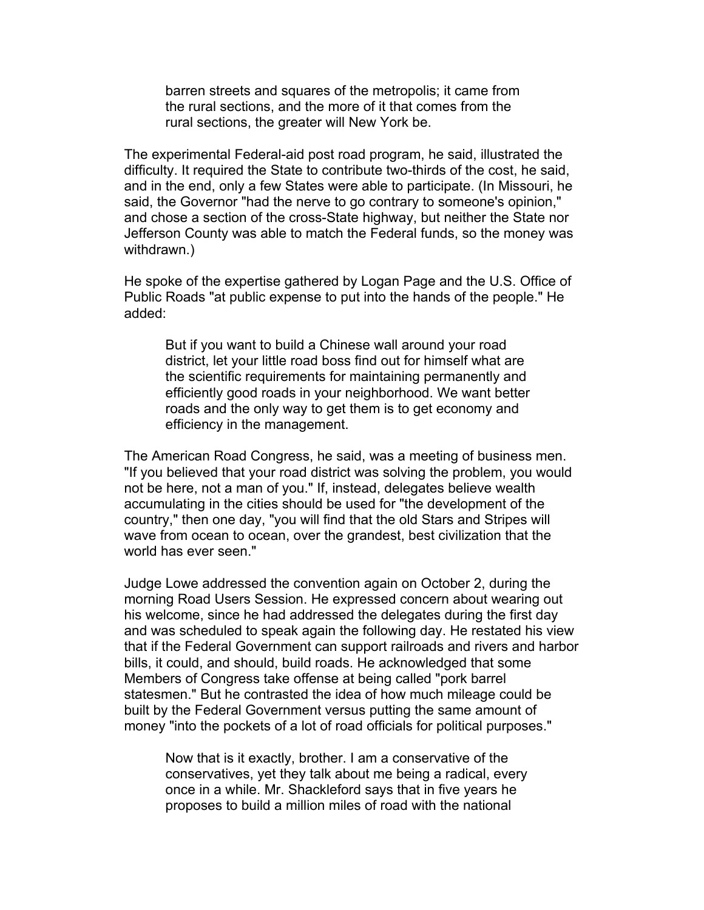barren streets and squares of the metropolis; it came from the rural sections, and the more of it that comes from the rural sections, the greater will New York be.

The experimental Federal-aid post road program, he said, illustrated the difficulty. It required the State to contribute two-thirds of the cost, he said, and in the end, only a few States were able to participate. (In Missouri, he said, the Governor "had the nerve to go contrary to someone's opinion," and chose a section of the cross-State highway, but neither the State nor Jefferson County was able to match the Federal funds, so the money was withdrawn.)

He spoke of the expertise gathered by Logan Page and the U.S. Office of Public Roads "at public expense to put into the hands of the people." He added:

But if you want to build a Chinese wall around your road district, let your little road boss find out for himself what are the scientific requirements for maintaining permanently and efficiently good roads in your neighborhood. We want better roads and the only way to get them is to get economy and efficiency in the management.

The American Road Congress, he said, was a meeting of business men. "If you believed that your road district was solving the problem, you would not be here, not a man of you." If, instead, delegates believe wealth accumulating in the cities should be used for "the development of the country," then one day, "you will find that the old Stars and Stripes will wave from ocean to ocean, over the grandest, best civilization that the world has ever seen."

Judge Lowe addressed the convention again on October 2, during the morning Road Users Session. He expressed concern about wearing out his welcome, since he had addressed the delegates during the first day and was scheduled to speak again the following day. He restated his view that if the Federal Government can support railroads and rivers and harbor bills, it could, and should, build roads. He acknowledged that some Members of Congress take offense at being called "pork barrel statesmen." But he contrasted the idea of how much mileage could be built by the Federal Government versus putting the same amount of money "into the pockets of a lot of road officials for political purposes."

Now that is it exactly, brother. I am a conservative of the conservatives, yet they talk about me being a radical, every once in a while. Mr. Shackleford says that in five years he proposes to build a million miles of road with the national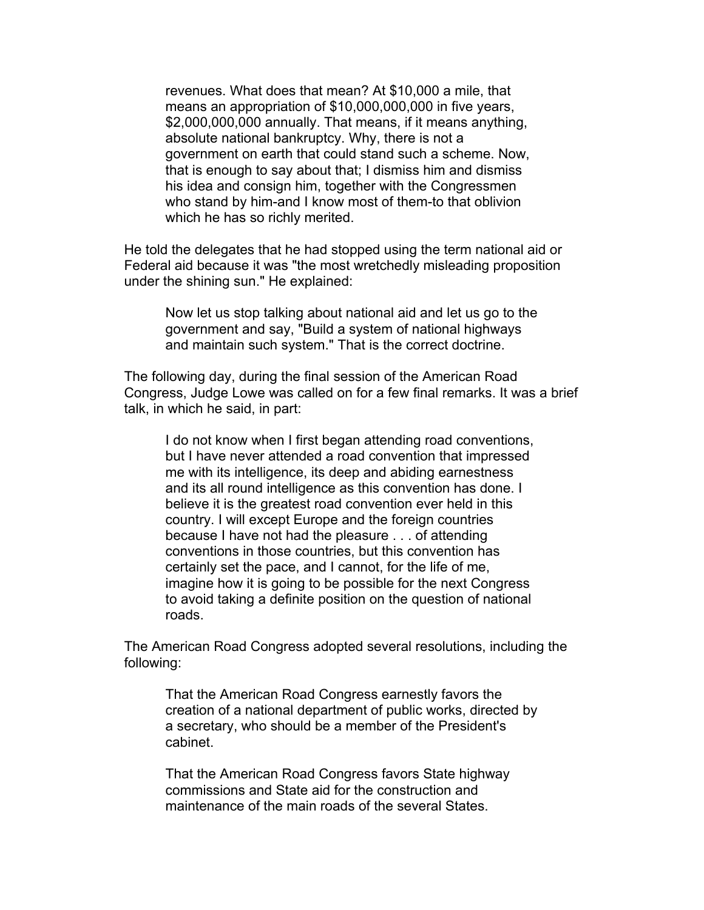revenues. What does that mean? At \$10,000 a mile, that means an appropriation of \$10,000,000,000 in five years, \$2,000,000,000 annually. That means, if it means anything, absolute national bankruptcy. Why, there is not a government on earth that could stand such a scheme. Now, that is enough to say about that; I dismiss him and dismiss his idea and consign him, together with the Congressmen who stand by him-and I know most of them-to that oblivion which he has so richly merited.

He told the delegates that he had stopped using the term national aid or Federal aid because it was "the most wretchedly misleading proposition under the shining sun." He explained:

Now let us stop talking about national aid and let us go to the government and say, "Build a system of national highways and maintain such system." That is the correct doctrine.

The following day, during the final session of the American Road Congress, Judge Lowe was called on for a few final remarks. It was a brief talk, in which he said, in part:

I do not know when I first began attending road conventions, but I have never attended a road convention that impressed me with its intelligence, its deep and abiding earnestness and its all round intelligence as this convention has done. I believe it is the greatest road convention ever held in this country. I will except Europe and the foreign countries because I have not had the pleasure . . . of attending conventions in those countries, but this convention has certainly set the pace, and I cannot, for the life of me, imagine how it is going to be possible for the next Congress to avoid taking a definite position on the question of national roads.

The American Road Congress adopted several resolutions, including the following:

That the American Road Congress earnestly favors the creation of a national department of public works, directed by a secretary, who should be a member of the President's cabinet.

That the American Road Congress favors State highway commissions and State aid for the construction and maintenance of the main roads of the several States.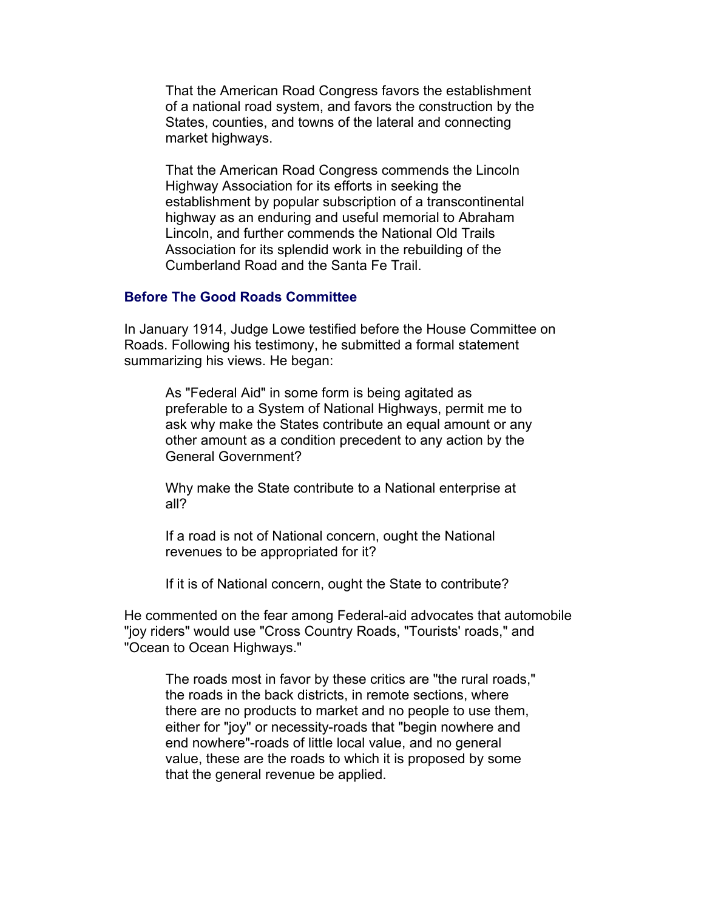That the American Road Congress favors the establishment of a national road system, and favors the construction by the States, counties, and towns of the lateral and connecting market highways.

That the American Road Congress commends the Lincoln Highway Association for its efforts in seeking the establishment by popular subscription of a transcontinental highway as an enduring and useful memorial to Abraham Lincoln, and further commends the National Old Trails Association for its splendid work in the rebuilding of the Cumberland Road and the Santa Fe Trail.

## **Before The Good Roads Committee**

In January 1914, Judge Lowe testified before the House Committee on Roads. Following his testimony, he submitted a formal statement summarizing his views. He began:

As "Federal Aid" in some form is being agitated as preferable to a System of National Highways, permit me to ask why make the States contribute an equal amount or any other amount as a condition precedent to any action by the General Government?

Why make the State contribute to a National enterprise at all?

If a road is not of National concern, ought the National revenues to be appropriated for it?

If it is of National concern, ought the State to contribute?

He commented on the fear among Federal-aid advocates that automobile "joy riders" would use "Cross Country Roads, "Tourists' roads," and "Ocean to Ocean Highways."

The roads most in favor by these critics are "the rural roads," the roads in the back districts, in remote sections, where there are no products to market and no people to use them, either for "joy" or necessity-roads that "begin nowhere and end nowhere"-roads of little local value, and no general value, these are the roads to which it is proposed by some that the general revenue be applied.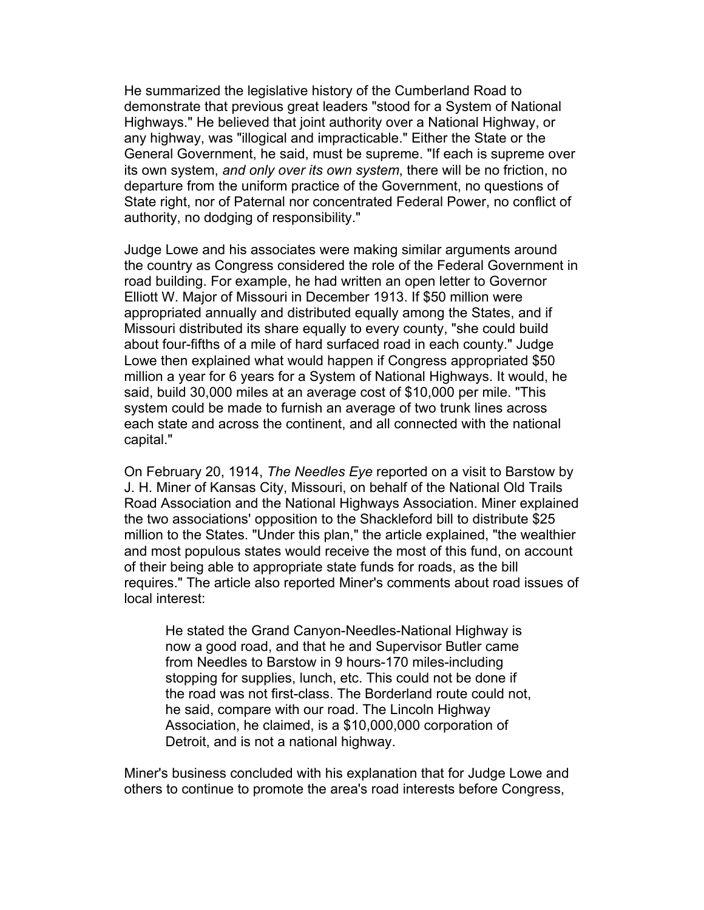He summarized the legislative history of the Cumberland Road to demonstrate that previous great leaders "stood for a System of National Highways." He believed that joint authority over a National Highway, or any highway, was "illogical and impracticable." Either the State or the General Government, he said, must be supreme. "If each is supreme over its own system, *and only over its own system*, there will be no friction, no departure from the uniform practice of the Government, no questions of State right, nor of Paternal nor concentrated Federal Power, no conflict of authority, no dodging of responsibility."

Judge Lowe and his associates were making similar arguments around the country as Congress considered the role of the Federal Government in road building. For example, he had written an open letter to Governor Elliott W. Major of Missouri in December 1913. If \$50 million were appropriated annually and distributed equally among the States, and if Missouri distributed its share equally to every county, "she could build about four-fifths of a mile of hard surfaced road in each county." Judge Lowe then explained what would happen if Congress appropriated \$50 million a year for 6 years for a System of National Highways. It would, he said, build 30,000 miles at an average cost of \$10,000 per mile. "This system could be made to furnish an average of two trunk lines across each state and across the continent, and all connected with the national capital."

On February 20, 1914, *The Needles Eye* reported on a visit to Barstow by J. H. Miner of Kansas City, Missouri, on behalf of the National Old Trails Road Association and the National Highways Association. Miner explained the two associations' opposition to the Shackleford bill to distribute \$25 million to the States. "Under this plan," the article explained, "the wealthier and most populous states would receive the most of this fund, on account of their being able to appropriate state funds for roads, as the bill requires." The article also reported Miner's comments about road issues of local interest:

He stated the Grand Canyon-Needles-National Highway is now a good road, and that he and Supervisor Butler came from Needles to Barstow in 9 hours-170 miles-including stopping for supplies, lunch, etc. This could not be done if the road was not first-class. The Borderland route could not, he said, compare with our road. The Lincoln Highway Association, he claimed, is a \$10,000,000 corporation of Detroit, and is not a national highway.

Miner's business concluded with his explanation that for Judge Lowe and others to continue to promote the area's road interests before Congress,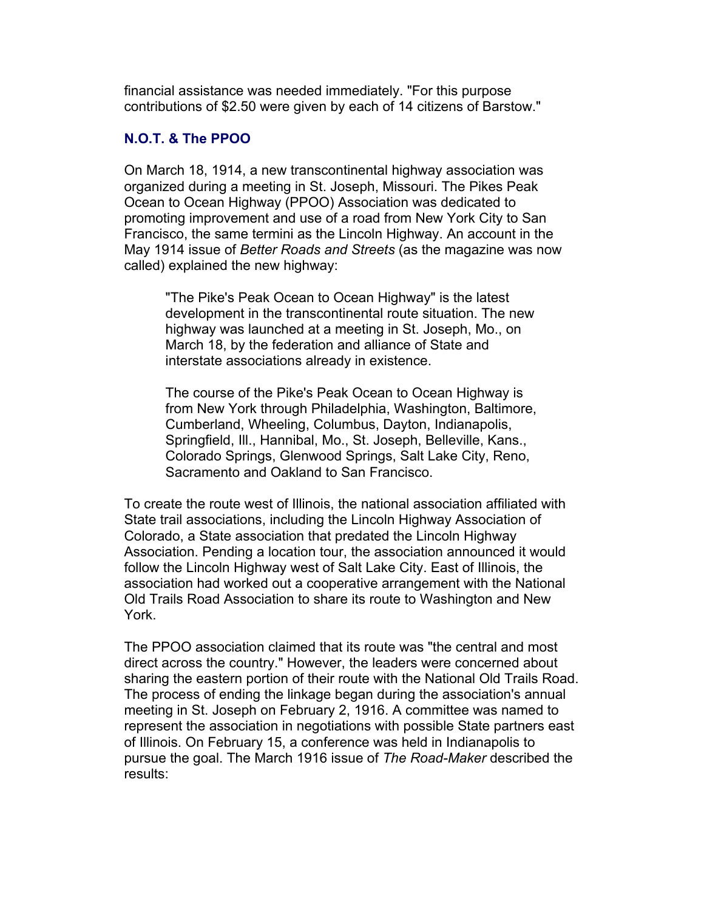financial assistance was needed immediately. "For this purpose contributions of \$2.50 were given by each of 14 citizens of Barstow."

# **N.O.T. & The PPOO**

On March 18, 1914, a new transcontinental highway association was organized during a meeting in St. Joseph, Missouri. The Pikes Peak Ocean to Ocean Highway (PPOO) Association was dedicated to promoting improvement and use of a road from New York City to San Francisco, the same termini as the Lincoln Highway. An account in the May 1914 issue of *Better Roads and Streets* (as the magazine was now called) explained the new highway:

"The Pike's Peak Ocean to Ocean Highway" is the latest development in the transcontinental route situation. The new highway was launched at a meeting in St. Joseph, Mo., on March 18, by the federation and alliance of State and interstate associations already in existence.

The course of the Pike's Peak Ocean to Ocean Highway is from New York through Philadelphia, Washington, Baltimore, Cumberland, Wheeling, Columbus, Dayton, Indianapolis, Springfield, Ill., Hannibal, Mo., St. Joseph, Belleville, Kans., Colorado Springs, Glenwood Springs, Salt Lake City, Reno, Sacramento and Oakland to San Francisco.

To create the route west of Illinois, the national association affiliated with State trail associations, including the Lincoln Highway Association of Colorado, a State association that predated the Lincoln Highway Association. Pending a location tour, the association announced it would follow the Lincoln Highway west of Salt Lake City. East of Illinois, the association had worked out a cooperative arrangement with the National Old Trails Road Association to share its route to Washington and New York.

The PPOO association claimed that its route was "the central and most direct across the country." However, the leaders were concerned about sharing the eastern portion of their route with the National Old Trails Road. The process of ending the linkage began during the association's annual meeting in St. Joseph on February 2, 1916. A committee was named to represent the association in negotiations with possible State partners east of Illinois. On February 15, a conference was held in Indianapolis to pursue the goal. The March 1916 issue of *The Road-Maker* described the results: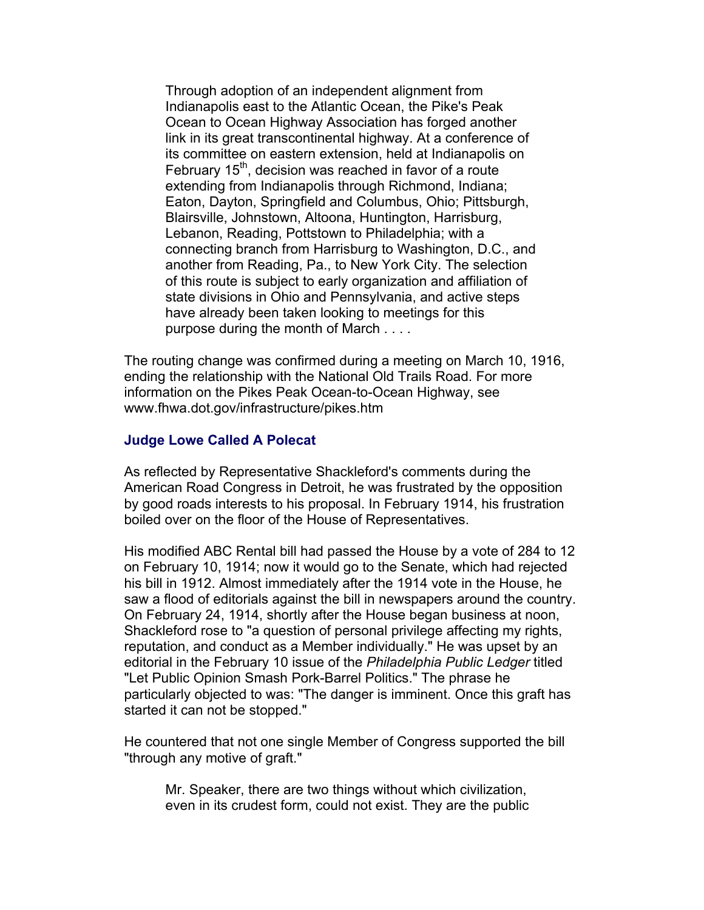Through adoption of an independent alignment from Indianapolis east to the Atlantic Ocean, the Pike's Peak Ocean to Ocean Highway Association has forged another link in its great transcontinental highway. At a conference of its committee on eastern extension, held at Indianapolis on February  $15<sup>th</sup>$ , decision was reached in favor of a route extending from Indianapolis through Richmond, Indiana; Eaton, Dayton, Springfield and Columbus, Ohio; Pittsburgh, Blairsville, Johnstown, Altoona, Huntington, Harrisburg, Lebanon, Reading, Pottstown to Philadelphia; with a connecting branch from Harrisburg to Washington, D.C., and another from Reading, Pa., to New York City. The selection of this route is subject to early organization and affiliation of state divisions in Ohio and Pennsylvania, and active steps have already been taken looking to meetings for this purpose during the month of March . . . .

The routing change was confirmed during a meeting on March 10, 1916, ending the relationship with the National Old Trails Road. For more information on the Pikes Peak Ocean-to-Ocean Highway, see www.fhwa.dot.gov/infrastructure/pikes.htm

#### **Judge Lowe Called A Polecat**

As reflected by Representative Shackleford's comments during the American Road Congress in Detroit, he was frustrated by the opposition by good roads interests to his proposal. In February 1914, his frustration boiled over on the floor of the House of Representatives.

His modified ABC Rental bill had passed the House by a vote of 284 to 12 on February 10, 1914; now it would go to the Senate, which had rejected his bill in 1912. Almost immediately after the 1914 vote in the House, he saw a flood of editorials against the bill in newspapers around the country. On February 24, 1914, shortly after the House began business at noon, Shackleford rose to "a question of personal privilege affecting my rights, reputation, and conduct as a Member individually." He was upset by an editorial in the February 10 issue of the *Philadelphia Public Ledger* titled "Let Public Opinion Smash Pork-Barrel Politics." The phrase he particularly objected to was: "The danger is imminent. Once this graft has started it can not be stopped."

He countered that not one single Member of Congress supported the bill "through any motive of graft."

Mr. Speaker, there are two things without which civilization, even in its crudest form, could not exist. They are the public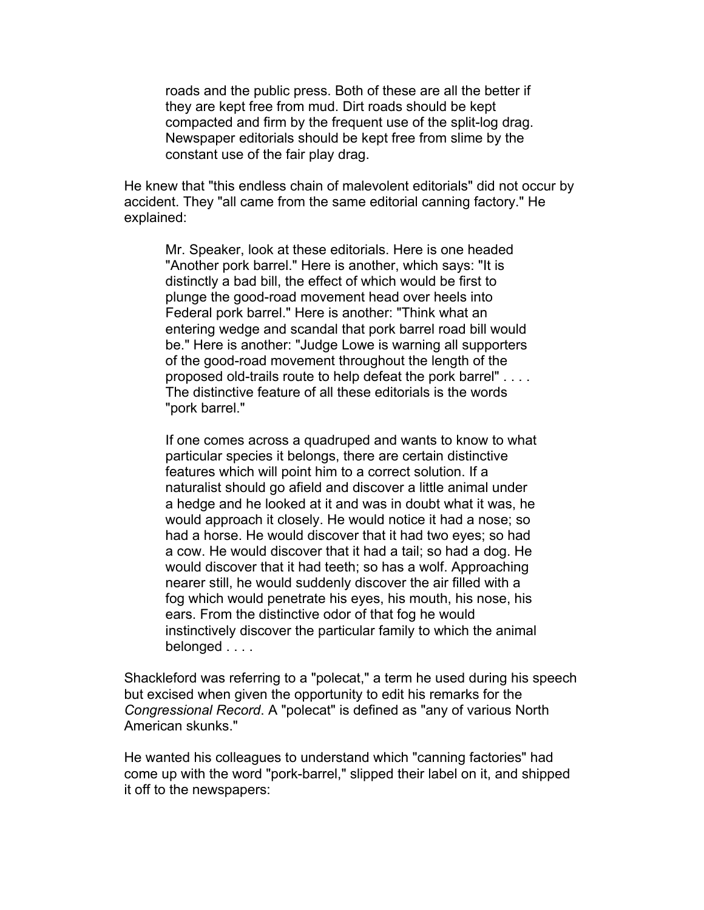roads and the public press. Both of these are all the better if they are kept free from mud. Dirt roads should be kept compacted and firm by the frequent use of the split-log drag. Newspaper editorials should be kept free from slime by the constant use of the fair play drag.

He knew that "this endless chain of malevolent editorials" did not occur by accident. They "all came from the same editorial canning factory." He explained:

Mr. Speaker, look at these editorials. Here is one headed "Another pork barrel." Here is another, which says: "It is distinctly a bad bill, the effect of which would be first to plunge the good-road movement head over heels into Federal pork barrel." Here is another: "Think what an entering wedge and scandal that pork barrel road bill would be." Here is another: "Judge Lowe is warning all supporters of the good-road movement throughout the length of the proposed old-trails route to help defeat the pork barrel" . . . . The distinctive feature of all these editorials is the words "pork barrel."

If one comes across a quadruped and wants to know to what particular species it belongs, there are certain distinctive features which will point him to a correct solution. If a naturalist should go afield and discover a little animal under a hedge and he looked at it and was in doubt what it was, he would approach it closely. He would notice it had a nose; so had a horse. He would discover that it had two eyes; so had a cow. He would discover that it had a tail; so had a dog. He would discover that it had teeth; so has a wolf. Approaching nearer still, he would suddenly discover the air filled with a fog which would penetrate his eyes, his mouth, his nose, his ears. From the distinctive odor of that fog he would instinctively discover the particular family to which the animal belonged . . . .

Shackleford was referring to a "polecat," a term he used during his speech but excised when given the opportunity to edit his remarks for the *Congressional Record*. A "polecat" is defined as "any of various North American skunks."

He wanted his colleagues to understand which "canning factories" had come up with the word "pork-barrel," slipped their label on it, and shipped it off to the newspapers: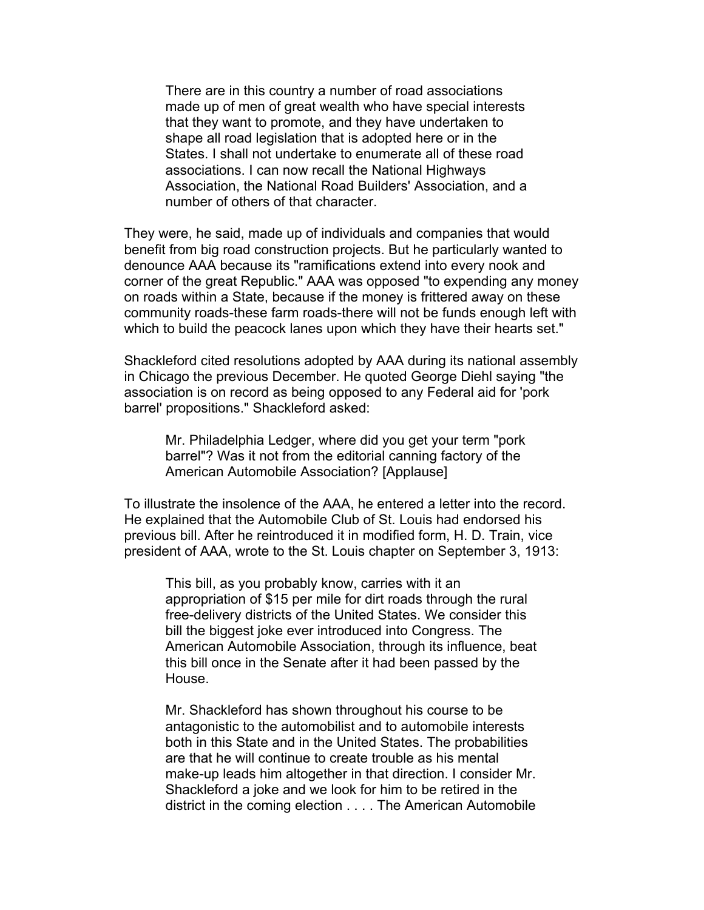There are in this country a number of road associations made up of men of great wealth who have special interests that they want to promote, and they have undertaken to shape all road legislation that is adopted here or in the States. I shall not undertake to enumerate all of these road associations. I can now recall the National Highways Association, the National Road Builders' Association, and a number of others of that character.

They were, he said, made up of individuals and companies that would benefit from big road construction projects. But he particularly wanted to denounce AAA because its "ramifications extend into every nook and corner of the great Republic." AAA was opposed "to expending any money on roads within a State, because if the money is frittered away on these community roads-these farm roads-there will not be funds enough left with which to build the peacock lanes upon which they have their hearts set."

Shackleford cited resolutions adopted by AAA during its national assembly in Chicago the previous December. He quoted George Diehl saying "the association is on record as being opposed to any Federal aid for 'pork barrel' propositions." Shackleford asked:

Mr. Philadelphia Ledger, where did you get your term "pork barrel"? Was it not from the editorial canning factory of the American Automobile Association? [Applause]

To illustrate the insolence of the AAA, he entered a letter into the record. He explained that the Automobile Club of St. Louis had endorsed his previous bill. After he reintroduced it in modified form, H. D. Train, vice president of AAA, wrote to the St. Louis chapter on September 3, 1913:

This bill, as you probably know, carries with it an appropriation of \$15 per mile for dirt roads through the rural free-delivery districts of the United States. We consider this bill the biggest joke ever introduced into Congress. The American Automobile Association, through its influence, beat this bill once in the Senate after it had been passed by the House.

Mr. Shackleford has shown throughout his course to be antagonistic to the automobilist and to automobile interests both in this State and in the United States. The probabilities are that he will continue to create trouble as his mental make-up leads him altogether in that direction. I consider Mr. Shackleford a joke and we look for him to be retired in the district in the coming election . . . . The American Automobile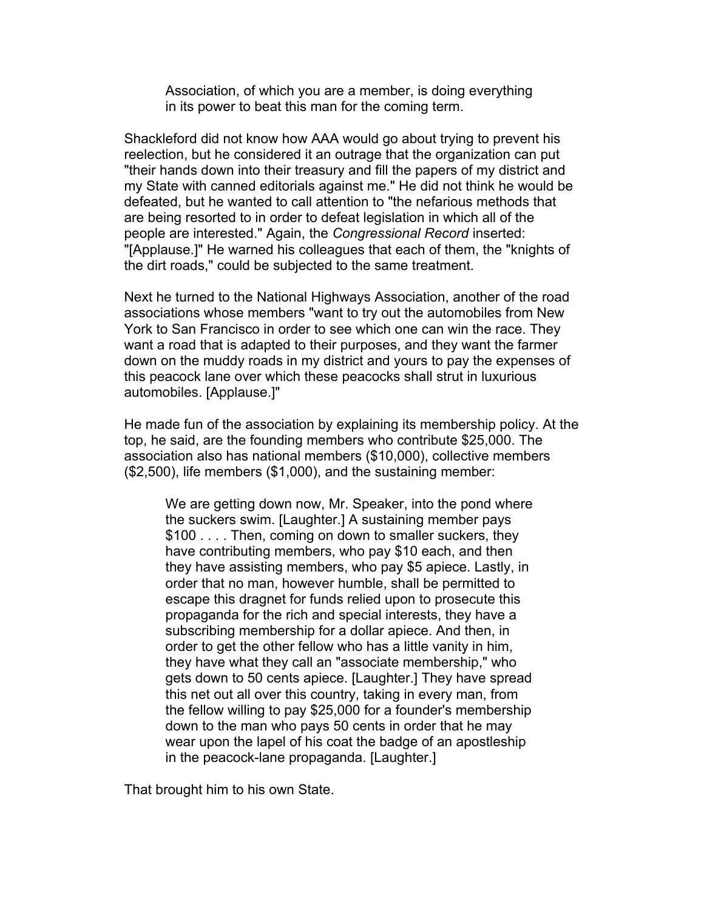Association, of which you are a member, is doing everything in its power to beat this man for the coming term.

Shackleford did not know how AAA would go about trying to prevent his reelection, but he considered it an outrage that the organization can put "their hands down into their treasury and fill the papers of my district and my State with canned editorials against me." He did not think he would be defeated, but he wanted to call attention to "the nefarious methods that are being resorted to in order to defeat legislation in which all of the people are interested." Again, the *Congressional Record* inserted: "[Applause.]" He warned his colleagues that each of them, the "knights of the dirt roads," could be subjected to the same treatment.

Next he turned to the National Highways Association, another of the road associations whose members "want to try out the automobiles from New York to San Francisco in order to see which one can win the race. They want a road that is adapted to their purposes, and they want the farmer down on the muddy roads in my district and yours to pay the expenses of this peacock lane over which these peacocks shall strut in luxurious automobiles. [Applause.]"

He made fun of the association by explaining its membership policy. At the top, he said, are the founding members who contribute \$25,000. The association also has national members (\$10,000), collective members (\$2,500), life members (\$1,000), and the sustaining member:

We are getting down now, Mr. Speaker, into the pond where the suckers swim. [Laughter.] A sustaining member pays \$100 . . . . Then, coming on down to smaller suckers, they have contributing members, who pay \$10 each, and then they have assisting members, who pay \$5 apiece. Lastly, in order that no man, however humble, shall be permitted to escape this dragnet for funds relied upon to prosecute this propaganda for the rich and special interests, they have a subscribing membership for a dollar apiece. And then, in order to get the other fellow who has a little vanity in him, they have what they call an "associate membership," who gets down to 50 cents apiece. [Laughter.] They have spread this net out all over this country, taking in every man, from the fellow willing to pay \$25,000 for a founder's membership down to the man who pays 50 cents in order that he may wear upon the lapel of his coat the badge of an apostleship in the peacock-lane propaganda. [Laughter.]

That brought him to his own State.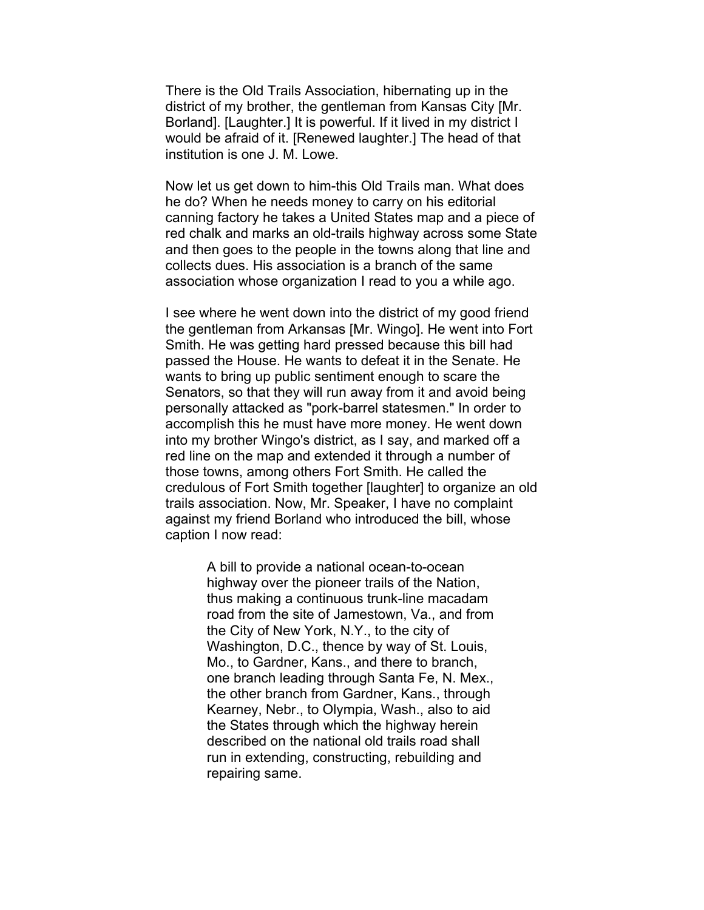There is the Old Trails Association, hibernating up in the district of my brother, the gentleman from Kansas City [Mr. Borland]. [Laughter.] It is powerful. If it lived in my district I would be afraid of it. [Renewed laughter.] The head of that institution is one J. M. Lowe.

Now let us get down to him-this Old Trails man. What does he do? When he needs money to carry on his editorial canning factory he takes a United States map and a piece of red chalk and marks an old-trails highway across some State and then goes to the people in the towns along that line and collects dues. His association is a branch of the same association whose organization I read to you a while ago.

I see where he went down into the district of my good friend the gentleman from Arkansas [Mr. Wingo]. He went into Fort Smith. He was getting hard pressed because this bill had passed the House. He wants to defeat it in the Senate. He wants to bring up public sentiment enough to scare the Senators, so that they will run away from it and avoid being personally attacked as "pork-barrel statesmen." In order to accomplish this he must have more money. He went down into my brother Wingo's district, as I say, and marked off a red line on the map and extended it through a number of those towns, among others Fort Smith. He called the credulous of Fort Smith together [laughter] to organize an old trails association. Now, Mr. Speaker, I have no complaint against my friend Borland who introduced the bill, whose caption I now read:

> A bill to provide a national ocean-to-ocean highway over the pioneer trails of the Nation, thus making a continuous trunk-line macadam road from the site of Jamestown, Va., and from the City of New York, N.Y., to the city of Washington, D.C., thence by way of St. Louis, Mo., to Gardner, Kans., and there to branch, one branch leading through Santa Fe, N. Mex., the other branch from Gardner, Kans., through Kearney, Nebr., to Olympia, Wash., also to aid the States through which the highway herein described on the national old trails road shall run in extending, constructing, rebuilding and repairing same.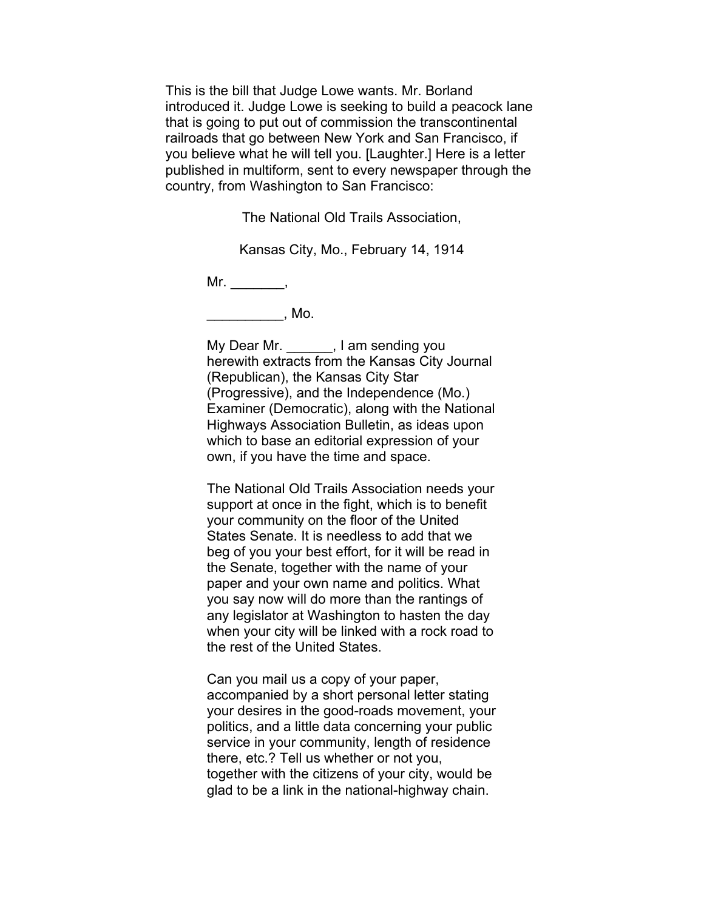This is the bill that Judge Lowe wants. Mr. Borland introduced it. Judge Lowe is seeking to build a peacock lane that is going to put out of commission the transcontinental railroads that go between New York and San Francisco, if you believe what he will tell you. [Laughter.] Here is a letter published in multiform, sent to every newspaper through the country, from Washington to San Francisco:

The National Old Trails Association,

Kansas City, Mo., February 14, 1914

 $Mr.$  \_\_\_\_\_\_\_\_\_\_\_\_,

\_\_\_\_\_\_\_\_\_\_\_\_\_\_\_, Mo.

My Dear Mr. \_\_\_\_\_\_, I am sending you herewith extracts from the Kansas City Journal (Republican), the Kansas City Star (Progressive), and the Independence (Mo.) Examiner (Democratic), along with the National Highways Association Bulletin, as ideas upon which to base an editorial expression of your own, if you have the time and space.

The National Old Trails Association needs your support at once in the fight, which is to benefit your community on the floor of the United States Senate. It is needless to add that we beg of you your best effort, for it will be read in the Senate, together with the name of your paper and your own name and politics. What you say now will do more than the rantings of any legislator at Washington to hasten the day when your city will be linked with a rock road to the rest of the United States.

Can you mail us a copy of your paper, accompanied by a short personal letter stating your desires in the good-roads movement, your politics, and a little data concerning your public service in your community, length of residence there, etc.? Tell us whether or not you, together with the citizens of your city, would be glad to be a link in the national-highway chain.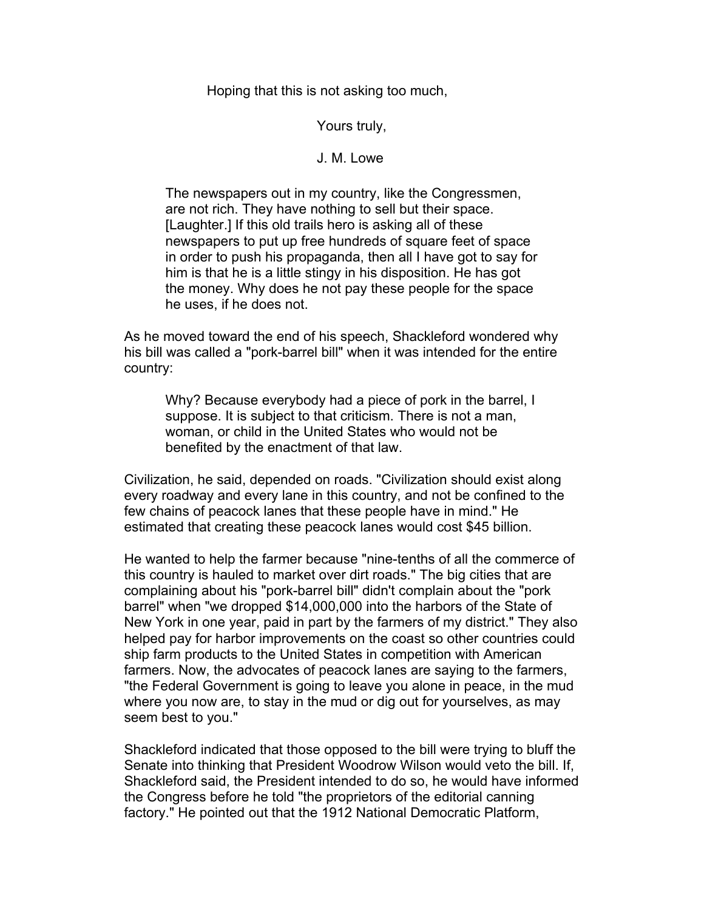Hoping that this is not asking too much,

## Yours truly,

## J. M. Lowe

The newspapers out in my country, like the Congressmen, are not rich. They have nothing to sell but their space. [Laughter.] If this old trails hero is asking all of these newspapers to put up free hundreds of square feet of space in order to push his propaganda, then all I have got to say for him is that he is a little stingy in his disposition. He has got the money. Why does he not pay these people for the space he uses, if he does not.

As he moved toward the end of his speech, Shackleford wondered why his bill was called a "pork-barrel bill" when it was intended for the entire country:

Why? Because everybody had a piece of pork in the barrel, I suppose. It is subject to that criticism. There is not a man, woman, or child in the United States who would not be benefited by the enactment of that law.

Civilization, he said, depended on roads. "Civilization should exist along every roadway and every lane in this country, and not be confined to the few chains of peacock lanes that these people have in mind." He estimated that creating these peacock lanes would cost \$45 billion.

He wanted to help the farmer because "nine-tenths of all the commerce of this country is hauled to market over dirt roads." The big cities that are complaining about his "pork-barrel bill" didn't complain about the "pork barrel" when "we dropped \$14,000,000 into the harbors of the State of New York in one year, paid in part by the farmers of my district." They also helped pay for harbor improvements on the coast so other countries could ship farm products to the United States in competition with American farmers. Now, the advocates of peacock lanes are saying to the farmers, "the Federal Government is going to leave you alone in peace, in the mud where you now are, to stay in the mud or dig out for yourselves, as may seem best to you."

Shackleford indicated that those opposed to the bill were trying to bluff the Senate into thinking that President Woodrow Wilson would veto the bill. If, Shackleford said, the President intended to do so, he would have informed the Congress before he told "the proprietors of the editorial canning factory." He pointed out that the 1912 National Democratic Platform,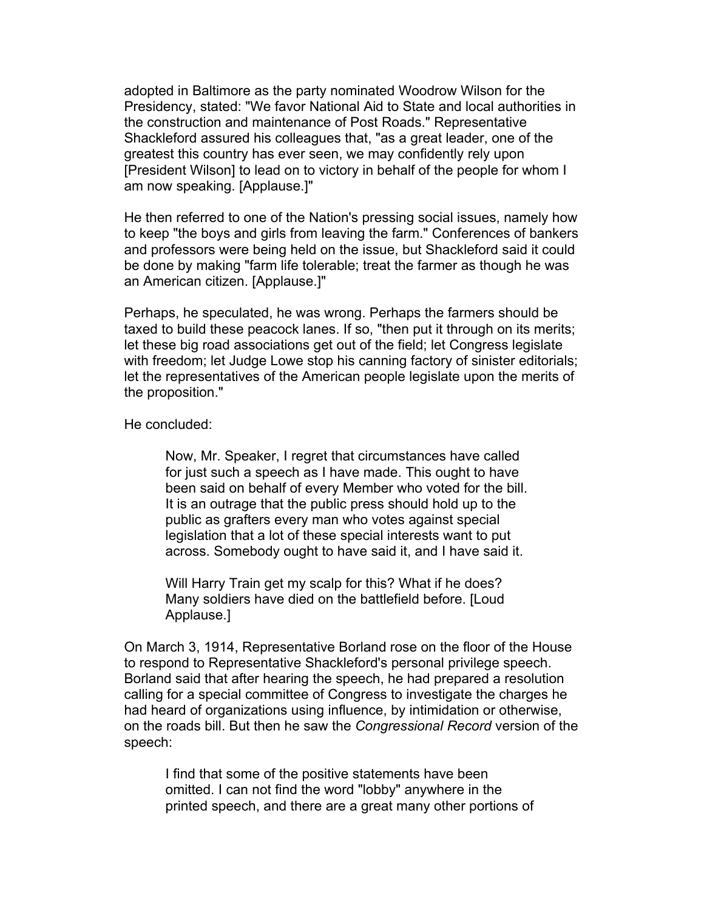adopted in Baltimore as the party nominated Woodrow Wilson for the Presidency, stated: "We favor National Aid to State and local authorities in the construction and maintenance of Post Roads." Representative Shackleford assured his colleagues that, "as a great leader, one of the greatest this country has ever seen, we may confidently rely upon [President Wilson] to lead on to victory in behalf of the people for whom I am now speaking. [Applause.]"

He then referred to one of the Nation's pressing social issues, namely how to keep "the boys and girls from leaving the farm." Conferences of bankers and professors were being held on the issue, but Shackleford said it could be done by making "farm life tolerable; treat the farmer as though he was an American citizen. [Applause.]"

Perhaps, he speculated, he was wrong. Perhaps the farmers should be taxed to build these peacock lanes. If so, "then put it through on its merits; let these big road associations get out of the field; let Congress legislate with freedom; let Judge Lowe stop his canning factory of sinister editorials; let the representatives of the American people legislate upon the merits of the proposition."

He concluded:

Now, Mr. Speaker, I regret that circumstances have called for just such a speech as I have made. This ought to have been said on behalf of every Member who voted for the bill. It is an outrage that the public press should hold up to the public as grafters every man who votes against special legislation that a lot of these special interests want to put across. Somebody ought to have said it, and I have said it.

Will Harry Train get my scalp for this? What if he does? Many soldiers have died on the battlefield before. [Loud Applause.]

On March 3, 1914, Representative Borland rose on the floor of the House to respond to Representative Shackleford's personal privilege speech. Borland said that after hearing the speech, he had prepared a resolution calling for a special committee of Congress to investigate the charges he had heard of organizations using influence, by intimidation or otherwise, on the roads bill. But then he saw the *Congressional Record* version of the speech:

I find that some of the positive statements have been omitted. I can not find the word "lobby" anywhere in the printed speech, and there are a great many other portions of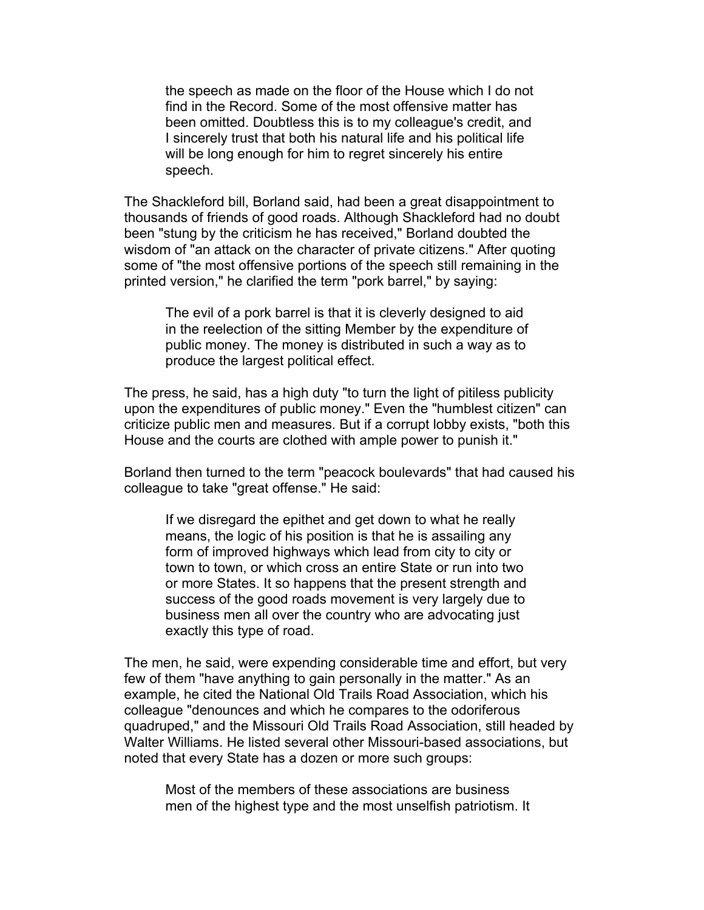the speech as made on the floor of the House which I do not find in the Record. Some of the most offensive matter has been omitted. Doubtless this is to my colleague's credit, and I sincerely trust that both his natural life and his political life will be long enough for him to regret sincerely his entire speech.

The Shackleford bill, Borland said, had been a great disappointment to thousands of friends of good roads. Although Shackleford had no doubt been "stung by the criticism he has received," Borland doubted the wisdom of "an attack on the character of private citizens." After quoting some of "the most offensive portions of the speech still remaining in the printed version," he clarified the term "pork barrel," by saying:

The evil of a pork barrel is that it is cleverly designed to aid in the reelection of the sitting Member by the expenditure of public money. The money is distributed in such a way as to produce the largest political effect.

The press, he said, has a high duty "to turn the light of pitiless publicity upon the expenditures of public money." Even the "humblest citizen" can criticize public men and measures. But if a corrupt lobby exists, "both this House and the courts are clothed with ample power to punish it."

Borland then turned to the term "peacock boulevards" that had caused his colleague to take "great offense." He said:

If we disregard the epithet and get down to what he really means, the logic of his position is that he is assailing any form of improved highways which lead from city to city or town to town, or which cross an entire State or run into two or more States. It so happens that the present strength and success of the good roads movement is very largely due to business men all over the country who are advocating just exactly this type of road.

The men, he said, were expending considerable time and effort, but very few of them "have anything to gain personally in the matter." As an example, he cited the National Old Trails Road Association, which his colleague "denounces and which he compares to the odoriferous quadruped," and the Missouri Old Trails Road Association, still headed by Walter Williams. He listed several other Missouri-based associations, but noted that every State has a dozen or more such groups:

Most of the members of these associations are business men of the highest type and the most unselfish patriotism. It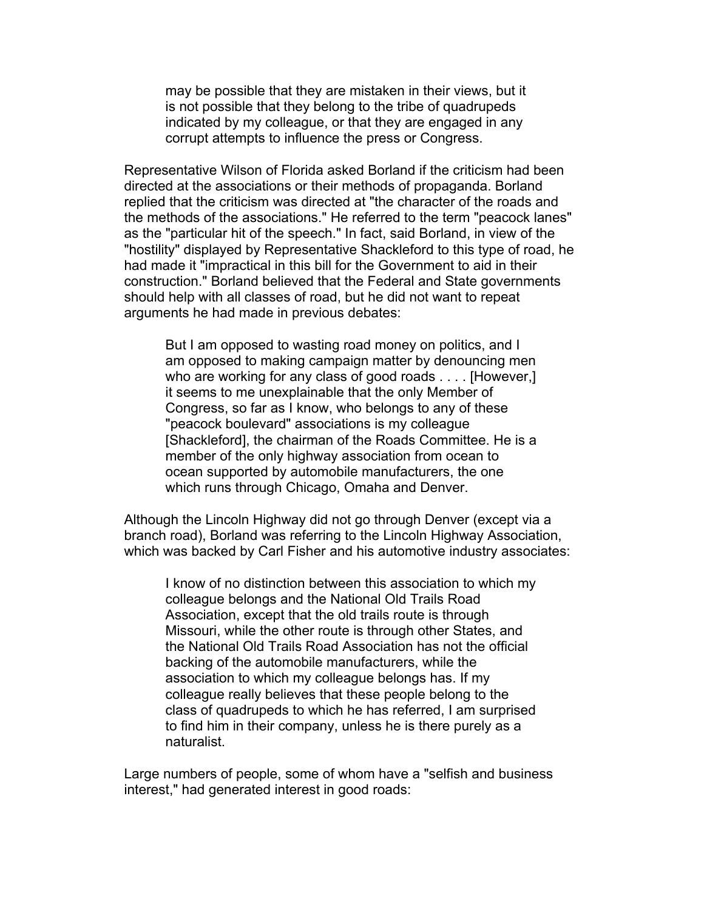may be possible that they are mistaken in their views, but it is not possible that they belong to the tribe of quadrupeds indicated by my colleague, or that they are engaged in any corrupt attempts to influence the press or Congress.

Representative Wilson of Florida asked Borland if the criticism had been directed at the associations or their methods of propaganda. Borland replied that the criticism was directed at "the character of the roads and the methods of the associations." He referred to the term "peacock lanes" as the "particular hit of the speech." In fact, said Borland, in view of the "hostility" displayed by Representative Shackleford to this type of road, he had made it "impractical in this bill for the Government to aid in their construction." Borland believed that the Federal and State governments should help with all classes of road, but he did not want to repeat arguments he had made in previous debates:

But I am opposed to wasting road money on politics, and I am opposed to making campaign matter by denouncing men who are working for any class of good roads . . . . [However,] it seems to me unexplainable that the only Member of Congress, so far as I know, who belongs to any of these "peacock boulevard" associations is my colleague [Shackleford], the chairman of the Roads Committee. He is a member of the only highway association from ocean to ocean supported by automobile manufacturers, the one which runs through Chicago, Omaha and Denver.

Although the Lincoln Highway did not go through Denver (except via a branch road), Borland was referring to the Lincoln Highway Association, which was backed by Carl Fisher and his automotive industry associates:

I know of no distinction between this association to which my colleague belongs and the National Old Trails Road Association, except that the old trails route is through Missouri, while the other route is through other States, and the National Old Trails Road Association has not the official backing of the automobile manufacturers, while the association to which my colleague belongs has. If my colleague really believes that these people belong to the class of quadrupeds to which he has referred, I am surprised to find him in their company, unless he is there purely as a naturalist.

Large numbers of people, some of whom have a "selfish and business interest," had generated interest in good roads: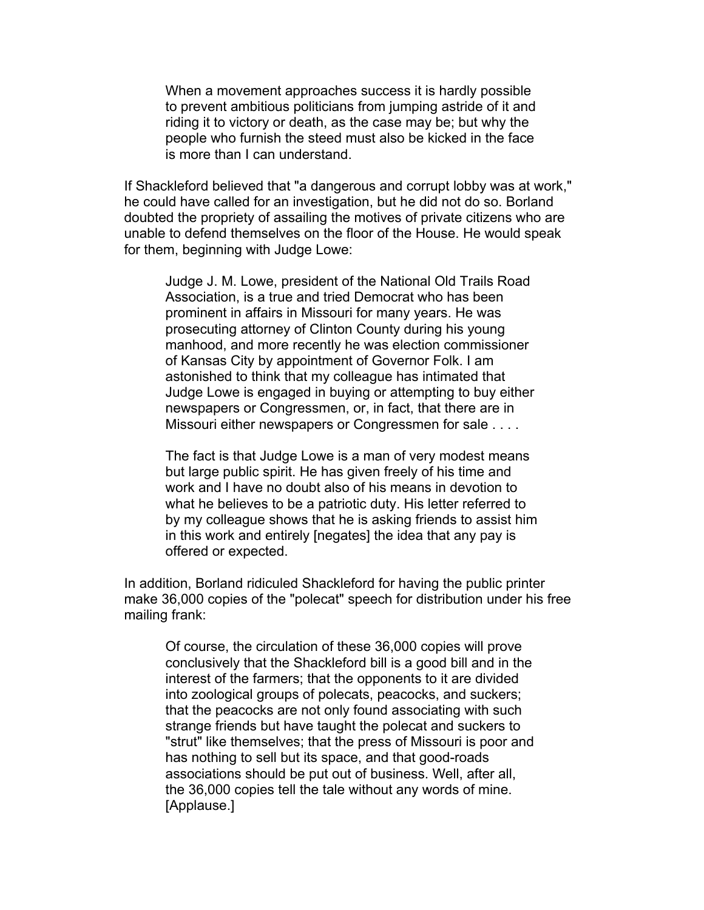When a movement approaches success it is hardly possible to prevent ambitious politicians from jumping astride of it and riding it to victory or death, as the case may be; but why the people who furnish the steed must also be kicked in the face is more than I can understand.

If Shackleford believed that "a dangerous and corrupt lobby was at work," he could have called for an investigation, but he did not do so. Borland doubted the propriety of assailing the motives of private citizens who are unable to defend themselves on the floor of the House. He would speak for them, beginning with Judge Lowe:

Judge J. M. Lowe, president of the National Old Trails Road Association, is a true and tried Democrat who has been prominent in affairs in Missouri for many years. He was prosecuting attorney of Clinton County during his young manhood, and more recently he was election commissioner of Kansas City by appointment of Governor Folk. I am astonished to think that my colleague has intimated that Judge Lowe is engaged in buying or attempting to buy either newspapers or Congressmen, or, in fact, that there are in Missouri either newspapers or Congressmen for sale . . . .

The fact is that Judge Lowe is a man of very modest means but large public spirit. He has given freely of his time and work and I have no doubt also of his means in devotion to what he believes to be a patriotic duty. His letter referred to by my colleague shows that he is asking friends to assist him in this work and entirely [negates] the idea that any pay is offered or expected.

In addition, Borland ridiculed Shackleford for having the public printer make 36,000 copies of the "polecat" speech for distribution under his free mailing frank:

Of course, the circulation of these 36,000 copies will prove conclusively that the Shackleford bill is a good bill and in the interest of the farmers; that the opponents to it are divided into zoological groups of polecats, peacocks, and suckers; that the peacocks are not only found associating with such strange friends but have taught the polecat and suckers to "strut" like themselves; that the press of Missouri is poor and has nothing to sell but its space, and that good-roads associations should be put out of business. Well, after all, the 36,000 copies tell the tale without any words of mine. [Applause.]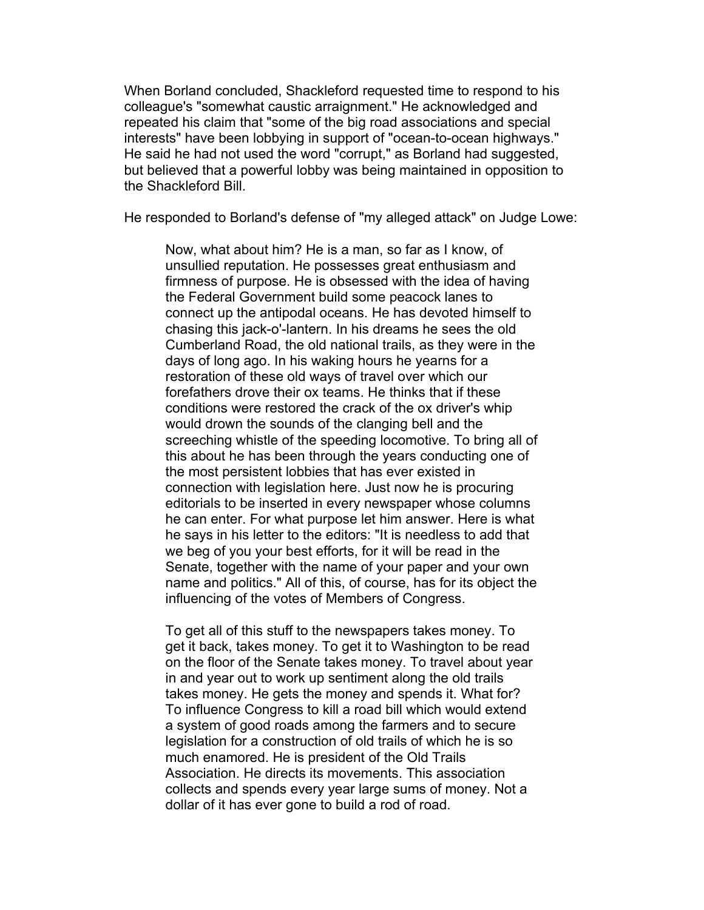When Borland concluded, Shackleford requested time to respond to his colleague's "somewhat caustic arraignment." He acknowledged and repeated his claim that "some of the big road associations and special interests" have been lobbying in support of "ocean-to-ocean highways." He said he had not used the word "corrupt," as Borland had suggested, but believed that a powerful lobby was being maintained in opposition to the Shackleford Bill.

He responded to Borland's defense of "my alleged attack" on Judge Lowe:

Now, what about him? He is a man, so far as I know, of unsullied reputation. He possesses great enthusiasm and firmness of purpose. He is obsessed with the idea of having the Federal Government build some peacock lanes to connect up the antipodal oceans. He has devoted himself to chasing this jack-o'-lantern. In his dreams he sees the old Cumberland Road, the old national trails, as they were in the days of long ago. In his waking hours he yearns for a restoration of these old ways of travel over which our forefathers drove their ox teams. He thinks that if these conditions were restored the crack of the ox driver's whip would drown the sounds of the clanging bell and the screeching whistle of the speeding locomotive. To bring all of this about he has been through the years conducting one of the most persistent lobbies that has ever existed in connection with legislation here. Just now he is procuring editorials to be inserted in every newspaper whose columns he can enter. For what purpose let him answer. Here is what he says in his letter to the editors: "It is needless to add that we beg of you your best efforts, for it will be read in the Senate, together with the name of your paper and your own name and politics." All of this, of course, has for its object the influencing of the votes of Members of Congress.

To get all of this stuff to the newspapers takes money. To get it back, takes money. To get it to Washington to be read on the floor of the Senate takes money. To travel about year in and year out to work up sentiment along the old trails takes money. He gets the money and spends it. What for? To influence Congress to kill a road bill which would extend a system of good roads among the farmers and to secure legislation for a construction of old trails of which he is so much enamored. He is president of the Old Trails Association. He directs its movements. This association collects and spends every year large sums of money. Not a dollar of it has ever gone to build a rod of road.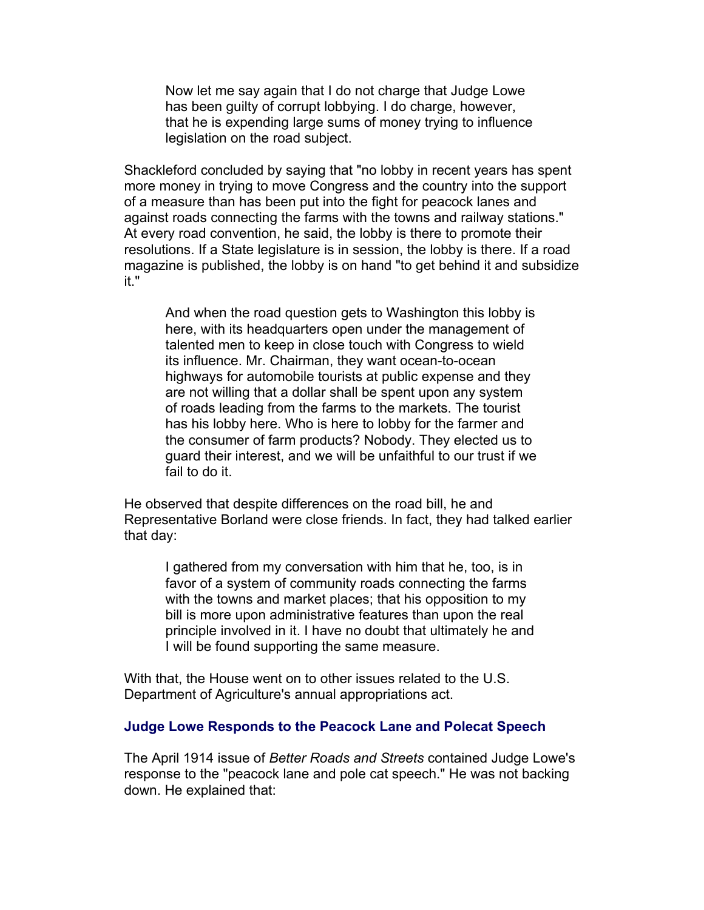Now let me say again that I do not charge that Judge Lowe has been guilty of corrupt lobbying. I do charge, however, that he is expending large sums of money trying to influence legislation on the road subject.

Shackleford concluded by saying that "no lobby in recent years has spent more money in trying to move Congress and the country into the support of a measure than has been put into the fight for peacock lanes and against roads connecting the farms with the towns and railway stations." At every road convention, he said, the lobby is there to promote their resolutions. If a State legislature is in session, the lobby is there. If a road magazine is published, the lobby is on hand "to get behind it and subsidize it."

And when the road question gets to Washington this lobby is here, with its headquarters open under the management of talented men to keep in close touch with Congress to wield its influence. Mr. Chairman, they want ocean-to-ocean highways for automobile tourists at public expense and they are not willing that a dollar shall be spent upon any system of roads leading from the farms to the markets. The tourist has his lobby here. Who is here to lobby for the farmer and the consumer of farm products? Nobody. They elected us to guard their interest, and we will be unfaithful to our trust if we fail to do it.

He observed that despite differences on the road bill, he and Representative Borland were close friends. In fact, they had talked earlier that day:

I gathered from my conversation with him that he, too, is in favor of a system of community roads connecting the farms with the towns and market places; that his opposition to my bill is more upon administrative features than upon the real principle involved in it. I have no doubt that ultimately he and I will be found supporting the same measure.

With that, the House went on to other issues related to the U.S. Department of Agriculture's annual appropriations act.

#### **Judge Lowe Responds to the Peacock Lane and Polecat Speech**

The April 1914 issue of *Better Roads and Streets* contained Judge Lowe's response to the "peacock lane and pole cat speech." He was not backing down. He explained that: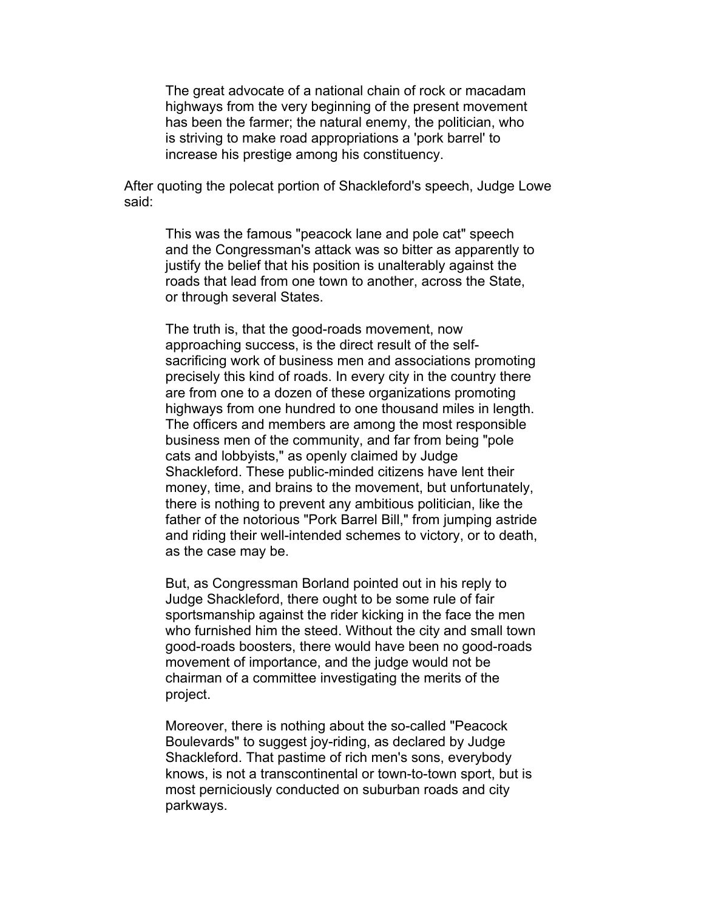The great advocate of a national chain of rock or macadam highways from the very beginning of the present movement has been the farmer; the natural enemy, the politician, who is striving to make road appropriations a 'pork barrel' to increase his prestige among his constituency.

After quoting the polecat portion of Shackleford's speech, Judge Lowe said:

This was the famous "peacock lane and pole cat" speech and the Congressman's attack was so bitter as apparently to justify the belief that his position is unalterably against the roads that lead from one town to another, across the State, or through several States.

The truth is, that the good-roads movement, now approaching success, is the direct result of the selfsacrificing work of business men and associations promoting precisely this kind of roads. In every city in the country there are from one to a dozen of these organizations promoting highways from one hundred to one thousand miles in length. The officers and members are among the most responsible business men of the community, and far from being "pole cats and lobbyists," as openly claimed by Judge Shackleford. These public-minded citizens have lent their money, time, and brains to the movement, but unfortunately, there is nothing to prevent any ambitious politician, like the father of the notorious "Pork Barrel Bill," from jumping astride and riding their well-intended schemes to victory, or to death, as the case may be.

But, as Congressman Borland pointed out in his reply to Judge Shackleford, there ought to be some rule of fair sportsmanship against the rider kicking in the face the men who furnished him the steed. Without the city and small town good-roads boosters, there would have been no good-roads movement of importance, and the judge would not be chairman of a committee investigating the merits of the project.

Moreover, there is nothing about the so-called "Peacock Boulevards" to suggest joy-riding, as declared by Judge Shackleford. That pastime of rich men's sons, everybody knows, is not a transcontinental or town-to-town sport, but is most perniciously conducted on suburban roads and city parkways.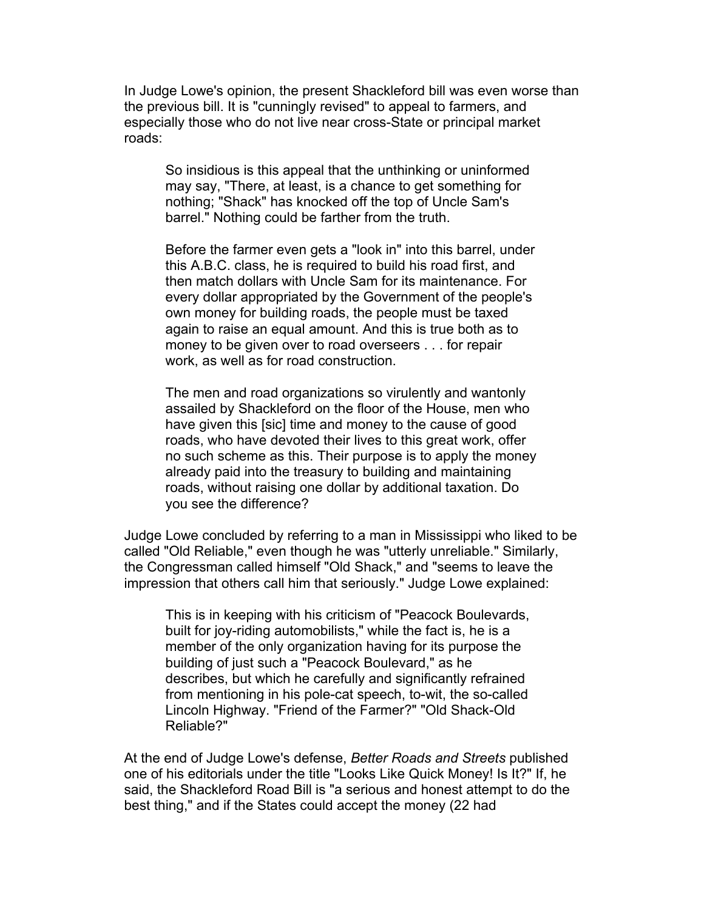In Judge Lowe's opinion, the present Shackleford bill was even worse than the previous bill. It is "cunningly revised" to appeal to farmers, and especially those who do not live near cross-State or principal market roads:

So insidious is this appeal that the unthinking or uninformed may say, "There, at least, is a chance to get something for nothing; "Shack" has knocked off the top of Uncle Sam's barrel." Nothing could be farther from the truth.

Before the farmer even gets a "look in" into this barrel, under this A.B.C. class, he is required to build his road first, and then match dollars with Uncle Sam for its maintenance. For every dollar appropriated by the Government of the people's own money for building roads, the people must be taxed again to raise an equal amount. And this is true both as to money to be given over to road overseers . . . for repair work, as well as for road construction.

The men and road organizations so virulently and wantonly assailed by Shackleford on the floor of the House, men who have given this [sic] time and money to the cause of good roads, who have devoted their lives to this great work, offer no such scheme as this. Their purpose is to apply the money already paid into the treasury to building and maintaining roads, without raising one dollar by additional taxation. Do you see the difference?

Judge Lowe concluded by referring to a man in Mississippi who liked to be called "Old Reliable," even though he was "utterly unreliable." Similarly, the Congressman called himself "Old Shack," and "seems to leave the impression that others call him that seriously." Judge Lowe explained:

This is in keeping with his criticism of "Peacock Boulevards, built for joy-riding automobilists," while the fact is, he is a member of the only organization having for its purpose the building of just such a "Peacock Boulevard," as he describes, but which he carefully and significantly refrained from mentioning in his pole-cat speech, to-wit, the so-called Lincoln Highway. "Friend of the Farmer?" "Old Shack-Old Reliable?"

At the end of Judge Lowe's defense, *Better Roads and Streets* published one of his editorials under the title "Looks Like Quick Money! Is It?" If, he said, the Shackleford Road Bill is "a serious and honest attempt to do the best thing," and if the States could accept the money (22 had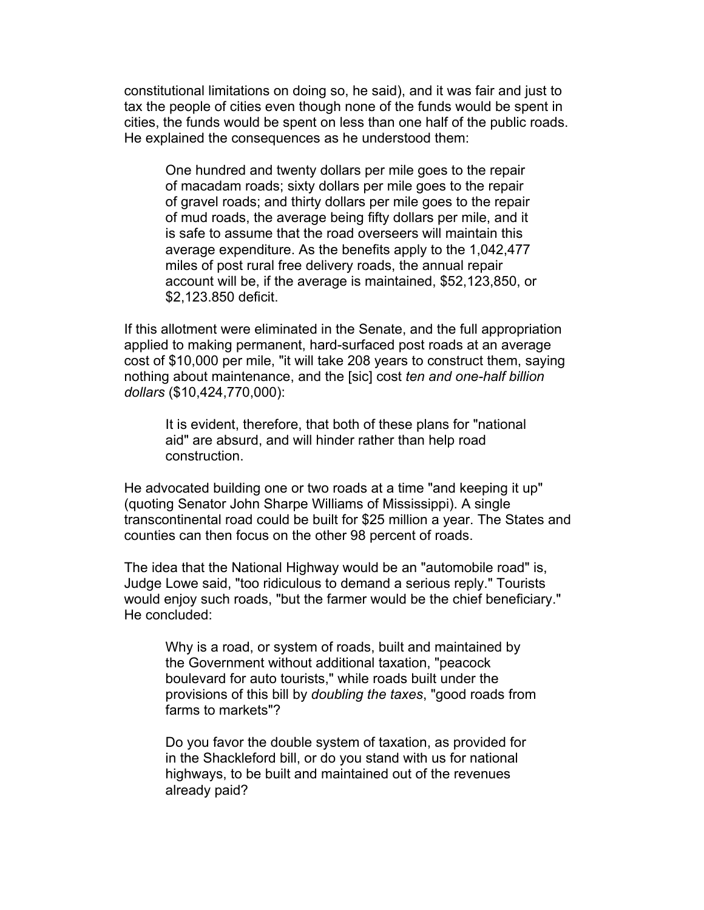constitutional limitations on doing so, he said), and it was fair and just to tax the people of cities even though none of the funds would be spent in cities, the funds would be spent on less than one half of the public roads. He explained the consequences as he understood them:

One hundred and twenty dollars per mile goes to the repair of macadam roads; sixty dollars per mile goes to the repair of gravel roads; and thirty dollars per mile goes to the repair of mud roads, the average being fifty dollars per mile, and it is safe to assume that the road overseers will maintain this average expenditure. As the benefits apply to the 1,042,477 miles of post rural free delivery roads, the annual repair account will be, if the average is maintained, \$52,123,850, or \$2,123.850 deficit.

If this allotment were eliminated in the Senate, and the full appropriation applied to making permanent, hard-surfaced post roads at an average cost of \$10,000 per mile, "it will take 208 years to construct them, saying nothing about maintenance, and the [sic] cost *ten and one-half billion dollars* (\$10,424,770,000):

It is evident, therefore, that both of these plans for "national aid" are absurd, and will hinder rather than help road construction.

He advocated building one or two roads at a time "and keeping it up" (quoting Senator John Sharpe Williams of Mississippi). A single transcontinental road could be built for \$25 million a year. The States and counties can then focus on the other 98 percent of roads.

The idea that the National Highway would be an "automobile road" is, Judge Lowe said, "too ridiculous to demand a serious reply." Tourists would enjoy such roads, "but the farmer would be the chief beneficiary." He concluded:

Why is a road, or system of roads, built and maintained by the Government without additional taxation, "peacock boulevard for auto tourists," while roads built under the provisions of this bill by *doubling the taxes*, "good roads from farms to markets"?

Do you favor the double system of taxation, as provided for in the Shackleford bill, or do you stand with us for national highways, to be built and maintained out of the revenues already paid?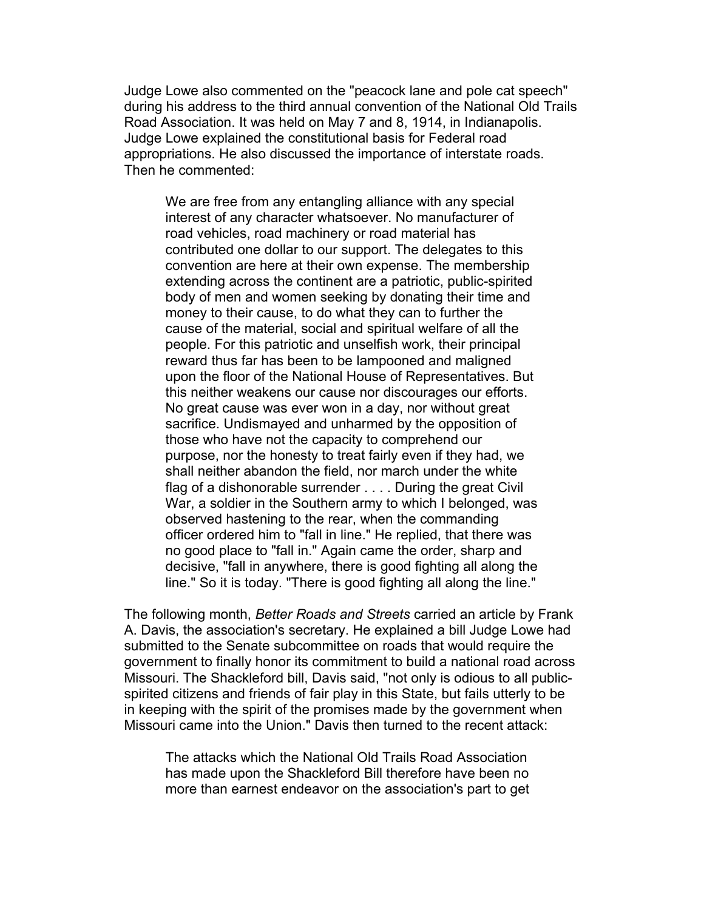Judge Lowe also commented on the "peacock lane and pole cat speech" during his address to the third annual convention of the National Old Trails Road Association. It was held on May 7 and 8, 1914, in Indianapolis. Judge Lowe explained the constitutional basis for Federal road appropriations. He also discussed the importance of interstate roads. Then he commented:

We are free from any entangling alliance with any special interest of any character whatsoever. No manufacturer of road vehicles, road machinery or road material has contributed one dollar to our support. The delegates to this convention are here at their own expense. The membership extending across the continent are a patriotic, public-spirited body of men and women seeking by donating their time and money to their cause, to do what they can to further the cause of the material, social and spiritual welfare of all the people. For this patriotic and unselfish work, their principal reward thus far has been to be lampooned and maligned upon the floor of the National House of Representatives. But this neither weakens our cause nor discourages our efforts. No great cause was ever won in a day, nor without great sacrifice. Undismayed and unharmed by the opposition of those who have not the capacity to comprehend our purpose, nor the honesty to treat fairly even if they had, we shall neither abandon the field, nor march under the white flag of a dishonorable surrender . . . . During the great Civil War, a soldier in the Southern army to which I belonged, was observed hastening to the rear, when the commanding officer ordered him to "fall in line." He replied, that there was no good place to "fall in." Again came the order, sharp and decisive, "fall in anywhere, there is good fighting all along the line." So it is today. "There is good fighting all along the line."

The following month, *Better Roads and Streets* carried an article by Frank A. Davis, the association's secretary. He explained a bill Judge Lowe had submitted to the Senate subcommittee on roads that would require the government to finally honor its commitment to build a national road across Missouri. The Shackleford bill, Davis said, "not only is odious to all publicspirited citizens and friends of fair play in this State, but fails utterly to be in keeping with the spirit of the promises made by the government when Missouri came into the Union." Davis then turned to the recent attack:

The attacks which the National Old Trails Road Association has made upon the Shackleford Bill therefore have been no more than earnest endeavor on the association's part to get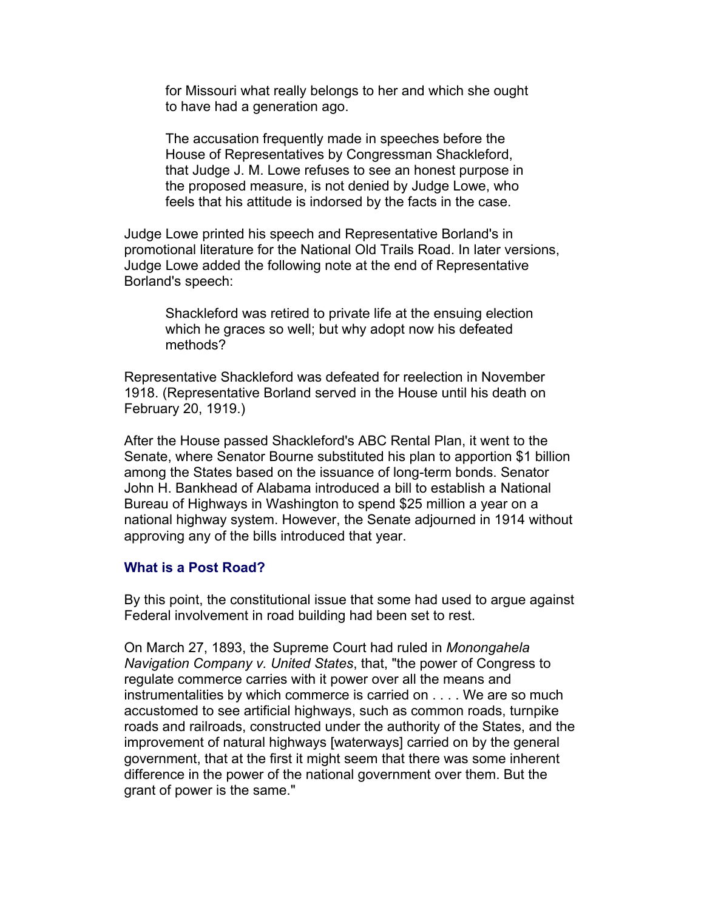for Missouri what really belongs to her and which she ought to have had a generation ago.

The accusation frequently made in speeches before the House of Representatives by Congressman Shackleford, that Judge J. M. Lowe refuses to see an honest purpose in the proposed measure, is not denied by Judge Lowe, who feels that his attitude is indorsed by the facts in the case.

Judge Lowe printed his speech and Representative Borland's in promotional literature for the National Old Trails Road. In later versions, Judge Lowe added the following note at the end of Representative Borland's speech:

Shackleford was retired to private life at the ensuing election which he graces so well; but why adopt now his defeated methods?

Representative Shackleford was defeated for reelection in November 1918. (Representative Borland served in the House until his death on February 20, 1919.)

After the House passed Shackleford's ABC Rental Plan, it went to the Senate, where Senator Bourne substituted his plan to apportion \$1 billion among the States based on the issuance of long-term bonds. Senator John H. Bankhead of Alabama introduced a bill to establish a National Bureau of Highways in Washington to spend \$25 million a year on a national highway system. However, the Senate adjourned in 1914 without approving any of the bills introduced that year.

#### **What is a Post Road?**

By this point, the constitutional issue that some had used to argue against Federal involvement in road building had been set to rest.

On March 27, 1893, the Supreme Court had ruled in *Monongahela Navigation Company v. United States*, that, "the power of Congress to regulate commerce carries with it power over all the means and instrumentalities by which commerce is carried on . . . . We are so much accustomed to see artificial highways, such as common roads, turnpike roads and railroads, constructed under the authority of the States, and the improvement of natural highways [waterways] carried on by the general government, that at the first it might seem that there was some inherent difference in the power of the national government over them. But the grant of power is the same."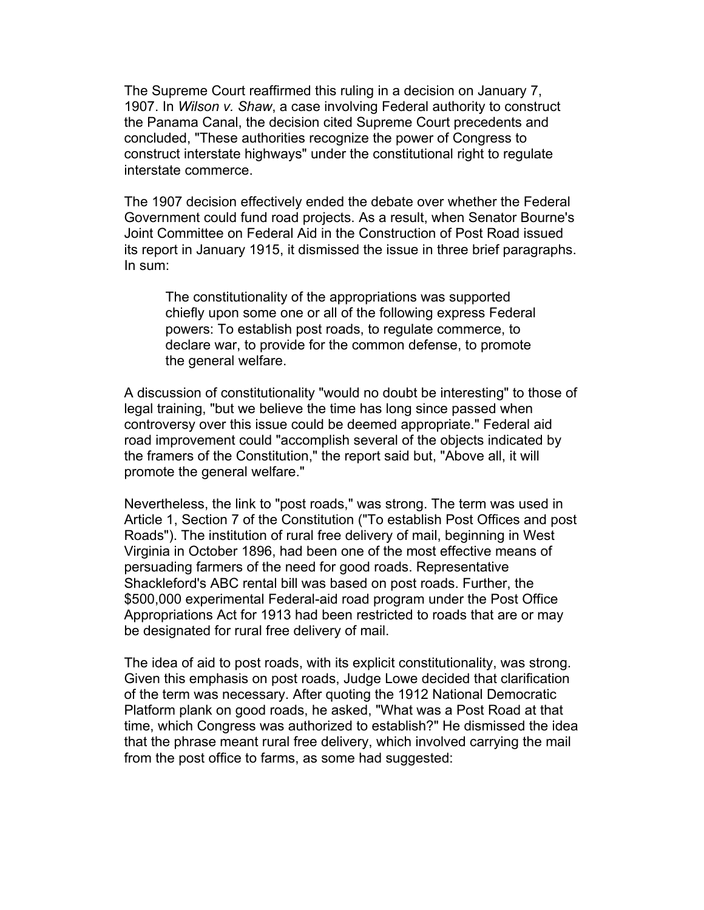The Supreme Court reaffirmed this ruling in a decision on January 7, 1907. In *Wilson v. Shaw*, a case involving Federal authority to construct the Panama Canal, the decision cited Supreme Court precedents and concluded, "These authorities recognize the power of Congress to construct interstate highways" under the constitutional right to regulate interstate commerce.

The 1907 decision effectively ended the debate over whether the Federal Government could fund road projects. As a result, when Senator Bourne's Joint Committee on Federal Aid in the Construction of Post Road issued its report in January 1915, it dismissed the issue in three brief paragraphs. In sum:

The constitutionality of the appropriations was supported chiefly upon some one or all of the following express Federal powers: To establish post roads, to regulate commerce, to declare war, to provide for the common defense, to promote the general welfare.

A discussion of constitutionality "would no doubt be interesting" to those of legal training, "but we believe the time has long since passed when controversy over this issue could be deemed appropriate." Federal aid road improvement could "accomplish several of the objects indicated by the framers of the Constitution," the report said but, "Above all, it will promote the general welfare."

Nevertheless, the link to "post roads," was strong. The term was used in Article 1, Section 7 of the Constitution ("To establish Post Offices and post Roads"). The institution of rural free delivery of mail, beginning in West Virginia in October 1896, had been one of the most effective means of persuading farmers of the need for good roads. Representative Shackleford's ABC rental bill was based on post roads. Further, the \$500,000 experimental Federal-aid road program under the Post Office Appropriations Act for 1913 had been restricted to roads that are or may be designated for rural free delivery of mail.

The idea of aid to post roads, with its explicit constitutionality, was strong. Given this emphasis on post roads, Judge Lowe decided that clarification of the term was necessary. After quoting the 1912 National Democratic Platform plank on good roads, he asked, "What was a Post Road at that time, which Congress was authorized to establish?" He dismissed the idea that the phrase meant rural free delivery, which involved carrying the mail from the post office to farms, as some had suggested: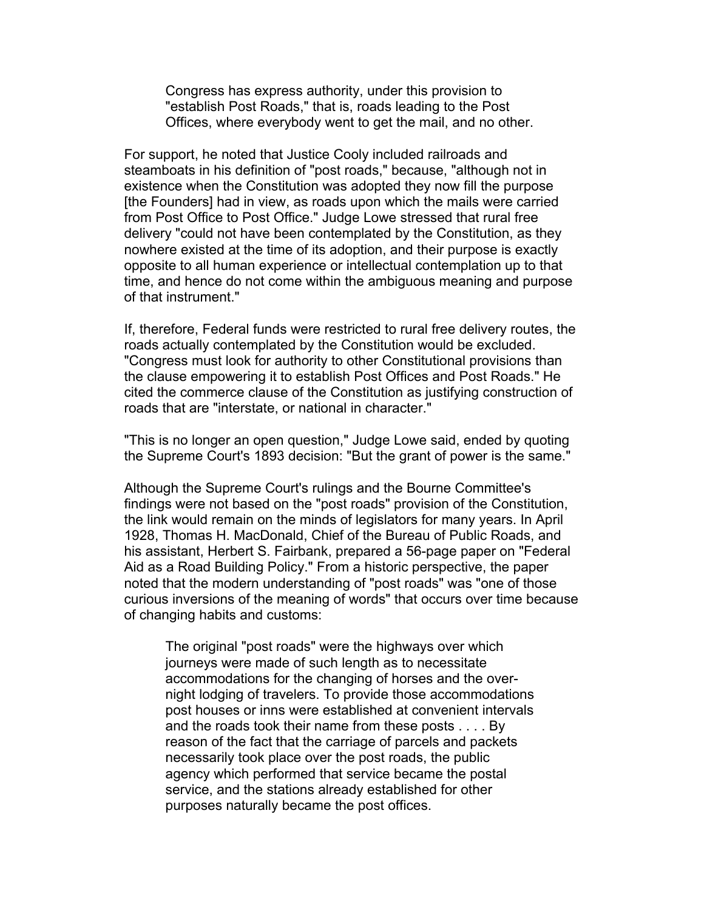Congress has express authority, under this provision to "establish Post Roads," that is, roads leading to the Post Offices, where everybody went to get the mail, and no other.

For support, he noted that Justice Cooly included railroads and steamboats in his definition of "post roads," because, "although not in existence when the Constitution was adopted they now fill the purpose [the Founders] had in view, as roads upon which the mails were carried from Post Office to Post Office." Judge Lowe stressed that rural free delivery "could not have been contemplated by the Constitution, as they nowhere existed at the time of its adoption, and their purpose is exactly opposite to all human experience or intellectual contemplation up to that time, and hence do not come within the ambiguous meaning and purpose of that instrument."

If, therefore, Federal funds were restricted to rural free delivery routes, the roads actually contemplated by the Constitution would be excluded. "Congress must look for authority to other Constitutional provisions than the clause empowering it to establish Post Offices and Post Roads." He cited the commerce clause of the Constitution as justifying construction of roads that are "interstate, or national in character."

"This is no longer an open question," Judge Lowe said, ended by quoting the Supreme Court's 1893 decision: "But the grant of power is the same."

Although the Supreme Court's rulings and the Bourne Committee's findings were not based on the "post roads" provision of the Constitution, the link would remain on the minds of legislators for many years. In April 1928, Thomas H. MacDonald, Chief of the Bureau of Public Roads, and his assistant, Herbert S. Fairbank, prepared a 56-page paper on "Federal Aid as a Road Building Policy." From a historic perspective, the paper noted that the modern understanding of "post roads" was "one of those curious inversions of the meaning of words" that occurs over time because of changing habits and customs:

The original "post roads" were the highways over which journeys were made of such length as to necessitate accommodations for the changing of horses and the overnight lodging of travelers. To provide those accommodations post houses or inns were established at convenient intervals and the roads took their name from these posts . . . . By reason of the fact that the carriage of parcels and packets necessarily took place over the post roads, the public agency which performed that service became the postal service, and the stations already established for other purposes naturally became the post offices.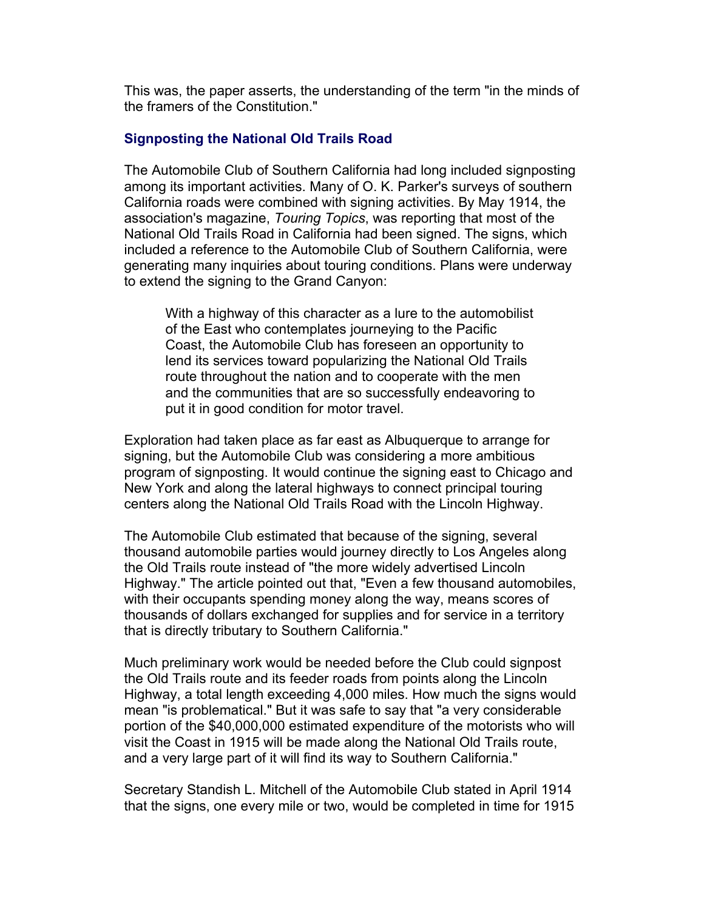This was, the paper asserts, the understanding of the term "in the minds of the framers of the Constitution."

# **Signposting the National Old Trails Road**

The Automobile Club of Southern California had long included signposting among its important activities. Many of O. K. Parker's surveys of southern California roads were combined with signing activities. By May 1914, the association's magazine, *Touring Topics*, was reporting that most of the National Old Trails Road in California had been signed. The signs, which included a reference to the Automobile Club of Southern California, were generating many inquiries about touring conditions. Plans were underway to extend the signing to the Grand Canyon:

With a highway of this character as a lure to the automobilist of the East who contemplates journeying to the Pacific Coast, the Automobile Club has foreseen an opportunity to lend its services toward popularizing the National Old Trails route throughout the nation and to cooperate with the men and the communities that are so successfully endeavoring to put it in good condition for motor travel.

Exploration had taken place as far east as Albuquerque to arrange for signing, but the Automobile Club was considering a more ambitious program of signposting. It would continue the signing east to Chicago and New York and along the lateral highways to connect principal touring centers along the National Old Trails Road with the Lincoln Highway.

The Automobile Club estimated that because of the signing, several thousand automobile parties would journey directly to Los Angeles along the Old Trails route instead of "the more widely advertised Lincoln Highway." The article pointed out that, "Even a few thousand automobiles, with their occupants spending money along the way, means scores of thousands of dollars exchanged for supplies and for service in a territory that is directly tributary to Southern California."

Much preliminary work would be needed before the Club could signpost the Old Trails route and its feeder roads from points along the Lincoln Highway, a total length exceeding 4,000 miles. How much the signs would mean "is problematical." But it was safe to say that "a very considerable portion of the \$40,000,000 estimated expenditure of the motorists who will visit the Coast in 1915 will be made along the National Old Trails route, and a very large part of it will find its way to Southern California."

Secretary Standish L. Mitchell of the Automobile Club stated in April 1914 that the signs, one every mile or two, would be completed in time for 1915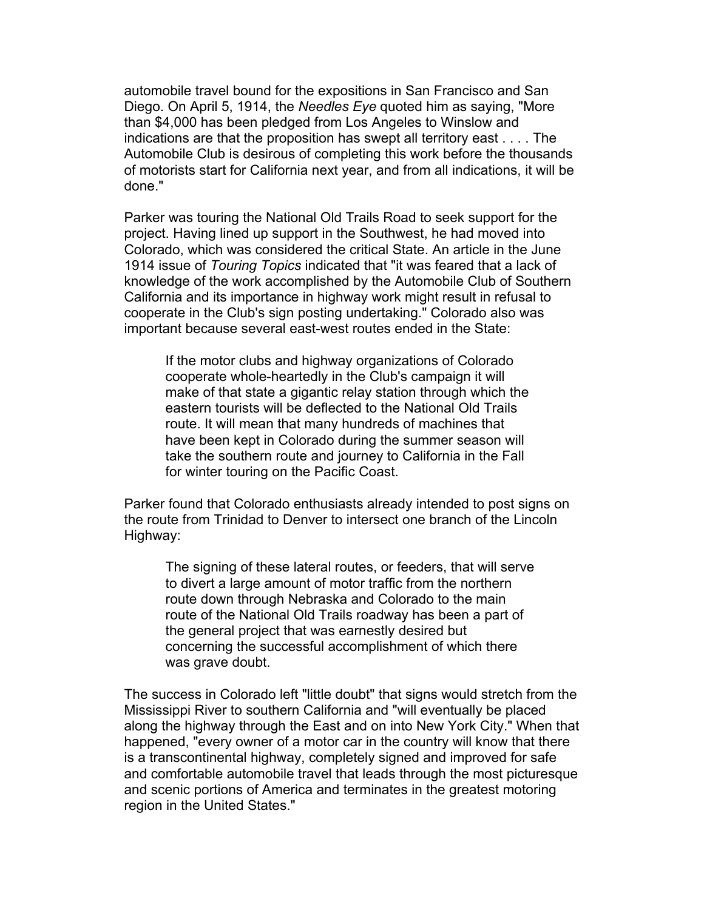automobile travel bound for the expositions in San Francisco and San Diego. On April 5, 1914, the *Needles Eye* quoted him as saying, "More than \$4,000 has been pledged from Los Angeles to Winslow and indications are that the proposition has swept all territory east . . . . The Automobile Club is desirous of completing this work before the thousands of motorists start for California next year, and from all indications, it will be done."

Parker was touring the National Old Trails Road to seek support for the project. Having lined up support in the Southwest, he had moved into Colorado, which was considered the critical State. An article in the June 1914 issue of *Touring Topics* indicated that "it was feared that a lack of knowledge of the work accomplished by the Automobile Club of Southern California and its importance in highway work might result in refusal to cooperate in the Club's sign posting undertaking." Colorado also was important because several east-west routes ended in the State:

If the motor clubs and highway organizations of Colorado cooperate whole-heartedly in the Club's campaign it will make of that state a gigantic relay station through which the eastern tourists will be deflected to the National Old Trails route. It will mean that many hundreds of machines that have been kept in Colorado during the summer season will take the southern route and journey to California in the Fall for winter touring on the Pacific Coast.

Parker found that Colorado enthusiasts already intended to post signs on the route from Trinidad to Denver to intersect one branch of the Lincoln Highway:

The signing of these lateral routes, or feeders, that will serve to divert a large amount of motor traffic from the northern route down through Nebraska and Colorado to the main route of the National Old Trails roadway has been a part of the general project that was earnestly desired but concerning the successful accomplishment of which there was grave doubt.

The success in Colorado left "little doubt" that signs would stretch from the Mississippi River to southern California and "will eventually be placed along the highway through the East and on into New York City." When that happened, "every owner of a motor car in the country will know that there is a transcontinental highway, completely signed and improved for safe and comfortable automobile travel that leads through the most picturesque and scenic portions of America and terminates in the greatest motoring region in the United States."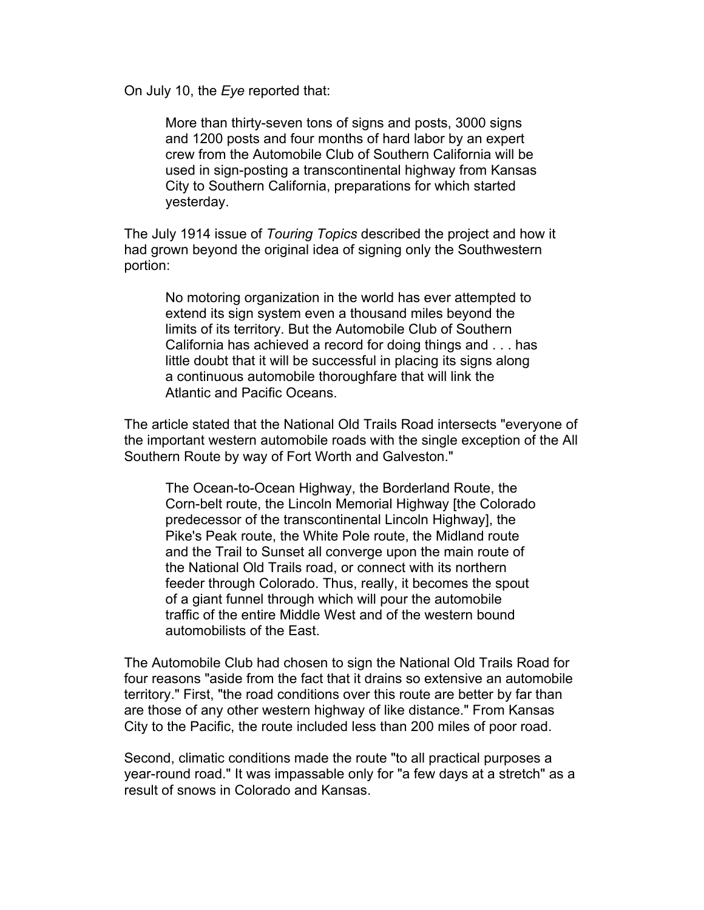On July 10, the *Eye* reported that:

More than thirty-seven tons of signs and posts, 3000 signs and 1200 posts and four months of hard labor by an expert crew from the Automobile Club of Southern California will be used in sign-posting a transcontinental highway from Kansas City to Southern California, preparations for which started yesterday.

The July 1914 issue of *Touring Topics* described the project and how it had grown beyond the original idea of signing only the Southwestern portion:

No motoring organization in the world has ever attempted to extend its sign system even a thousand miles beyond the limits of its territory. But the Automobile Club of Southern California has achieved a record for doing things and . . . has little doubt that it will be successful in placing its signs along a continuous automobile thoroughfare that will link the Atlantic and Pacific Oceans.

The article stated that the National Old Trails Road intersects "everyone of the important western automobile roads with the single exception of the All Southern Route by way of Fort Worth and Galveston."

The Ocean-to-Ocean Highway, the Borderland Route, the Corn-belt route, the Lincoln Memorial Highway [the Colorado predecessor of the transcontinental Lincoln Highway], the Pike's Peak route, the White Pole route, the Midland route and the Trail to Sunset all converge upon the main route of the National Old Trails road, or connect with its northern feeder through Colorado. Thus, really, it becomes the spout of a giant funnel through which will pour the automobile traffic of the entire Middle West and of the western bound automobilists of the East.

The Automobile Club had chosen to sign the National Old Trails Road for four reasons "aside from the fact that it drains so extensive an automobile territory." First, "the road conditions over this route are better by far than are those of any other western highway of like distance." From Kansas City to the Pacific, the route included less than 200 miles of poor road.

Second, climatic conditions made the route "to all practical purposes a year-round road." It was impassable only for "a few days at a stretch" as a result of snows in Colorado and Kansas.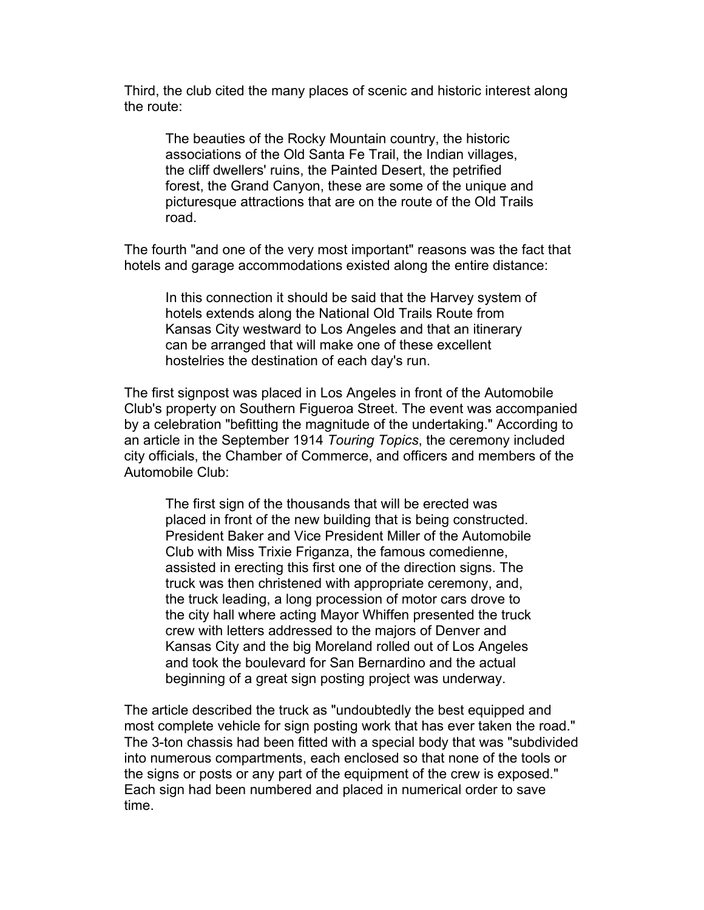Third, the club cited the many places of scenic and historic interest along the route:

The beauties of the Rocky Mountain country, the historic associations of the Old Santa Fe Trail, the Indian villages, the cliff dwellers' ruins, the Painted Desert, the petrified forest, the Grand Canyon, these are some of the unique and picturesque attractions that are on the route of the Old Trails road.

The fourth "and one of the very most important" reasons was the fact that hotels and garage accommodations existed along the entire distance:

In this connection it should be said that the Harvey system of hotels extends along the National Old Trails Route from Kansas City westward to Los Angeles and that an itinerary can be arranged that will make one of these excellent hostelries the destination of each day's run.

The first signpost was placed in Los Angeles in front of the Automobile Club's property on Southern Figueroa Street. The event was accompanied by a celebration "befitting the magnitude of the undertaking." According to an article in the September 1914 *Touring Topics*, the ceremony included city officials, the Chamber of Commerce, and officers and members of the Automobile Club:

The first sign of the thousands that will be erected was placed in front of the new building that is being constructed. President Baker and Vice President Miller of the Automobile Club with Miss Trixie Friganza, the famous comedienne, assisted in erecting this first one of the direction signs. The truck was then christened with appropriate ceremony, and, the truck leading, a long procession of motor cars drove to the city hall where acting Mayor Whiffen presented the truck crew with letters addressed to the majors of Denver and Kansas City and the big Moreland rolled out of Los Angeles and took the boulevard for San Bernardino and the actual beginning of a great sign posting project was underway.

The article described the truck as "undoubtedly the best equipped and most complete vehicle for sign posting work that has ever taken the road." The 3-ton chassis had been fitted with a special body that was "subdivided into numerous compartments, each enclosed so that none of the tools or the signs or posts or any part of the equipment of the crew is exposed." Each sign had been numbered and placed in numerical order to save time.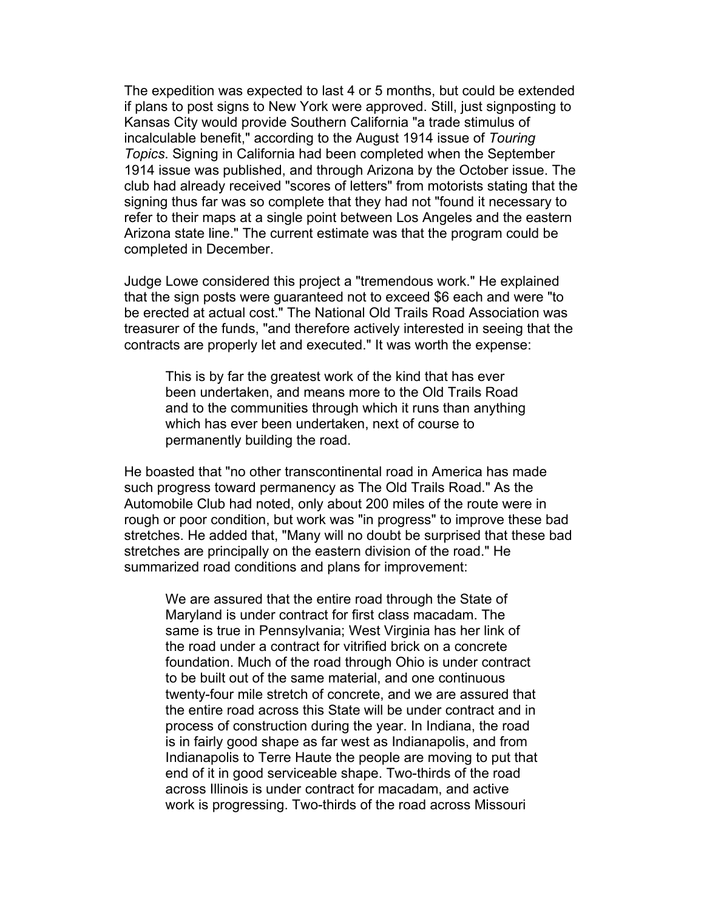The expedition was expected to last 4 or 5 months, but could be extended if plans to post signs to New York were approved. Still, just signposting to Kansas City would provide Southern California "a trade stimulus of incalculable benefit," according to the August 1914 issue of *Touring Topics*. Signing in California had been completed when the September 1914 issue was published, and through Arizona by the October issue. The club had already received "scores of letters" from motorists stating that the signing thus far was so complete that they had not "found it necessary to refer to their maps at a single point between Los Angeles and the eastern Arizona state line." The current estimate was that the program could be completed in December.

Judge Lowe considered this project a "tremendous work." He explained that the sign posts were guaranteed not to exceed \$6 each and were "to be erected at actual cost." The National Old Trails Road Association was treasurer of the funds, "and therefore actively interested in seeing that the contracts are properly let and executed." It was worth the expense:

This is by far the greatest work of the kind that has ever been undertaken, and means more to the Old Trails Road and to the communities through which it runs than anything which has ever been undertaken, next of course to permanently building the road.

He boasted that "no other transcontinental road in America has made such progress toward permanency as The Old Trails Road." As the Automobile Club had noted, only about 200 miles of the route were in rough or poor condition, but work was "in progress" to improve these bad stretches. He added that, "Many will no doubt be surprised that these bad stretches are principally on the eastern division of the road." He summarized road conditions and plans for improvement:

We are assured that the entire road through the State of Maryland is under contract for first class macadam. The same is true in Pennsylvania; West Virginia has her link of the road under a contract for vitrified brick on a concrete foundation. Much of the road through Ohio is under contract to be built out of the same material, and one continuous twenty-four mile stretch of concrete, and we are assured that the entire road across this State will be under contract and in process of construction during the year. In Indiana, the road is in fairly good shape as far west as Indianapolis, and from Indianapolis to Terre Haute the people are moving to put that end of it in good serviceable shape. Two-thirds of the road across Illinois is under contract for macadam, and active work is progressing. Two-thirds of the road across Missouri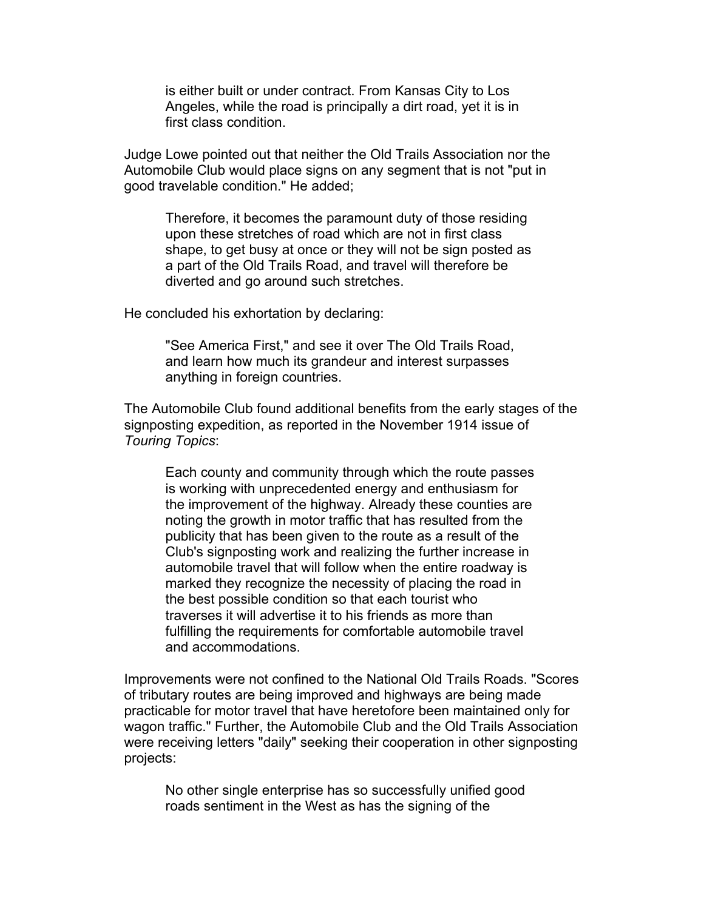is either built or under contract. From Kansas City to Los Angeles, while the road is principally a dirt road, yet it is in first class condition.

Judge Lowe pointed out that neither the Old Trails Association nor the Automobile Club would place signs on any segment that is not "put in good travelable condition." He added;

Therefore, it becomes the paramount duty of those residing upon these stretches of road which are not in first class shape, to get busy at once or they will not be sign posted as a part of the Old Trails Road, and travel will therefore be diverted and go around such stretches.

He concluded his exhortation by declaring:

"See America First," and see it over The Old Trails Road, and learn how much its grandeur and interest surpasses anything in foreign countries.

The Automobile Club found additional benefits from the early stages of the signposting expedition, as reported in the November 1914 issue of *Touring Topics*:

Each county and community through which the route passes is working with unprecedented energy and enthusiasm for the improvement of the highway. Already these counties are noting the growth in motor traffic that has resulted from the publicity that has been given to the route as a result of the Club's signposting work and realizing the further increase in automobile travel that will follow when the entire roadway is marked they recognize the necessity of placing the road in the best possible condition so that each tourist who traverses it will advertise it to his friends as more than fulfilling the requirements for comfortable automobile travel and accommodations.

Improvements were not confined to the National Old Trails Roads. "Scores of tributary routes are being improved and highways are being made practicable for motor travel that have heretofore been maintained only for wagon traffic." Further, the Automobile Club and the Old Trails Association were receiving letters "daily" seeking their cooperation in other signposting projects:

No other single enterprise has so successfully unified good roads sentiment in the West as has the signing of the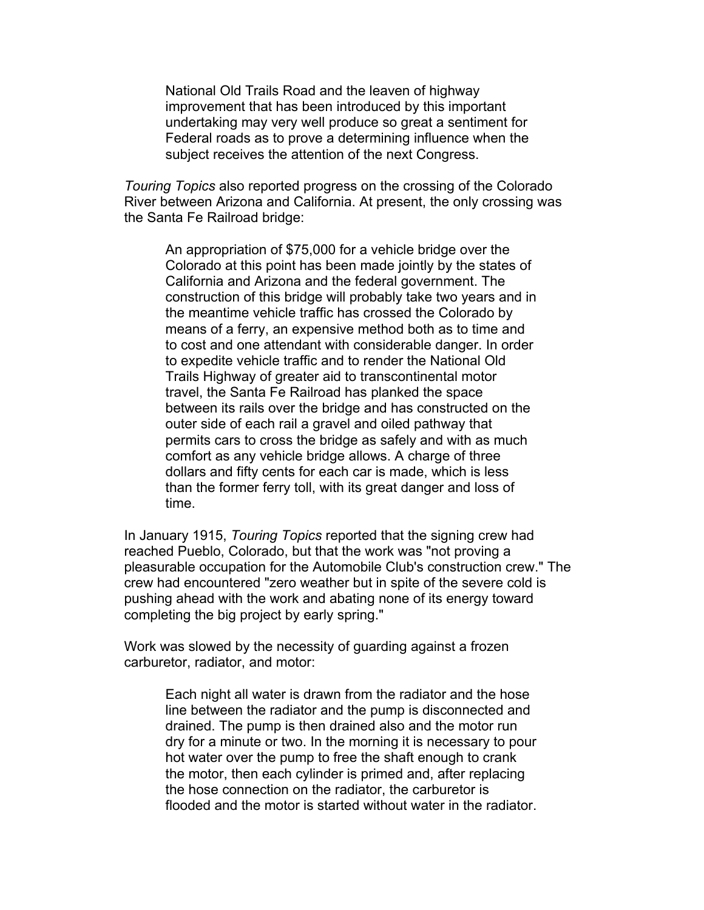National Old Trails Road and the leaven of highway improvement that has been introduced by this important undertaking may very well produce so great a sentiment for Federal roads as to prove a determining influence when the subject receives the attention of the next Congress.

*Touring Topics* also reported progress on the crossing of the Colorado River between Arizona and California. At present, the only crossing was the Santa Fe Railroad bridge:

An appropriation of \$75,000 for a vehicle bridge over the Colorado at this point has been made jointly by the states of California and Arizona and the federal government. The construction of this bridge will probably take two years and in the meantime vehicle traffic has crossed the Colorado by means of a ferry, an expensive method both as to time and to cost and one attendant with considerable danger. In order to expedite vehicle traffic and to render the National Old Trails Highway of greater aid to transcontinental motor travel, the Santa Fe Railroad has planked the space between its rails over the bridge and has constructed on the outer side of each rail a gravel and oiled pathway that permits cars to cross the bridge as safely and with as much comfort as any vehicle bridge allows. A charge of three dollars and fifty cents for each car is made, which is less than the former ferry toll, with its great danger and loss of time.

In January 1915, *Touring Topics* reported that the signing crew had reached Pueblo, Colorado, but that the work was "not proving a pleasurable occupation for the Automobile Club's construction crew." The crew had encountered "zero weather but in spite of the severe cold is pushing ahead with the work and abating none of its energy toward completing the big project by early spring."

Work was slowed by the necessity of guarding against a frozen carburetor, radiator, and motor:

> Each night all water is drawn from the radiator and the hose line between the radiator and the pump is disconnected and drained. The pump is then drained also and the motor run dry for a minute or two. In the morning it is necessary to pour hot water over the pump to free the shaft enough to crank the motor, then each cylinder is primed and, after replacing the hose connection on the radiator, the carburetor is flooded and the motor is started without water in the radiator.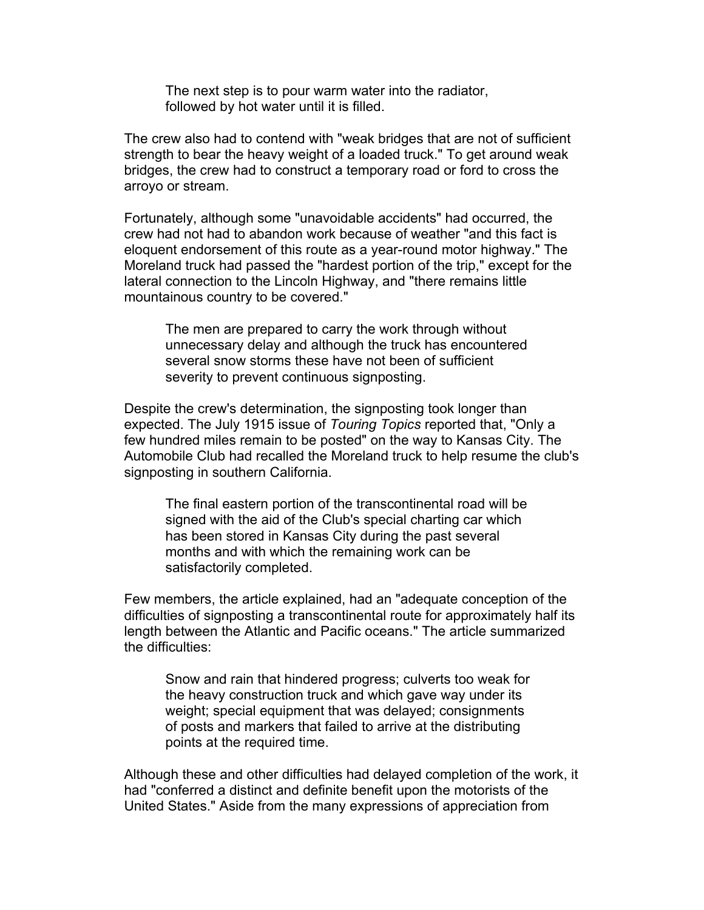The next step is to pour warm water into the radiator, followed by hot water until it is filled.

The crew also had to contend with "weak bridges that are not of sufficient strength to bear the heavy weight of a loaded truck." To get around weak bridges, the crew had to construct a temporary road or ford to cross the arroyo or stream.

Fortunately, although some "unavoidable accidents" had occurred, the crew had not had to abandon work because of weather "and this fact is eloquent endorsement of this route as a year-round motor highway." The Moreland truck had passed the "hardest portion of the trip," except for the lateral connection to the Lincoln Highway, and "there remains little mountainous country to be covered."

The men are prepared to carry the work through without unnecessary delay and although the truck has encountered several snow storms these have not been of sufficient severity to prevent continuous signposting.

Despite the crew's determination, the signposting took longer than expected. The July 1915 issue of *Touring Topics* reported that, "Only a few hundred miles remain to be posted" on the way to Kansas City. The Automobile Club had recalled the Moreland truck to help resume the club's signposting in southern California.

The final eastern portion of the transcontinental road will be signed with the aid of the Club's special charting car which has been stored in Kansas City during the past several months and with which the remaining work can be satisfactorily completed.

Few members, the article explained, had an "adequate conception of the difficulties of signposting a transcontinental route for approximately half its length between the Atlantic and Pacific oceans." The article summarized the difficulties:

Snow and rain that hindered progress; culverts too weak for the heavy construction truck and which gave way under its weight; special equipment that was delayed; consignments of posts and markers that failed to arrive at the distributing points at the required time.

Although these and other difficulties had delayed completion of the work, it had "conferred a distinct and definite benefit upon the motorists of the United States." Aside from the many expressions of appreciation from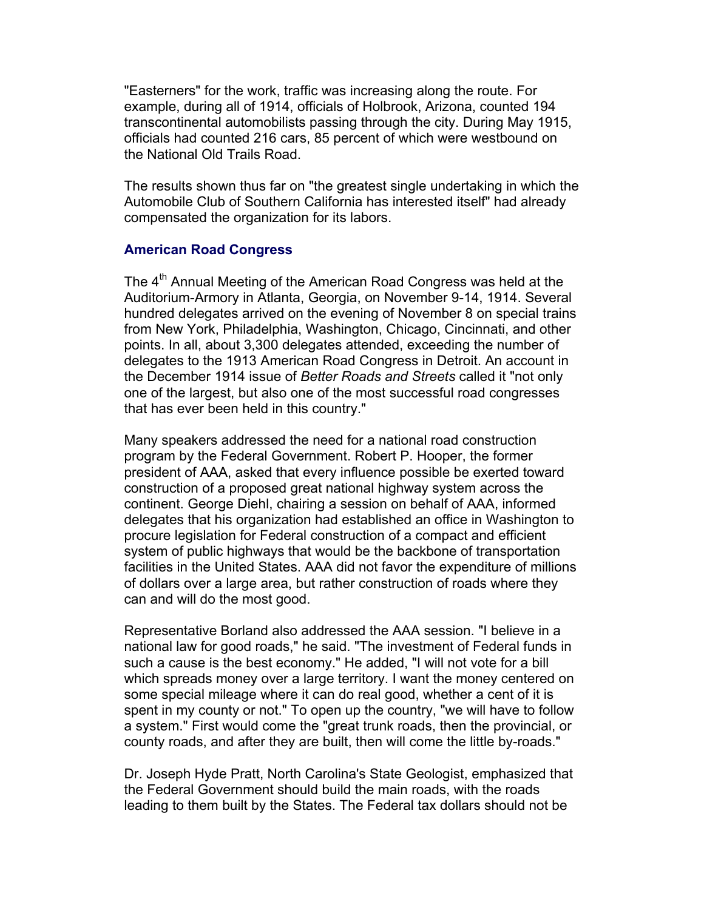"Easterners" for the work, traffic was increasing along the route. For example, during all of 1914, officials of Holbrook, Arizona, counted 194 transcontinental automobilists passing through the city. During May 1915, officials had counted 216 cars, 85 percent of which were westbound on the National Old Trails Road.

The results shown thus far on "the greatest single undertaking in which the Automobile Club of Southern California has interested itself" had already compensated the organization for its labors.

## **American Road Congress**

The 4<sup>th</sup> Annual Meeting of the American Road Congress was held at the Auditorium-Armory in Atlanta, Georgia, on November 9-14, 1914. Several hundred delegates arrived on the evening of November 8 on special trains from New York, Philadelphia, Washington, Chicago, Cincinnati, and other points. In all, about 3,300 delegates attended, exceeding the number of delegates to the 1913 American Road Congress in Detroit. An account in the December 1914 issue of *Better Roads and Streets* called it "not only one of the largest, but also one of the most successful road congresses that has ever been held in this country."

Many speakers addressed the need for a national road construction program by the Federal Government. Robert P. Hooper, the former president of AAA, asked that every influence possible be exerted toward construction of a proposed great national highway system across the continent. George Diehl, chairing a session on behalf of AAA, informed delegates that his organization had established an office in Washington to procure legislation for Federal construction of a compact and efficient system of public highways that would be the backbone of transportation facilities in the United States. AAA did not favor the expenditure of millions of dollars over a large area, but rather construction of roads where they can and will do the most good.

Representative Borland also addressed the AAA session. "I believe in a national law for good roads," he said. "The investment of Federal funds in such a cause is the best economy." He added, "I will not vote for a bill which spreads money over a large territory. I want the money centered on some special mileage where it can do real good, whether a cent of it is spent in my county or not." To open up the country, "we will have to follow a system." First would come the "great trunk roads, then the provincial, or county roads, and after they are built, then will come the little by-roads."

Dr. Joseph Hyde Pratt, North Carolina's State Geologist, emphasized that the Federal Government should build the main roads, with the roads leading to them built by the States. The Federal tax dollars should not be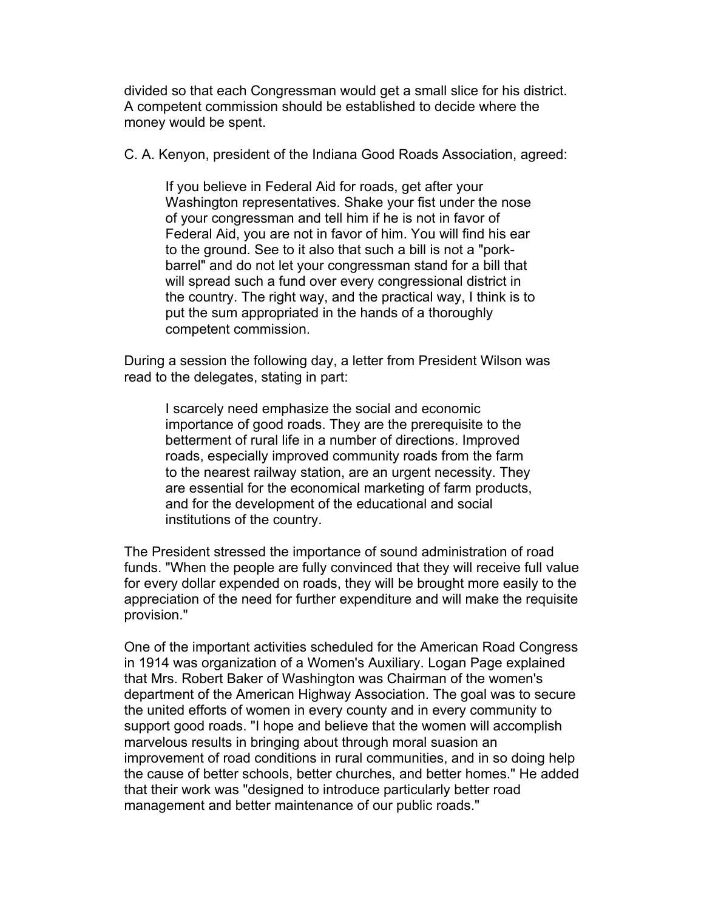divided so that each Congressman would get a small slice for his district. A competent commission should be established to decide where the money would be spent.

C. A. Kenyon, president of the Indiana Good Roads Association, agreed:

If you believe in Federal Aid for roads, get after your Washington representatives. Shake your fist under the nose of your congressman and tell him if he is not in favor of Federal Aid, you are not in favor of him. You will find his ear to the ground. See to it also that such a bill is not a "porkbarrel" and do not let your congressman stand for a bill that will spread such a fund over every congressional district in the country. The right way, and the practical way, I think is to put the sum appropriated in the hands of a thoroughly competent commission.

During a session the following day, a letter from President Wilson was read to the delegates, stating in part:

I scarcely need emphasize the social and economic importance of good roads. They are the prerequisite to the betterment of rural life in a number of directions. Improved roads, especially improved community roads from the farm to the nearest railway station, are an urgent necessity. They are essential for the economical marketing of farm products, and for the development of the educational and social institutions of the country.

The President stressed the importance of sound administration of road funds. "When the people are fully convinced that they will receive full value for every dollar expended on roads, they will be brought more easily to the appreciation of the need for further expenditure and will make the requisite provision."

One of the important activities scheduled for the American Road Congress in 1914 was organization of a Women's Auxiliary. Logan Page explained that Mrs. Robert Baker of Washington was Chairman of the women's department of the American Highway Association. The goal was to secure the united efforts of women in every county and in every community to support good roads. "I hope and believe that the women will accomplish marvelous results in bringing about through moral suasion an improvement of road conditions in rural communities, and in so doing help the cause of better schools, better churches, and better homes." He added that their work was "designed to introduce particularly better road management and better maintenance of our public roads."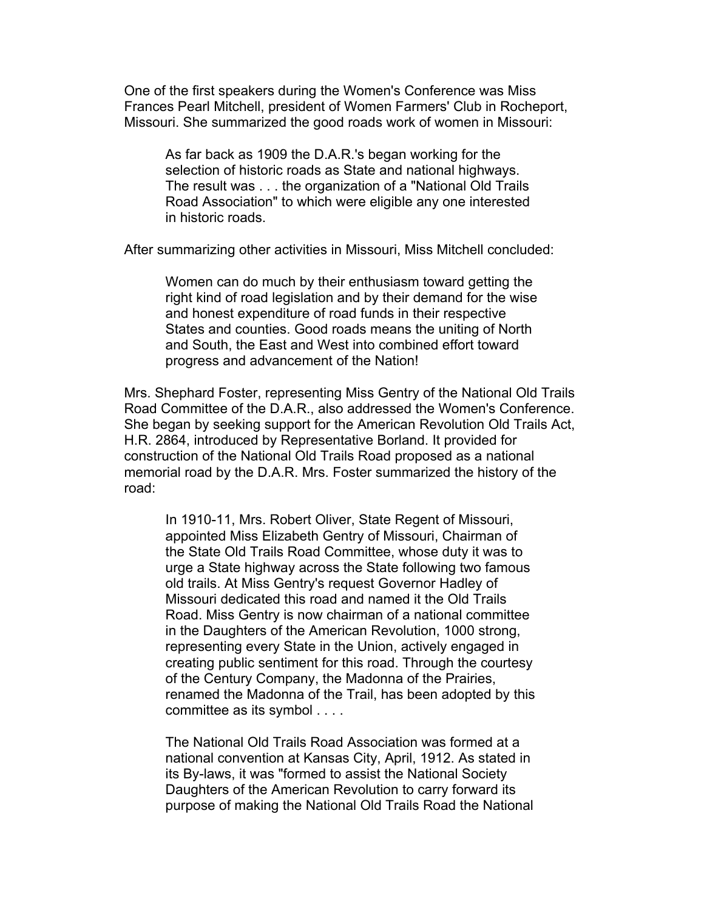One of the first speakers during the Women's Conference was Miss Frances Pearl Mitchell, president of Women Farmers' Club in Rocheport, Missouri. She summarized the good roads work of women in Missouri:

As far back as 1909 the D.A.R.'s began working for the selection of historic roads as State and national highways. The result was . . . the organization of a "National Old Trails Road Association" to which were eligible any one interested in historic roads.

After summarizing other activities in Missouri, Miss Mitchell concluded:

Women can do much by their enthusiasm toward getting the right kind of road legislation and by their demand for the wise and honest expenditure of road funds in their respective States and counties. Good roads means the uniting of North and South, the East and West into combined effort toward progress and advancement of the Nation!

Mrs. Shephard Foster, representing Miss Gentry of the National Old Trails Road Committee of the D.A.R., also addressed the Women's Conference. She began by seeking support for the American Revolution Old Trails Act, H.R. 2864, introduced by Representative Borland. It provided for construction of the National Old Trails Road proposed as a national memorial road by the D.A.R. Mrs. Foster summarized the history of the road:

In 1910-11, Mrs. Robert Oliver, State Regent of Missouri, appointed Miss Elizabeth Gentry of Missouri, Chairman of the State Old Trails Road Committee, whose duty it was to urge a State highway across the State following two famous old trails. At Miss Gentry's request Governor Hadley of Missouri dedicated this road and named it the Old Trails Road. Miss Gentry is now chairman of a national committee in the Daughters of the American Revolution, 1000 strong, representing every State in the Union, actively engaged in creating public sentiment for this road. Through the courtesy of the Century Company, the Madonna of the Prairies, renamed the Madonna of the Trail, has been adopted by this committee as its symbol . . . .

The National Old Trails Road Association was formed at a national convention at Kansas City, April, 1912. As stated in its By-laws, it was "formed to assist the National Society Daughters of the American Revolution to carry forward its purpose of making the National Old Trails Road the National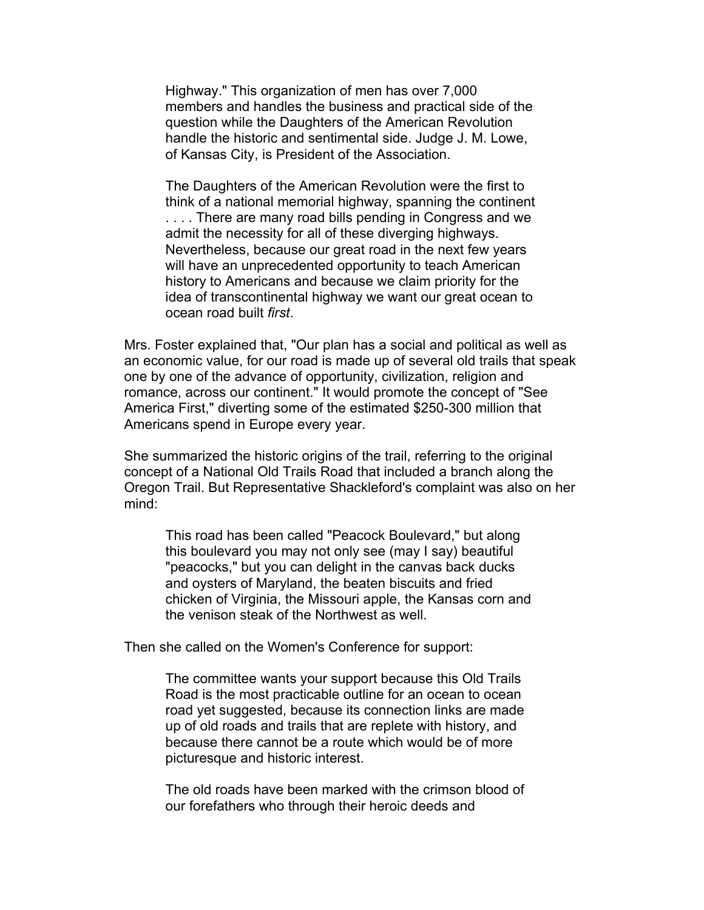Highway." This organization of men has over 7,000 members and handles the business and practical side of the question while the Daughters of the American Revolution handle the historic and sentimental side. Judge J. M. Lowe, of Kansas City, is President of the Association.

The Daughters of the American Revolution were the first to think of a national memorial highway, spanning the continent .... There are many road bills pending in Congress and we admit the necessity for all of these diverging highways. Nevertheless, because our great road in the next few years will have an unprecedented opportunity to teach American history to Americans and because we claim priority for the idea of transcontinental highway we want our great ocean to ocean road built *first*.

Mrs. Foster explained that, "Our plan has a social and political as well as an economic value, for our road is made up of several old trails that speak one by one of the advance of opportunity, civilization, religion and romance, across our continent." It would promote the concept of "See America First," diverting some of the estimated \$250-300 million that Americans spend in Europe every year.

She summarized the historic origins of the trail, referring to the original concept of a National Old Trails Road that included a branch along the Oregon Trail. But Representative Shackleford's complaint was also on her mind:

This road has been called "Peacock Boulevard," but along this boulevard you may not only see (may I say) beautiful "peacocks," but you can delight in the canvas back ducks and oysters of Maryland, the beaten biscuits and fried chicken of Virginia, the Missouri apple, the Kansas corn and the venison steak of the Northwest as well.

Then she called on the Women's Conference for support:

The committee wants your support because this Old Trails Road is the most practicable outline for an ocean to ocean road yet suggested, because its connection links are made up of old roads and trails that are replete with history, and because there cannot be a route which would be of more picturesque and historic interest.

The old roads have been marked with the crimson blood of our forefathers who through their heroic deeds and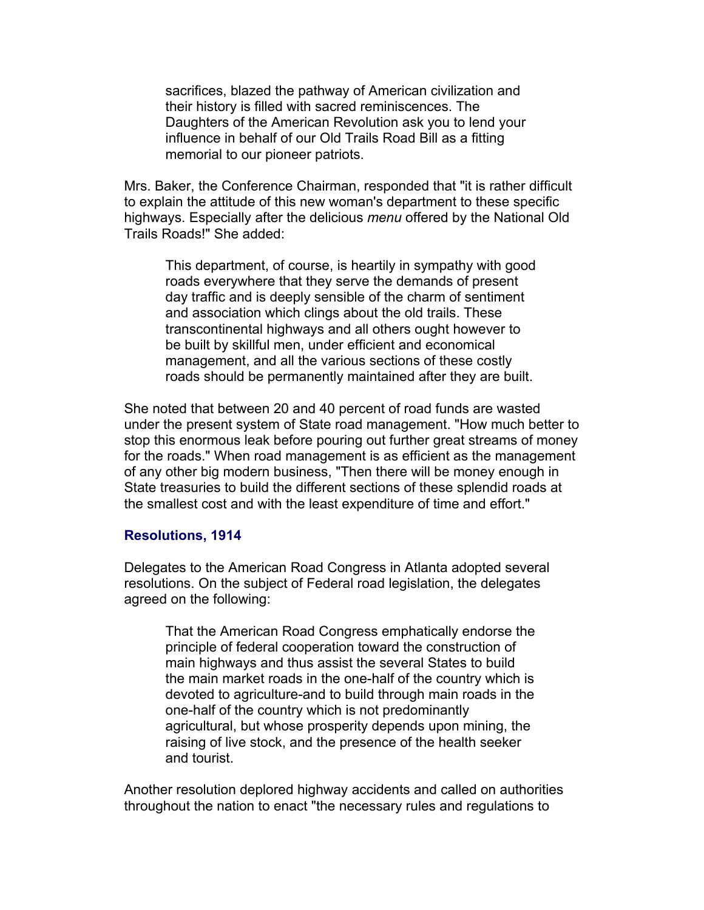sacrifices, blazed the pathway of American civilization and their history is filled with sacred reminiscences. The Daughters of the American Revolution ask you to lend your influence in behalf of our Old Trails Road Bill as a fitting memorial to our pioneer patriots.

Mrs. Baker, the Conference Chairman, responded that "it is rather difficult to explain the attitude of this new woman's department to these specific highways. Especially after the delicious *menu* offered by the National Old Trails Roads!" She added:

This department, of course, is heartily in sympathy with good roads everywhere that they serve the demands of present day traffic and is deeply sensible of the charm of sentiment and association which clings about the old trails. These transcontinental highways and all others ought however to be built by skillful men, under efficient and economical management, and all the various sections of these costly roads should be permanently maintained after they are built.

She noted that between 20 and 40 percent of road funds are wasted under the present system of State road management. "How much better to stop this enormous leak before pouring out further great streams of money for the roads." When road management is as efficient as the management of any other big modern business, "Then there will be money enough in State treasuries to build the different sections of these splendid roads at the smallest cost and with the least expenditure of time and effort."

## **Resolutions, 1914**

Delegates to the American Road Congress in Atlanta adopted several resolutions. On the subject of Federal road legislation, the delegates agreed on the following:

That the American Road Congress emphatically endorse the principle of federal cooperation toward the construction of main highways and thus assist the several States to build the main market roads in the one-half of the country which is devoted to agriculture-and to build through main roads in the one-half of the country which is not predominantly agricultural, but whose prosperity depends upon mining, the raising of live stock, and the presence of the health seeker and tourist.

Another resolution deplored highway accidents and called on authorities throughout the nation to enact "the necessary rules and regulations to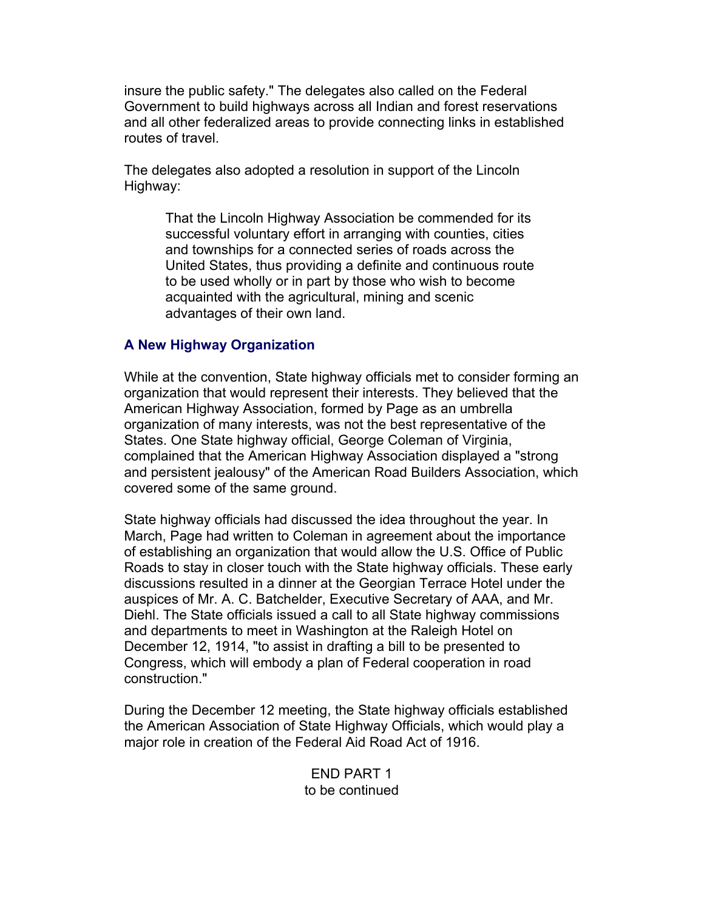insure the public safety." The delegates also called on the Federal Government to build highways across all Indian and forest reservations and all other federalized areas to provide connecting links in established routes of travel.

The delegates also adopted a resolution in support of the Lincoln Highway:

> That the Lincoln Highway Association be commended for its successful voluntary effort in arranging with counties, cities and townships for a connected series of roads across the United States, thus providing a definite and continuous route to be used wholly or in part by those who wish to become acquainted with the agricultural, mining and scenic advantages of their own land.

## **A New Highway Organization**

While at the convention, State highway officials met to consider forming an organization that would represent their interests. They believed that the American Highway Association, formed by Page as an umbrella organization of many interests, was not the best representative of the States. One State highway official, George Coleman of Virginia, complained that the American Highway Association displayed a "strong and persistent jealousy" of the American Road Builders Association, which covered some of the same ground.

State highway officials had discussed the idea throughout the year. In March, Page had written to Coleman in agreement about the importance of establishing an organization that would allow the U.S. Office of Public Roads to stay in closer touch with the State highway officials. These early discussions resulted in a dinner at the Georgian Terrace Hotel under the auspices of Mr. A. C. Batchelder, Executive Secretary of AAA, and Mr. Diehl. The State officials issued a call to all State highway commissions and departments to meet in Washington at the Raleigh Hotel on December 12, 1914, "to assist in drafting a bill to be presented to Congress, which will embody a plan of Federal cooperation in road construction."

During the December 12 meeting, the State highway officials established the American Association of State Highway Officials, which would play a major role in creation of the Federal Aid Road Act of 1916.

> END PART 1 to be continued